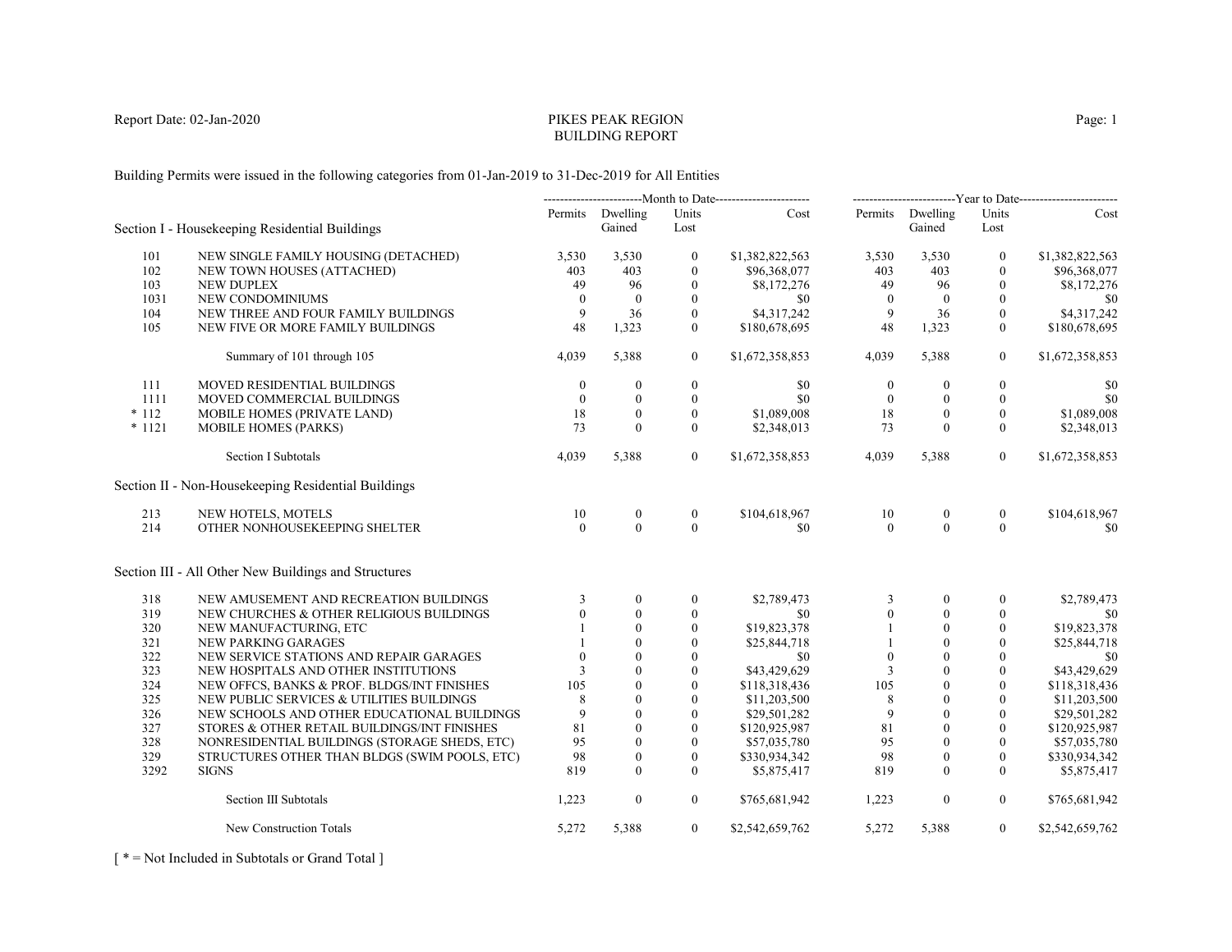# PIKES PEAK REGIONBUILDING REPORT

Building Permits were issued in the following categories from 01-Jan-2019 to 31-Dec-2019 for All Entities

|          |                                                      | ---------------------------Month to Date------------------------ |                            |                  | -------------------------Year to Date------------------------ |                  |                            |                  |                 |
|----------|------------------------------------------------------|------------------------------------------------------------------|----------------------------|------------------|---------------------------------------------------------------|------------------|----------------------------|------------------|-----------------|
|          | Section I - Housekeeping Residential Buildings       |                                                                  | Permits Dwelling<br>Gained | Units<br>Lost    | Cost                                                          |                  | Permits Dwelling<br>Gained | Units<br>Lost    | Cost            |
| 101      | NEW SINGLE FAMILY HOUSING (DETACHED)                 | 3,530                                                            | 3,530                      | $\mathbf{0}$     | \$1,382,822,563                                               | 3,530            | 3,530                      | $\mathbf{0}$     | \$1,382,822,563 |
| 102      | NEW TOWN HOUSES (ATTACHED)                           | 403                                                              | 403                        | $\mathbf{0}$     | \$96,368,077                                                  | 403              | 403                        | $\mathbf{0}$     | \$96,368,077    |
| 103      | <b>NEW DUPLEX</b>                                    | 49                                                               | 96                         | $\mathbf{0}$     | \$8,172,276                                                   | 49               | 96                         | $\mathbf{0}$     | \$8,172,276     |
| 1031     | NEW CONDOMINIUMS                                     | $\theta$                                                         | $\mathbf{0}$               | $\mathbf{0}$     | \$0                                                           | $\mathbf{0}$     | $\overline{0}$             | $\mathbf{0}$     | \$0             |
| 104      | NEW THREE AND FOUR FAMILY BUILDINGS                  | 9                                                                | 36                         | $\mathbf{0}$     | \$4,317,242                                                   | $\overline{9}$   | 36                         | $\mathbf{0}$     | \$4,317,242     |
| 105      | NEW FIVE OR MORE FAMILY BUILDINGS                    | 48                                                               | 1,323                      | $\theta$         | \$180,678,695                                                 | 48               | 1,323                      | $\mathbf{0}$     | \$180,678,695   |
|          | Summary of 101 through 105                           | 4,039                                                            | 5,388                      | $\overline{0}$   | \$1,672,358,853                                               | 4,039            | 5,388                      | $\overline{0}$   | \$1,672,358,853 |
| 111      | <b>MOVED RESIDENTIAL BUILDINGS</b>                   | $\mathbf{0}$                                                     | $\boldsymbol{0}$           | $\boldsymbol{0}$ | \$0                                                           | $\boldsymbol{0}$ | $\mathbf{0}$               | $\boldsymbol{0}$ | \$0             |
| 1111     | MOVED COMMERCIAL BUILDINGS                           | $\theta$                                                         | $\mathbf{0}$               | $\mathbf{0}$     | \$0                                                           | $\overline{0}$   | $\mathbf{0}$               | $\mathbf{0}$     | \$0             |
| $*112$   | MOBILE HOMES (PRIVATE LAND)                          | 18                                                               | $\theta$                   | $\mathbf{0}$     | \$1,089,008                                                   | 18               | $\Omega$                   | $\theta$         | \$1,089,008     |
| $* 1121$ | <b>MOBILE HOMES (PARKS)</b>                          | 73                                                               | $\theta$                   | $\theta$         | \$2,348,013                                                   | 73               | $\theta$                   | $\theta$         | \$2,348,013     |
|          | Section I Subtotals                                  | 4,039                                                            | 5,388                      | $\overline{0}$   | \$1,672,358,853                                               | 4,039            | 5,388                      | $\overline{0}$   | \$1,672,358,853 |
|          | Section II - Non-Housekeeping Residential Buildings  |                                                                  |                            |                  |                                                               |                  |                            |                  |                 |
| 213      | NEW HOTELS, MOTELS                                   | 10                                                               | $\boldsymbol{0}$           | $\boldsymbol{0}$ | \$104,618,967                                                 | 10               | $\boldsymbol{0}$           | $\boldsymbol{0}$ | \$104,618,967   |
| 214      | OTHER NONHOUSEKEEPING SHELTER                        | $\Omega$                                                         | $\Omega$                   | $\theta$         | \$0                                                           | $\theta$         | $\Omega$                   | $\theta$         | \$0             |
|          | Section III - All Other New Buildings and Structures |                                                                  |                            |                  |                                                               |                  |                            |                  |                 |
| 318      | NEW AMUSEMENT AND RECREATION BUILDINGS               | 3                                                                | $\theta$                   | $\mathbf{0}$     | \$2,789,473                                                   | 3                | $\theta$                   | $\theta$         | \$2,789,473     |
| 319      | NEW CHURCHES & OTHER RELIGIOUS BUILDINGS             | $\Omega$                                                         | $\theta$                   | $\mathbf{0}$     | \$0                                                           | $\mathbf{0}$     | $\mathbf{0}$               | 0                | \$0             |
| 320      | NEW MANUFACTURING, ETC                               |                                                                  | $\mathbf{0}$               | $\boldsymbol{0}$ | \$19,823,378                                                  |                  | $\boldsymbol{0}$           | $\boldsymbol{0}$ | \$19,823,378    |
| 321      | NEW PARKING GARAGES                                  |                                                                  | $\theta$                   | $\mathbf{0}$     | \$25,844,718                                                  |                  | $\theta$                   | $\theta$         | \$25,844,718    |
| 322      | NEW SERVICE STATIONS AND REPAIR GARAGES              | $\theta$                                                         | $\theta$                   | $\theta$         | \$0                                                           | $\mathbf{0}$     | $\Omega$                   | $\theta$         | \$0             |
| 323      | NEW HOSPITALS AND OTHER INSTITUTIONS                 | 3                                                                | $\theta$                   | $\mathbf{0}$     | \$43,429,629                                                  | 3                | $\theta$                   | $\mathbf{0}$     | \$43,429,629    |
| 324      | NEW OFFCS, BANKS & PROF. BLDGS/INT FINISHES          | 105                                                              | $\theta$                   | $\theta$         | \$118,318,436                                                 | 105              | $\mathbf{0}$               | $\mathbf{0}$     | \$118,318,436   |
| 325      | NEW PUBLIC SERVICES & UTILITIES BUILDINGS            | 8                                                                | $\theta$                   | $\theta$         | \$11,203,500                                                  | 8                | $\theta$                   | $\theta$         | \$11,203,500    |
| 326      | NEW SCHOOLS AND OTHER EDUCATIONAL BUILDINGS          | 9                                                                | $\theta$                   | $\mathbf{0}$     | \$29,501,282                                                  | 9                | $\theta$                   | $\mathbf{0}$     | \$29,501,282    |
| 327      | STORES & OTHER RETAIL BUILDINGS/INT FINISHES         | 81                                                               | $\mathbf{0}$               | $\theta$         | \$120,925,987                                                 | 81               | $\theta$                   | $\theta$         | \$120,925,987   |
| 328      | NONRESIDENTIAL BUILDINGS (STORAGE SHEDS, ETC)        | 95                                                               | $\Omega$                   | $\theta$         | \$57,035,780                                                  | 95               | $\Omega$                   | $\Omega$         | \$57,035,780    |
| 329      | STRUCTURES OTHER THAN BLDGS (SWIM POOLS, ETC)        | 98                                                               | $\theta$                   | $\mathbf{0}$     | \$330,934,342                                                 | 98               | $\mathbf{0}$               | $\mathbf{0}$     | \$330,934,342   |
| 3292     | <b>SIGNS</b>                                         | 819                                                              | $\theta$                   | $\theta$         | \$5,875,417                                                   | 819              | $\Omega$                   | $\theta$         | \$5,875,417     |
|          | Section III Subtotals                                | 1,223                                                            | $\mathbf{0}$               | $\overline{0}$   | \$765,681,942                                                 | 1,223            | $\boldsymbol{0}$           | $\overline{0}$   | \$765,681,942   |
|          | New Construction Totals                              | 5,272                                                            | 5,388                      | $\overline{0}$   | \$2,542,659,762                                               | 5,272            | 5,388                      | $\overline{0}$   | \$2,542,659,762 |

[ \* = Not Included in Subtotals or Grand Total ]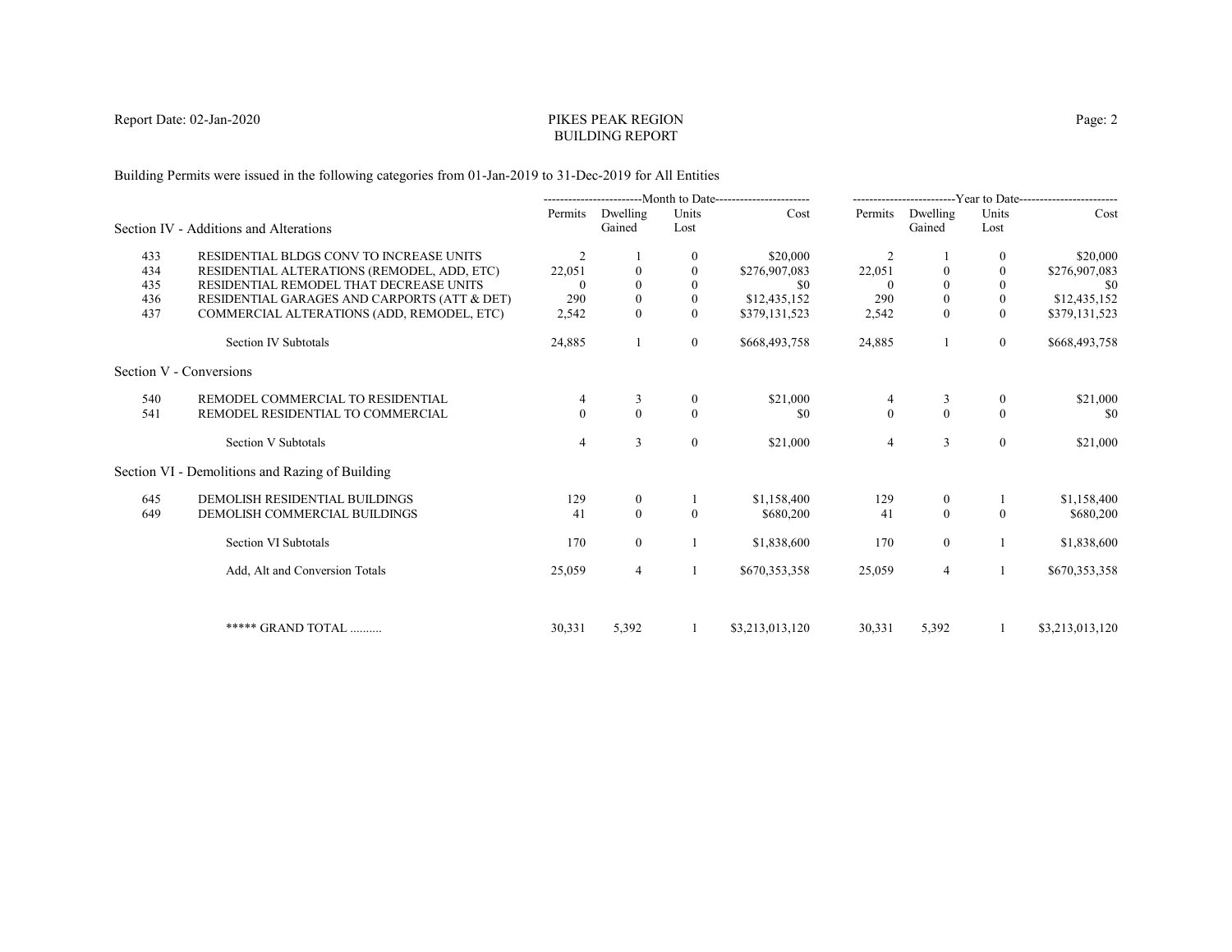# PIKES PEAK REGIONBUILDING REPORT

Building Permits were issued in the following categories from 01-Jan-2019 to 31-Dec-2019 for All Entities

|     |                                                 | ----------------------Month to Date----------------------- |                    | -------------------------Year to Date------------------------ |                 |              |                    |                |                 |
|-----|-------------------------------------------------|------------------------------------------------------------|--------------------|---------------------------------------------------------------|-----------------|--------------|--------------------|----------------|-----------------|
|     | Section IV - Additions and Alterations          | Permits                                                    | Dwelling<br>Gained | Units<br>Lost                                                 | Cost            | Permits      | Dwelling<br>Gained | Units<br>Lost  | Cost            |
|     |                                                 |                                                            |                    |                                                               |                 |              |                    |                |                 |
| 433 | RESIDENTIAL BLDGS CONV TO INCREASE UNITS        | 2                                                          |                    | 0                                                             | \$20,000        | 2            |                    | $\bf{0}$       | \$20,000        |
| 434 | RESIDENTIAL ALTERATIONS (REMODEL, ADD, ETC)     | 22,051                                                     |                    | $\theta$                                                      | \$276,907,083   | 22,051       |                    | $\mathbf{0}$   | \$276,907,083   |
| 435 | RESIDENTIAL REMODEL THAT DECREASE UNITS         |                                                            |                    |                                                               | \$0             |              |                    | $\theta$       | -\$0            |
| 436 | RESIDENTIAL GARAGES AND CARPORTS (ATT & DET)    | 290                                                        | $\boldsymbol{0}$   | $\mathbf{0}$                                                  | \$12,435,152    | 290          | $\mathbf{0}$       | $\bf{0}$       | \$12,435,152    |
| 437 | COMMERCIAL ALTERATIONS (ADD, REMODEL, ETC)      | 2,542                                                      | $\Omega$           | $\Omega$                                                      | \$379,131,523   | 2,542        | $\theta$           | $\theta$       | \$379,131,523   |
|     | Section IV Subtotals                            | 24,885                                                     |                    | $\mathbf{0}$                                                  | \$668,493,758   | 24,885       |                    | $\overline{0}$ | \$668,493,758   |
|     | Section V - Conversions                         |                                                            |                    |                                                               |                 |              |                    |                |                 |
| 540 | REMODEL COMMERCIAL TO RESIDENTIAL               |                                                            | 3                  | $\bf{0}$                                                      | \$21,000        | 4            | 3                  | $\overline{0}$ | \$21,000        |
| 541 | REMODEL RESIDENTIAL TO COMMERCIAL               | $\Omega$                                                   | $\theta$           | $\Omega$                                                      | \$0             | $\mathbf{0}$ | $\theta$           | $\theta$       | \$0             |
|     | Section V Subtotals                             | $\overline{4}$                                             | 3                  | $\mathbf{0}$                                                  | \$21,000        | 4            | 3                  | $\overline{0}$ | \$21,000        |
|     | Section VI - Demolitions and Razing of Building |                                                            |                    |                                                               |                 |              |                    |                |                 |
| 645 | DEMOLISH RESIDENTIAL BUILDINGS                  | 129                                                        | $\overline{0}$     |                                                               | \$1,158,400     | 129          | $\bf{0}$           |                | \$1,158,400     |
| 649 | DEMOLISH COMMERCIAL BUILDINGS                   | 41                                                         | $\mathbf{0}$       | $\Omega$                                                      | \$680,200       | 41           | $\mathbf{0}$       | $\theta$       | \$680,200       |
|     | Section VI Subtotals                            | 170                                                        | $\overline{0}$     |                                                               | \$1,838,600     | 170          | $\mathbf{0}$       |                | \$1,838,600     |
|     | Add, Alt and Conversion Totals                  | 25,059                                                     | 4                  |                                                               | \$670,353,358   | 25,059       | $\overline{4}$     |                | \$670,353,358   |
|     |                                                 |                                                            |                    |                                                               |                 |              |                    |                |                 |
|     | ***** GRAND TOTAL                               | 30,331                                                     | 5,392              |                                                               | \$3,213,013,120 | 30,331       | 5,392              | -1             | \$3,213,013,120 |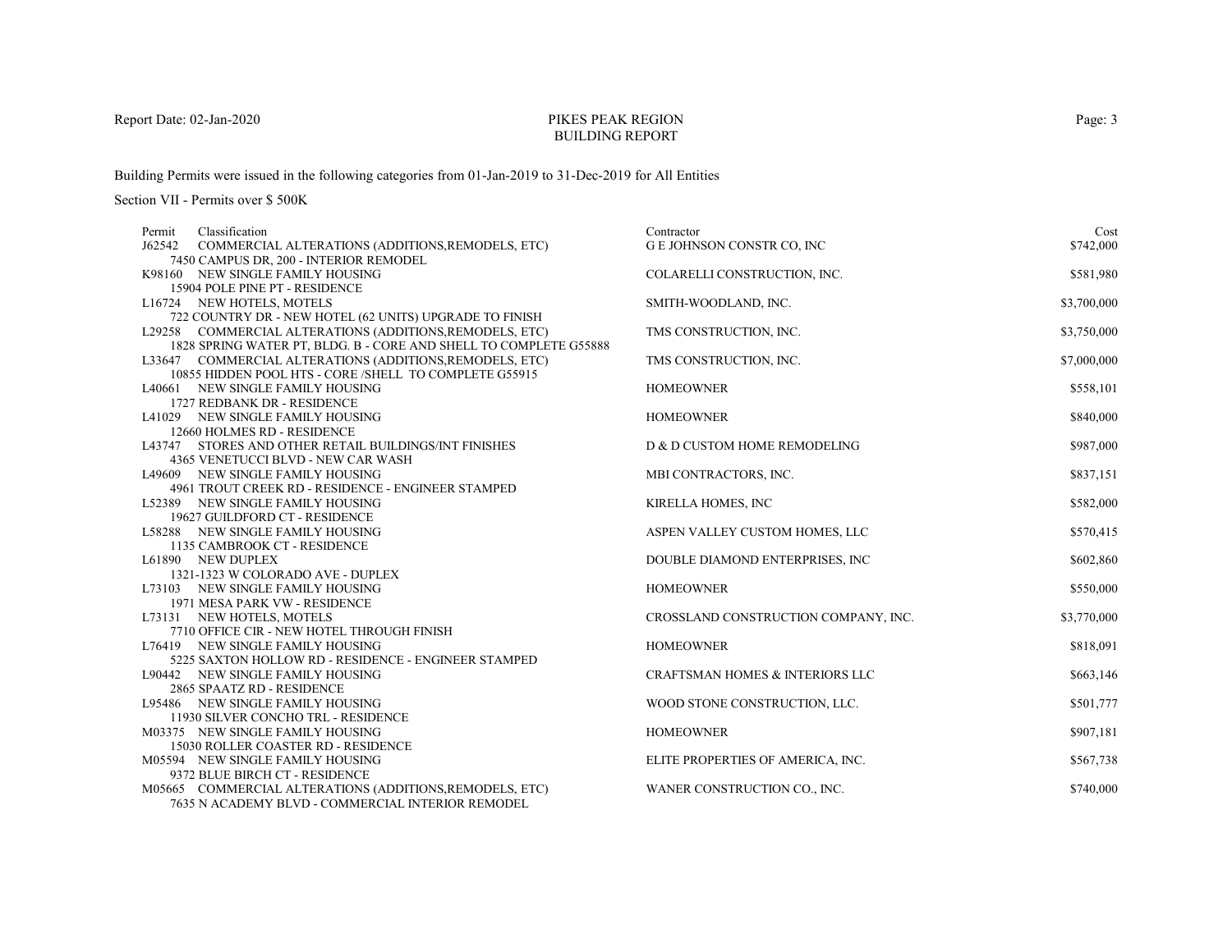# PIKES PEAK REGIONBUILDING REPORT

Building Permits were issued in the following categories from 01-Jan-2019 to 31-Dec-2019 for All Entities

| Permit | Classification                                                                       | Contractor                                 | Cost        |
|--------|--------------------------------------------------------------------------------------|--------------------------------------------|-------------|
| J62542 | COMMERCIAL ALTERATIONS (ADDITIONS, REMODELS, ETC)                                    | G E JOHNSON CONSTR CO, INC                 | \$742,000   |
|        | 7450 CAMPUS DR, 200 - INTERIOR REMODEL                                               |                                            |             |
|        | K98160 NEW SINGLE FAMILY HOUSING                                                     | COLARELLI CONSTRUCTION, INC.               | \$581,980   |
|        | 15904 POLE PINE PT - RESIDENCE                                                       |                                            |             |
|        | L16724 NEW HOTELS, MOTELS                                                            | SMITH-WOODLAND, INC.                       | \$3,700,000 |
|        | 722 COUNTRY DR - NEW HOTEL (62 UNITS) UPGRADE TO FINISH                              |                                            |             |
|        | L29258 COMMERCIAL ALTERATIONS (ADDITIONS, REMODELS, ETC)                             | TMS CONSTRUCTION, INC.                     | \$3,750,000 |
|        | 1828 SPRING WATER PT, BLDG, B - CORE AND SHELL TO COMPLETE G55888                    |                                            |             |
|        | L33647 COMMERCIAL ALTERATIONS (ADDITIONS, REMODELS, ETC)                             | TMS CONSTRUCTION, INC.                     | \$7,000,000 |
|        | 10855 HIDDEN POOL HTS - CORE /SHELL TO COMPLETE G55915                               |                                            |             |
|        | L40661 NEW SINGLE FAMILY HOUSING                                                     | <b>HOMEOWNER</b>                           | \$558,101   |
|        | 1727 REDBANK DR - RESIDENCE                                                          |                                            |             |
|        | L41029 NEW SINGLE FAMILY HOUSING                                                     | <b>HOMEOWNER</b>                           | \$840,000   |
|        | 12660 HOLMES RD - RESIDENCE<br>L43747 STORES AND OTHER RETAIL BUILDINGS/INT FINISHES | D & D CUSTOM HOME REMODELING               | \$987,000   |
|        | 4365 VENETUCCI BLVD - NEW CAR WASH                                                   |                                            |             |
|        | L49609 NEW SINGLE FAMILY HOUSING                                                     | MBI CONTRACTORS, INC.                      | \$837,151   |
|        | 4961 TROUT CREEK RD - RESIDENCE - ENGINEER STAMPED                                   |                                            |             |
|        | L52389 NEW SINGLE FAMILY HOUSING                                                     | KIRELLA HOMES, INC                         | \$582,000   |
|        | 19627 GUILDFORD CT - RESIDENCE                                                       |                                            |             |
|        | L58288 NEW SINGLE FAMILY HOUSING                                                     | ASPEN VALLEY CUSTOM HOMES, LLC             | \$570,415   |
|        | 1135 CAMBROOK CT - RESIDENCE                                                         |                                            |             |
|        | L61890 NEW DUPLEX                                                                    | DOUBLE DIAMOND ENTERPRISES, INC            | \$602,860   |
|        | 1321-1323 W COLORADO AVE - DUPLEX                                                    |                                            |             |
|        | L73103 NEW SINGLE FAMILY HOUSING                                                     | <b>HOMEOWNER</b>                           | \$550,000   |
|        | 1971 MESA PARK VW - RESIDENCE                                                        |                                            |             |
|        | L73131 NEW HOTELS, MOTELS                                                            | CROSSLAND CONSTRUCTION COMPANY, INC.       | \$3,770,000 |
|        | 7710 OFFICE CIR - NEW HOTEL THROUGH FINISH                                           |                                            |             |
|        | L76419 NEW SINGLE FAMILY HOUSING                                                     | <b>HOMEOWNER</b>                           | \$818,091   |
|        | 5225 SAXTON HOLLOW RD - RESIDENCE - ENGINEER STAMPED                                 |                                            |             |
|        | L90442 NEW SINGLE FAMILY HOUSING                                                     | <b>CRAFTSMAN HOMES &amp; INTERIORS LLC</b> | \$663,146   |
|        | 2865 SPAATZ RD - RESIDENCE                                                           |                                            |             |
|        | L95486 NEW SINGLE FAMILY HOUSING                                                     | WOOD STONE CONSTRUCTION, LLC.              | \$501,777   |
|        | 11930 SILVER CONCHO TRL - RESIDENCE                                                  |                                            |             |
|        | M03375 NEW SINGLE FAMILY HOUSING                                                     | <b>HOMEOWNER</b>                           | \$907,181   |
|        | 15030 ROLLER COASTER RD - RESIDENCE                                                  |                                            |             |
|        | M05594 NEW SINGLE FAMILY HOUSING                                                     | ELITE PROPERTIES OF AMERICA, INC.          | \$567,738   |
|        | 9372 BLUE BIRCH CT - RESIDENCE                                                       |                                            |             |
|        | M05665 COMMERCIAL ALTERATIONS (ADDITIONS, REMODELS, ETC)                             | WANER CONSTRUCTION CO., INC.               | \$740,000   |
|        | 7635 N ACADEMY BLVD - COMMERCIAL INTERIOR REMODEL                                    |                                            |             |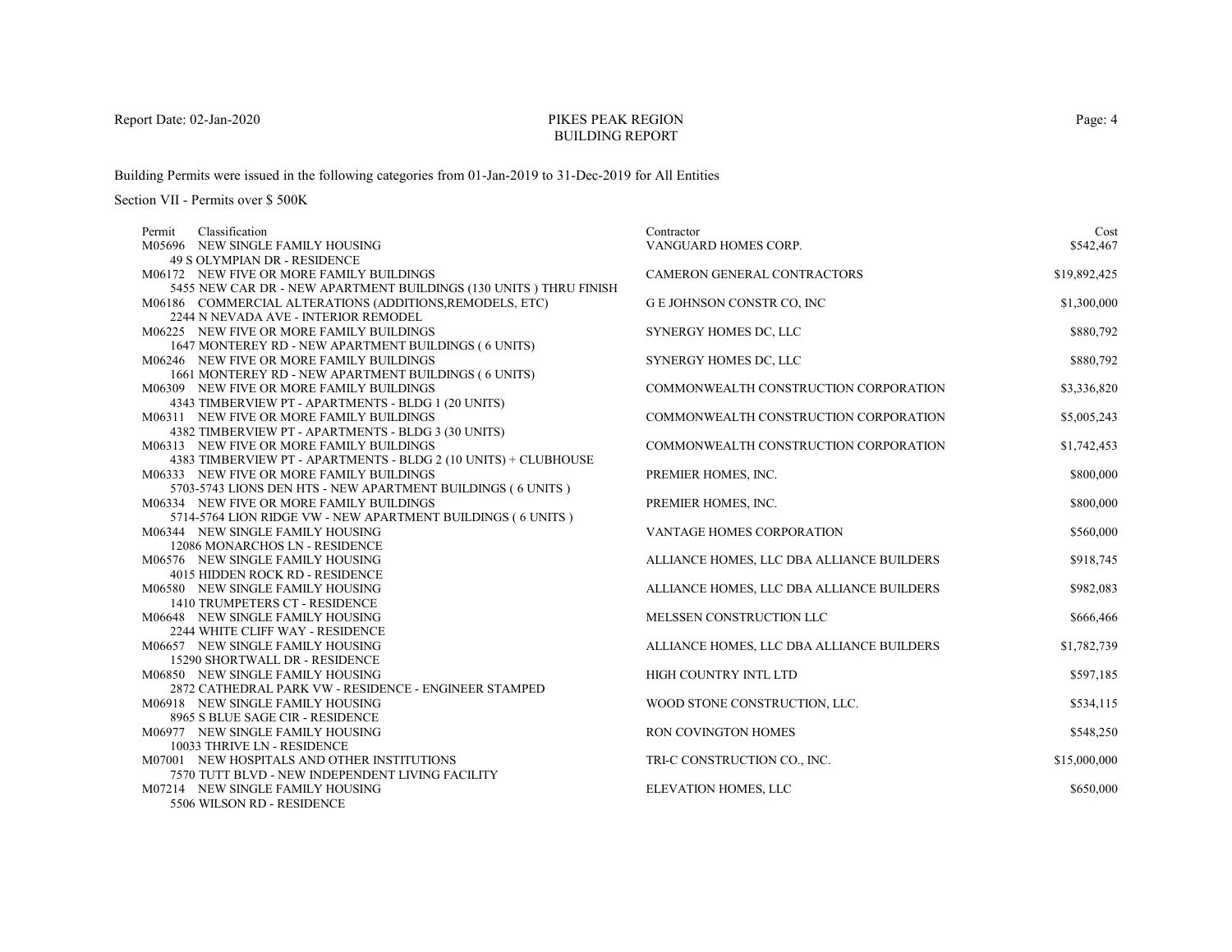# PIKES PEAK REGIONBUILDING REPORT

Building Permits were issued in the following categories from 01-Jan-2019 to 31-Dec-2019 for All Entities

Section VII - Permits over \$ 500K

| Classification<br>Permit                                            | Contractor                                | Cost         |
|---------------------------------------------------------------------|-------------------------------------------|--------------|
| M05696 NEW SINGLE FAMILY HOUSING                                    | VANGUARD HOMES CORP.                      | \$542,467    |
| 49 S OLYMPIAN DR - RESIDENCE                                        |                                           |              |
| M06172 NEW FIVE OR MORE FAMILY BUILDINGS                            | CAMERON GENERAL CONTRACTORS               | \$19,892,425 |
| 5455 NEW CAR DR - NEW APARTMENT BUILDINGS (130 UNITS) THRU FINISH   |                                           |              |
| M06186 COMMERCIAL ALTERATIONS (ADDITIONS, REMODELS, ETC)            | G E JOHNSON CONSTR CO, INC                | \$1,300,000  |
| 2244 N NEVADA AVE - INTERIOR REMODEL                                |                                           |              |
| M06225 NEW FIVE OR MORE FAMILY BUILDINGS                            | SYNERGY HOMES DC, LLC                     | \$880,792    |
| 1647 MONTEREY RD - NEW APARTMENT BUILDINGS (6 UNITS)                |                                           |              |
| M06246 NEW FIVE OR MORE FAMILY BUILDINGS                            | SYNERGY HOMES DC, LLC                     | \$880,792    |
| 1661 MONTEREY RD - NEW APARTMENT BUILDINGS (6 UNITS)                |                                           |              |
| M06309 NEW FIVE OR MORE FAMILY BUILDINGS                            | COMMONWEALTH CONSTRUCTION CORPORATION     | \$3,336,820  |
| 4343 TIMBERVIEW PT - APARTMENTS - BLDG 1 (20 UNITS)                 |                                           |              |
| M06311 NEW FIVE OR MORE FAMILY BUILDINGS                            | COMMONWEALTH CONSTRUCTION CORPORATION     | \$5,005,243  |
| 4382 TIMBERVIEW PT - APARTMENTS - BLDG 3 (30 UNITS)                 |                                           |              |
| M06313 NEW FIVE OR MORE FAMILY BUILDINGS                            | COMMONWEALTH CONSTRUCTION CORPORATION     | \$1,742,453  |
| 4383 TIMBERVIEW PT - APARTMENTS - BLDG 2 (10 UNITS) + CLUBHOUSE     |                                           |              |
| M06333 NEW FIVE OR MORE FAMILY BUILDINGS                            | PREMIER HOMES, INC.                       | \$800,000    |
| 5703-5743 LIONS DEN HTS - NEW APARTMENT BUILDINGS (6 UNITS)         |                                           |              |
| M06334 NEW FIVE OR MORE FAMILY BUILDINGS                            | PREMIER HOMES, INC.                       | \$800,000    |
| 5714-5764 LION RIDGE VW - NEW APARTMENT BUILDINGS (6 UNITS)         |                                           |              |
| M06344 NEW SINGLE FAMILY HOUSING                                    | <b>VANTAGE HOMES CORPORATION</b>          | \$560,000    |
| 12086 MONARCHOS LN - RESIDENCE                                      |                                           |              |
| M06576 NEW SINGLE FAMILY HOUSING<br>4015 HIDDEN ROCK RD - RESIDENCE | ALLIANCE HOMES, LLC DBA ALLIANCE BUILDERS | \$918,745    |
| M06580 NEW SINGLE FAMILY HOUSING                                    | ALLIANCE HOMES, LLC DBA ALLIANCE BUILDERS | \$982,083    |
| 1410 TRUMPETERS CT - RESIDENCE                                      |                                           |              |
| M06648 NEW SINGLE FAMILY HOUSING                                    | MELSSEN CONSTRUCTION LLC                  | \$666,466    |
| 2244 WHITE CLIFF WAY - RESIDENCE                                    |                                           |              |
| M06657 NEW SINGLE FAMILY HOUSING                                    | ALLIANCE HOMES, LLC DBA ALLIANCE BUILDERS | \$1,782,739  |
| 15290 SHORTWALL DR - RESIDENCE                                      |                                           |              |
| M06850 NEW SINGLE FAMILY HOUSING                                    | HIGH COUNTRY INTL LTD                     | \$597,185    |
| 2872 CATHEDRAL PARK VW - RESIDENCE - ENGINEER STAMPED               |                                           |              |
| M06918 NEW SINGLE FAMILY HOUSING                                    | WOOD STONE CONSTRUCTION, LLC.             | \$534,115    |
| 8965 S BLUE SAGE CIR - RESIDENCE                                    |                                           |              |
| M06977 NEW SINGLE FAMILY HOUSING                                    | RON COVINGTON HOMES                       | \$548,250    |
| 10033 THRIVE LN - RESIDENCE                                         |                                           |              |
| M07001 NEW HOSPITALS AND OTHER INSTITUTIONS                         | TRI-C CONSTRUCTION CO., INC.              | \$15,000,000 |
| 7570 TUTT BLVD - NEW INDEPENDENT LIVING FACILITY                    |                                           |              |
| M07214 NEW SINGLE FAMILY HOUSING                                    | ELEVATION HOMES, LLC                      | \$650,000    |
| 5506 WILSON RD - RESIDENCE                                          |                                           |              |

Page: 4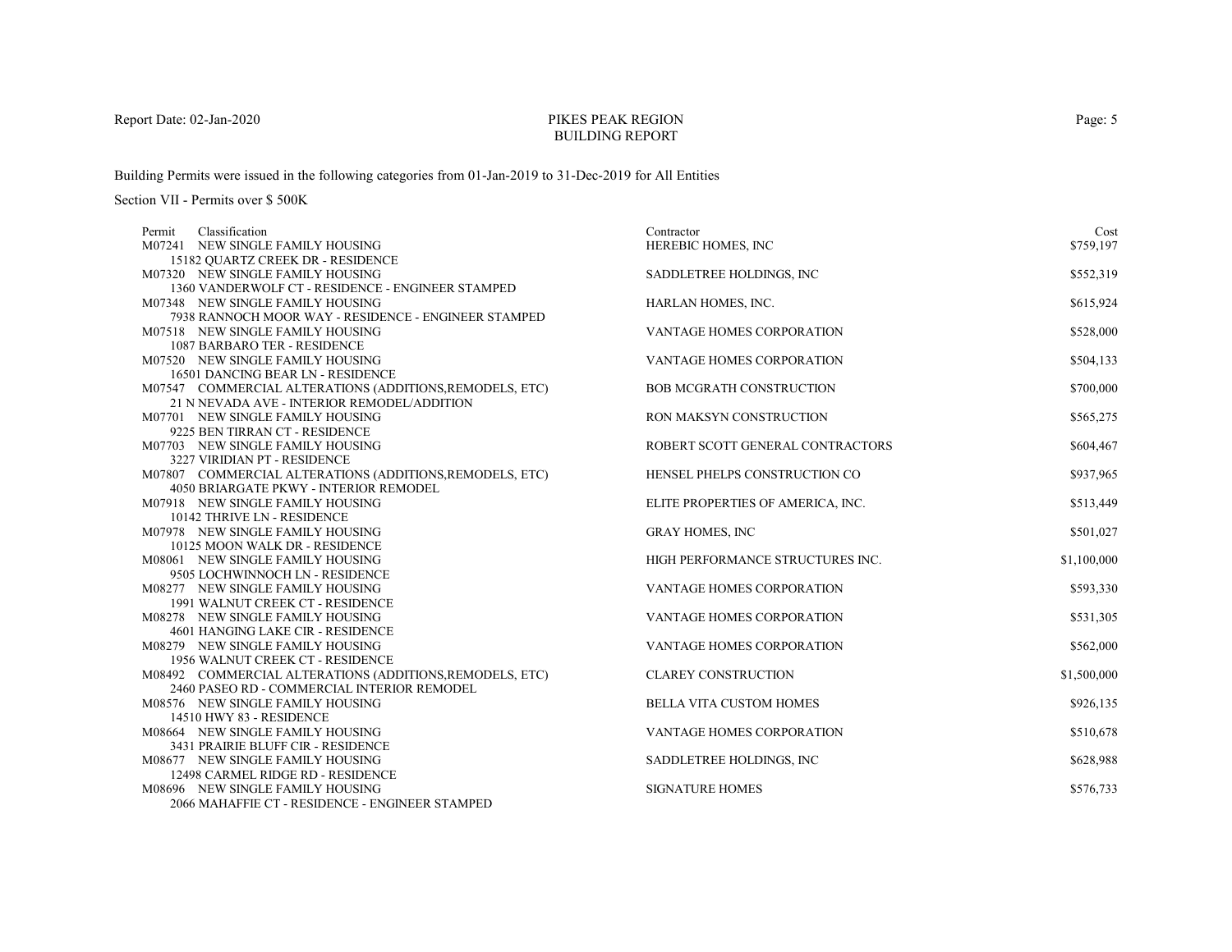# PIKES PEAK REGIONBUILDING REPORT

Building Permits were issued in the following categories from 01-Jan-2019 to 31-Dec-2019 for All Entities

| Classification<br>Permit                                 | Contractor                        | Cost        |
|----------------------------------------------------------|-----------------------------------|-------------|
| M07241 NEW SINGLE FAMILY HOUSING                         | HEREBIC HOMES, INC                | \$759,197   |
| 15182 QUARTZ CREEK DR - RESIDENCE                        |                                   |             |
| M07320 NEW SINGLE FAMILY HOUSING                         | SADDLETREE HOLDINGS, INC          | \$552,319   |
| 1360 VANDERWOLF CT - RESIDENCE - ENGINEER STAMPED        |                                   |             |
| M07348 NEW SINGLE FAMILY HOUSING                         | HARLAN HOMES, INC.                | \$615,924   |
| 7938 RANNOCH MOOR WAY - RESIDENCE - ENGINEER STAMPED     |                                   |             |
| M07518 NEW SINGLE FAMILY HOUSING                         | <b>VANTAGE HOMES CORPORATION</b>  | \$528,000   |
| <b>1087 BARBARO TER - RESIDENCE</b>                      |                                   |             |
| M07520 NEW SINGLE FAMILY HOUSING                         | VANTAGE HOMES CORPORATION         | \$504,133   |
| 16501 DANCING BEAR LN - RESIDENCE                        |                                   |             |
| M07547 COMMERCIAL ALTERATIONS (ADDITIONS, REMODELS, ETC) | <b>BOB MCGRATH CONSTRUCTION</b>   | \$700,000   |
| 21 N NEVADA AVE - INTERIOR REMODEL/ADDITION              |                                   |             |
| M07701 NEW SINGLE FAMILY HOUSING                         | RON MAKSYN CONSTRUCTION           | \$565,275   |
| 9225 BEN TIRRAN CT - RESIDENCE                           |                                   |             |
| M07703 NEW SINGLE FAMILY HOUSING                         | ROBERT SCOTT GENERAL CONTRACTORS  | \$604,467   |
| 3227 VIRIDIAN PT - RESIDENCE                             |                                   |             |
| M07807 COMMERCIAL ALTERATIONS (ADDITIONS, REMODELS, ETC) | HENSEL PHELPS CONSTRUCTION CO     | \$937,965   |
| 4050 BRIARGATE PKWY - INTERIOR REMODEL                   |                                   |             |
| M07918 NEW SINGLE FAMILY HOUSING                         | ELITE PROPERTIES OF AMERICA, INC. | \$513,449   |
| 10142 THRIVE LN - RESIDENCE                              |                                   |             |
| M07978 NEW SINGLE FAMILY HOUSING                         | <b>GRAY HOMES, INC</b>            | \$501,027   |
| 10125 MOON WALK DR - RESIDENCE                           |                                   |             |
| M08061 NEW SINGLE FAMILY HOUSING                         | HIGH PERFORMANCE STRUCTURES INC.  | \$1,100,000 |
| 9505 LOCHWINNOCH LN - RESIDENCE                          |                                   |             |
| M08277 NEW SINGLE FAMILY HOUSING                         | <b>VANTAGE HOMES CORPORATION</b>  | \$593,330   |
| 1991 WALNUT CREEK CT - RESIDENCE                         |                                   |             |
| M08278 NEW SINGLE FAMILY HOUSING                         | VANTAGE HOMES CORPORATION         | \$531,305   |
| 4601 HANGING LAKE CIR - RESIDENCE                        |                                   |             |
| M08279 NEW SINGLE FAMILY HOUSING                         | VANTAGE HOMES CORPORATION         | \$562,000   |
| 1956 WALNUT CREEK CT - RESIDENCE                         |                                   |             |
| M08492 COMMERCIAL ALTERATIONS (ADDITIONS, REMODELS, ETC) | <b>CLAREY CONSTRUCTION</b>        | \$1,500,000 |
| 2460 PASEO RD - COMMERCIAL INTERIOR REMODEL              |                                   |             |
| M08576 NEW SINGLE FAMILY HOUSING                         | <b>BELLA VITA CUSTOM HOMES</b>    | \$926,135   |
| 14510 HWY 83 - RESIDENCE                                 |                                   |             |
| M08664 NEW SINGLE FAMILY HOUSING                         | VANTAGE HOMES CORPORATION         | \$510,678   |
| 3431 PRAIRIE BLUFF CIR - RESIDENCE                       |                                   |             |
| M08677 NEW SINGLE FAMILY HOUSING                         | SADDLETREE HOLDINGS, INC          | \$628,988   |
| 12498 CARMEL RIDGE RD - RESIDENCE                        |                                   |             |
| M08696 NEW SINGLE FAMILY HOUSING                         | <b>SIGNATURE HOMES</b>            | \$576,733   |
| 2066 MAHAFFIE CT - RESIDENCE - ENGINEER STAMPED          |                                   |             |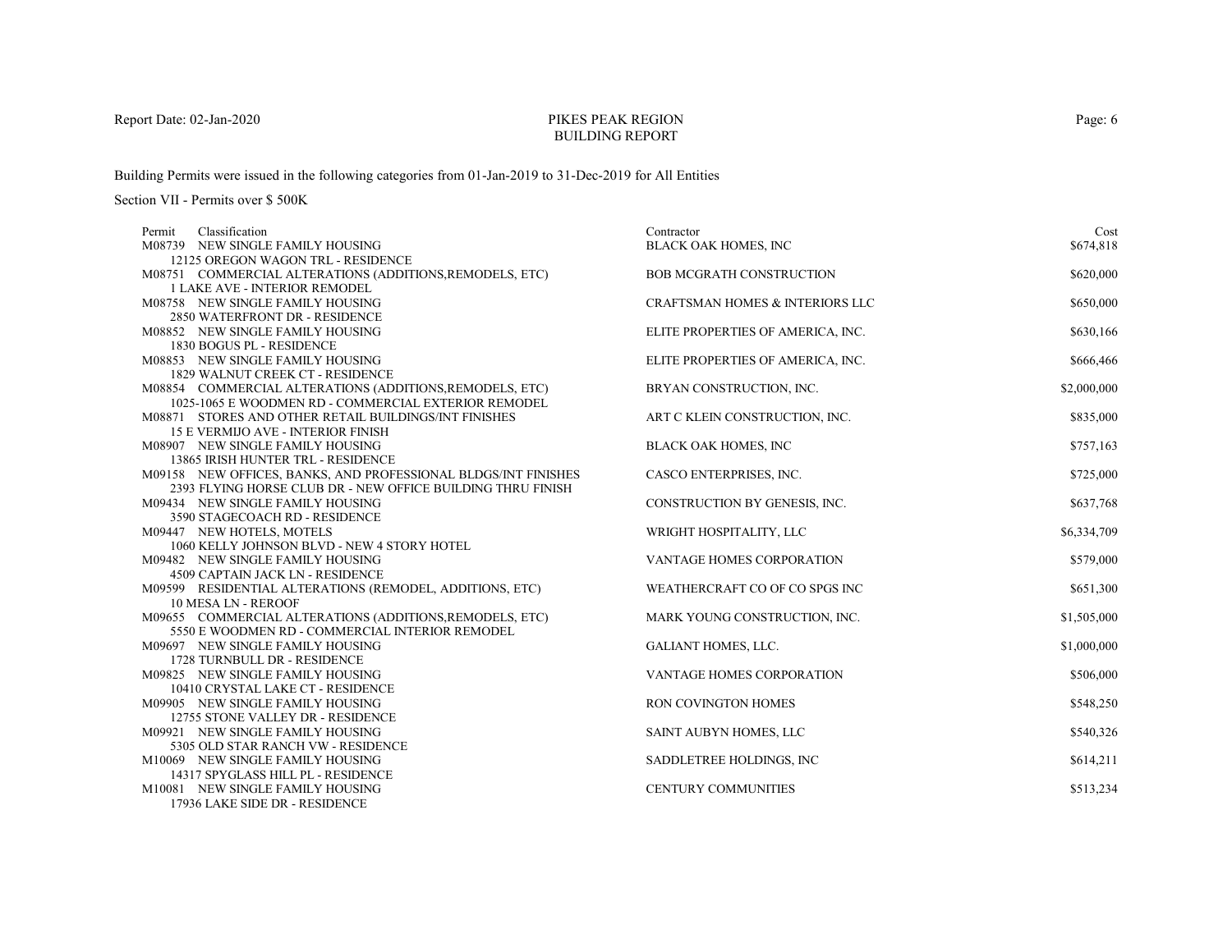# PIKES PEAK REGIONBUILDING REPORT

Building Permits were issued in the following categories from 01-Jan-2019 to 31-Dec-2019 for All Entities

| Classification<br>Permit                                       | Contractor                                 | Cost        |
|----------------------------------------------------------------|--------------------------------------------|-------------|
| M08739 NEW SINGLE FAMILY HOUSING                               | BLACK OAK HOMES, INC                       | \$674,818   |
| 12125 OREGON WAGON TRL - RESIDENCE                             |                                            |             |
| M08751 COMMERCIAL ALTERATIONS (ADDITIONS, REMODELS, ETC)       | <b>BOB MCGRATH CONSTRUCTION</b>            | \$620,000   |
| <b>1 LAKE AVE - INTERIOR REMODEL</b>                           |                                            |             |
| M08758 NEW SINGLE FAMILY HOUSING                               | <b>CRAFTSMAN HOMES &amp; INTERIORS LLC</b> | \$650,000   |
| 2850 WATERFRONT DR - RESIDENCE                                 |                                            |             |
| M08852 NEW SINGLE FAMILY HOUSING                               | ELITE PROPERTIES OF AMERICA, INC.          | \$630,166   |
| 1830 BOGUS PL - RESIDENCE                                      |                                            |             |
| M08853 NEW SINGLE FAMILY HOUSING                               | ELITE PROPERTIES OF AMERICA, INC.          | \$666,466   |
| 1829 WALNUT CREEK CT - RESIDENCE                               |                                            |             |
| M08854 COMMERCIAL ALTERATIONS (ADDITIONS, REMODELS, ETC)       | BRYAN CONSTRUCTION, INC.                   | \$2,000,000 |
| 1025-1065 E WOODMEN RD - COMMERCIAL EXTERIOR REMODEL           |                                            |             |
| M08871 STORES AND OTHER RETAIL BUILDINGS/INT FINISHES          | ART C KLEIN CONSTRUCTION, INC.             | \$835,000   |
| <b>15 E VERMIJO AVE - INTERIOR FINISH</b>                      |                                            |             |
| M08907 NEW SINGLE FAMILY HOUSING                               | <b>BLACK OAK HOMES, INC</b>                | \$757,163   |
| 13865 IRISH HUNTER TRL - RESIDENCE                             |                                            |             |
| M09158 NEW OFFICES, BANKS, AND PROFESSIONAL BLDGS/INT FINISHES | CASCO ENTERPRISES, INC.                    | \$725,000   |
| 2393 FLYING HORSE CLUB DR - NEW OFFICE BUILDING THRU FINISH    |                                            |             |
| M09434 NEW SINGLE FAMILY HOUSING                               | CONSTRUCTION BY GENESIS, INC.              | \$637,768   |
| 3590 STAGECOACH RD - RESIDENCE                                 |                                            |             |
| M09447 NEW HOTELS, MOTELS                                      | WRIGHT HOSPITALITY, LLC                    | \$6,334,709 |
| 1060 KELLY JOHNSON BLVD - NEW 4 STORY HOTEL                    |                                            |             |
| M09482 NEW SINGLE FAMILY HOUSING                               | VANTAGE HOMES CORPORATION                  | \$579,000   |
| 4509 CAPTAIN JACK LN - RESIDENCE                               |                                            |             |
| M09599 RESIDENTIAL ALTERATIONS (REMODEL, ADDITIONS, ETC)       | WEATHERCRAFT CO OF CO SPGS INC             | \$651,300   |
| <b>10 MESA LN - REROOF</b>                                     |                                            |             |
| M09655 COMMERCIAL ALTERATIONS (ADDITIONS, REMODELS, ETC)       | MARK YOUNG CONSTRUCTION, INC.              | \$1,505,000 |
| 5550 E WOODMEN RD - COMMERCIAL INTERIOR REMODEL                |                                            |             |
| M09697 NEW SINGLE FAMILY HOUSING                               | <b>GALIANT HOMES, LLC.</b>                 | \$1,000,000 |
| 1728 TURNBULL DR - RESIDENCE                                   |                                            |             |
| M09825 NEW SINGLE FAMILY HOUSING                               | <b>VANTAGE HOMES CORPORATION</b>           | \$506,000   |
| 10410 CRYSTAL LAKE CT - RESIDENCE                              |                                            |             |
| M09905 NEW SINGLE FAMILY HOUSING                               | RON COVINGTON HOMES                        | \$548,250   |
| 12755 STONE VALLEY DR - RESIDENCE                              |                                            |             |
| M09921 NEW SINGLE FAMILY HOUSING                               | SAINT AUBYN HOMES, LLC                     | \$540,326   |
| 5305 OLD STAR RANCH VW - RESIDENCE                             |                                            |             |
| M10069 NEW SINGLE FAMILY HOUSING                               | SADDLETREE HOLDINGS, INC.                  | \$614,211   |
| 14317 SPYGLASS HILL PL - RESIDENCE                             |                                            |             |
| M10081 NEW SINGLE FAMILY HOUSING                               | <b>CENTURY COMMUNITIES</b>                 | \$513,234   |
| 17936 LAKE SIDE DR - RESIDENCE                                 |                                            |             |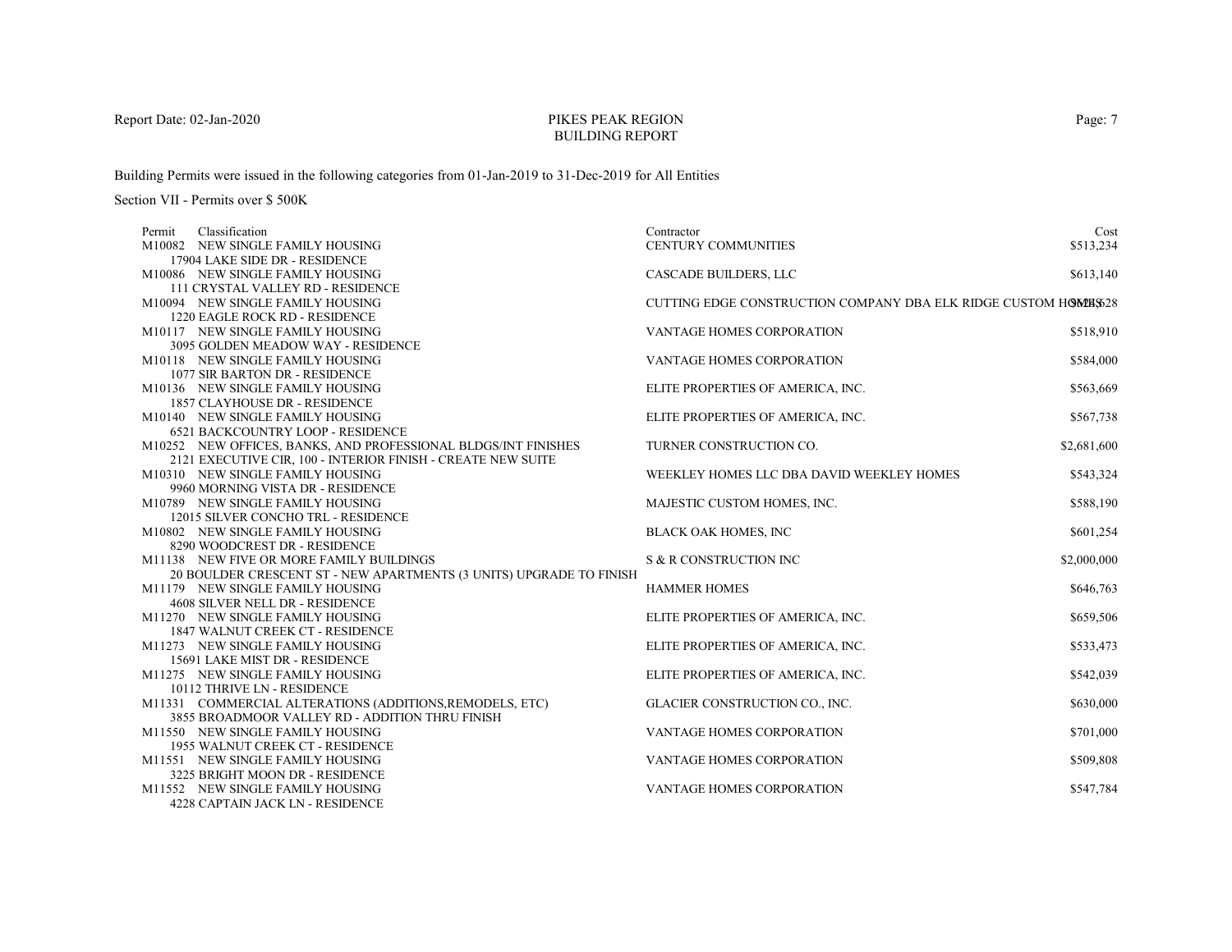# PIKES PEAK REGIONBUILDING REPORT

Building Permits were issued in the following categories from 01-Jan-2019 to 31-Dec-2019 for All Entities

| Classification<br>Permit                                            | Contractor                                                     | Cost        |
|---------------------------------------------------------------------|----------------------------------------------------------------|-------------|
| M10082 NEW SINGLE FAMILY HOUSING                                    | CENTURY COMMUNITIES                                            | \$513,234   |
| 17904 LAKE SIDE DR - RESIDENCE                                      |                                                                |             |
| M10086 NEW SINGLE FAMILY HOUSING                                    | CASCADE BUILDERS, LLC                                          | \$613,140   |
| 111 CRYSTAL VALLEY RD - RESIDENCE                                   |                                                                |             |
| M10094 NEW SINGLE FAMILY HOUSING                                    | CUTTING EDGE CONSTRUCTION COMPANY DBA ELK RIDGE CUSTOM HOMES28 |             |
| 1220 EAGLE ROCK RD - RESIDENCE                                      |                                                                |             |
| M10117 NEW SINGLE FAMILY HOUSING                                    | VANTAGE HOMES CORPORATION                                      | \$518,910   |
| 3095 GOLDEN MEADOW WAY - RESIDENCE                                  |                                                                |             |
| M10118 NEW SINGLE FAMILY HOUSING                                    | <b>VANTAGE HOMES CORPORATION</b>                               | \$584,000   |
| 1077 SIR BARTON DR - RESIDENCE                                      |                                                                |             |
| M10136 NEW SINGLE FAMILY HOUSING                                    | ELITE PROPERTIES OF AMERICA, INC.                              | \$563,669   |
| 1857 CLAYHOUSE DR - RESIDENCE                                       |                                                                |             |
| M10140 NEW SINGLE FAMILY HOUSING                                    | ELITE PROPERTIES OF AMERICA, INC.                              | \$567,738   |
| <b>6521 BACKCOUNTRY LOOP - RESIDENCE</b>                            |                                                                |             |
| M10252 NEW OFFICES, BANKS, AND PROFESSIONAL BLDGS/INT FINISHES      | TURNER CONSTRUCTION CO.                                        | \$2,681,600 |
| 2121 EXECUTIVE CIR, 100 - INTERIOR FINISH - CREATE NEW SUITE        |                                                                |             |
| M10310 NEW SINGLE FAMILY HOUSING                                    | WEEKLEY HOMES LLC DBA DAVID WEEKLEY HOMES                      | \$543,324   |
| 9960 MORNING VISTA DR - RESIDENCE                                   |                                                                |             |
| M10789 NEW SINGLE FAMILY HOUSING                                    | MAJESTIC CUSTOM HOMES, INC.                                    | \$588,190   |
| 12015 SILVER CONCHO TRL - RESIDENCE                                 |                                                                |             |
| M10802 NEW SINGLE FAMILY HOUSING                                    | <b>BLACK OAK HOMES, INC</b>                                    | \$601,254   |
| 8290 WOODCREST DR - RESIDENCE                                       |                                                                |             |
| M11138 NEW FIVE OR MORE FAMILY BUILDINGS                            | S & R CONSTRUCTION INC                                         | \$2,000,000 |
| 20 BOULDER CRESCENT ST - NEW APARTMENTS (3 UNITS) UPGRADE TO FINISH |                                                                |             |
| M11179 NEW SINGLE FAMILY HOUSING                                    | <b>HAMMER HOMES</b>                                            | \$646,763   |
| 4608 SILVER NELL DR - RESIDENCE                                     |                                                                |             |
| M11270 NEW SINGLE FAMILY HOUSING                                    | ELITE PROPERTIES OF AMERICA, INC.                              | \$659,506   |
| 1847 WALNUT CREEK CT - RESIDENCE                                    |                                                                |             |
| M11273 NEW SINGLE FAMILY HOUSING                                    | ELITE PROPERTIES OF AMERICA, INC.                              | \$533,473   |
| 15691 LAKE MIST DR - RESIDENCE                                      |                                                                |             |
| M11275 NEW SINGLE FAMILY HOUSING                                    | ELITE PROPERTIES OF AMERICA, INC.                              | \$542,039   |
| 10112 THRIVE LN - RESIDENCE                                         |                                                                |             |
| M11331 COMMERCIAL ALTERATIONS (ADDITIONS, REMODELS, ETC)            | GLACIER CONSTRUCTION CO., INC.                                 | \$630,000   |
| 3855 BROADMOOR VALLEY RD - ADDITION THRU FINISH                     |                                                                |             |
| M11550 NEW SINGLE FAMILY HOUSING                                    | <b>VANTAGE HOMES CORPORATION</b>                               | \$701,000   |
| 1955 WALNUT CREEK CT - RESIDENCE                                    |                                                                |             |
| M11551 NEW SINGLE FAMILY HOUSING                                    | <b>VANTAGE HOMES CORPORATION</b>                               | \$509,808   |
| 3225 BRIGHT MOON DR - RESIDENCE                                     |                                                                |             |
| M11552 NEW SINGLE FAMILY HOUSING                                    | VANTAGE HOMES CORPORATION                                      | \$547,784   |
| 4228 CAPTAIN JACK LN - RESIDENCE                                    |                                                                |             |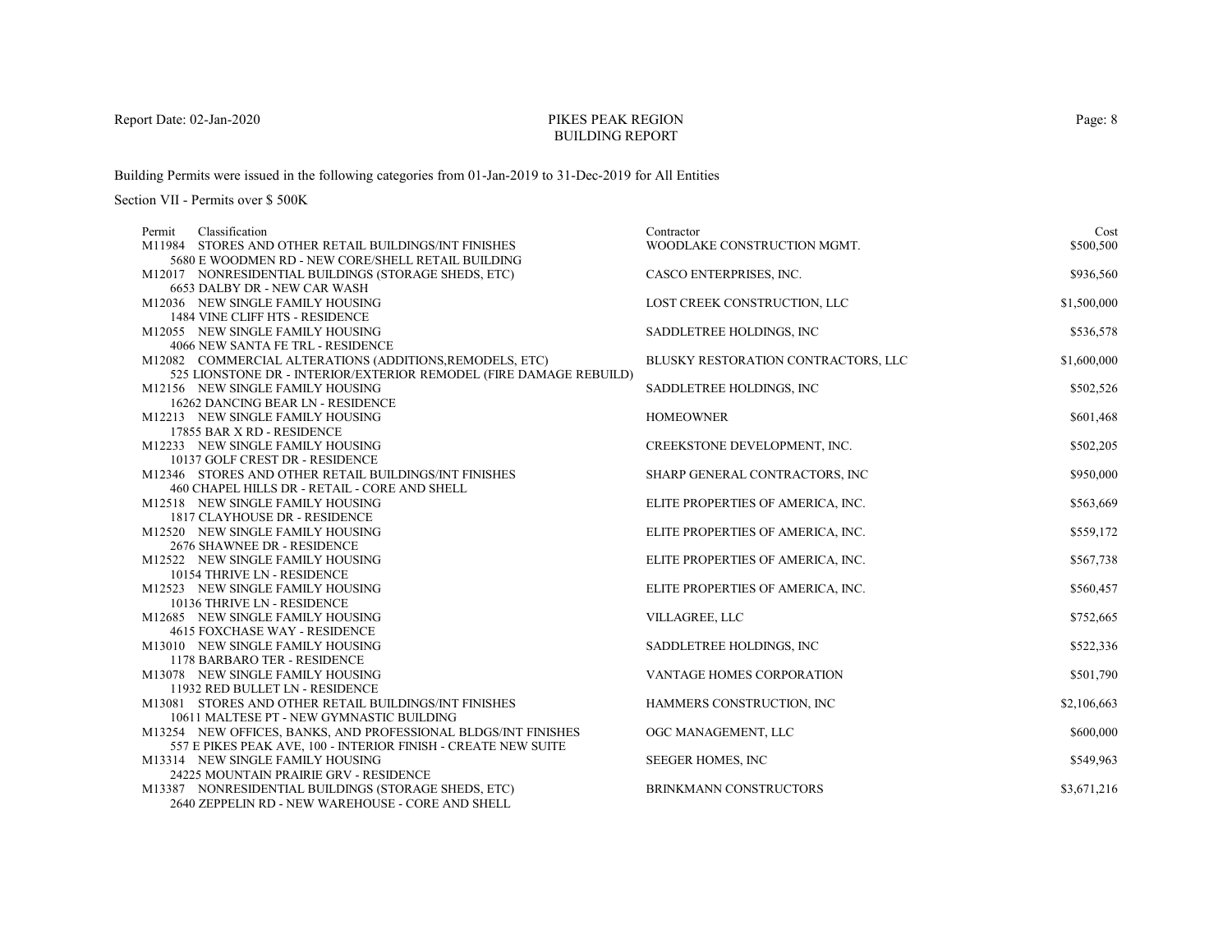# PIKES PEAK REGIONBUILDING REPORT

Building Permits were issued in the following categories from 01-Jan-2019 to 31-Dec-2019 for All Entities

Section VII - Permits over \$ 500K

| Classification<br>Permit                                                                 | Contractor                          | Cost        |
|------------------------------------------------------------------------------------------|-------------------------------------|-------------|
| M11984 STORES AND OTHER RETAIL BUILDINGS/INT FINISHES                                    | WOODLAKE CONSTRUCTION MGMT.         | \$500,500   |
| 5680 E WOODMEN RD - NEW CORE/SHELL RETAIL BUILDING                                       |                                     |             |
| M12017 NONRESIDENTIAL BUILDINGS (STORAGE SHEDS, ETC)                                     | CASCO ENTERPRISES, INC.             | \$936,560   |
| 6653 DALBY DR - NEW CAR WASH                                                             |                                     |             |
| M12036 NEW SINGLE FAMILY HOUSING                                                         | LOST CREEK CONSTRUCTION, LLC        | \$1,500,000 |
| 1484 VINE CLIFF HTS - RESIDENCE                                                          |                                     |             |
| M12055 NEW SINGLE FAMILY HOUSING                                                         | SADDLETREE HOLDINGS, INC            | \$536,578   |
| 4066 NEW SANTA FE TRL - RESIDENCE                                                        |                                     |             |
| M12082 COMMERCIAL ALTERATIONS (ADDITIONS, REMODELS, ETC)                                 | BLUSKY RESTORATION CONTRACTORS, LLC | \$1,600,000 |
| 525 LIONSTONE DR - INTERIOR/EXTERIOR REMODEL (FIRE DAMAGE REBUILD)                       |                                     |             |
| M12156 NEW SINGLE FAMILY HOUSING                                                         | SADDLETREE HOLDINGS, INC            | \$502,526   |
| 16262 DANCING BEAR LN - RESIDENCE                                                        |                                     |             |
| M12213 NEW SINGLE FAMILY HOUSING                                                         | <b>HOMEOWNER</b>                    | \$601,468   |
| 17855 BAR X RD - RESIDENCE                                                               | CREEKSTONE DEVELOPMENT, INC.        |             |
| M12233 NEW SINGLE FAMILY HOUSING                                                         |                                     | \$502,205   |
| 10137 GOLF CREST DR - RESIDENCE<br>M12346 STORES AND OTHER RETAIL BUILDINGS/INT FINISHES | SHARP GENERAL CONTRACTORS, INC      | \$950,000   |
| 460 CHAPEL HILLS DR - RETAIL - CORE AND SHELL                                            |                                     |             |
| M12518 NEW SINGLE FAMILY HOUSING                                                         | ELITE PROPERTIES OF AMERICA, INC.   | \$563,669   |
| 1817 CLAYHOUSE DR - RESIDENCE                                                            |                                     |             |
| M12520 NEW SINGLE FAMILY HOUSING                                                         | ELITE PROPERTIES OF AMERICA, INC.   | \$559,172   |
| 2676 SHAWNEE DR - RESIDENCE                                                              |                                     |             |
| M12522 NEW SINGLE FAMILY HOUSING                                                         | ELITE PROPERTIES OF AMERICA, INC.   | \$567,738   |
| 10154 THRIVE LN - RESIDENCE                                                              |                                     |             |
| M12523 NEW SINGLE FAMILY HOUSING                                                         | ELITE PROPERTIES OF AMERICA, INC.   | \$560,457   |
| 10136 THRIVE LN - RESIDENCE                                                              |                                     |             |
| M12685 NEW SINGLE FAMILY HOUSING                                                         | VILLAGREE, LLC                      | \$752,665   |
| 4615 FOXCHASE WAY - RESIDENCE                                                            |                                     |             |
| M13010 NEW SINGLE FAMILY HOUSING                                                         | SADDLETREE HOLDINGS, INC            | \$522,336   |
| 1178 BARBARO TER - RESIDENCE                                                             |                                     |             |
| M13078 NEW SINGLE FAMILY HOUSING                                                         | VANTAGE HOMES CORPORATION           | \$501,790   |
| 11932 RED BULLET LN - RESIDENCE                                                          |                                     |             |
| M13081 STORES AND OTHER RETAIL BUILDINGS/INT FINISHES                                    | HAMMERS CONSTRUCTION, INC           | \$2,106,663 |
| 10611 MALTESE PT - NEW GYMNASTIC BUILDING                                                |                                     |             |
| M13254 NEW OFFICES, BANKS, AND PROFESSIONAL BLDGS/INT FINISHES                           | OGC MANAGEMENT, LLC                 | \$600,000   |
| 557 E PIKES PEAK AVE, 100 - INTERIOR FINISH - CREATE NEW SUITE                           |                                     |             |
| M13314 NEW SINGLE FAMILY HOUSING                                                         | SEEGER HOMES, INC                   | \$549,963   |
| 24225 MOUNTAIN PRAIRIE GRV - RESIDENCE                                                   |                                     |             |
| M13387 NONRESIDENTIAL BUILDINGS (STORAGE SHEDS, ETC)                                     | BRINKMANN CONSTRUCTORS              | \$3,671,216 |
| 2640 ZEPPELIN RD - NEW WAREHOUSE - CORE AND SHELL                                        |                                     |             |

Page: 8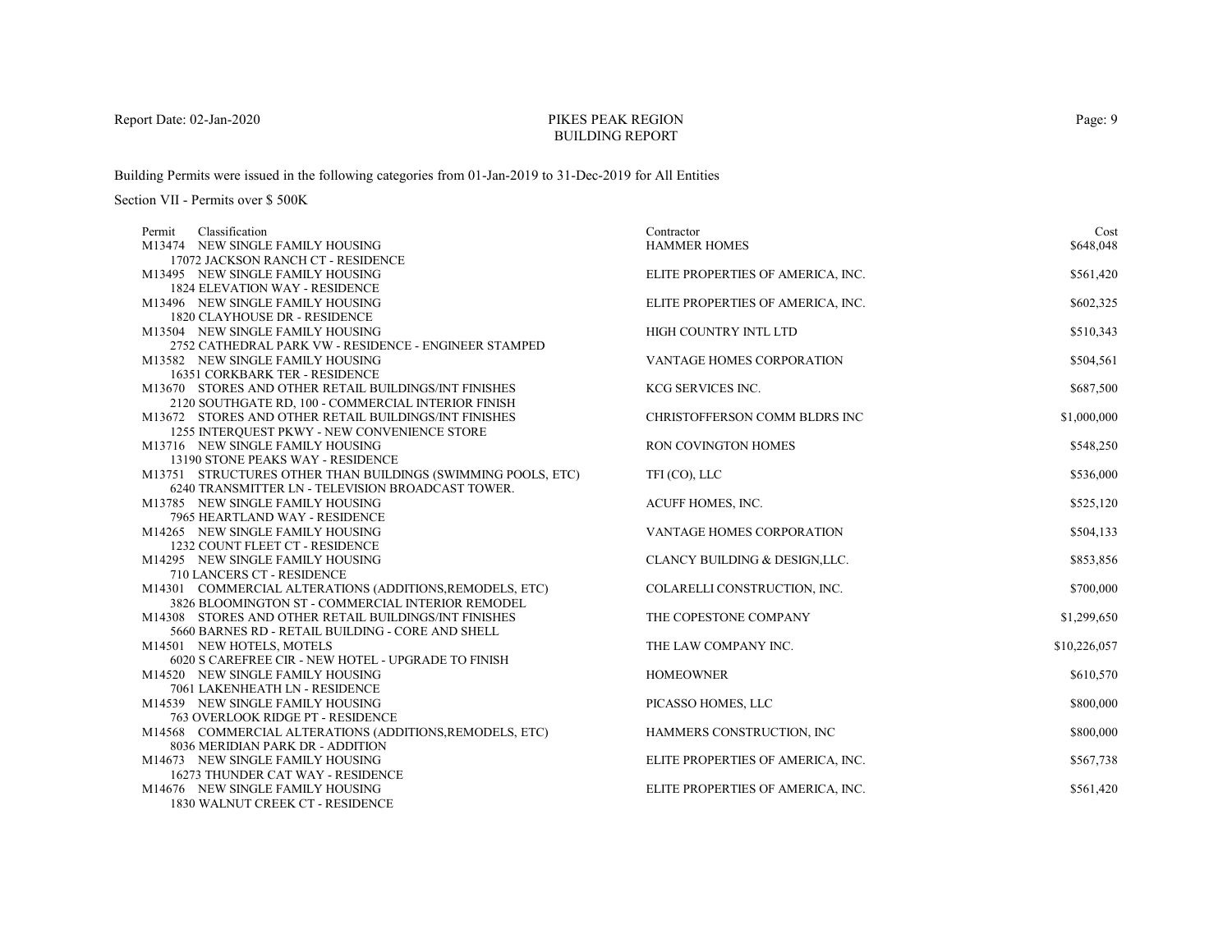# PIKES PEAK REGIONBUILDING REPORT

Building Permits were issued in the following categories from 01-Jan-2019 to 31-Dec-2019 for All Entities

| Classification<br>Permit                                                                                      | Contractor                        | Cost         |
|---------------------------------------------------------------------------------------------------------------|-----------------------------------|--------------|
| M13474 NEW SINGLE FAMILY HOUSING                                                                              | <b>HAMMER HOMES</b>               | \$648,048    |
| 17072 JACKSON RANCH CT - RESIDENCE                                                                            |                                   |              |
| M13495 NEW SINGLE FAMILY HOUSING                                                                              | ELITE PROPERTIES OF AMERICA, INC. | \$561,420    |
| <b>1824 ELEVATION WAY - RESIDENCE</b>                                                                         |                                   |              |
| M13496 NEW SINGLE FAMILY HOUSING                                                                              | ELITE PROPERTIES OF AMERICA, INC. | \$602,325    |
| 1820 CLAYHOUSE DR - RESIDENCE                                                                                 |                                   |              |
| M13504 NEW SINGLE FAMILY HOUSING                                                                              | HIGH COUNTRY INTL LTD             | \$510,343    |
| 2752 CATHEDRAL PARK VW - RESIDENCE - ENGINEER STAMPED                                                         |                                   |              |
| M13582 NEW SINGLE FAMILY HOUSING                                                                              | <b>VANTAGE HOMES CORPORATION</b>  | \$504,561    |
| <b>16351 CORKBARK TER - RESIDENCE</b>                                                                         |                                   |              |
| M13670 STORES AND OTHER RETAIL BUILDINGS/INT FINISHES                                                         | KCG SERVICES INC.                 | \$687,500    |
| 2120 SOUTHGATE RD, 100 - COMMERCIAL INTERIOR FINISH                                                           |                                   |              |
| M13672 STORES AND OTHER RETAIL BUILDINGS/INT FINISHES                                                         | CHRISTOFFERSON COMM BLDRS INC     | \$1,000,000  |
| 1255 INTERQUEST PKWY - NEW CONVENIENCE STORE                                                                  |                                   |              |
| M13716 NEW SINGLE FAMILY HOUSING                                                                              | <b>RON COVINGTON HOMES</b>        | \$548,250    |
| 13190 STONE PEAKS WAY - RESIDENCE                                                                             |                                   |              |
| M13751 STRUCTURES OTHER THAN BUILDINGS (SWIMMING POOLS, ETC)                                                  | TFI (CO), LLC                     | \$536,000    |
| 6240 TRANSMITTER LN - TELEVISION BROADCAST TOWER.                                                             |                                   |              |
| M13785 NEW SINGLE FAMILY HOUSING                                                                              | ACUFF HOMES, INC.                 | \$525,120    |
| 7965 HEARTLAND WAY - RESIDENCE                                                                                |                                   |              |
| M14265 NEW SINGLE FAMILY HOUSING                                                                              | <b>VANTAGE HOMES CORPORATION</b>  | \$504,133    |
| 1232 COUNT FLEET CT - RESIDENCE                                                                               |                                   |              |
| M14295 NEW SINGLE FAMILY HOUSING                                                                              | CLANCY BUILDING & DESIGN, LLC.    | \$853,856    |
| 710 LANCERS CT - RESIDENCE                                                                                    |                                   |              |
| M14301 COMMERCIAL ALTERATIONS (ADDITIONS, REMODELS, ETC)<br>3826 BLOOMINGTON ST - COMMERCIAL INTERIOR REMODEL | COLARELLI CONSTRUCTION, INC.      | \$700,000    |
| M14308 STORES AND OTHER RETAIL BUILDINGS/INT FINISHES                                                         | THE COPESTONE COMPANY             |              |
| 5660 BARNES RD - RETAIL BUILDING - CORE AND SHELL                                                             |                                   | \$1,299,650  |
| M14501 NEW HOTELS, MOTELS                                                                                     | THE LAW COMPANY INC.              | \$10,226,057 |
| 6020 S CAREFREE CIR - NEW HOTEL - UPGRADE TO FINISH                                                           |                                   |              |
| M14520 NEW SINGLE FAMILY HOUSING                                                                              | <b>HOMEOWNER</b>                  | \$610,570    |
| 7061 LAKENHEATH LN - RESIDENCE                                                                                |                                   |              |
| M14539 NEW SINGLE FAMILY HOUSING                                                                              | PICASSO HOMES, LLC                | \$800,000    |
| 763 OVERLOOK RIDGE PT - RESIDENCE                                                                             |                                   |              |
| M14568 COMMERCIAL ALTERATIONS (ADDITIONS, REMODELS, ETC)                                                      | HAMMERS CONSTRUCTION, INC         | \$800,000    |
| 8036 MERIDIAN PARK DR - ADDITION                                                                              |                                   |              |
| M14673 NEW SINGLE FAMILY HOUSING                                                                              | ELITE PROPERTIES OF AMERICA, INC. | \$567,738    |
| 16273 THUNDER CAT WAY - RESIDENCE                                                                             |                                   |              |
| M14676 NEW SINGLE FAMILY HOUSING                                                                              | ELITE PROPERTIES OF AMERICA, INC. | \$561,420    |
| 1830 WALNUT CREEK CT - RESIDENCE                                                                              |                                   |              |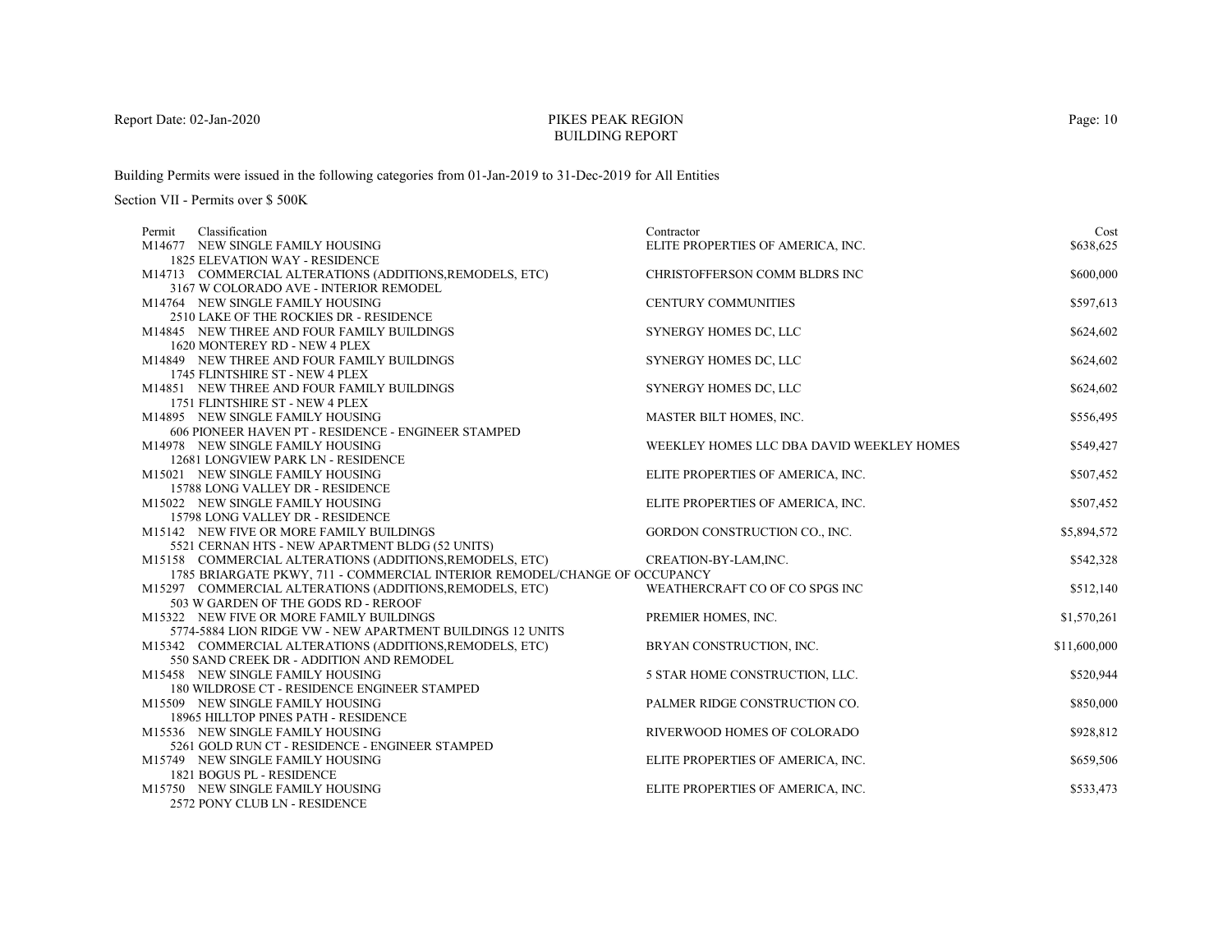# PIKES PEAK REGIONBUILDING REPORT

Building Permits were issued in the following categories from 01-Jan-2019 to 31-Dec-2019 for All Entities

| Classification<br>Permit                                                   | Contractor                                | Cost         |
|----------------------------------------------------------------------------|-------------------------------------------|--------------|
| M14677 NEW SINGLE FAMILY HOUSING                                           | ELITE PROPERTIES OF AMERICA, INC.         | \$638,625    |
| <b>1825 ELEVATION WAY - RESIDENCE</b>                                      |                                           |              |
| M14713 COMMERCIAL ALTERATIONS (ADDITIONS, REMODELS, ETC)                   | CHRISTOFFERSON COMM BLDRS INC             | \$600,000    |
| 3167 W COLORADO AVE - INTERIOR REMODEL                                     |                                           |              |
| M14764 NEW SINGLE FAMILY HOUSING                                           | <b>CENTURY COMMUNITIES</b>                | \$597,613    |
| 2510 LAKE OF THE ROCKIES DR - RESIDENCE                                    |                                           |              |
| M14845 NEW THREE AND FOUR FAMILY BUILDINGS                                 | SYNERGY HOMES DC, LLC                     | \$624,602    |
| 1620 MONTEREY RD - NEW 4 PLEX                                              |                                           |              |
| M14849 NEW THREE AND FOUR FAMILY BUILDINGS                                 | SYNERGY HOMES DC, LLC                     | \$624,602    |
| 1745 FLINTSHIRE ST - NEW 4 PLEX                                            |                                           |              |
| M14851 NEW THREE AND FOUR FAMILY BUILDINGS                                 | SYNERGY HOMES DC, LLC                     | \$624,602    |
| 1751 FLINTSHIRE ST - NEW 4 PLEX                                            |                                           |              |
| M14895 NEW SINGLE FAMILY HOUSING                                           | MASTER BILT HOMES, INC.                   | \$556,495    |
| 606 PIONEER HAVEN PT - RESIDENCE - ENGINEER STAMPED                        |                                           |              |
| M14978 NEW SINGLE FAMILY HOUSING                                           | WEEKLEY HOMES LLC DBA DAVID WEEKLEY HOMES | \$549,427    |
| 12681 LONGVIEW PARK LN - RESIDENCE                                         |                                           |              |
| M15021 NEW SINGLE FAMILY HOUSING                                           | ELITE PROPERTIES OF AMERICA, INC.         | \$507,452    |
| 15788 LONG VALLEY DR - RESIDENCE                                           |                                           |              |
| M15022 NEW SINGLE FAMILY HOUSING                                           | ELITE PROPERTIES OF AMERICA, INC.         | \$507,452    |
| 15798 LONG VALLEY DR - RESIDENCE                                           |                                           |              |
| M15142 NEW FIVE OR MORE FAMILY BUILDINGS                                   | GORDON CONSTRUCTION CO., INC.             | \$5,894,572  |
| 5521 CERNAN HTS - NEW APARTMENT BLDG (52 UNITS)                            |                                           |              |
| M15158 COMMERCIAL ALTERATIONS (ADDITIONS, REMODELS, ETC)                   | CREATION-BY-LAM, INC.                     | \$542,328    |
| 1785 BRIARGATE PKWY, 711 - COMMERCIAL INTERIOR REMODEL/CHANGE OF OCCUPANCY |                                           |              |
| M15297 COMMERCIAL ALTERATIONS (ADDITIONS, REMODELS, ETC)                   | WEATHERCRAFT CO OF CO SPGS INC            | \$512,140    |
| 503 W GARDEN OF THE GODS RD - REROOF                                       |                                           |              |
| M15322 NEW FIVE OR MORE FAMILY BUILDINGS                                   | PREMIER HOMES, INC.                       | \$1,570,261  |
| 5774-5884 LION RIDGE VW - NEW APARTMENT BUILDINGS 12 UNITS                 |                                           |              |
| M15342 COMMERCIAL ALTERATIONS (ADDITIONS, REMODELS, ETC)                   | BRYAN CONSTRUCTION, INC.                  | \$11,600,000 |
| 550 SAND CREEK DR - ADDITION AND REMODEL                                   |                                           |              |
| M15458 NEW SINGLE FAMILY HOUSING                                           | 5 STAR HOME CONSTRUCTION, LLC.            | \$520,944    |
| 180 WILDROSE CT - RESIDENCE ENGINEER STAMPED                               |                                           |              |
| M15509 NEW SINGLE FAMILY HOUSING                                           | PALMER RIDGE CONSTRUCTION CO.             | \$850,000    |
| 18965 HILLTOP PINES PATH - RESIDENCE                                       |                                           |              |
| M15536 NEW SINGLE FAMILY HOUSING                                           | RIVERWOOD HOMES OF COLORADO               | \$928,812    |
| 5261 GOLD RUN CT - RESIDENCE - ENGINEER STAMPED                            |                                           |              |
| M15749 NEW SINGLE FAMILY HOUSING                                           | ELITE PROPERTIES OF AMERICA, INC.         | \$659,506    |
| 1821 BOGUS PL - RESIDENCE                                                  |                                           |              |
| M15750 NEW SINGLE FAMILY HOUSING                                           | ELITE PROPERTIES OF AMERICA, INC.         | \$533,473    |
| 2572 PONY CLUB LN - RESIDENCE                                              |                                           |              |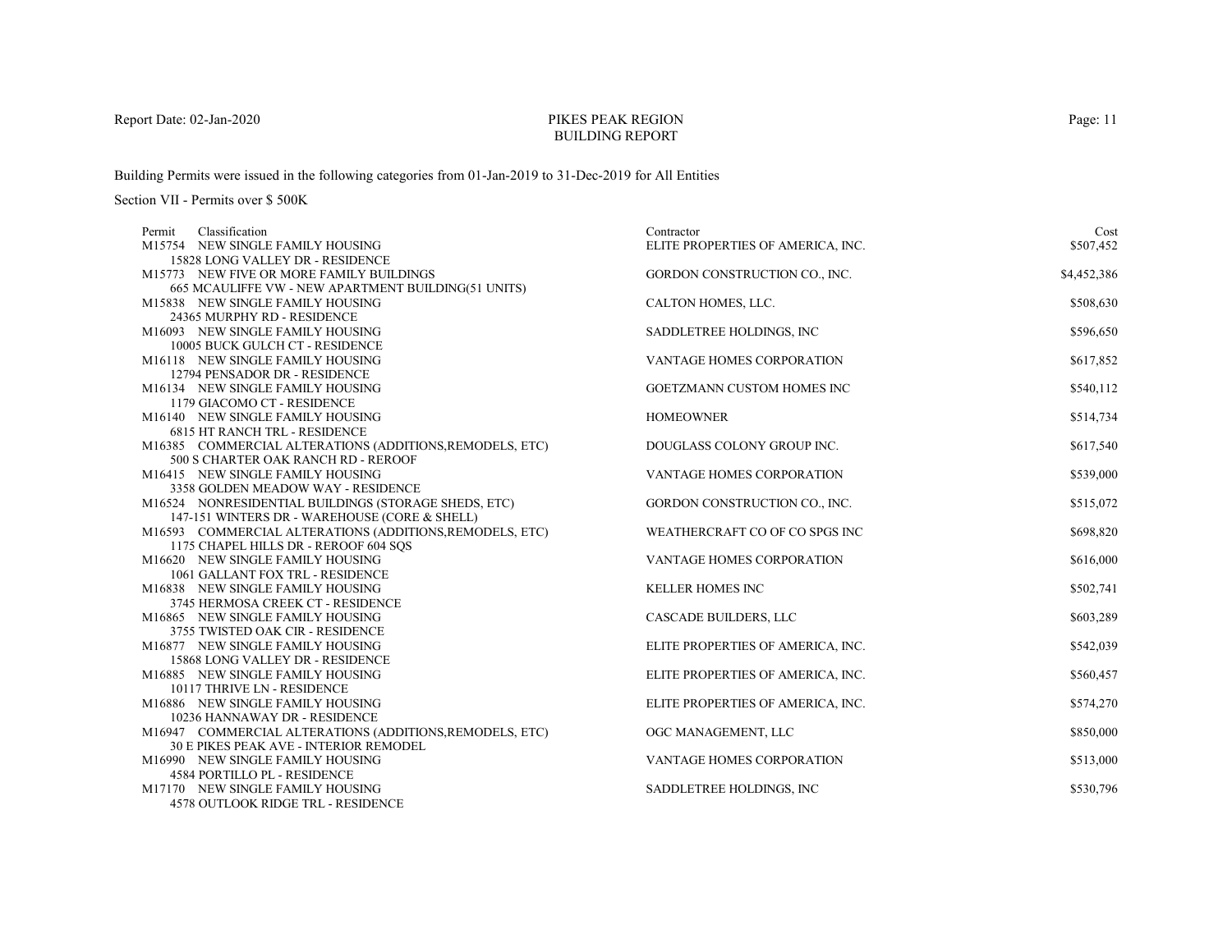# PIKES PEAK REGIONBUILDING REPORT

Building Permits were issued in the following categories from 01-Jan-2019 to 31-Dec-2019 for All Entities

| Classification<br>Permit                                             | Contractor                        | Cost        |
|----------------------------------------------------------------------|-----------------------------------|-------------|
| M15754 NEW SINGLE FAMILY HOUSING                                     | ELITE PROPERTIES OF AMERICA, INC. | \$507,452   |
| 15828 LONG VALLEY DR - RESIDENCE                                     |                                   |             |
| M15773 NEW FIVE OR MORE FAMILY BUILDINGS                             | GORDON CONSTRUCTION CO., INC.     | \$4,452,386 |
| 665 MCAULIFFE VW - NEW APARTMENT BUILDING(51 UNITS)                  |                                   |             |
| M15838 NEW SINGLE FAMILY HOUSING                                     | CALTON HOMES, LLC.                | \$508,630   |
| 24365 MURPHY RD - RESIDENCE                                          |                                   |             |
| M16093 NEW SINGLE FAMILY HOUSING                                     | SADDLETREE HOLDINGS, INC          | \$596,650   |
| 10005 BUCK GULCH CT - RESIDENCE                                      |                                   |             |
| M16118 NEW SINGLE FAMILY HOUSING                                     | VANTAGE HOMES CORPORATION         | \$617,852   |
| 12794 PENSADOR DR - RESIDENCE                                        |                                   |             |
| M16134 NEW SINGLE FAMILY HOUSING                                     | GOETZMANN CUSTOM HOMES INC        | \$540,112   |
| 1179 GIACOMO CT - RESIDENCE                                          |                                   |             |
| M16140 NEW SINGLE FAMILY HOUSING                                     | <b>HOMEOWNER</b>                  | \$514,734   |
| <b>6815 HT RANCH TRL - RESIDENCE</b>                                 |                                   |             |
| M16385 COMMERCIAL ALTERATIONS (ADDITIONS, REMODELS, ETC)             | DOUGLASS COLONY GROUP INC.        | \$617,540   |
| 500 S CHARTER OAK RANCH RD - REROOF                                  |                                   |             |
| M16415 NEW SINGLE FAMILY HOUSING                                     | VANTAGE HOMES CORPORATION         | \$539,000   |
| 3358 GOLDEN MEADOW WAY - RESIDENCE                                   |                                   |             |
| M16524 NONRESIDENTIAL BUILDINGS (STORAGE SHEDS, ETC)                 | GORDON CONSTRUCTION CO., INC.     | \$515,072   |
| 147-151 WINTERS DR - WAREHOUSE (CORE & SHELL)                        |                                   |             |
| M16593 COMMERCIAL ALTERATIONS (ADDITIONS, REMODELS, ETC)             | WEATHERCRAFT CO OF CO SPGS INC    | \$698,820   |
| 1175 CHAPEL HILLS DR - REROOF 604 SOS                                |                                   |             |
| M16620 NEW SINGLE FAMILY HOUSING<br>1061 GALLANT FOX TRL - RESIDENCE | VANTAGE HOMES CORPORATION         | \$616,000   |
| M16838 NEW SINGLE FAMILY HOUSING                                     | <b>KELLER HOMES INC</b>           | \$502,741   |
| 3745 HERMOSA CREEK CT - RESIDENCE                                    |                                   |             |
| M16865 NEW SINGLE FAMILY HOUSING                                     | CASCADE BUILDERS, LLC             | \$603,289   |
| 3755 TWISTED OAK CIR - RESIDENCE                                     |                                   |             |
| M16877 NEW SINGLE FAMILY HOUSING                                     | ELITE PROPERTIES OF AMERICA, INC. | \$542,039   |
| 15868 LONG VALLEY DR - RESIDENCE                                     |                                   |             |
| M16885 NEW SINGLE FAMILY HOUSING                                     | ELITE PROPERTIES OF AMERICA, INC. | \$560,457   |
| 10117 THRIVE LN - RESIDENCE                                          |                                   |             |
| M16886 NEW SINGLE FAMILY HOUSING                                     | ELITE PROPERTIES OF AMERICA, INC. | \$574,270   |
| 10236 HANNAWAY DR - RESIDENCE                                        |                                   |             |
| M16947 COMMERCIAL ALTERATIONS (ADDITIONS, REMODELS, ETC)             | OGC MANAGEMENT, LLC               | \$850,000   |
| 30 E PIKES PEAK AVE - INTERIOR REMODEL                               |                                   |             |
| M16990 NEW SINGLE FAMILY HOUSING                                     | <b>VANTAGE HOMES CORPORATION</b>  | \$513,000   |
| <b>4584 PORTILLO PL - RESIDENCE</b>                                  |                                   |             |
| M17170 NEW SINGLE FAMILY HOUSING                                     | SADDLETREE HOLDINGS, INC.         | \$530,796   |
| <b>4578 OUTLOOK RIDGE TRL - RESIDENCE</b>                            |                                   |             |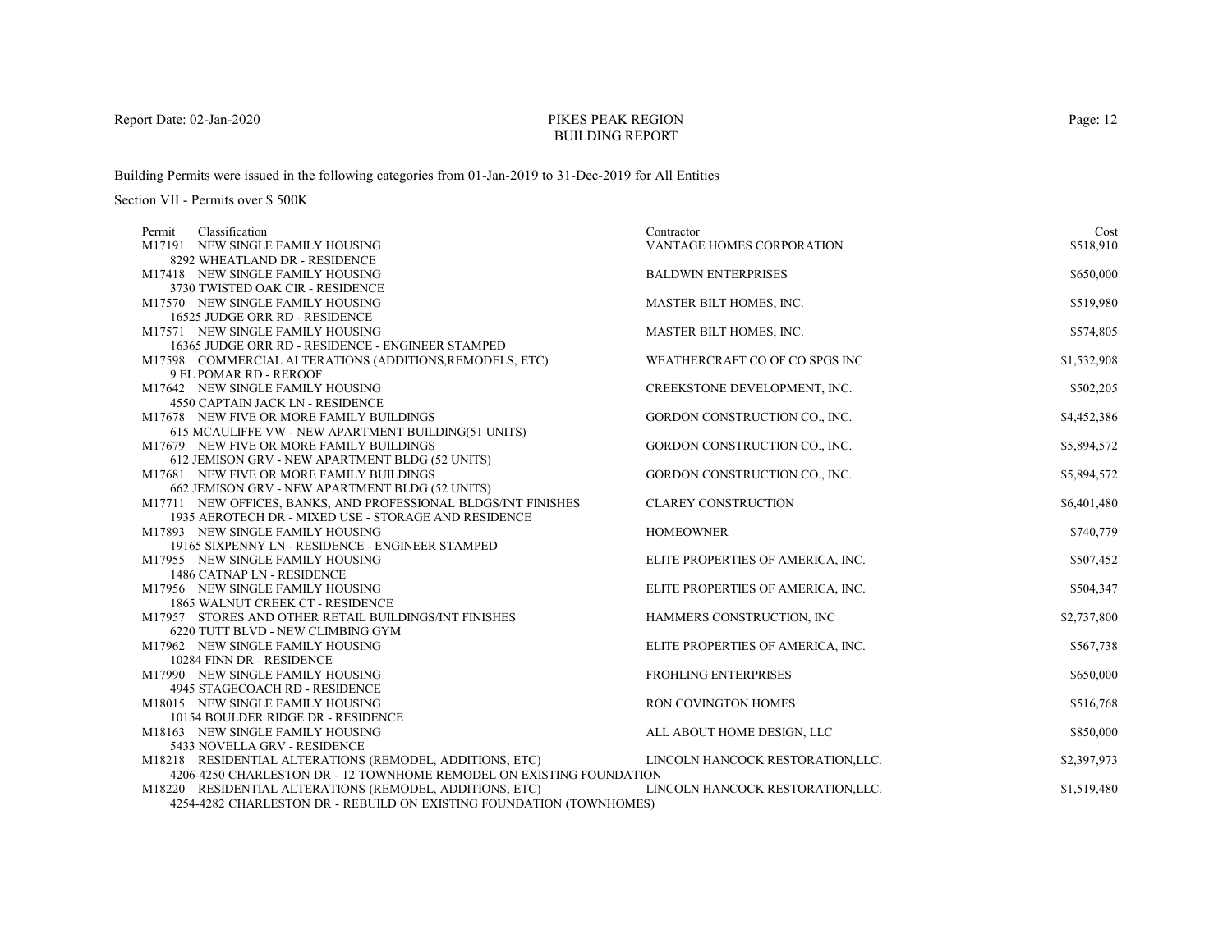# PIKES PEAK REGIONBUILDING REPORT

Building Permits were issued in the following categories from 01-Jan-2019 to 31-Dec-2019 for All Entities

| Classification<br>Permit                                                             | Contractor                        | Cost        |
|--------------------------------------------------------------------------------------|-----------------------------------|-------------|
| M17191 NEW SINGLE FAMILY HOUSING                                                     | <b>VANTAGE HOMES CORPORATION</b>  | \$518,910   |
| 8292 WHEATLAND DR - RESIDENCE                                                        |                                   |             |
| M17418 NEW SINGLE FAMILY HOUSING                                                     | <b>BALDWIN ENTERPRISES</b>        | \$650,000   |
| 3730 TWISTED OAK CIR - RESIDENCE                                                     |                                   |             |
| M17570 NEW SINGLE FAMILY HOUSING                                                     | MASTER BILT HOMES, INC.           | \$519,980   |
| 16525 JUDGE ORR RD - RESIDENCE                                                       |                                   |             |
| M17571 NEW SINGLE FAMILY HOUSING                                                     | MASTER BILT HOMES, INC.           | \$574,805   |
| 16365 JUDGE ORR RD - RESIDENCE - ENGINEER STAMPED                                    |                                   |             |
| M17598 COMMERCIAL ALTERATIONS (ADDITIONS, REMODELS, ETC)                             | WEATHERCRAFT CO OF CO SPGS INC    | \$1,532,908 |
| 9 EL POMAR RD - REROOF                                                               |                                   |             |
| M17642 NEW SINGLE FAMILY HOUSING                                                     | CREEKSTONE DEVELOPMENT, INC.      | \$502,205   |
| 4550 CAPTAIN JACK LN - RESIDENCE                                                     |                                   |             |
| M17678 NEW FIVE OR MORE FAMILY BUILDINGS                                             | GORDON CONSTRUCTION CO., INC.     | \$4,452,386 |
| 615 MCAULIFFE VW - NEW APARTMENT BUILDING(51 UNITS)                                  |                                   |             |
| M17679 NEW FIVE OR MORE FAMILY BUILDINGS                                             | GORDON CONSTRUCTION CO., INC.     | \$5,894,572 |
| 612 JEMISON GRV - NEW APARTMENT BLDG (52 UNITS)                                      |                                   |             |
| M17681 NEW FIVE OR MORE FAMILY BUILDINGS                                             | GORDON CONSTRUCTION CO., INC.     | \$5,894,572 |
| 662 JEMISON GRV - NEW APARTMENT BLDG (52 UNITS)                                      |                                   |             |
| M17711 NEW OFFICES, BANKS, AND PROFESSIONAL BLDGS/INT FINISHES                       | <b>CLAREY CONSTRUCTION</b>        | \$6,401,480 |
| 1935 AEROTECH DR - MIXED USE - STORAGE AND RESIDENCE                                 |                                   |             |
| M17893 NEW SINGLE FAMILY HOUSING                                                     | <b>HOMEOWNER</b>                  | \$740,779   |
| 19165 SIXPENNY LN - RESIDENCE - ENGINEER STAMPED<br>M17955 NEW SINGLE FAMILY HOUSING |                                   | \$507,452   |
| 1486 CATNAP LN - RESIDENCE                                                           | ELITE PROPERTIES OF AMERICA, INC. |             |
| M17956 NEW SINGLE FAMILY HOUSING                                                     | ELITE PROPERTIES OF AMERICA, INC. | \$504,347   |
| 1865 WALNUT CREEK CT - RESIDENCE                                                     |                                   |             |
| M17957 STORES AND OTHER RETAIL BUILDINGS/INT FINISHES                                | HAMMERS CONSTRUCTION, INC         | \$2,737,800 |
| 6220 TUTT BLVD - NEW CLIMBING GYM                                                    |                                   |             |
| M17962 NEW SINGLE FAMILY HOUSING                                                     | ELITE PROPERTIES OF AMERICA, INC. | \$567,738   |
| 10284 FINN DR - RESIDENCE                                                            |                                   |             |
| M17990 NEW SINGLE FAMILY HOUSING                                                     | <b>FROHLING ENTERPRISES</b>       | \$650,000   |
| 4945 STAGECOACH RD - RESIDENCE                                                       |                                   |             |
| M18015 NEW SINGLE FAMILY HOUSING                                                     | <b>RON COVINGTON HOMES</b>        | \$516,768   |
| 10154 BOULDER RIDGE DR - RESIDENCE                                                   |                                   |             |
| M18163 NEW SINGLE FAMILY HOUSING                                                     | ALL ABOUT HOME DESIGN, LLC        | \$850,000   |
| 5433 NOVELLA GRV - RESIDENCE                                                         |                                   |             |
| M18218 RESIDENTIAL ALTERATIONS (REMODEL, ADDITIONS, ETC)                             | LINCOLN HANCOCK RESTORATION, LLC. | \$2,397,973 |
| 4206-4250 CHARLESTON DR - 12 TOWNHOME REMODEL ON EXISTING FOUNDATION                 |                                   |             |
| M18220 RESIDENTIAL ALTERATIONS (REMODEL, ADDITIONS, ETC)                             | LINCOLN HANCOCK RESTORATION, LLC. | \$1,519,480 |
| 4254-4282 CHARLESTON DR - REBUILD ON EXISTING FOUNDATION (TOWNHOMES)                 |                                   |             |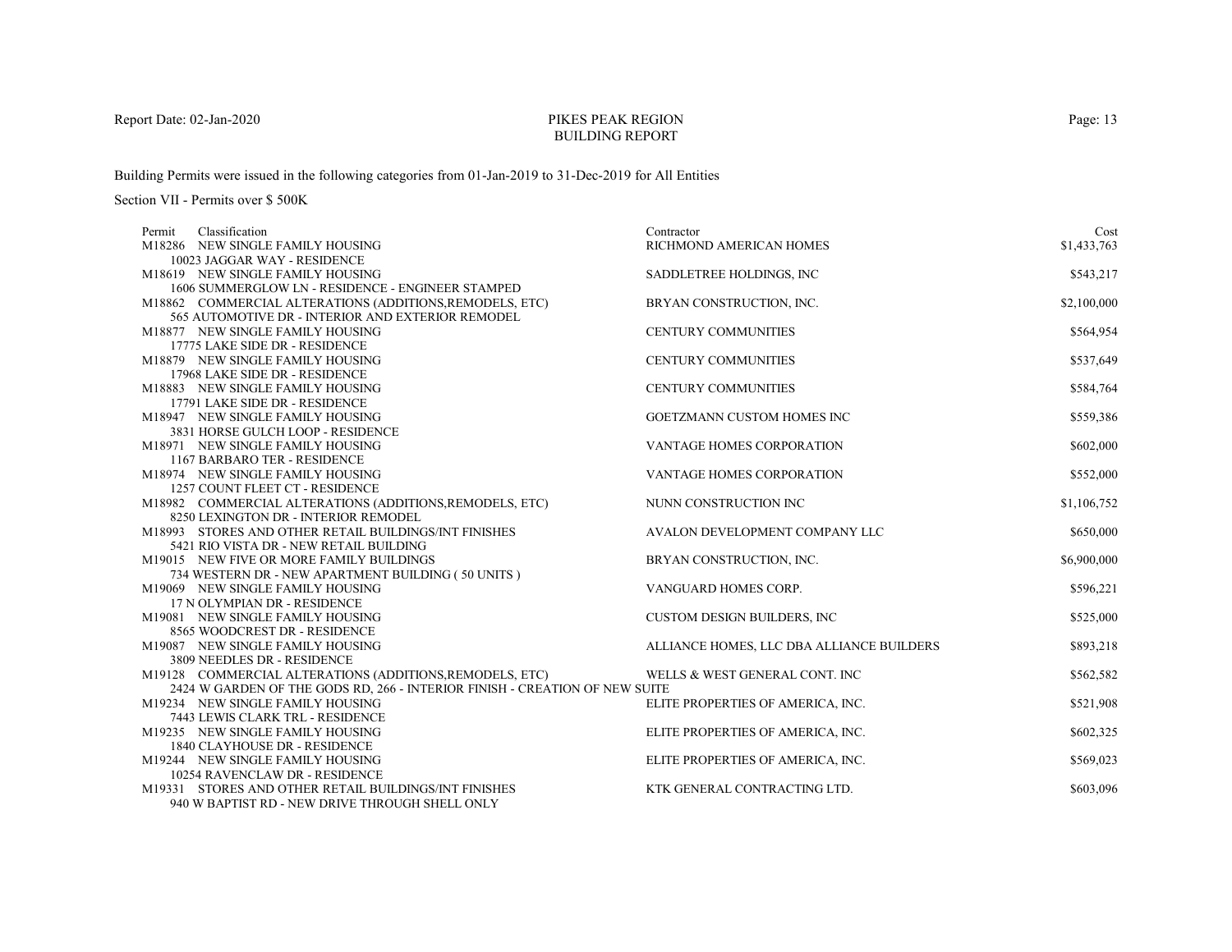# PIKES PEAK REGIONBUILDING REPORT

Building Permits were issued in the following categories from 01-Jan-2019 to 31-Dec-2019 for All Entities

| Classification<br>Permit                                                                       | Contractor                                | Cost        |
|------------------------------------------------------------------------------------------------|-------------------------------------------|-------------|
| M18286 NEW SINGLE FAMILY HOUSING                                                               | RICHMOND AMERICAN HOMES                   | \$1,433,763 |
| 10023 JAGGAR WAY - RESIDENCE                                                                   |                                           |             |
| M18619 NEW SINGLE FAMILY HOUSING                                                               | SADDLETREE HOLDINGS, INC.                 | \$543,217   |
| 1606 SUMMERGLOW LN - RESIDENCE - ENGINEER STAMPED                                              |                                           |             |
| M18862 COMMERCIAL ALTERATIONS (ADDITIONS, REMODELS, ETC)                                       | BRYAN CONSTRUCTION, INC.                  | \$2,100,000 |
| 565 AUTOMOTIVE DR - INTERIOR AND EXTERIOR REMODEL                                              |                                           |             |
| M18877 NEW SINGLE FAMILY HOUSING                                                               | CENTURY COMMUNITIES                       | \$564,954   |
| 17775 LAKE SIDE DR - RESIDENCE                                                                 |                                           |             |
| M18879 NEW SINGLE FAMILY HOUSING                                                               | CENTURY COMMUNITIES                       | \$537,649   |
| 17968 LAKE SIDE DR - RESIDENCE                                                                 |                                           |             |
| M18883 NEW SINGLE FAMILY HOUSING                                                               | CENTURY COMMUNITIES                       | \$584,764   |
| 17791 LAKE SIDE DR - RESIDENCE                                                                 |                                           |             |
| M18947 NEW SINGLE FAMILY HOUSING                                                               | <b>GOETZMANN CUSTOM HOMES INC</b>         | \$559,386   |
| 3831 HORSE GULCH LOOP - RESIDENCE                                                              |                                           |             |
| M18971 NEW SINGLE FAMILY HOUSING                                                               | <b>VANTAGE HOMES CORPORATION</b>          | \$602,000   |
| 1167 BARBARO TER - RESIDENCE                                                                   |                                           |             |
| M18974 NEW SINGLE FAMILY HOUSING                                                               | VANTAGE HOMES CORPORATION                 | \$552,000   |
| 1257 COUNT FLEET CT - RESIDENCE                                                                |                                           |             |
| M18982 COMMERCIAL ALTERATIONS (ADDITIONS, REMODELS, ETC)                                       | NUNN CONSTRUCTION INC                     | \$1,106,752 |
| 8250 LEXINGTON DR - INTERIOR REMODEL                                                           |                                           |             |
| M18993 STORES AND OTHER RETAIL BUILDINGS/INT FINISHES                                          | AVALON DEVELOPMENT COMPANY LLC            | \$650,000   |
| 5421 RIO VISTA DR - NEW RETAIL BUILDING                                                        | BRYAN CONSTRUCTION, INC.                  | \$6,900,000 |
| M19015 NEW FIVE OR MORE FAMILY BUILDINGS<br>734 WESTERN DR - NEW APARTMENT BUILDING (50 UNITS) |                                           |             |
| M19069 NEW SINGLE FAMILY HOUSING                                                               | VANGUARD HOMES CORP.                      | \$596,221   |
| 17 N OLYMPIAN DR - RESIDENCE                                                                   |                                           |             |
| M19081 NEW SINGLE FAMILY HOUSING                                                               | <b>CUSTOM DESIGN BUILDERS, INC</b>        | \$525,000   |
| 8565 WOODCREST DR - RESIDENCE                                                                  |                                           |             |
| M19087 NEW SINGLE FAMILY HOUSING                                                               | ALLIANCE HOMES, LLC DBA ALLIANCE BUILDERS | \$893,218   |
| 3809 NEEDLES DR - RESIDENCE                                                                    |                                           |             |
| M19128 COMMERCIAL ALTERATIONS (ADDITIONS, REMODELS, ETC)                                       | WELLS & WEST GENERAL CONT. INC            | \$562,582   |
| 2424 W GARDEN OF THE GODS RD, 266 - INTERIOR FINISH - CREATION OF NEW SUITE                    |                                           |             |
| M19234 NEW SINGLE FAMILY HOUSING                                                               | ELITE PROPERTIES OF AMERICA, INC.         | \$521,908   |
| 7443 LEWIS CLARK TRL - RESIDENCE                                                               |                                           |             |
| M19235 NEW SINGLE FAMILY HOUSING                                                               | ELITE PROPERTIES OF AMERICA, INC.         | \$602,325   |
| 1840 CLAYHOUSE DR - RESIDENCE                                                                  |                                           |             |
| M19244 NEW SINGLE FAMILY HOUSING                                                               | ELITE PROPERTIES OF AMERICA, INC.         | \$569,023   |
| 10254 RAVENCLAW DR - RESIDENCE                                                                 |                                           |             |
| M19331 STORES AND OTHER RETAIL BUILDINGS/INT FINISHES                                          | KTK GENERAL CONTRACTING LTD.              | \$603,096   |
| 940 W BAPTIST RD - NEW DRIVE THROUGH SHELL ONLY                                                |                                           |             |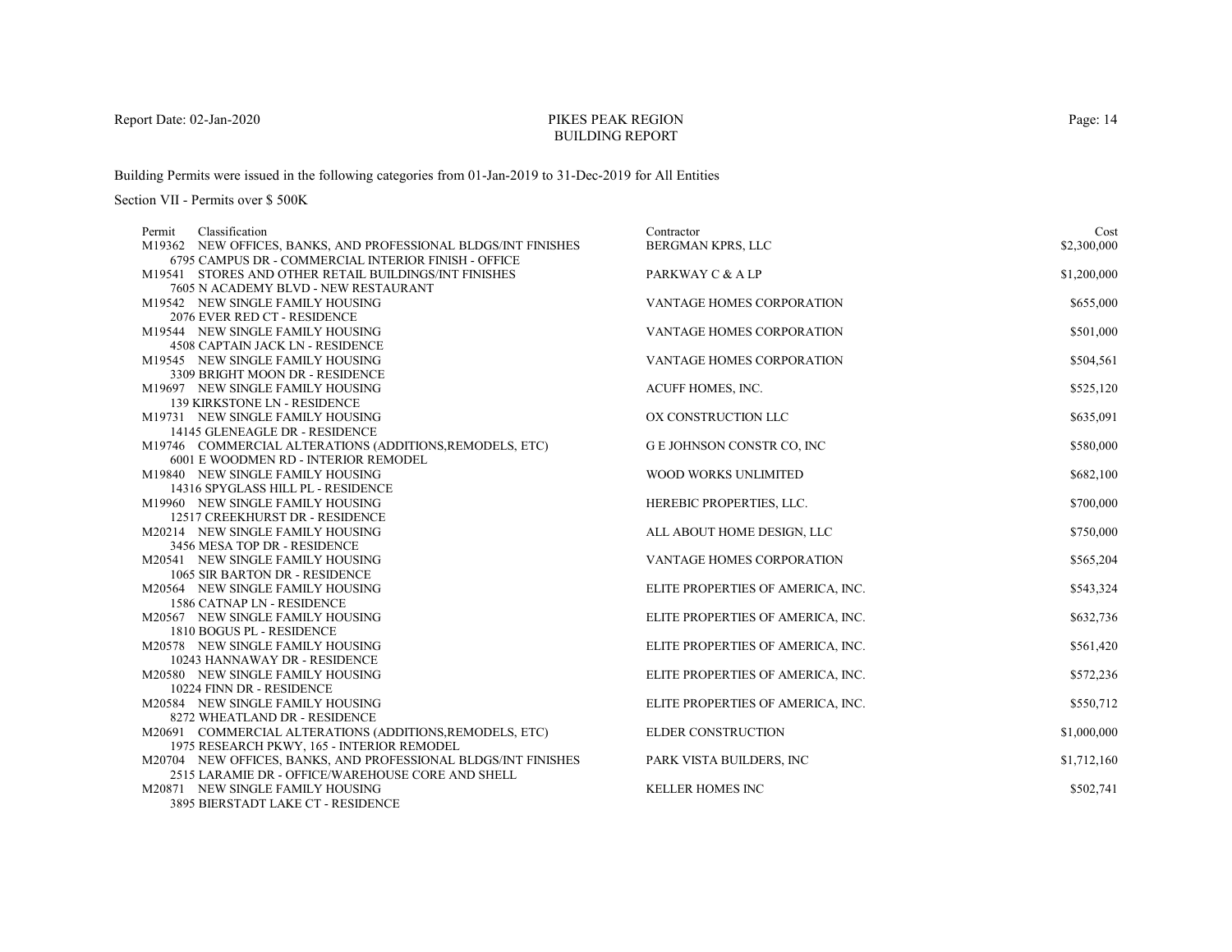# PIKES PEAK REGIONBUILDING REPORT

Building Permits were issued in the following categories from 01-Jan-2019 to 31-Dec-2019 for All Entities

| Classification<br>Permit                                                                                               | Contractor                        | Cost        |
|------------------------------------------------------------------------------------------------------------------------|-----------------------------------|-------------|
| M19362 NEW OFFICES, BANKS, AND PROFESSIONAL BLDGS/INT FINISHES<br>6795 CAMPUS DR - COMMERCIAL INTERIOR FINISH - OFFICE | BERGMAN KPRS, LLC                 | \$2,300,000 |
| M19541 STORES AND OTHER RETAIL BUILDINGS/INT FINISHES                                                                  | PARKWAY C & A LP                  | \$1,200,000 |
| 7605 N ACADEMY BLVD - NEW RESTAURANT                                                                                   |                                   |             |
| M19542 NEW SINGLE FAMILY HOUSING                                                                                       | VANTAGE HOMES CORPORATION         | \$655,000   |
| 2076 EVER RED CT - RESIDENCE                                                                                           |                                   |             |
| M19544 NEW SINGLE FAMILY HOUSING                                                                                       | <b>VANTAGE HOMES CORPORATION</b>  | \$501,000   |
| <b>4508 CAPTAIN JACK LN - RESIDENCE</b>                                                                                |                                   |             |
| M19545 NEW SINGLE FAMILY HOUSING                                                                                       | VANTAGE HOMES CORPORATION         | \$504,561   |
| 3309 BRIGHT MOON DR - RESIDENCE                                                                                        |                                   |             |
| M19697 NEW SINGLE FAMILY HOUSING                                                                                       | ACUFF HOMES, INC.                 | \$525,120   |
| 139 KIRKSTONE LN - RESIDENCE                                                                                           |                                   |             |
| M19731 NEW SINGLE FAMILY HOUSING                                                                                       | OX CONSTRUCTION LLC               | \$635,091   |
| 14145 GLENEAGLE DR - RESIDENCE                                                                                         |                                   |             |
| M19746 COMMERCIAL ALTERATIONS (ADDITIONS, REMODELS, ETC)                                                               | G E JOHNSON CONSTR CO, INC        | \$580,000   |
| 6001 E WOODMEN RD - INTERIOR REMODEL                                                                                   |                                   |             |
| M19840 NEW SINGLE FAMILY HOUSING                                                                                       | <b>WOOD WORKS UNLIMITED</b>       | \$682,100   |
| 14316 SPYGLASS HILL PL - RESIDENCE                                                                                     |                                   |             |
| M19960 NEW SINGLE FAMILY HOUSING                                                                                       | HEREBIC PROPERTIES, LLC.          | \$700,000   |
| 12517 CREEKHURST DR - RESIDENCE                                                                                        |                                   |             |
| M20214 NEW SINGLE FAMILY HOUSING                                                                                       | ALL ABOUT HOME DESIGN, LLC        | \$750,000   |
| 3456 MESA TOP DR - RESIDENCE                                                                                           |                                   |             |
| M20541 NEW SINGLE FAMILY HOUSING<br>1065 SIR BARTON DR - RESIDENCE                                                     | VANTAGE HOMES CORPORATION         | \$565,204   |
| M20564 NEW SINGLE FAMILY HOUSING                                                                                       |                                   | \$543,324   |
| 1586 CATNAP LN - RESIDENCE                                                                                             | ELITE PROPERTIES OF AMERICA, INC. |             |
| M20567 NEW SINGLE FAMILY HOUSING                                                                                       | ELITE PROPERTIES OF AMERICA, INC. | \$632,736   |
| 1810 BOGUS PL - RESIDENCE                                                                                              |                                   |             |
| M20578 NEW SINGLE FAMILY HOUSING                                                                                       | ELITE PROPERTIES OF AMERICA, INC. | \$561,420   |
| 10243 HANNAWAY DR - RESIDENCE                                                                                          |                                   |             |
| M20580 NEW SINGLE FAMILY HOUSING                                                                                       | ELITE PROPERTIES OF AMERICA, INC. | \$572,236   |
| 10224 FINN DR - RESIDENCE                                                                                              |                                   |             |
| M20584 NEW SINGLE FAMILY HOUSING                                                                                       | ELITE PROPERTIES OF AMERICA, INC. | \$550,712   |
| 8272 WHEATLAND DR - RESIDENCE                                                                                          |                                   |             |
| M20691 COMMERCIAL ALTERATIONS (ADDITIONS, REMODELS, ETC)                                                               | <b>ELDER CONSTRUCTION</b>         | \$1,000,000 |
| 1975 RESEARCH PKWY, 165 - INTERIOR REMODEL                                                                             |                                   |             |
| M20704 NEW OFFICES, BANKS, AND PROFESSIONAL BLDGS/INT FINISHES                                                         | PARK VISTA BUILDERS, INC          | \$1,712,160 |
| 2515 LARAMIE DR - OFFICE/WAREHOUSE CORE AND SHELL                                                                      |                                   |             |
| M20871 NEW SINGLE FAMILY HOUSING                                                                                       | <b>KELLER HOMES INC</b>           | \$502,741   |
| <b>3895 BIERSTADT LAKE CT - RESIDENCE</b>                                                                              |                                   |             |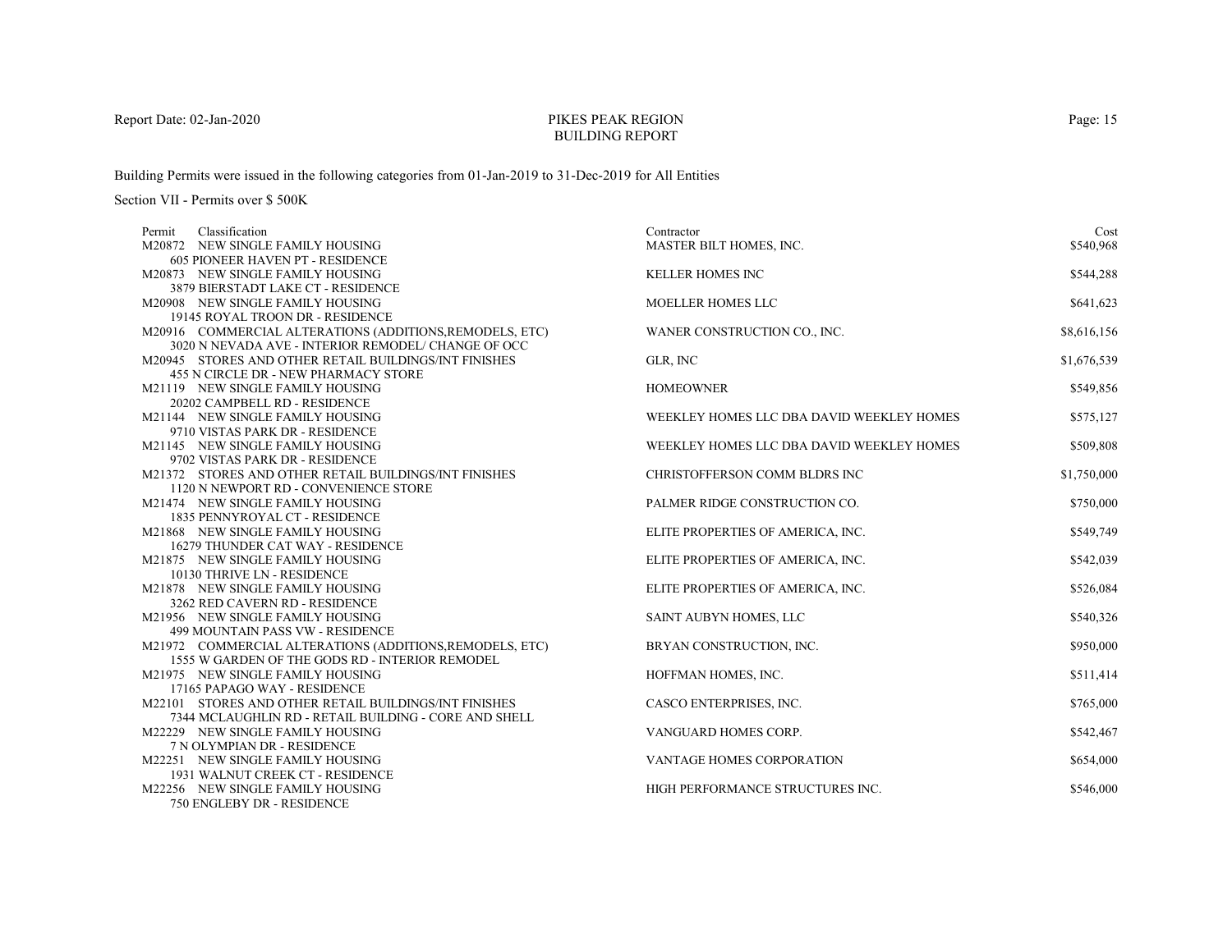# PIKES PEAK REGIONBUILDING REPORT

Building Permits were issued in the following categories from 01-Jan-2019 to 31-Dec-2019 for All Entities

| Classification<br>Permit                                                                                        | Contractor                                | Cost        |
|-----------------------------------------------------------------------------------------------------------------|-------------------------------------------|-------------|
| M20872 NEW SINGLE FAMILY HOUSING                                                                                | MASTER BILT HOMES, INC.                   | \$540,968   |
| <b>605 PIONEER HAVEN PT - RESIDENCE</b>                                                                         |                                           |             |
| M20873 NEW SINGLE FAMILY HOUSING                                                                                | <b>KELLER HOMES INC</b>                   | \$544,288   |
| 3879 BIERSTADT LAKE CT - RESIDENCE                                                                              |                                           |             |
| M20908 NEW SINGLE FAMILY HOUSING                                                                                | <b>MOELLER HOMES LLC</b>                  | \$641,623   |
| 19145 ROYAL TROON DR - RESIDENCE                                                                                |                                           |             |
| M20916 COMMERCIAL ALTERATIONS (ADDITIONS, REMODELS, ETC)<br>3020 N NEVADA AVE - INTERIOR REMODEL/ CHANGE OF OCC | WANER CONSTRUCTION CO., INC.              | \$8,616,156 |
| M20945 STORES AND OTHER RETAIL BUILDINGS/INT FINISHES                                                           | GLR, INC                                  | \$1,676,539 |
| 455 N CIRCLE DR - NEW PHARMACY STORE                                                                            |                                           |             |
| M21119 NEW SINGLE FAMILY HOUSING                                                                                | <b>HOMEOWNER</b>                          | \$549,856   |
| 20202 CAMPBELL RD - RESIDENCE                                                                                   |                                           |             |
| M21144 NEW SINGLE FAMILY HOUSING                                                                                | WEEKLEY HOMES LLC DBA DAVID WEEKLEY HOMES | \$575,127   |
| 9710 VISTAS PARK DR - RESIDENCE                                                                                 |                                           |             |
| M21145 NEW SINGLE FAMILY HOUSING                                                                                | WEEKLEY HOMES LLC DBA DAVID WEEKLEY HOMES | \$509,808   |
| 9702 VISTAS PARK DR - RESIDENCE                                                                                 |                                           |             |
| M21372 STORES AND OTHER RETAIL BUILDINGS/INT FINISHES                                                           | CHRISTOFFERSON COMM BLDRS INC             | \$1,750,000 |
| 1120 N NEWPORT RD - CONVENIENCE STORE                                                                           |                                           |             |
| M21474 NEW SINGLE FAMILY HOUSING                                                                                | PALMER RIDGE CONSTRUCTION CO.             | \$750,000   |
| 1835 PENNYROYAL CT - RESIDENCE                                                                                  |                                           |             |
| M21868 NEW SINGLE FAMILY HOUSING                                                                                | ELITE PROPERTIES OF AMERICA, INC.         | \$549,749   |
| 16279 THUNDER CAT WAY - RESIDENCE                                                                               |                                           |             |
| M21875 NEW SINGLE FAMILY HOUSING                                                                                | ELITE PROPERTIES OF AMERICA, INC.         | \$542,039   |
| 10130 THRIVE LN - RESIDENCE                                                                                     |                                           |             |
| M21878 NEW SINGLE FAMILY HOUSING                                                                                | ELITE PROPERTIES OF AMERICA, INC.         | \$526,084   |
| 3262 RED CAVERN RD - RESIDENCE                                                                                  |                                           |             |
| M21956 NEW SINGLE FAMILY HOUSING                                                                                | SAINT AUBYN HOMES, LLC                    | \$540,326   |
| 499 MOUNTAIN PASS VW - RESIDENCE                                                                                |                                           |             |
| M21972 COMMERCIAL ALTERATIONS (ADDITIONS, REMODELS, ETC)                                                        | BRYAN CONSTRUCTION, INC.                  | \$950,000   |
| 1555 W GARDEN OF THE GODS RD - INTERIOR REMODEL                                                                 |                                           |             |
| M21975 NEW SINGLE FAMILY HOUSING                                                                                | HOFFMAN HOMES, INC.                       | \$511,414   |
| 17165 PAPAGO WAY - RESIDENCE                                                                                    |                                           |             |
| M22101 STORES AND OTHER RETAIL BUILDINGS/INT FINISHES                                                           | CASCO ENTERPRISES, INC.                   | \$765,000   |
| 7344 MCLAUGHLIN RD - RETAIL BUILDING - CORE AND SHELL                                                           |                                           |             |
| M22229 NEW SINGLE FAMILY HOUSING                                                                                | VANGUARD HOMES CORP.                      | \$542,467   |
| 7 N OLYMPIAN DR - RESIDENCE                                                                                     |                                           |             |
| M22251 NEW SINGLE FAMILY HOUSING                                                                                | <b>VANTAGE HOMES CORPORATION</b>          | \$654,000   |
| 1931 WALNUT CREEK CT - RESIDENCE                                                                                |                                           |             |
| M22256 NEW SINGLE FAMILY HOUSING                                                                                | HIGH PERFORMANCE STRUCTURES INC.          | \$546,000   |
| 750 ENGLEBY DR - RESIDENCE                                                                                      |                                           |             |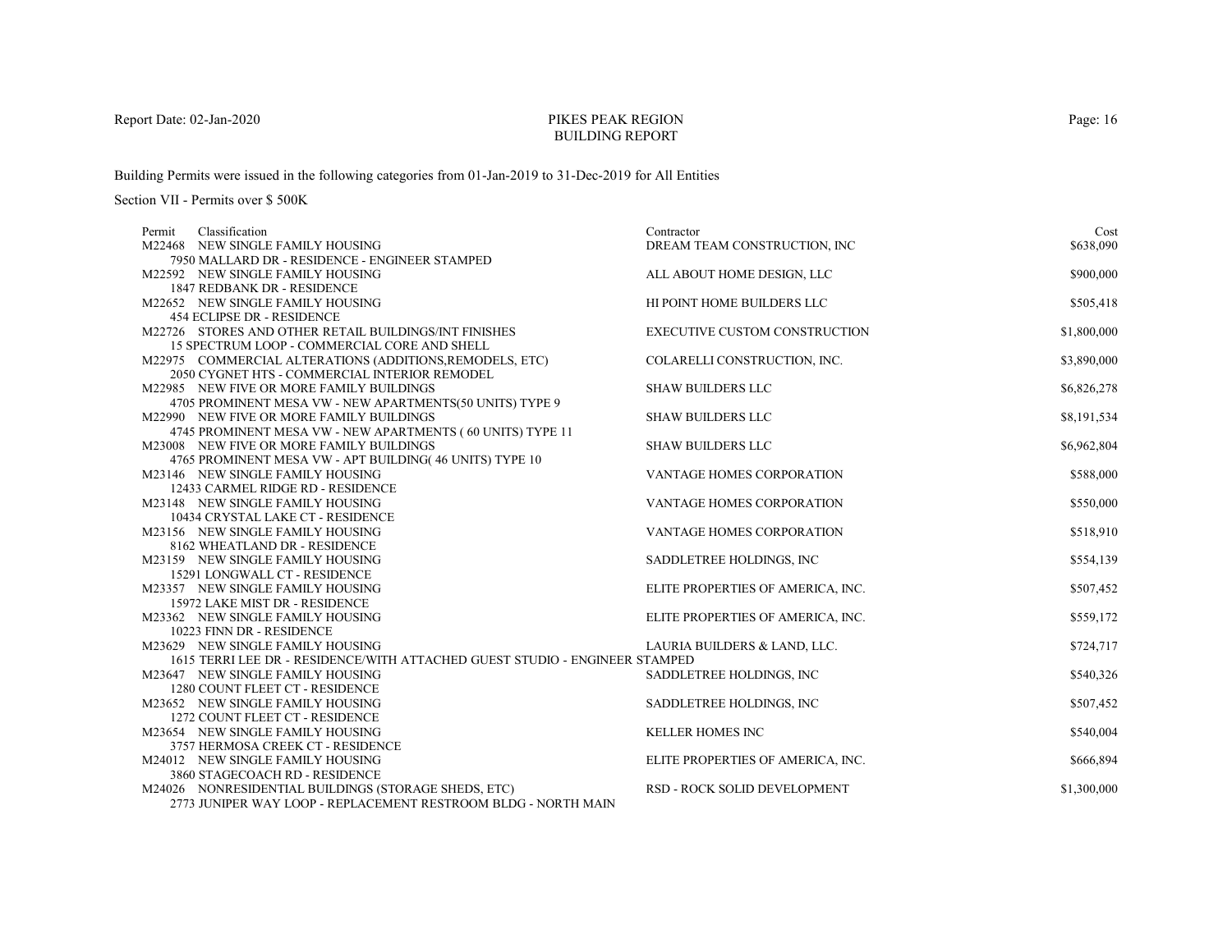# PIKES PEAK REGIONBUILDING REPORT

Building Permits were issued in the following categories from 01-Jan-2019 to 31-Dec-2019 for All Entities

| Classification<br>Permit                                                    | Contractor                           | Cost        |
|-----------------------------------------------------------------------------|--------------------------------------|-------------|
| M22468 NEW SINGLE FAMILY HOUSING                                            | DREAM TEAM CONSTRUCTION, INC         | \$638,090   |
| 7950 MALLARD DR - RESIDENCE - ENGINEER STAMPED                              |                                      |             |
| M22592 NEW SINGLE FAMILY HOUSING                                            | ALL ABOUT HOME DESIGN, LLC           | \$900,000   |
| 1847 REDBANK DR - RESIDENCE                                                 |                                      |             |
| M22652 NEW SINGLE FAMILY HOUSING                                            | HI POINT HOME BUILDERS LLC           | \$505,418   |
| <b>454 ECLIPSE DR - RESIDENCE</b>                                           |                                      |             |
| M22726 STORES AND OTHER RETAIL BUILDINGS/INT FINISHES                       | <b>EXECUTIVE CUSTOM CONSTRUCTION</b> | \$1,800,000 |
| 15 SPECTRUM LOOP - COMMERCIAL CORE AND SHELL                                |                                      |             |
| M22975 COMMERCIAL ALTERATIONS (ADDITIONS, REMODELS, ETC)                    | COLARELLI CONSTRUCTION, INC.         | \$3,890,000 |
| 2050 CYGNET HTS - COMMERCIAL INTERIOR REMODEL                               |                                      |             |
| M22985 NEW FIVE OR MORE FAMILY BUILDINGS                                    | <b>SHAW BUILDERS LLC</b>             | \$6,826,278 |
| 4705 PROMINENT MESA VW - NEW APARTMENTS(50 UNITS) TYPE 9                    |                                      |             |
| M22990 NEW FIVE OR MORE FAMILY BUILDINGS                                    | <b>SHAW BUILDERS LLC</b>             | \$8,191,534 |
| 4745 PROMINENT MESA VW - NEW APARTMENTS (60 UNITS) TYPE 11                  |                                      |             |
| M23008 NEW FIVE OR MORE FAMILY BUILDINGS                                    | <b>SHAW BUILDERS LLC</b>             | \$6,962,804 |
| 4765 PROMINENT MESA VW - APT BUILDING(46 UNITS) TYPE 10                     |                                      |             |
| M23146 NEW SINGLE FAMILY HOUSING                                            | <b>VANTAGE HOMES CORPORATION</b>     | \$588,000   |
| 12433 CARMEL RIDGE RD - RESIDENCE                                           |                                      |             |
| M23148 NEW SINGLE FAMILY HOUSING                                            | VANTAGE HOMES CORPORATION            | \$550,000   |
| 10434 CRYSTAL LAKE CT - RESIDENCE                                           |                                      |             |
| M23156 NEW SINGLE FAMILY HOUSING                                            | VANTAGE HOMES CORPORATION            | \$518,910   |
| 8162 WHEATLAND DR - RESIDENCE                                               |                                      |             |
| M23159 NEW SINGLE FAMILY HOUSING                                            | SADDLETREE HOLDINGS, INC             | \$554,139   |
| 15291 LONGWALL CT - RESIDENCE                                               |                                      |             |
| M23357 NEW SINGLE FAMILY HOUSING                                            | ELITE PROPERTIES OF AMERICA, INC.    | \$507,452   |
| 15972 LAKE MIST DR - RESIDENCE                                              |                                      |             |
| M23362 NEW SINGLE FAMILY HOUSING                                            | ELITE PROPERTIES OF AMERICA, INC.    | \$559,172   |
| 10223 FINN DR - RESIDENCE                                                   |                                      |             |
| M23629 NEW SINGLE FAMILY HOUSING                                            | LAURIA BUILDERS & LAND, LLC.         | \$724,717   |
| 1615 TERRI LEE DR - RESIDENCE/WITH ATTACHED GUEST STUDIO - ENGINEER STAMPED |                                      |             |
| M23647 NEW SINGLE FAMILY HOUSING                                            | SADDLETREE HOLDINGS, INC             | \$540,326   |
| 1280 COUNT FLEET CT - RESIDENCE                                             |                                      |             |
| M23652 NEW SINGLE FAMILY HOUSING                                            | SADDLETREE HOLDINGS, INC             | \$507,452   |
| 1272 COUNT FLEET CT - RESIDENCE                                             |                                      |             |
| M23654 NEW SINGLE FAMILY HOUSING                                            | <b>KELLER HOMES INC</b>              | \$540,004   |
| 3757 HERMOSA CREEK CT - RESIDENCE                                           |                                      |             |
| M24012 NEW SINGLE FAMILY HOUSING                                            | ELITE PROPERTIES OF AMERICA, INC.    | \$666,894   |
| 3860 STAGECOACH RD - RESIDENCE                                              |                                      |             |
| M24026 NONRESIDENTIAL BUILDINGS (STORAGE SHEDS, ETC)                        | <b>RSD - ROCK SOLID DEVELOPMENT</b>  | \$1,300,000 |
| 2773 JUNIPER WAY LOOP - REPLACEMENT RESTROOM BLDG - NORTH MAIN              |                                      |             |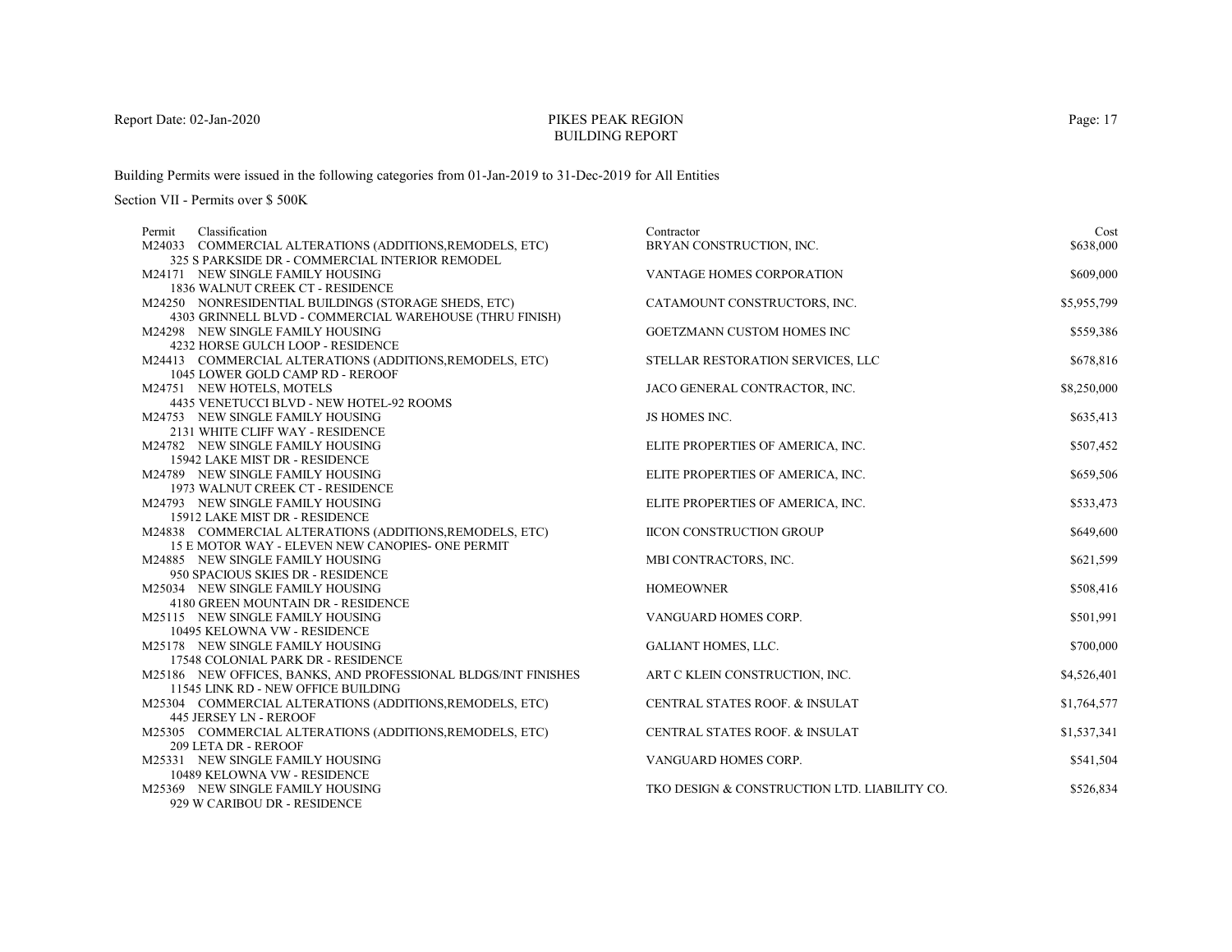# PIKES PEAK REGIONBUILDING REPORT

Building Permits were issued in the following categories from 01-Jan-2019 to 31-Dec-2019 for All Entities

| Classification<br>Permit                                             | Contractor                                   | Cost        |
|----------------------------------------------------------------------|----------------------------------------------|-------------|
| M24033 COMMERCIAL ALTERATIONS (ADDITIONS, REMODELS, ETC)             | BRYAN CONSTRUCTION, INC.                     | \$638,000   |
| 325 S PARKSIDE DR - COMMERCIAL INTERIOR REMODEL                      |                                              |             |
| M24171 NEW SINGLE FAMILY HOUSING                                     | VANTAGE HOMES CORPORATION                    | \$609,000   |
| 1836 WALNUT CREEK CT - RESIDENCE                                     |                                              |             |
| M24250 NONRESIDENTIAL BUILDINGS (STORAGE SHEDS, ETC)                 | CATAMOUNT CONSTRUCTORS, INC.                 | \$5,955,799 |
| 4303 GRINNELL BLVD - COMMERCIAL WAREHOUSE (THRU FINISH)              |                                              |             |
| M24298 NEW SINGLE FAMILY HOUSING                                     | GOETZMANN CUSTOM HOMES INC                   | \$559,386   |
| 4232 HORSE GULCH LOOP - RESIDENCE                                    |                                              |             |
| M24413 COMMERCIAL ALTERATIONS (ADDITIONS, REMODELS, ETC)             | STELLAR RESTORATION SERVICES, LLC            | \$678,816   |
| 1045 LOWER GOLD CAMP RD - REROOF                                     |                                              |             |
| M24751 NEW HOTELS, MOTELS                                            | JACO GENERAL CONTRACTOR, INC.                | \$8,250,000 |
| 4435 VENETUCCI BLVD - NEW HOTEL-92 ROOMS                             |                                              |             |
| M24753 NEW SINGLE FAMILY HOUSING                                     | JS HOMES INC.                                | \$635,413   |
| 2131 WHITE CLIFF WAY - RESIDENCE                                     |                                              |             |
| M24782 NEW SINGLE FAMILY HOUSING                                     | ELITE PROPERTIES OF AMERICA, INC.            | \$507,452   |
| 15942 LAKE MIST DR - RESIDENCE                                       |                                              | \$659,506   |
| M24789 NEW SINGLE FAMILY HOUSING<br>1973 WALNUT CREEK CT - RESIDENCE | ELITE PROPERTIES OF AMERICA, INC.            |             |
| M24793 NEW SINGLE FAMILY HOUSING                                     | ELITE PROPERTIES OF AMERICA, INC.            | \$533,473   |
| 15912 LAKE MIST DR - RESIDENCE                                       |                                              |             |
| M24838 COMMERCIAL ALTERATIONS (ADDITIONS, REMODELS, ETC)             | <b>IICON CONSTRUCTION GROUP</b>              | \$649,600   |
| 15 E MOTOR WAY - ELEVEN NEW CANOPIES- ONE PERMIT                     |                                              |             |
| M24885 NEW SINGLE FAMILY HOUSING                                     | MBI CONTRACTORS, INC.                        | \$621,599   |
| 950 SPACIOUS SKIES DR - RESIDENCE                                    |                                              |             |
| M25034 NEW SINGLE FAMILY HOUSING                                     | <b>HOMEOWNER</b>                             | \$508,416   |
| 4180 GREEN MOUNTAIN DR - RESIDENCE                                   |                                              |             |
| M25115 NEW SINGLE FAMILY HOUSING                                     | VANGUARD HOMES CORP.                         | \$501,991   |
| 10495 KELOWNA VW - RESIDENCE                                         |                                              |             |
| M25178 NEW SINGLE FAMILY HOUSING                                     | <b>GALIANT HOMES, LLC.</b>                   | \$700,000   |
| 17548 COLONIAL PARK DR - RESIDENCE                                   |                                              |             |
| M25186 NEW OFFICES, BANKS, AND PROFESSIONAL BLDGS/INT FINISHES       | ART C KLEIN CONSTRUCTION, INC.               | \$4,526,401 |
| 11545 LINK RD - NEW OFFICE BUILDING                                  |                                              |             |
| M25304 COMMERCIAL ALTERATIONS (ADDITIONS, REMODELS, ETC)             | CENTRAL STATES ROOF. & INSULAT               | \$1,764,577 |
| 445 JERSEY LN - REROOF                                               |                                              |             |
| M25305 COMMERCIAL ALTERATIONS (ADDITIONS, REMODELS, ETC)             | CENTRAL STATES ROOF. & INSULAT               | \$1,537,341 |
| 209 LETA DR - REROOF                                                 |                                              |             |
| M25331 NEW SINGLE FAMILY HOUSING                                     | VANGUARD HOMES CORP.                         | \$541,504   |
| 10489 KELOWNA VW - RESIDENCE                                         |                                              |             |
| M25369 NEW SINGLE FAMILY HOUSING                                     | TKO DESIGN & CONSTRUCTION LTD. LIABILITY CO. | \$526,834   |
| 929 W CARIBOU DR - RESIDENCE                                         |                                              |             |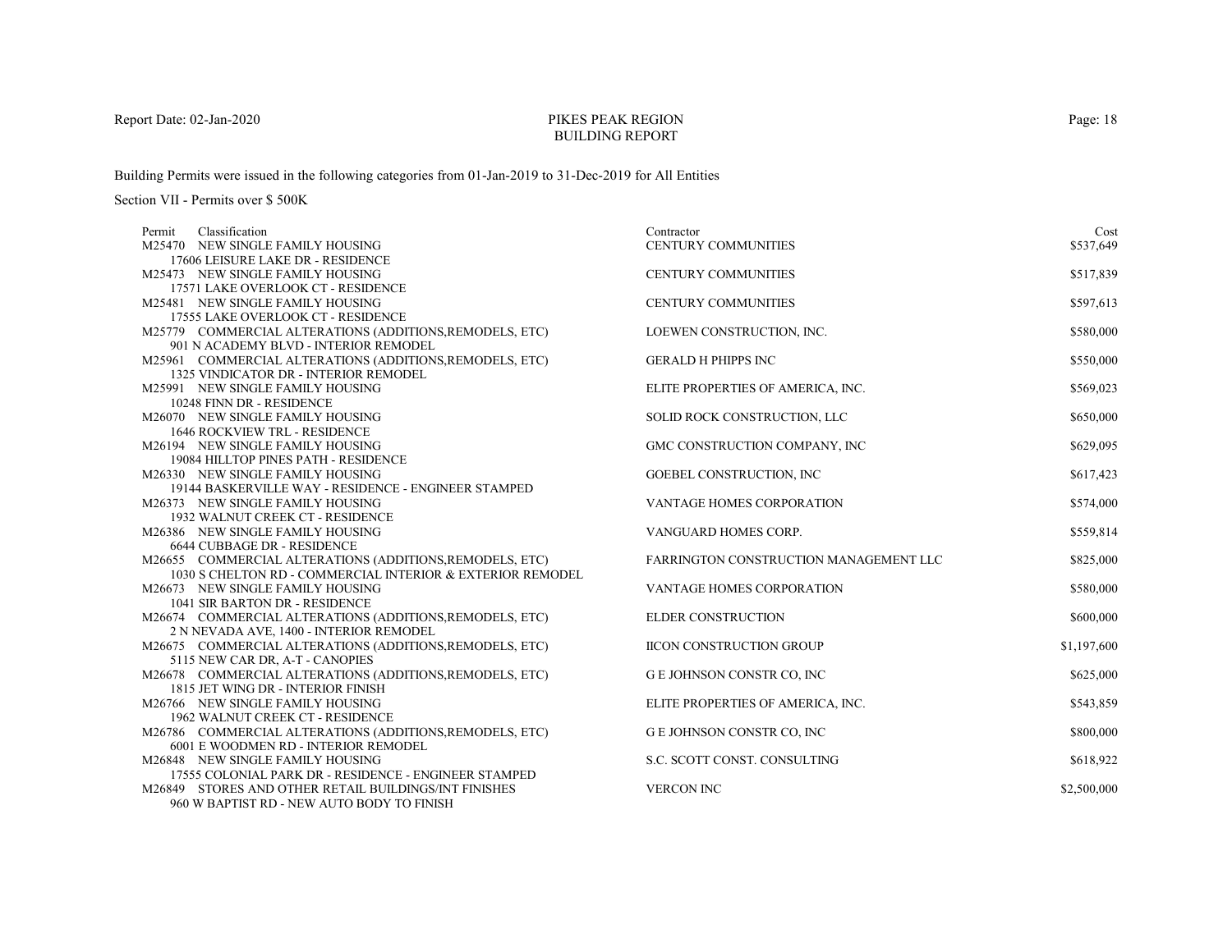# PIKES PEAK REGIONBUILDING REPORT

Building Permits were issued in the following categories from 01-Jan-2019 to 31-Dec-2019 for All Entities

| Classification<br>Permit                                                                                               | Contractor                             | Cost        |
|------------------------------------------------------------------------------------------------------------------------|----------------------------------------|-------------|
| M25470 NEW SINGLE FAMILY HOUSING                                                                                       | CENTURY COMMUNITIES                    | \$537,649   |
| 17606 LEISURE LAKE DR - RESIDENCE                                                                                      |                                        |             |
| M25473 NEW SINGLE FAMILY HOUSING                                                                                       | <b>CENTURY COMMUNITIES</b>             | \$517,839   |
| 17571 LAKE OVERLOOK CT - RESIDENCE                                                                                     |                                        |             |
| M25481 NEW SINGLE FAMILY HOUSING                                                                                       | <b>CENTURY COMMUNITIES</b>             | \$597,613   |
| 17555 LAKE OVERLOOK CT - RESIDENCE                                                                                     |                                        |             |
| M25779 COMMERCIAL ALTERATIONS (ADDITIONS, REMODELS, ETC)                                                               | LOEWEN CONSTRUCTION, INC.              | \$580,000   |
| 901 N ACADEMY BLVD - INTERIOR REMODEL                                                                                  |                                        |             |
| M25961 COMMERCIAL ALTERATIONS (ADDITIONS, REMODELS, ETC)                                                               | <b>GERALD H PHIPPS INC</b>             | \$550,000   |
| 1325 VINDICATOR DR - INTERIOR REMODEL                                                                                  |                                        |             |
| M25991 NEW SINGLE FAMILY HOUSING                                                                                       | ELITE PROPERTIES OF AMERICA, INC.      | \$569,023   |
| 10248 FINN DR - RESIDENCE                                                                                              |                                        |             |
| M26070 NEW SINGLE FAMILY HOUSING                                                                                       | SOLID ROCK CONSTRUCTION, LLC           | \$650,000   |
| <b>1646 ROCKVIEW TRL - RESIDENCE</b>                                                                                   |                                        |             |
| M26194 NEW SINGLE FAMILY HOUSING                                                                                       | GMC CONSTRUCTION COMPANY, INC          | \$629,095   |
| 19084 HILLTOP PINES PATH - RESIDENCE                                                                                   |                                        |             |
| M26330 NEW SINGLE FAMILY HOUSING                                                                                       | GOEBEL CONSTRUCTION, INC               | \$617,423   |
| 19144 BASKERVILLE WAY - RESIDENCE - ENGINEER STAMPED                                                                   |                                        |             |
| M26373 NEW SINGLE FAMILY HOUSING                                                                                       | VANTAGE HOMES CORPORATION              | \$574,000   |
| 1932 WALNUT CREEK CT - RESIDENCE                                                                                       |                                        |             |
| M26386 NEW SINGLE FAMILY HOUSING                                                                                       | VANGUARD HOMES CORP.                   | \$559,814   |
| 6644 CUBBAGE DR - RESIDENCE                                                                                            |                                        |             |
| M26655 COMMERCIAL ALTERATIONS (ADDITIONS, REMODELS, ETC)<br>1030 S CHELTON RD - COMMERCIAL INTERIOR & EXTERIOR REMODEL | FARRINGTON CONSTRUCTION MANAGEMENT LLC | \$825,000   |
| M26673 NEW SINGLE FAMILY HOUSING                                                                                       | <b>VANTAGE HOMES CORPORATION</b>       | \$580,000   |
| 1041 SIR BARTON DR - RESIDENCE                                                                                         |                                        |             |
| M26674 COMMERCIAL ALTERATIONS (ADDITIONS, REMODELS, ETC)                                                               | ELDER CONSTRUCTION                     | \$600,000   |
| 2 N NEVADA AVE, 1400 - INTERIOR REMODEL                                                                                |                                        |             |
| M26675 COMMERCIAL ALTERATIONS (ADDITIONS, REMODELS, ETC)                                                               | <b>IICON CONSTRUCTION GROUP</b>        | \$1,197,600 |
| 5115 NEW CAR DR, A-T - CANOPIES                                                                                        |                                        |             |
| M26678 COMMERCIAL ALTERATIONS (ADDITIONS, REMODELS, ETC)                                                               | G E JOHNSON CONSTR CO, INC             | \$625,000   |
| 1815 JET WING DR - INTERIOR FINISH                                                                                     |                                        |             |
| M26766 NEW SINGLE FAMILY HOUSING                                                                                       | ELITE PROPERTIES OF AMERICA, INC.      | \$543,859   |
| 1962 WALNUT CREEK CT - RESIDENCE                                                                                       |                                        |             |
| M26786 COMMERCIAL ALTERATIONS (ADDITIONS, REMODELS, ETC)                                                               | G E JOHNSON CONSTR CO, INC             | \$800,000   |
| 6001 E WOODMEN RD - INTERIOR REMODEL                                                                                   |                                        |             |
| M26848 NEW SINGLE FAMILY HOUSING                                                                                       | S.C. SCOTT CONST. CONSULTING           | \$618,922   |
| 17555 COLONIAL PARK DR - RESIDENCE - ENGINEER STAMPED                                                                  |                                        |             |
| M26849 STORES AND OTHER RETAIL BUILDINGS/INT FINISHES                                                                  | <b>VERCON INC</b>                      | \$2,500,000 |
| 960 W BAPTIST RD - NEW AUTO BODY TO FINISH                                                                             |                                        |             |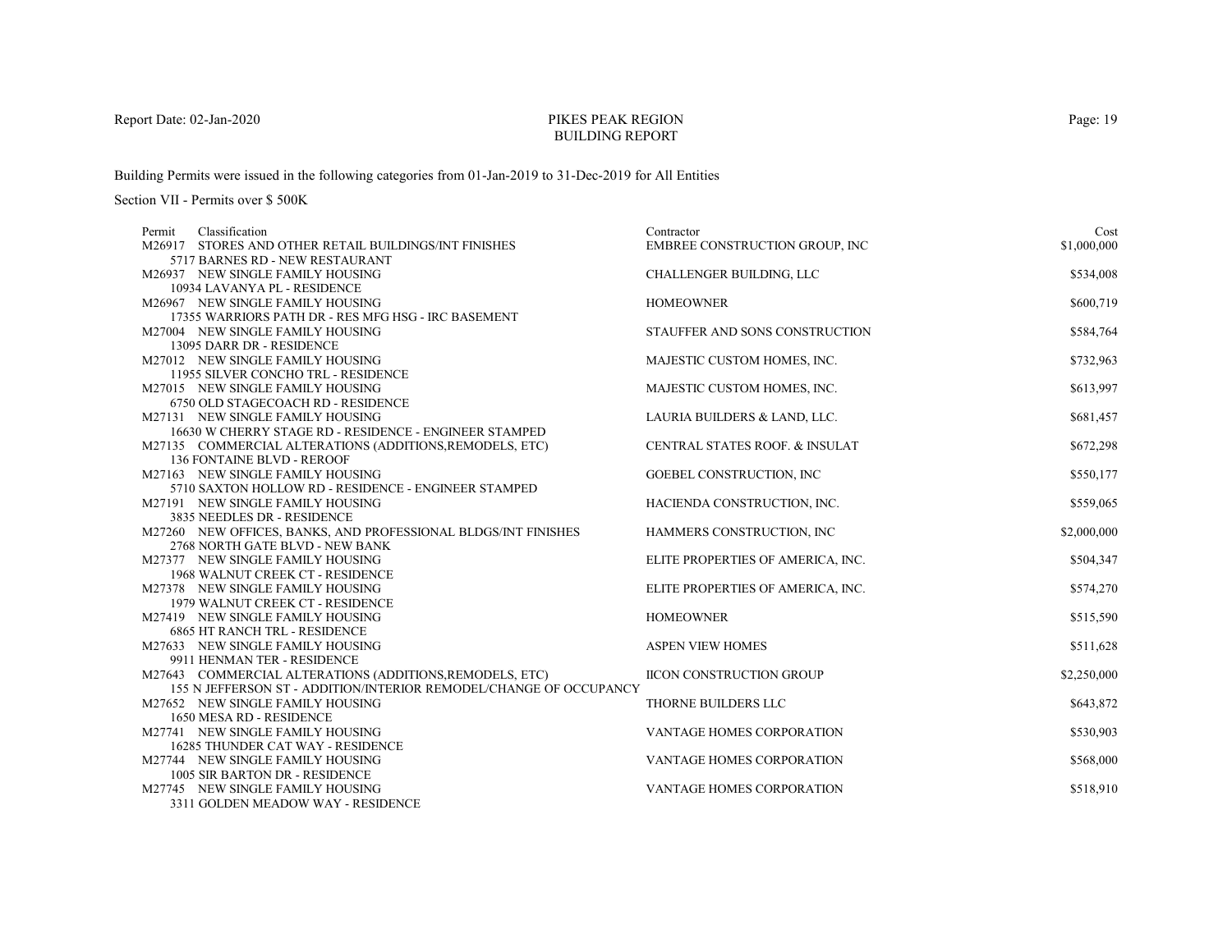# PIKES PEAK REGIONBUILDING REPORT

Building Permits were issued in the following categories from 01-Jan-2019 to 31-Dec-2019 for All Entities

| Classification<br>Permit          |                                                                                                   | Contractor                                | Cost        |
|-----------------------------------|---------------------------------------------------------------------------------------------------|-------------------------------------------|-------------|
|                                   | M26917 STORES AND OTHER RETAIL BUILDINGS/INT FINISHES                                             | EMBREE CONSTRUCTION GROUP, INC            | \$1,000,000 |
|                                   | 5717 BARNES RD - NEW RESTAURANT                                                                   |                                           |             |
| M26937 NEW SINGLE FAMILY HOUSING  |                                                                                                   | CHALLENGER BUILDING, LLC                  | \$534,008   |
| 10934 LAVANYA PL - RESIDENCE      |                                                                                                   |                                           |             |
| M26967 NEW SINGLE FAMILY HOUSING  |                                                                                                   | <b>HOMEOWNER</b>                          | \$600,719   |
|                                   | 17355 WARRIORS PATH DR - RES MFG HSG - IRC BASEMENT                                               |                                           |             |
| M27004 NEW SINGLE FAMILY HOUSING  |                                                                                                   | STAUFFER AND SONS CONSTRUCTION            | \$584,764   |
| 13095 DARR DR - RESIDENCE         |                                                                                                   |                                           |             |
| M27012 NEW SINGLE FAMILY HOUSING  |                                                                                                   | MAJESTIC CUSTOM HOMES, INC.               | \$732,963   |
|                                   | 11955 SILVER CONCHO TRL - RESIDENCE                                                               |                                           |             |
| M27015 NEW SINGLE FAMILY HOUSING  |                                                                                                   | MAJESTIC CUSTOM HOMES, INC.               | \$613,997   |
|                                   | 6750 OLD STAGECOACH RD - RESIDENCE                                                                |                                           |             |
| M27131 NEW SINGLE FAMILY HOUSING  |                                                                                                   | LAURIA BUILDERS & LAND, LLC.              | \$681,457   |
|                                   | 16630 W CHERRY STAGE RD - RESIDENCE - ENGINEER STAMPED                                            |                                           |             |
|                                   | M27135 COMMERCIAL ALTERATIONS (ADDITIONS, REMODELS, ETC)                                          | <b>CENTRAL STATES ROOF. &amp; INSULAT</b> | \$672,298   |
| <b>136 FONTAINE BLVD - REROOF</b> |                                                                                                   |                                           |             |
| M27163 NEW SINGLE FAMILY HOUSING  |                                                                                                   | GOEBEL CONSTRUCTION, INC                  | \$550,177   |
|                                   | 5710 SAXTON HOLLOW RD - RESIDENCE - ENGINEER STAMPED                                              |                                           |             |
| M27191 NEW SINGLE FAMILY HOUSING  |                                                                                                   | HACIENDA CONSTRUCTION, INC.               | \$559,065   |
| 3835 NEEDLES DR - RESIDENCE       |                                                                                                   |                                           |             |
|                                   | M27260 NEW OFFICES, BANKS, AND PROFESSIONAL BLDGS/INT FINISHES<br>2768 NORTH GATE BLVD - NEW BANK | HAMMERS CONSTRUCTION, INC                 | \$2,000,000 |
| M27377 NEW SINGLE FAMILY HOUSING  |                                                                                                   |                                           | \$504,347   |
|                                   | 1968 WALNUT CREEK CT - RESIDENCE                                                                  | ELITE PROPERTIES OF AMERICA, INC.         |             |
| M27378 NEW SINGLE FAMILY HOUSING  |                                                                                                   | ELITE PROPERTIES OF AMERICA, INC.         | \$574,270   |
|                                   | 1979 WALNUT CREEK CT - RESIDENCE                                                                  |                                           |             |
| M27419 NEW SINGLE FAMILY HOUSING  |                                                                                                   | <b>HOMEOWNER</b>                          | \$515,590   |
|                                   | <b>6865 HT RANCH TRL - RESIDENCE</b>                                                              |                                           |             |
| M27633 NEW SINGLE FAMILY HOUSING  |                                                                                                   | <b>ASPEN VIEW HOMES</b>                   | \$511,628   |
| 9911 HENMAN TER - RESIDENCE       |                                                                                                   |                                           |             |
|                                   | M27643 COMMERCIAL ALTERATIONS (ADDITIONS, REMODELS, ETC)                                          | <b>IICON CONSTRUCTION GROUP</b>           | \$2,250,000 |
|                                   | 155 N JEFFERSON ST - ADDITION/INTERIOR REMODEL/CHANGE OF OCCUPANCY                                |                                           |             |
| M27652 NEW SINGLE FAMILY HOUSING  |                                                                                                   | THORNE BUILDERS LLC                       | \$643,872   |
| 1650 MESA RD - RESIDENCE          |                                                                                                   |                                           |             |
| M27741 NEW SINGLE FAMILY HOUSING  |                                                                                                   | VANTAGE HOMES CORPORATION                 | \$530,903   |
|                                   | 16285 THUNDER CAT WAY - RESIDENCE                                                                 |                                           |             |
| M27744 NEW SINGLE FAMILY HOUSING  |                                                                                                   | VANTAGE HOMES CORPORATION                 | \$568,000   |
|                                   | 1005 SIR BARTON DR - RESIDENCE                                                                    |                                           |             |
| M27745 NEW SINGLE FAMILY HOUSING  |                                                                                                   | VANTAGE HOMES CORPORATION                 | \$518,910   |
|                                   | 3311 GOLDEN MEADOW WAY - RESIDENCE                                                                |                                           |             |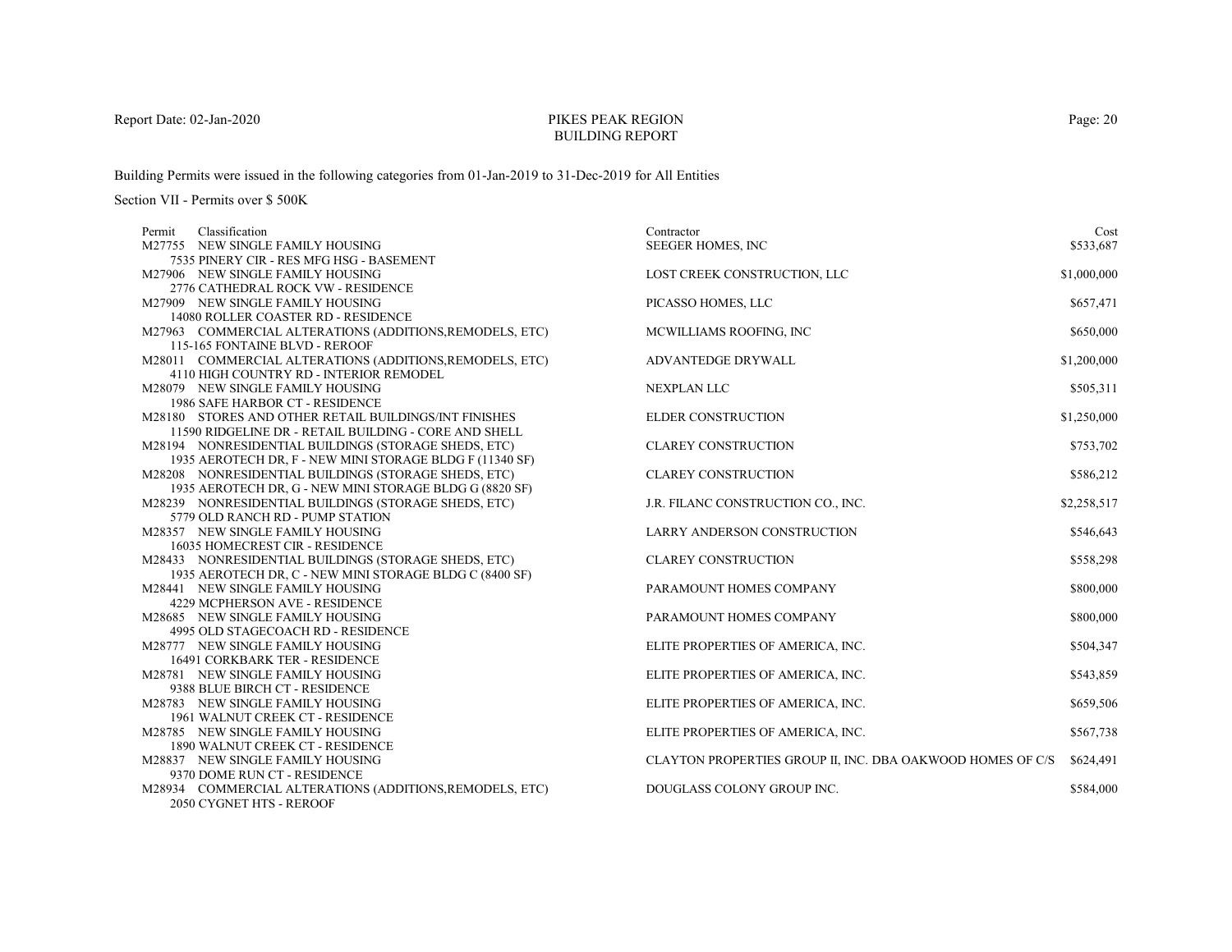# PIKES PEAK REGIONBUILDING REPORT

Building Permits were issued in the following categories from 01-Jan-2019 to 31-Dec-2019 for All Entities

| Classification<br>Permit |                                                                                                                                                                                                                                                                                                          | Contractor                                                                                                                                                         | Cost                                             |
|--------------------------|----------------------------------------------------------------------------------------------------------------------------------------------------------------------------------------------------------------------------------------------------------------------------------------------------------|--------------------------------------------------------------------------------------------------------------------------------------------------------------------|--------------------------------------------------|
|                          | M27755 NEW SINGLE FAMILY HOUSING                                                                                                                                                                                                                                                                         | SEEGER HOMES, INC                                                                                                                                                  | \$533,687                                        |
|                          | 7535 PINERY CIR - RES MFG HSG - BASEMENT                                                                                                                                                                                                                                                                 |                                                                                                                                                                    |                                                  |
|                          | M27906 NEW SINGLE FAMILY HOUSING                                                                                                                                                                                                                                                                         | LOST CREEK CONSTRUCTION, LLC                                                                                                                                       | \$1,000,000                                      |
|                          | 2776 CATHEDRAL ROCK VW - RESIDENCE                                                                                                                                                                                                                                                                       |                                                                                                                                                                    |                                                  |
|                          | M27909 NEW SINGLE FAMILY HOUSING                                                                                                                                                                                                                                                                         | PICASSO HOMES, LLC                                                                                                                                                 | \$657,471                                        |
|                          | 14080 ROLLER COASTER RD - RESIDENCE                                                                                                                                                                                                                                                                      |                                                                                                                                                                    |                                                  |
|                          | M27963 COMMERCIAL ALTERATIONS (ADDITIONS, REMODELS, ETC)                                                                                                                                                                                                                                                 | MCWILLIAMS ROOFING, INC                                                                                                                                            | \$650,000                                        |
|                          | 115-165 FONTAINE BLVD - REROOF                                                                                                                                                                                                                                                                           |                                                                                                                                                                    |                                                  |
|                          | M28011 COMMERCIAL ALTERATIONS (ADDITIONS, REMODELS, ETC)                                                                                                                                                                                                                                                 | ADVANTEDGE DRYWALL                                                                                                                                                 | \$1,200,000                                      |
|                          | 4110 HIGH COUNTRY RD - INTERIOR REMODEL                                                                                                                                                                                                                                                                  |                                                                                                                                                                    |                                                  |
|                          | M28079 NEW SINGLE FAMILY HOUSING                                                                                                                                                                                                                                                                         | <b>NEXPLAN LLC</b>                                                                                                                                                 | \$505,311                                        |
|                          | 1986 SAFE HARBOR CT - RESIDENCE                                                                                                                                                                                                                                                                          |                                                                                                                                                                    |                                                  |
|                          | M28180 STORES AND OTHER RETAIL BUILDINGS/INT FINISHES                                                                                                                                                                                                                                                    | <b>ELDER CONSTRUCTION</b>                                                                                                                                          | \$1,250,000                                      |
|                          | 11590 RIDGELINE DR - RETAIL BUILDING - CORE AND SHELL                                                                                                                                                                                                                                                    |                                                                                                                                                                    |                                                  |
|                          | M28194 NONRESIDENTIAL BUILDINGS (STORAGE SHEDS, ETC)                                                                                                                                                                                                                                                     | <b>CLAREY CONSTRUCTION</b>                                                                                                                                         | \$753,702                                        |
|                          | 1935 AEROTECH DR, F - NEW MINI STORAGE BLDG F (11340 SF)                                                                                                                                                                                                                                                 |                                                                                                                                                                    |                                                  |
|                          | M28208 NONRESIDENTIAL BUILDINGS (STORAGE SHEDS, ETC)                                                                                                                                                                                                                                                     | <b>CLAREY CONSTRUCTION</b>                                                                                                                                         | \$586,212                                        |
|                          | 1935 AEROTECH DR, G - NEW MINI STORAGE BLDG G (8820 SF)                                                                                                                                                                                                                                                  |                                                                                                                                                                    |                                                  |
|                          | M28239 NONRESIDENTIAL BUILDINGS (STORAGE SHEDS, ETC)                                                                                                                                                                                                                                                     | J.R. FILANC CONSTRUCTION CO., INC.                                                                                                                                 | \$2,258,517                                      |
|                          | 5779 OLD RANCH RD - PUMP STATION                                                                                                                                                                                                                                                                         |                                                                                                                                                                    |                                                  |
|                          | M28357 NEW SINGLE FAMILY HOUSING                                                                                                                                                                                                                                                                         | LARRY ANDERSON CONSTRUCTION                                                                                                                                        | \$546,643                                        |
|                          | 16035 HOMECREST CIR - RESIDENCE                                                                                                                                                                                                                                                                          |                                                                                                                                                                    |                                                  |
|                          | M28433 NONRESIDENTIAL BUILDINGS (STORAGE SHEDS, ETC)                                                                                                                                                                                                                                                     | <b>CLAREY CONSTRUCTION</b>                                                                                                                                         | \$558,298                                        |
|                          | 1935 AEROTECH DR, C - NEW MINI STORAGE BLDG C (8400 SF)                                                                                                                                                                                                                                                  |                                                                                                                                                                    |                                                  |
|                          | M28441 NEW SINGLE FAMILY HOUSING                                                                                                                                                                                                                                                                         | PARAMOUNT HOMES COMPANY                                                                                                                                            | \$800,000                                        |
|                          | 4229 MCPHERSON AVE - RESIDENCE                                                                                                                                                                                                                                                                           |                                                                                                                                                                    |                                                  |
|                          | M28685 NEW SINGLE FAMILY HOUSING                                                                                                                                                                                                                                                                         | PARAMOUNT HOMES COMPANY                                                                                                                                            | \$800,000                                        |
|                          | 4995 OLD STAGECOACH RD - RESIDENCE                                                                                                                                                                                                                                                                       |                                                                                                                                                                    |                                                  |
|                          | M28777 NEW SINGLE FAMILY HOUSING                                                                                                                                                                                                                                                                         | ELITE PROPERTIES OF AMERICA, INC.                                                                                                                                  | \$504,347                                        |
|                          | 16491 CORKBARK TER - RESIDENCE<br>M28781 NEW SINGLE FAMILY HOUSING                                                                                                                                                                                                                                       |                                                                                                                                                                    | \$543,859                                        |
|                          | 9388 BLUE BIRCH CT - RESIDENCE                                                                                                                                                                                                                                                                           | ELITE PROPERTIES OF AMERICA, INC.                                                                                                                                  |                                                  |
|                          |                                                                                                                                                                                                                                                                                                          |                                                                                                                                                                    |                                                  |
|                          |                                                                                                                                                                                                                                                                                                          |                                                                                                                                                                    |                                                  |
|                          |                                                                                                                                                                                                                                                                                                          |                                                                                                                                                                    |                                                  |
|                          |                                                                                                                                                                                                                                                                                                          |                                                                                                                                                                    |                                                  |
|                          |                                                                                                                                                                                                                                                                                                          |                                                                                                                                                                    |                                                  |
|                          |                                                                                                                                                                                                                                                                                                          |                                                                                                                                                                    |                                                  |
|                          |                                                                                                                                                                                                                                                                                                          |                                                                                                                                                                    |                                                  |
|                          |                                                                                                                                                                                                                                                                                                          |                                                                                                                                                                    |                                                  |
|                          | M28783 NEW SINGLE FAMILY HOUSING<br>1961 WALNUT CREEK CT - RESIDENCE<br>M28785 NEW SINGLE FAMILY HOUSING<br>1890 WALNUT CREEK CT - RESIDENCE<br>M28837 NEW SINGLE FAMILY HOUSING<br>9370 DOME RUN CT - RESIDENCE<br>M28934 COMMERCIAL ALTERATIONS (ADDITIONS, REMODELS, ETC)<br>2050 CYGNET HTS - REROOF | ELITE PROPERTIES OF AMERICA, INC.<br>ELITE PROPERTIES OF AMERICA, INC.<br>CLAYTON PROPERTIES GROUP II, INC. DBA OAKWOOD HOMES OF C/S<br>DOUGLASS COLONY GROUP INC. | \$659,506<br>\$567,738<br>\$624,491<br>\$584,000 |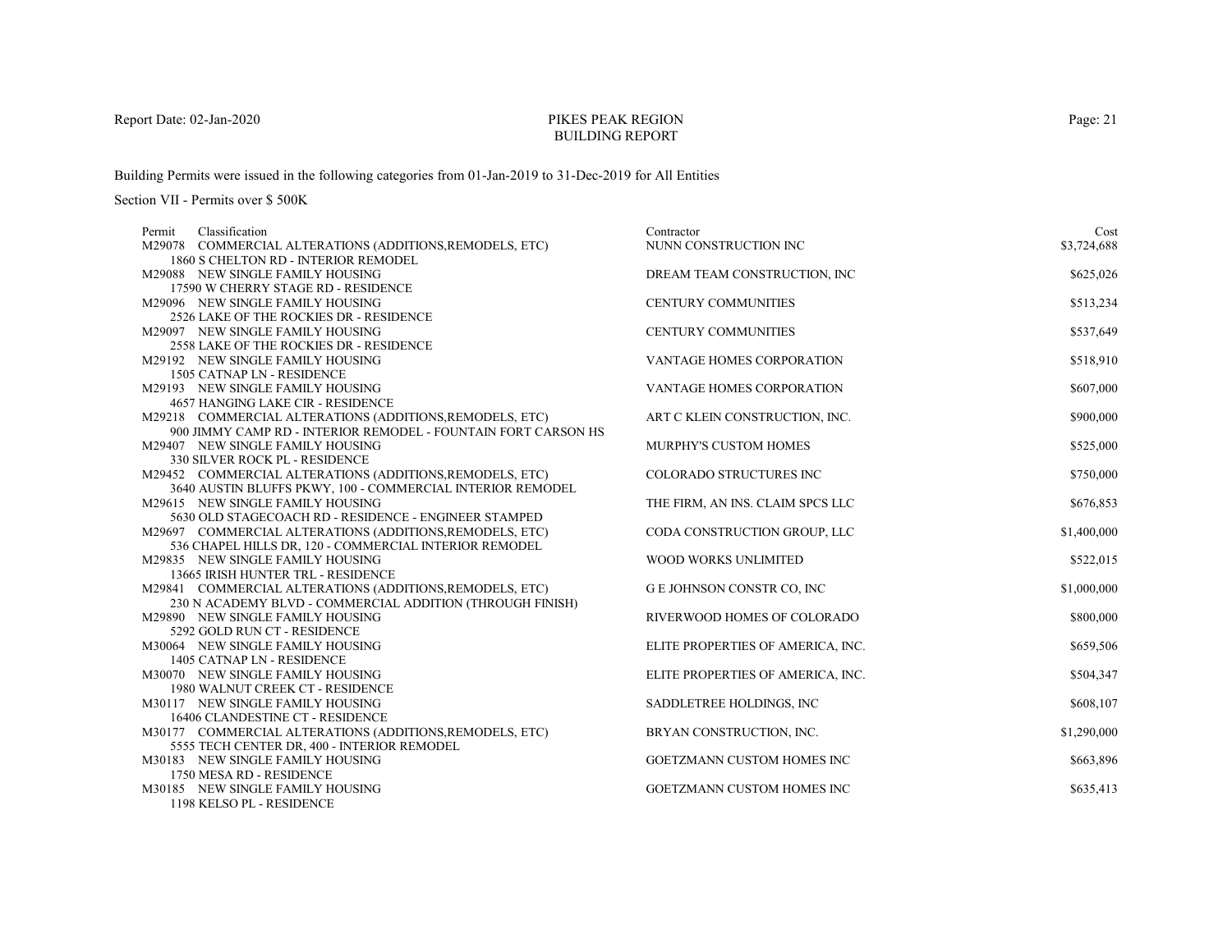# PIKES PEAK REGIONBUILDING REPORT

Building Permits were issued in the following categories from 01-Jan-2019 to 31-Dec-2019 for All Entities

| Classification<br>Permit                                         | Contractor                        | Cost        |
|------------------------------------------------------------------|-----------------------------------|-------------|
| M29078 COMMERCIAL ALTERATIONS (ADDITIONS, REMODELS, ETC)         | NUNN CONSTRUCTION INC             | \$3,724,688 |
| 1860 S CHELTON RD - INTERIOR REMODEL                             |                                   |             |
| M29088 NEW SINGLE FAMILY HOUSING                                 | DREAM TEAM CONSTRUCTION, INC      | \$625,026   |
| 17590 W CHERRY STAGE RD - RESIDENCE                              |                                   |             |
| M29096 NEW SINGLE FAMILY HOUSING                                 | <b>CENTURY COMMUNITIES</b>        | \$513,234   |
| 2526 LAKE OF THE ROCKIES DR - RESIDENCE                          |                                   |             |
| M29097 NEW SINGLE FAMILY HOUSING                                 | <b>CENTURY COMMUNITIES</b>        | \$537,649   |
| 2558 LAKE OF THE ROCKIES DR - RESIDENCE                          |                                   |             |
| M29192 NEW SINGLE FAMILY HOUSING                                 | <b>VANTAGE HOMES CORPORATION</b>  | \$518,910   |
| 1505 CATNAP LN - RESIDENCE                                       |                                   |             |
| M29193 NEW SINGLE FAMILY HOUSING                                 | <b>VANTAGE HOMES CORPORATION</b>  | \$607,000   |
| 4657 HANGING LAKE CIR - RESIDENCE                                |                                   |             |
| M29218 COMMERCIAL ALTERATIONS (ADDITIONS, REMODELS, ETC)         | ART C KLEIN CONSTRUCTION, INC.    | \$900,000   |
| 900 JIMMY CAMP RD - INTERIOR REMODEL - FOUNTAIN FORT CARSON HS   |                                   |             |
| M29407 NEW SINGLE FAMILY HOUSING                                 | <b>MURPHY'S CUSTOM HOMES</b>      | \$525,000   |
| 330 SILVER ROCK PL - RESIDENCE                                   |                                   |             |
| M29452 COMMERCIAL ALTERATIONS (ADDITIONS, REMODELS, ETC)         | <b>COLORADO STRUCTURES INC</b>    | \$750,000   |
| 3640 AUSTIN BLUFFS PKWY, 100 - COMMERCIAL INTERIOR REMODEL       |                                   |             |
| M29615 NEW SINGLE FAMILY HOUSING                                 | THE FIRM, AN INS. CLAIM SPCS LLC  | \$676,853   |
| 5630 OLD STAGECOACH RD - RESIDENCE - ENGINEER STAMPED            |                                   |             |
| M29697 COMMERCIAL ALTERATIONS (ADDITIONS, REMODELS, ETC)         | CODA CONSTRUCTION GROUP, LLC      | \$1,400,000 |
| 536 CHAPEL HILLS DR, 120 - COMMERCIAL INTERIOR REMODEL           |                                   |             |
| M29835 NEW SINGLE FAMILY HOUSING                                 | WOOD WORKS UNLIMITED              | \$522,015   |
| 13665 IRISH HUNTER TRL - RESIDENCE                               |                                   |             |
| M29841 COMMERCIAL ALTERATIONS (ADDITIONS, REMODELS, ETC)         | G E JOHNSON CONSTR CO, INC        | \$1,000,000 |
| 230 N ACADEMY BLVD - COMMERCIAL ADDITION (THROUGH FINISH)        |                                   |             |
| M29890 NEW SINGLE FAMILY HOUSING                                 | RIVERWOOD HOMES OF COLORADO       | \$800,000   |
| 5292 GOLD RUN CT - RESIDENCE<br>M30064 NEW SINGLE FAMILY HOUSING |                                   |             |
|                                                                  | ELITE PROPERTIES OF AMERICA, INC. | \$659,506   |
| 1405 CATNAP LN - RESIDENCE<br>M30070 NEW SINGLE FAMILY HOUSING   |                                   | \$504,347   |
| 1980 WALNUT CREEK CT - RESIDENCE                                 | ELITE PROPERTIES OF AMERICA, INC. |             |
| M30117 NEW SINGLE FAMILY HOUSING                                 | SADDLETREE HOLDINGS, INC.         | \$608,107   |
| 16406 CLANDESTINE CT - RESIDENCE                                 |                                   |             |
| M30177 COMMERCIAL ALTERATIONS (ADDITIONS, REMODELS, ETC)         | BRYAN CONSTRUCTION, INC.          | \$1,290,000 |
| 5555 TECH CENTER DR, 400 - INTERIOR REMODEL                      |                                   |             |
| M30183 NEW SINGLE FAMILY HOUSING                                 | GOETZMANN CUSTOM HOMES INC        | \$663,896   |
| 1750 MESA RD - RESIDENCE                                         |                                   |             |
| M30185 NEW SINGLE FAMILY HOUSING                                 | GOETZMANN CUSTOM HOMES INC        | \$635,413   |
| 1198 KELSO PL - RESIDENCE                                        |                                   |             |
|                                                                  |                                   |             |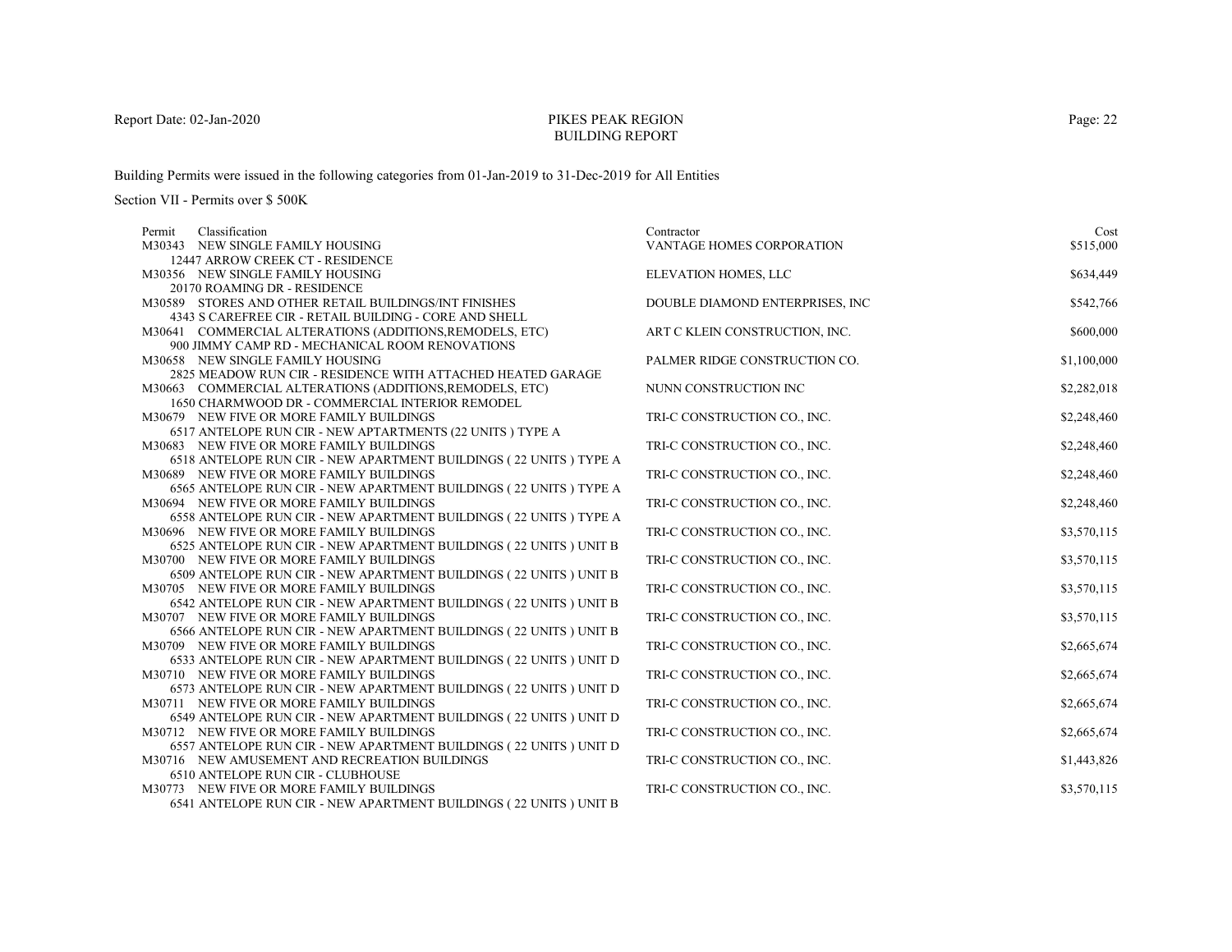# PIKES PEAK REGIONBUILDING REPORT

Building Permits were issued in the following categories from 01-Jan-2019 to 31-Dec-2019 for All Entities

| Classification<br>Permit                                                                                       | Contractor                      | Cost        |
|----------------------------------------------------------------------------------------------------------------|---------------------------------|-------------|
| M30343 NEW SINGLE FAMILY HOUSING                                                                               | VANTAGE HOMES CORPORATION       | \$515,000   |
| 12447 ARROW CREEK CT - RESIDENCE                                                                               |                                 |             |
| M30356 NEW SINGLE FAMILY HOUSING                                                                               | ELEVATION HOMES, LLC            | \$634,449   |
| 20170 ROAMING DR - RESIDENCE                                                                                   |                                 |             |
| M30589 STORES AND OTHER RETAIL BUILDINGS/INT FINISHES                                                          | DOUBLE DIAMOND ENTERPRISES, INC | \$542,766   |
| 4343 S CAREFREE CIR - RETAIL BUILDING - CORE AND SHELL                                                         |                                 |             |
| M30641 COMMERCIAL ALTERATIONS (ADDITIONS, REMODELS, ETC)                                                       | ART C KLEIN CONSTRUCTION, INC.  | \$600,000   |
| 900 JIMMY CAMP RD - MECHANICAL ROOM RENOVATIONS                                                                |                                 |             |
| M30658 NEW SINGLE FAMILY HOUSING                                                                               | PALMER RIDGE CONSTRUCTION CO.   | \$1,100,000 |
| 2825 MEADOW RUN CIR - RESIDENCE WITH ATTACHED HEATED GARAGE                                                    |                                 |             |
| M30663 COMMERCIAL ALTERATIONS (ADDITIONS, REMODELS, ETC)                                                       | NUNN CONSTRUCTION INC           | \$2,282,018 |
| 1650 CHARMWOOD DR - COMMERCIAL INTERIOR REMODEL                                                                |                                 |             |
| M30679 NEW FIVE OR MORE FAMILY BUILDINGS                                                                       | TRI-C CONSTRUCTION CO., INC.    | \$2,248,460 |
| 6517 ANTELOPE RUN CIR - NEW APTARTMENTS (22 UNITS) TYPE A                                                      |                                 |             |
| M30683 NEW FIVE OR MORE FAMILY BUILDINGS                                                                       | TRI-C CONSTRUCTION CO., INC.    | \$2,248,460 |
| 6518 ANTELOPE RUN CIR - NEW APARTMENT BUILDINGS (22 UNITS ) TYPE A                                             |                                 |             |
| M30689 NEW FIVE OR MORE FAMILY BUILDINGS                                                                       | TRI-C CONSTRUCTION CO., INC.    | \$2,248,460 |
| 6565 ANTELOPE RUN CIR - NEW APARTMENT BUILDINGS ( $22$ UNITS ) TYPE ${\bf A}$                                  |                                 |             |
| M30694 NEW FIVE OR MORE FAMILY BUILDINGS                                                                       | TRI-C CONSTRUCTION CO., INC.    | \$2,248,460 |
| 6558 ANTELOPE RUN CIR - NEW APARTMENT BUILDINGS (22 UNITS ) TYPE A                                             |                                 |             |
| M30696 NEW FIVE OR MORE FAMILY BUILDINGS<br>6525 ANTELOPE RUN CIR - NEW APARTMENT BUILDINGS (22 UNITS ) UNIT B | TRI-C CONSTRUCTION CO., INC.    | \$3,570,115 |
| M30700 NEW FIVE OR MORE FAMILY BUILDINGS                                                                       | TRI-C CONSTRUCTION CO., INC.    | \$3,570,115 |
| 6509 ANTELOPE RUN CIR - NEW APARTMENT BUILDINGS (22 UNITS) UNIT B                                              |                                 |             |
| M30705 NEW FIVE OR MORE FAMILY BUILDINGS                                                                       | TRI-C CONSTRUCTION CO., INC.    | \$3,570,115 |
| 6542 ANTELOPE RUN CIR - NEW APARTMENT BUILDINGS (22 UNITS ) UNIT B                                             |                                 |             |
| M30707 NEW FIVE OR MORE FAMILY BUILDINGS                                                                       | TRI-C CONSTRUCTION CO., INC.    | \$3,570,115 |
| $6566$ ANTELOPE RUN CIR - NEW APARTMENT BUILDINGS ( $22$ UNITS ) UNIT B                                        |                                 |             |
| M30709 NEW FIVE OR MORE FAMILY BUILDINGS                                                                       | TRI-C CONSTRUCTION CO., INC.    | \$2,665,674 |
| 6533 ANTELOPE RUN CIR - NEW APARTMENT BUILDINGS (22 UNITS ) UNIT D                                             |                                 |             |
| M30710 NEW FIVE OR MORE FAMILY BUILDINGS                                                                       | TRI-C CONSTRUCTION CO., INC.    | \$2,665,674 |
| 6573 ANTELOPE RUN CIR - NEW APARTMENT BUILDINGS (22 UNITS ) UNIT D                                             |                                 |             |
| M30711 NEW FIVE OR MORE FAMILY BUILDINGS                                                                       | TRI-C CONSTRUCTION CO., INC.    | \$2,665,674 |
| 6549 ANTELOPE RUN CIR - NEW APARTMENT BUILDINGS (22 UNITS) UNIT D                                              |                                 |             |
| M30712 NEW FIVE OR MORE FAMILY BUILDINGS                                                                       | TRI-C CONSTRUCTION CO., INC.    | \$2,665,674 |
| 6557 ANTELOPE RUN CIR - NEW APARTMENT BUILDINGS (22 UNITS ) UNIT D                                             |                                 |             |
| M30716 NEW AMUSEMENT AND RECREATION BUILDINGS                                                                  | TRI-C CONSTRUCTION CO., INC.    | \$1,443,826 |
| 6510 ANTELOPE RUN CIR - CLUBHOUSE                                                                              |                                 |             |
| M30773 NEW FIVE OR MORE FAMILY BUILDINGS                                                                       | TRI-C CONSTRUCTION CO., INC.    | \$3,570,115 |
| 6541 ANTELOPE RUN CIR - NEW APARTMENT BUILDINGS (22 UNITS) UNIT B                                              |                                 |             |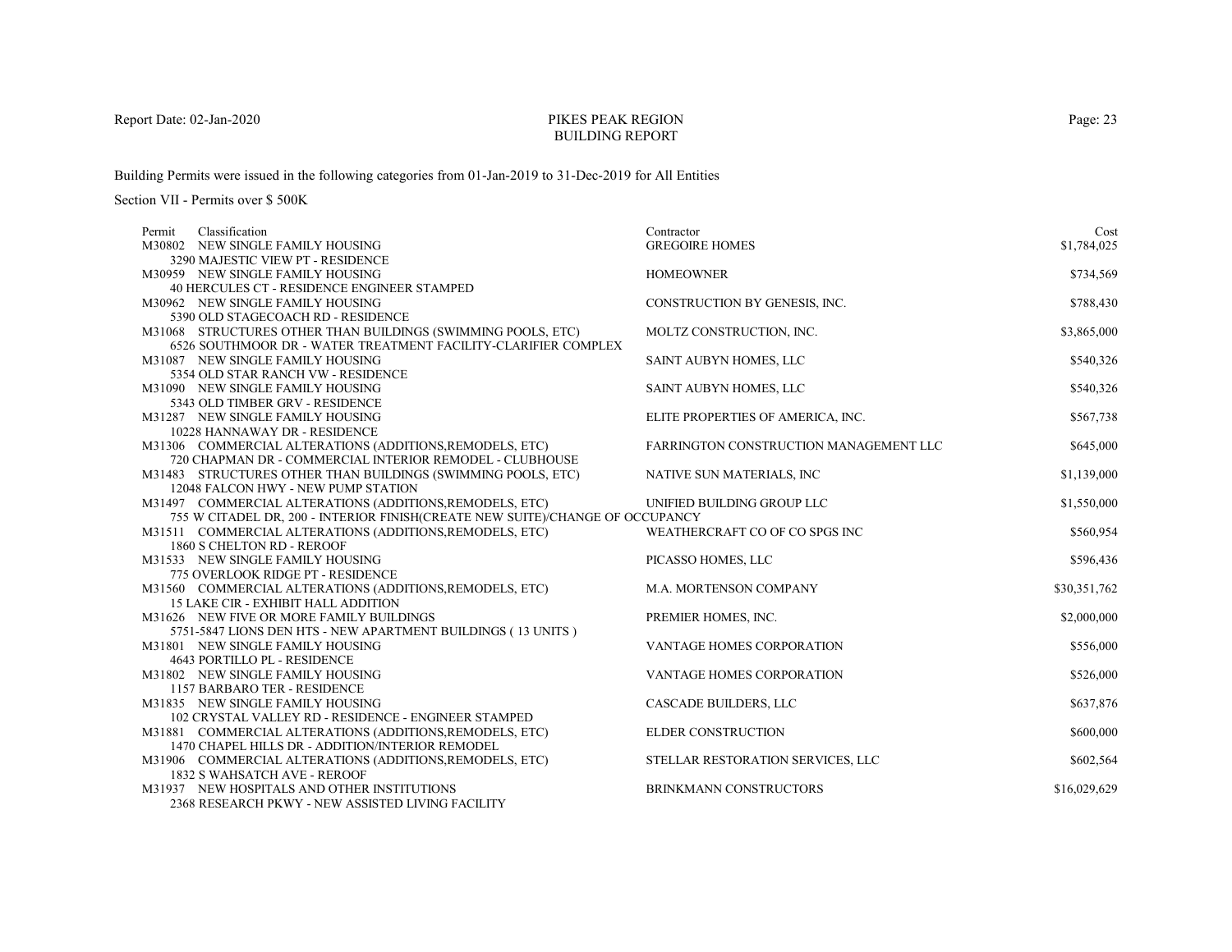# PIKES PEAK REGIONBUILDING REPORT

Building Permits were issued in the following categories from 01-Jan-2019 to 31-Dec-2019 for All Entities

| Classification<br>Permit                                                                         | Contractor                             | Cost         |
|--------------------------------------------------------------------------------------------------|----------------------------------------|--------------|
| M30802 NEW SINGLE FAMILY HOUSING                                                                 | <b>GREGOIRE HOMES</b>                  | \$1,784,025  |
| 3290 MAJESTIC VIEW PT - RESIDENCE                                                                |                                        |              |
| M30959 NEW SINGLE FAMILY HOUSING                                                                 | <b>HOMEOWNER</b>                       | \$734,569    |
| 40 HERCULES CT - RESIDENCE ENGINEER STAMPED                                                      |                                        |              |
| M30962 NEW SINGLE FAMILY HOUSING                                                                 | CONSTRUCTION BY GENESIS, INC.          | \$788,430    |
| 5390 OLD STAGECOACH RD - RESIDENCE                                                               |                                        |              |
| M31068 STRUCTURES OTHER THAN BUILDINGS (SWIMMING POOLS, ETC)                                     | MOLTZ CONSTRUCTION, INC.               | \$3,865,000  |
| 6526 SOUTHMOOR DR - WATER TREATMENT FACILITY-CLARIFIER COMPLEX                                   |                                        |              |
| M31087 NEW SINGLE FAMILY HOUSING                                                                 | SAINT AUBYN HOMES, LLC                 | \$540,326    |
| 5354 OLD STAR RANCH VW - RESIDENCE                                                               |                                        |              |
| M31090 NEW SINGLE FAMILY HOUSING                                                                 | SAINT AUBYN HOMES, LLC                 | \$540,326    |
| 5343 OLD TIMBER GRV - RESIDENCE                                                                  |                                        |              |
| M31287 NEW SINGLE FAMILY HOUSING                                                                 | ELITE PROPERTIES OF AMERICA, INC.      | \$567,738    |
| 10228 HANNAWAY DR - RESIDENCE                                                                    |                                        |              |
| M31306 COMMERCIAL ALTERATIONS (ADDITIONS, REMODELS, ETC)                                         | FARRINGTON CONSTRUCTION MANAGEMENT LLC | \$645,000    |
| 720 CHAPMAN DR - COMMERCIAL INTERIOR REMODEL - CLUBHOUSE                                         |                                        |              |
| M31483 STRUCTURES OTHER THAN BUILDINGS (SWIMMING POOLS, ETC)                                     | NATIVE SUN MATERIALS, INC              | \$1,139,000  |
| 12048 FALCON HWY - NEW PUMP STATION                                                              |                                        |              |
| M31497 COMMERCIAL ALTERATIONS (ADDITIONS, REMODELS, ETC)                                         | UNIFIED BUILDING GROUP LLC             | \$1,550,000  |
| 755 W CITADEL DR, 200 - INTERIOR FINISH(CREATE NEW SUITE)/CHANGE OF OCCUPANCY                    |                                        |              |
| M31511 COMMERCIAL ALTERATIONS (ADDITIONS, REMODELS, ETC)                                         | WEATHERCRAFT CO OF CO SPGS INC         | \$560,954    |
| 1860 S CHELTON RD - REROOF                                                                       |                                        |              |
| M31533 NEW SINGLE FAMILY HOUSING                                                                 | PICASSO HOMES, LLC                     | \$596,436    |
| 775 OVERLOOK RIDGE PT - RESIDENCE                                                                |                                        |              |
| M31560 COMMERCIAL ALTERATIONS (ADDITIONS, REMODELS, ETC)                                         | M.A. MORTENSON COMPANY                 | \$30,351,762 |
| <b>15 LAKE CIR - EXHIBIT HALL ADDITION</b><br>M31626 NEW FIVE OR MORE FAMILY BUILDINGS           |                                        |              |
|                                                                                                  | PREMIER HOMES, INC.                    | \$2,000,000  |
| 5751-5847 LIONS DEN HTS - NEW APARTMENT BUILDINGS (13 UNITS)<br>M31801 NEW SINGLE FAMILY HOUSING | <b>VANTAGE HOMES CORPORATION</b>       | \$556,000    |
| 4643 PORTILLO PL - RESIDENCE                                                                     |                                        |              |
| M31802 NEW SINGLE FAMILY HOUSING                                                                 | VANTAGE HOMES CORPORATION              | \$526,000    |
| 1157 BARBARO TER - RESIDENCE                                                                     |                                        |              |
| M31835 NEW SINGLE FAMILY HOUSING                                                                 | CASCADE BUILDERS, LLC                  | \$637,876    |
| 102 CRYSTAL VALLEY RD - RESIDENCE - ENGINEER STAMPED                                             |                                        |              |
| M31881 COMMERCIAL ALTERATIONS (ADDITIONS, REMODELS, ETC)                                         | <b>ELDER CONSTRUCTION</b>              | \$600,000    |
| 1470 CHAPEL HILLS DR - ADDITION/INTERIOR REMODEL                                                 |                                        |              |
| M31906 COMMERCIAL ALTERATIONS (ADDITIONS, REMODELS, ETC)                                         | STELLAR RESTORATION SERVICES, LLC      | \$602,564    |
| 1832 S WAHSATCH AVE - REROOF                                                                     |                                        |              |
| M31937 NEW HOSPITALS AND OTHER INSTITUTIONS                                                      | BRINKMANN CONSTRUCTORS                 | \$16,029,629 |
| 2368 RESEARCH PKWY - NEW ASSISTED LIVING FACILITY                                                |                                        |              |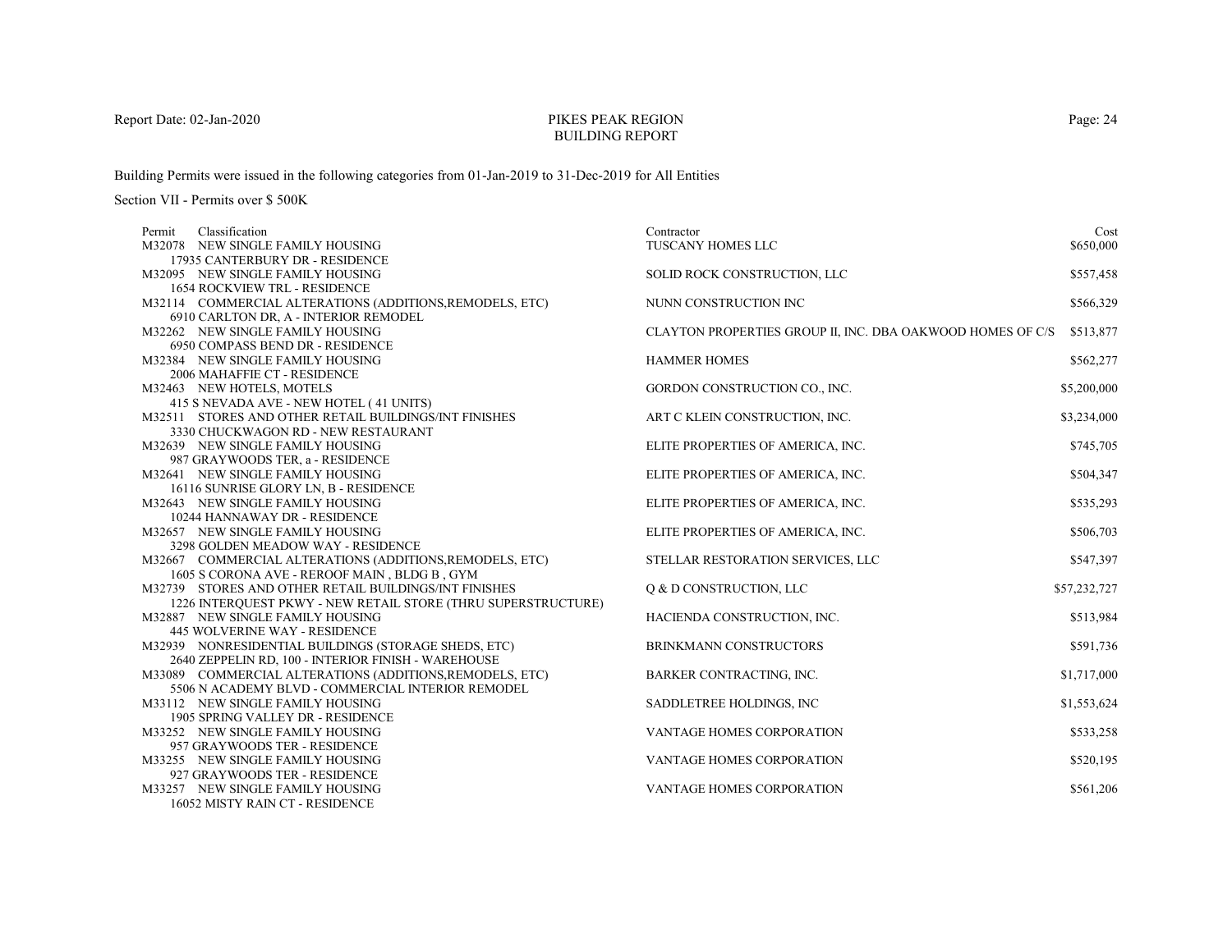# PIKES PEAK REGIONBUILDING REPORT

Building Permits were issued in the following categories from 01-Jan-2019 to 31-Dec-2019 for All Entities

| Permit | Classification                                                                                                  | Contractor                                                 | Cost         |
|--------|-----------------------------------------------------------------------------------------------------------------|------------------------------------------------------------|--------------|
|        | M32078 NEW SINGLE FAMILY HOUSING                                                                                | <b>TUSCANY HOMES LLC</b>                                   | \$650,000    |
|        | 17935 CANTERBURY DR - RESIDENCE                                                                                 |                                                            |              |
|        | M32095 NEW SINGLE FAMILY HOUSING                                                                                | SOLID ROCK CONSTRUCTION, LLC                               | \$557,458    |
|        | <b>1654 ROCKVIEW TRL - RESIDENCE</b>                                                                            |                                                            |              |
|        | M32114 COMMERCIAL ALTERATIONS (ADDITIONS, REMODELS, ETC)                                                        | NUNN CONSTRUCTION INC                                      | \$566,329    |
|        | 6910 CARLTON DR, A - INTERIOR REMODEL                                                                           |                                                            |              |
|        | M32262 NEW SINGLE FAMILY HOUSING                                                                                | CLAYTON PROPERTIES GROUP II, INC. DBA OAKWOOD HOMES OF C/S | \$513,877    |
|        | 6950 COMPASS BEND DR - RESIDENCE                                                                                |                                                            |              |
|        | M32384 NEW SINGLE FAMILY HOUSING                                                                                | <b>HAMMER HOMES</b>                                        | \$562,277    |
|        | 2006 MAHAFFIE CT - RESIDENCE                                                                                    |                                                            |              |
|        | M32463 NEW HOTELS, MOTELS                                                                                       | GORDON CONSTRUCTION CO., INC.                              | \$5,200,000  |
|        | 415 S NEVADA AVE - NEW HOTEL (41 UNITS)                                                                         |                                                            |              |
|        | M32511 STORES AND OTHER RETAIL BUILDINGS/INT FINISHES                                                           | ART C KLEIN CONSTRUCTION, INC.                             | \$3,234,000  |
|        | 3330 CHUCKWAGON RD - NEW RESTAURANT                                                                             |                                                            |              |
|        | M32639 NEW SINGLE FAMILY HOUSING                                                                                | ELITE PROPERTIES OF AMERICA, INC.                          | \$745,705    |
|        | 987 GRAYWOODS TER, a - RESIDENCE                                                                                |                                                            |              |
|        | M32641 NEW SINGLE FAMILY HOUSING                                                                                | ELITE PROPERTIES OF AMERICA, INC.                          | \$504,347    |
|        | 16116 SUNRISE GLORY LN, B - RESIDENCE                                                                           |                                                            |              |
|        | M32643 NEW SINGLE FAMILY HOUSING                                                                                | ELITE PROPERTIES OF AMERICA, INC.                          | \$535,293    |
|        | 10244 HANNAWAY DR - RESIDENCE                                                                                   |                                                            |              |
|        | M32657 NEW SINGLE FAMILY HOUSING                                                                                | ELITE PROPERTIES OF AMERICA, INC.                          | \$506,703    |
|        | 3298 GOLDEN MEADOW WAY - RESIDENCE                                                                              |                                                            |              |
|        | M32667 COMMERCIAL ALTERATIONS (ADDITIONS, REMODELS, ETC)                                                        | STELLAR RESTORATION SERVICES, LLC                          | \$547,397    |
|        | 1605 S CORONA AVE - REROOF MAIN, BLDG B, GYM                                                                    |                                                            |              |
|        | M32739 STORES AND OTHER RETAIL BUILDINGS/INT FINISHES                                                           | Q & D CONSTRUCTION, LLC                                    | \$57,232,727 |
|        | 1226 INTERQUEST PKWY - NEW RETAIL STORE (THRU SUPERSTRUCTURE)                                                   |                                                            |              |
|        | M32887 NEW SINGLE FAMILY HOUSING                                                                                | HACIENDA CONSTRUCTION, INC.                                | \$513,984    |
|        | <b>445 WOLVERINE WAY - RESIDENCE</b>                                                                            |                                                            |              |
|        | M32939 NONRESIDENTIAL BUILDINGS (STORAGE SHEDS, ETC)                                                            | <b>BRINKMANN CONSTRUCTORS</b>                              | \$591,736    |
|        | 2640 ZEPPELIN RD, 100 - INTERIOR FINISH - WAREHOUSE<br>M33089 COMMERCIAL ALTERATIONS (ADDITIONS, REMODELS, ETC) | BARKER CONTRACTING, INC.                                   |              |
|        | 5506 N ACADEMY BLVD - COMMERCIAL INTERIOR REMODEL                                                               |                                                            | \$1,717,000  |
|        | M33112 NEW SINGLE FAMILY HOUSING                                                                                | SADDLETREE HOLDINGS, INC                                   | \$1,553,624  |
|        | 1905 SPRING VALLEY DR - RESIDENCE                                                                               |                                                            |              |
|        | M33252 NEW SINGLE FAMILY HOUSING                                                                                | <b>VANTAGE HOMES CORPORATION</b>                           | \$533,258    |
|        | 957 GRAYWOODS TER - RESIDENCE                                                                                   |                                                            |              |
|        | M33255 NEW SINGLE FAMILY HOUSING                                                                                | <b>VANTAGE HOMES CORPORATION</b>                           | \$520,195    |
|        | 927 GRAYWOODS TER - RESIDENCE                                                                                   |                                                            |              |
|        | M33257 NEW SINGLE FAMILY HOUSING                                                                                | VANTAGE HOMES CORPORATION                                  | \$561,206    |
|        | 16052 MISTY RAIN CT - RESIDENCE                                                                                 |                                                            |              |
|        |                                                                                                                 |                                                            |              |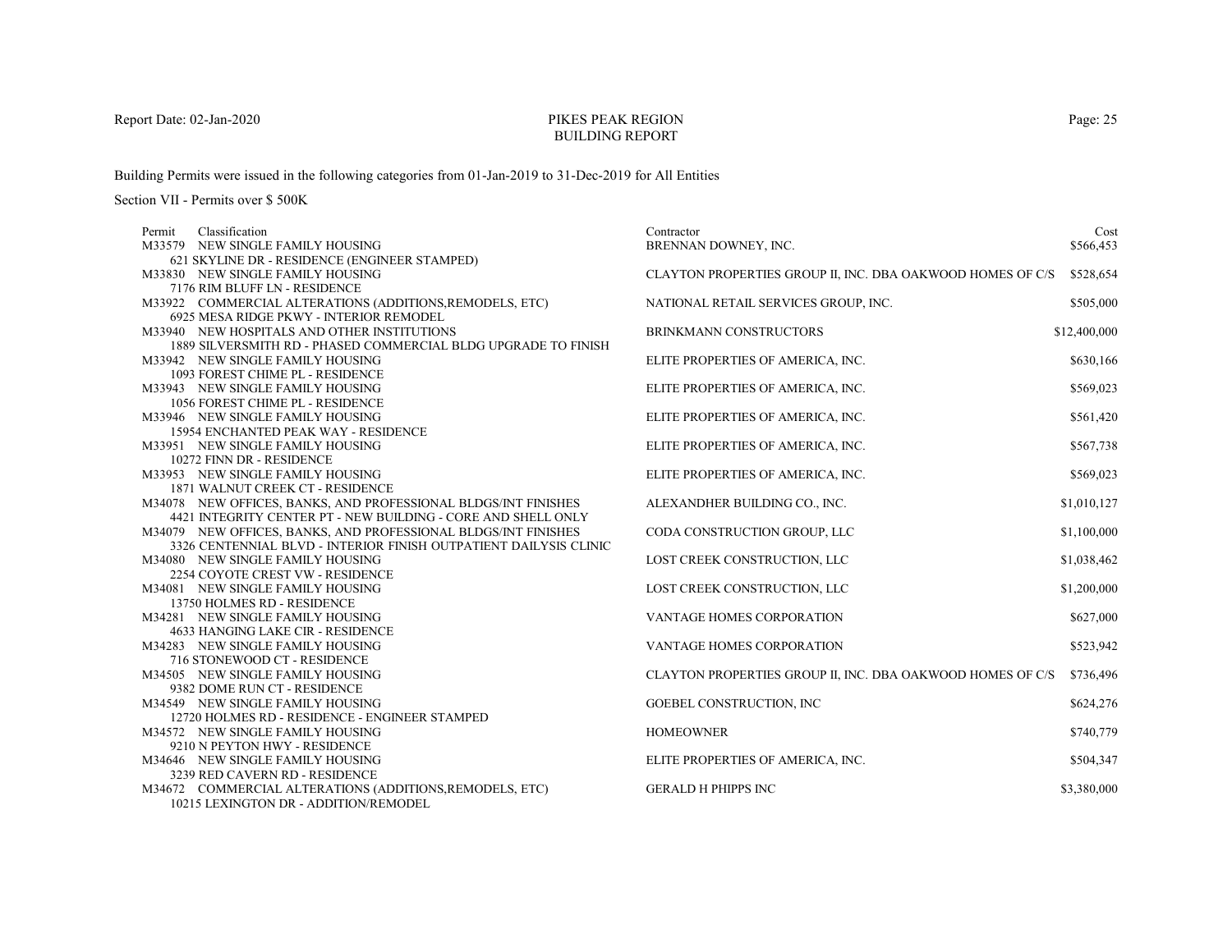# PIKES PEAK REGIONBUILDING REPORT

Building Permits were issued in the following categories from 01-Jan-2019 to 31-Dec-2019 for All Entities

| Permit | Classification                                                    | Contractor                                                 | Cost         |
|--------|-------------------------------------------------------------------|------------------------------------------------------------|--------------|
|        | M33579 NEW SINGLE FAMILY HOUSING                                  | BRENNAN DOWNEY, INC.                                       | \$566,453    |
|        | 621 SKYLINE DR - RESIDENCE (ENGINEER STAMPED)                     |                                                            |              |
|        | M33830 NEW SINGLE FAMILY HOUSING                                  | CLAYTON PROPERTIES GROUP II, INC. DBA OAKWOOD HOMES OF C/S | \$528,654    |
|        | 7176 RIM BLUFF LN - RESIDENCE                                     |                                                            |              |
|        | M33922 COMMERCIAL ALTERATIONS (ADDITIONS, REMODELS, ETC)          | NATIONAL RETAIL SERVICES GROUP, INC.                       | \$505,000    |
|        | 6925 MESA RIDGE PKWY - INTERIOR REMODEL                           |                                                            |              |
|        | M33940 NEW HOSPITALS AND OTHER INSTITUTIONS                       | BRINKMANN CONSTRUCTORS                                     | \$12,400,000 |
|        | 1889 SILVERSMITH RD - PHASED COMMERCIAL BLDG UPGRADE TO FINISH    |                                                            |              |
|        | M33942 NEW SINGLE FAMILY HOUSING                                  | ELITE PROPERTIES OF AMERICA, INC.                          | \$630,166    |
|        | 1093 FOREST CHIME PL - RESIDENCE                                  |                                                            |              |
|        | M33943 NEW SINGLE FAMILY HOUSING                                  | ELITE PROPERTIES OF AMERICA, INC.                          | \$569,023    |
|        | 1056 FOREST CHIME PL - RESIDENCE                                  |                                                            |              |
|        | M33946 NEW SINGLE FAMILY HOUSING                                  | ELITE PROPERTIES OF AMERICA, INC.                          | \$561,420    |
|        | 15954 ENCHANTED PEAK WAY - RESIDENCE                              |                                                            |              |
|        | M33951 NEW SINGLE FAMILY HOUSING                                  | ELITE PROPERTIES OF AMERICA, INC.                          | \$567,738    |
|        | 10272 FINN DR - RESIDENCE                                         |                                                            |              |
|        | M33953 NEW SINGLE FAMILY HOUSING                                  | ELITE PROPERTIES OF AMERICA, INC.                          | \$569,023    |
|        | 1871 WALNUT CREEK CT - RESIDENCE                                  |                                                            |              |
|        | M34078 NEW OFFICES, BANKS, AND PROFESSIONAL BLDGS/INT FINISHES    | ALEXANDHER BUILDING CO., INC.                              | \$1,010,127  |
|        | 4421 INTEGRITY CENTER PT - NEW BUILDING - CORE AND SHELL ONLY     |                                                            |              |
|        | M34079 NEW OFFICES, BANKS, AND PROFESSIONAL BLDGS/INT FINISHES    | CODA CONSTRUCTION GROUP, LLC                               | \$1,100,000  |
|        | 3326 CENTENNIAL BLVD - INTERIOR FINISH OUTPATIENT DAILYSIS CLINIC |                                                            |              |
|        | M34080 NEW SINGLE FAMILY HOUSING                                  | LOST CREEK CONSTRUCTION, LLC                               | \$1,038,462  |
|        | 2254 COYOTE CREST VW - RESIDENCE                                  |                                                            |              |
|        | M34081 NEW SINGLE FAMILY HOUSING                                  | LOST CREEK CONSTRUCTION, LLC                               | \$1,200,000  |
|        | 13750 HOLMES RD - RESIDENCE                                       |                                                            |              |
|        | M34281 NEW SINGLE FAMILY HOUSING                                  | VANTAGE HOMES CORPORATION                                  | \$627,000    |
|        | 4633 HANGING LAKE CIR - RESIDENCE                                 |                                                            |              |
|        | M34283 NEW SINGLE FAMILY HOUSING                                  | <b>VANTAGE HOMES CORPORATION</b>                           | \$523,942    |
|        | 716 STONEWOOD CT - RESIDENCE                                      |                                                            |              |
|        | M34505 NEW SINGLE FAMILY HOUSING                                  | CLAYTON PROPERTIES GROUP II, INC. DBA OAKWOOD HOMES OF C/S | \$736,496    |
|        | 9382 DOME RUN CT - RESIDENCE                                      |                                                            |              |
|        | M34549 NEW SINGLE FAMILY HOUSING                                  | <b>GOEBEL CONSTRUCTION, INC</b>                            | \$624,276    |
|        | 12720 HOLMES RD - RESIDENCE - ENGINEER STAMPED                    |                                                            |              |
|        | M34572 NEW SINGLE FAMILY HOUSING                                  | <b>HOMEOWNER</b>                                           | \$740,779    |
|        | 9210 N PEYTON HWY - RESIDENCE                                     |                                                            |              |
|        | M34646 NEW SINGLE FAMILY HOUSING                                  | ELITE PROPERTIES OF AMERICA, INC.                          | \$504,347    |
|        | 3239 RED CAVERN RD - RESIDENCE                                    |                                                            |              |
|        | M34672 COMMERCIAL ALTERATIONS (ADDITIONS, REMODELS, ETC)          | <b>GERALD H PHIPPS INC</b>                                 | \$3,380,000  |
|        | 10215 LEXINGTON DR - ADDITION/REMODEL                             |                                                            |              |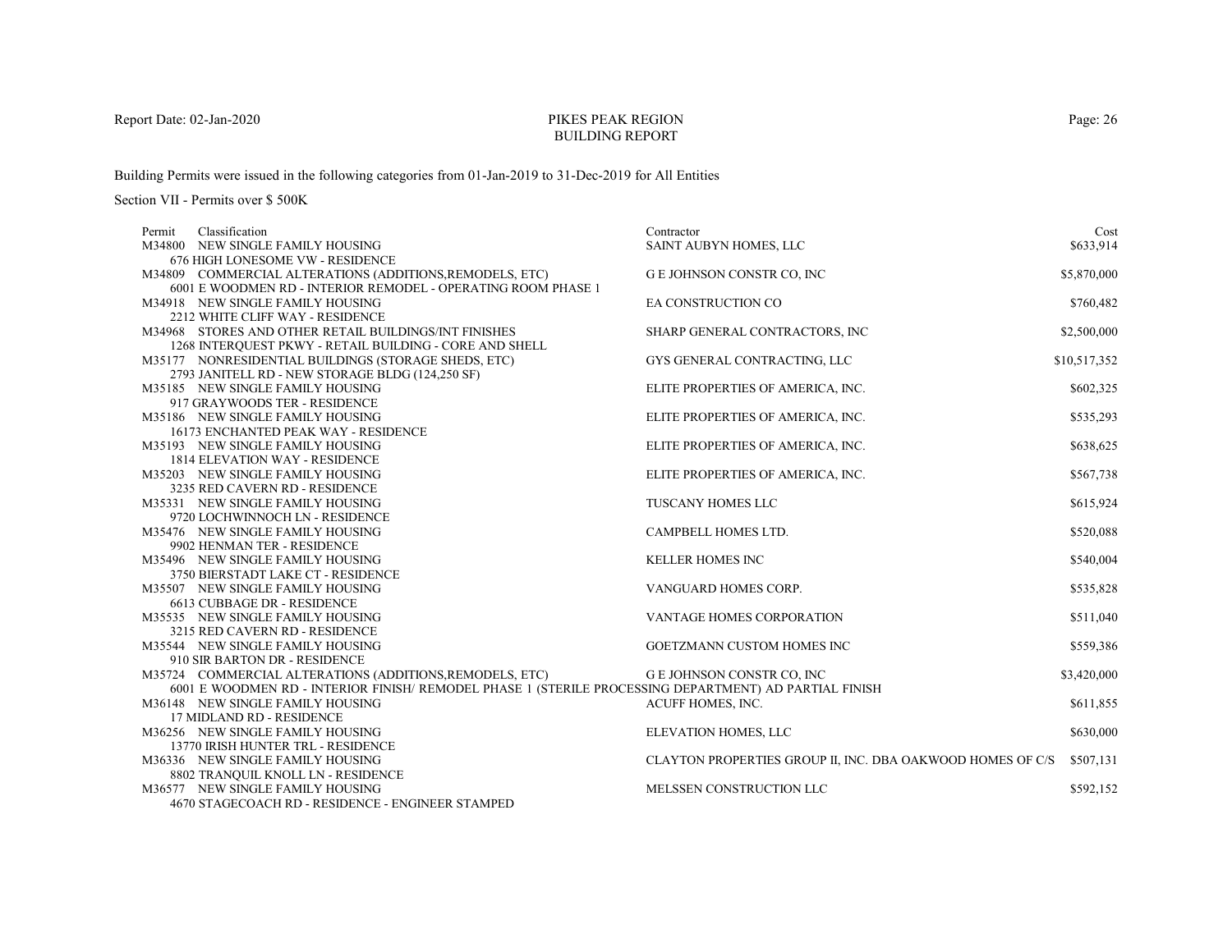# PIKES PEAK REGIONBUILDING REPORT

Building Permits were issued in the following categories from 01-Jan-2019 to 31-Dec-2019 for All Entities

| Classification<br>Permit                                                                               | Contractor                                                 | Cost         |
|--------------------------------------------------------------------------------------------------------|------------------------------------------------------------|--------------|
| M34800 NEW SINGLE FAMILY HOUSING                                                                       | SAINT AUBYN HOMES, LLC                                     | \$633,914    |
| 676 HIGH LONESOME VW - RESIDENCE                                                                       |                                                            |              |
| M34809 COMMERCIAL ALTERATIONS (ADDITIONS, REMODELS, ETC)                                               | G E JOHNSON CONSTR CO, INC                                 | \$5,870,000  |
| 6001 E WOODMEN RD - INTERIOR REMODEL - OPERATING ROOM PHASE 1                                          |                                                            |              |
| M34918 NEW SINGLE FAMILY HOUSING                                                                       | EA CONSTRUCTION CO                                         | \$760,482    |
| 2212 WHITE CLIFF WAY - RESIDENCE                                                                       |                                                            |              |
| M34968 STORES AND OTHER RETAIL BUILDINGS/INT FINISHES                                                  | SHARP GENERAL CONTRACTORS, INC                             | \$2,500,000  |
| 1268 INTERQUEST PKWY - RETAIL BUILDING - CORE AND SHELL                                                |                                                            |              |
| M35177 NONRESIDENTIAL BUILDINGS (STORAGE SHEDS, ETC)                                                   | GYS GENERAL CONTRACTING, LLC                               | \$10,517,352 |
| 2793 JANITELL RD - NEW STORAGE BLDG (124,250 SF)                                                       |                                                            |              |
| M35185 NEW SINGLE FAMILY HOUSING                                                                       | ELITE PROPERTIES OF AMERICA, INC.                          | \$602,325    |
| 917 GRAYWOODS TER - RESIDENCE                                                                          |                                                            |              |
| M35186 NEW SINGLE FAMILY HOUSING                                                                       | ELITE PROPERTIES OF AMERICA, INC.                          | \$535,293    |
| 16173 ENCHANTED PEAK WAY - RESIDENCE                                                                   |                                                            |              |
| M35193 NEW SINGLE FAMILY HOUSING                                                                       | ELITE PROPERTIES OF AMERICA, INC.                          | \$638,625    |
| <b>1814 ELEVATION WAY - RESIDENCE</b>                                                                  |                                                            |              |
| M35203 NEW SINGLE FAMILY HOUSING                                                                       | ELITE PROPERTIES OF AMERICA, INC.                          | \$567,738    |
| 3235 RED CAVERN RD - RESIDENCE                                                                         |                                                            |              |
| M35331 NEW SINGLE FAMILY HOUSING                                                                       | TUSCANY HOMES LLC                                          | \$615,924    |
| 9720 LOCHWINNOCH LN - RESIDENCE                                                                        |                                                            |              |
| M35476 NEW SINGLE FAMILY HOUSING                                                                       | CAMPBELL HOMES LTD.                                        | \$520,088    |
| 9902 HENMAN TER - RESIDENCE                                                                            |                                                            |              |
| M35496 NEW SINGLE FAMILY HOUSING                                                                       | <b>KELLER HOMES INC</b>                                    | \$540,004    |
| 3750 BIERSTADT LAKE CT - RESIDENCE                                                                     |                                                            |              |
| M35507 NEW SINGLE FAMILY HOUSING                                                                       | VANGUARD HOMES CORP.                                       | \$535,828    |
| 6613 CUBBAGE DR - RESIDENCE                                                                            |                                                            |              |
| M35535 NEW SINGLE FAMILY HOUSING                                                                       | VANTAGE HOMES CORPORATION                                  | \$511,040    |
| 3215 RED CAVERN RD - RESIDENCE                                                                         |                                                            |              |
| M35544 NEW SINGLE FAMILY HOUSING                                                                       | GOETZMANN CUSTOM HOMES INC                                 | \$559,386    |
| 910 SIR BARTON DR - RESIDENCE                                                                          |                                                            |              |
| M35724 COMMERCIAL ALTERATIONS (ADDITIONS, REMODELS, ETC)                                               | G E JOHNSON CONSTR CO, INC                                 | \$3,420,000  |
| 6001 E WOODMEN RD - INTERIOR FINISH/ REMODEL PHASE 1 (STERILE PROCESSING DEPARTMENT) AD PARTIAL FINISH |                                                            |              |
| M36148 NEW SINGLE FAMILY HOUSING                                                                       | ACUFF HOMES, INC.                                          | \$611,855    |
| 17 MIDLAND RD - RESIDENCE                                                                              |                                                            | \$630,000    |
| M36256 NEW SINGLE FAMILY HOUSING<br>13770 IRISH HUNTER TRL - RESIDENCE                                 | ELEVATION HOMES, LLC                                       |              |
| M36336 NEW SINGLE FAMILY HOUSING                                                                       | CLAYTON PROPERTIES GROUP II, INC. DBA OAKWOOD HOMES OF C/S | \$507,131    |
|                                                                                                        |                                                            |              |
| 8802 TRANQUIL KNOLL LN - RESIDENCE<br>M36577 NEW SINGLE FAMILY HOUSING                                 | MELSSEN CONSTRUCTION LLC                                   | \$592,152    |
| 4670 STAGECOACH RD - RESIDENCE - ENGINEER STAMPED                                                      |                                                            |              |
|                                                                                                        |                                                            |              |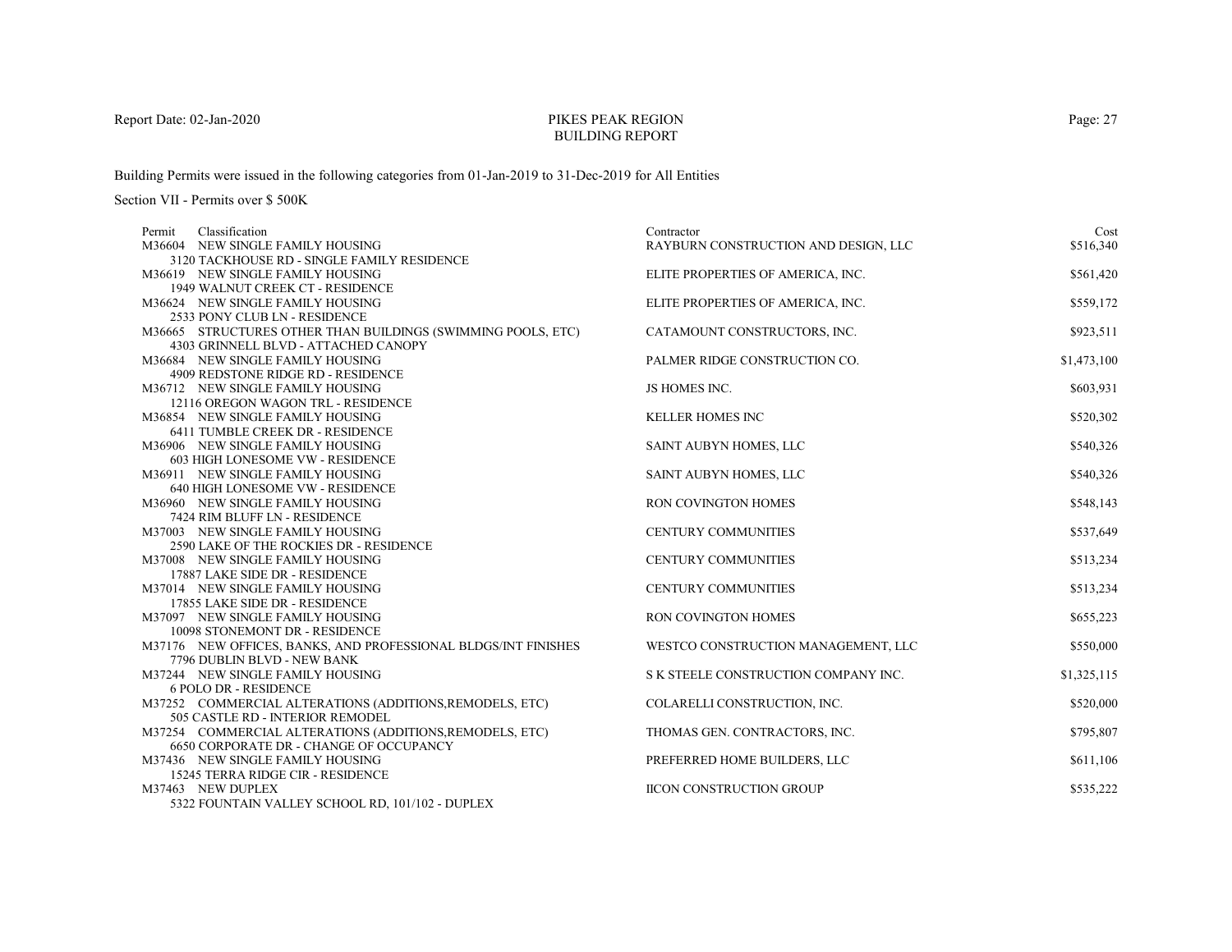# PIKES PEAK REGIONBUILDING REPORT

Building Permits were issued in the following categories from 01-Jan-2019 to 31-Dec-2019 for All Entities

| Classification<br>Permit                                                    | Contractor                           | Cost        |
|-----------------------------------------------------------------------------|--------------------------------------|-------------|
| M36604 NEW SINGLE FAMILY HOUSING                                            | RAYBURN CONSTRUCTION AND DESIGN, LLC | \$516,340   |
| 3120 TACKHOUSE RD - SINGLE FAMILY RESIDENCE                                 |                                      |             |
| M36619 NEW SINGLE FAMILY HOUSING                                            | ELITE PROPERTIES OF AMERICA, INC.    | \$561,420   |
| 1949 WALNUT CREEK CT - RESIDENCE                                            |                                      |             |
| M36624 NEW SINGLE FAMILY HOUSING                                            | ELITE PROPERTIES OF AMERICA, INC.    | \$559,172   |
| 2533 PONY CLUB LN - RESIDENCE                                               |                                      |             |
| M36665 STRUCTURES OTHER THAN BUILDINGS (SWIMMING POOLS, ETC)                | CATAMOUNT CONSTRUCTORS, INC.         | \$923,511   |
| 4303 GRINNELL BLVD - ATTACHED CANOPY                                        |                                      |             |
| M36684 NEW SINGLE FAMILY HOUSING                                            | PALMER RIDGE CONSTRUCTION CO.        | \$1,473,100 |
| 4909 REDSTONE RIDGE RD - RESIDENCE                                          |                                      |             |
| M36712 NEW SINGLE FAMILY HOUSING                                            | JS HOMES INC.                        | \$603,931   |
| 12116 OREGON WAGON TRL - RESIDENCE                                          |                                      |             |
| M36854 NEW SINGLE FAMILY HOUSING                                            | <b>KELLER HOMES INC</b>              | \$520,302   |
| 6411 TUMBLE CREEK DR - RESIDENCE                                            |                                      |             |
| M36906 NEW SINGLE FAMILY HOUSING                                            | SAINT AUBYN HOMES, LLC               | \$540,326   |
| 603 HIGH LONESOME VW - RESIDENCE                                            |                                      |             |
| M36911 NEW SINGLE FAMILY HOUSING                                            | SAINT AUBYN HOMES, LLC               | \$540,326   |
| 640 HIGH LONESOME VW - RESIDENCE                                            |                                      |             |
| M36960 NEW SINGLE FAMILY HOUSING                                            | <b>RON COVINGTON HOMES</b>           | \$548,143   |
| 7424 RIM BLUFF LN - RESIDENCE                                               |                                      |             |
| M37003 NEW SINGLE FAMILY HOUSING                                            | <b>CENTURY COMMUNITIES</b>           | \$537,649   |
| 2590 LAKE OF THE ROCKIES DR - RESIDENCE<br>M37008 NEW SINGLE FAMILY HOUSING | <b>CENTURY COMMUNITIES</b>           | \$513,234   |
| 17887 LAKE SIDE DR - RESIDENCE                                              |                                      |             |
| M37014 NEW SINGLE FAMILY HOUSING                                            | <b>CENTURY COMMUNITIES</b>           | \$513,234   |
| 17855 LAKE SIDE DR - RESIDENCE                                              |                                      |             |
| M37097 NEW SINGLE FAMILY HOUSING                                            | <b>RON COVINGTON HOMES</b>           | \$655,223   |
| 10098 STONEMONT DR - RESIDENCE                                              |                                      |             |
| M37176 NEW OFFICES, BANKS, AND PROFESSIONAL BLDGS/INT FINISHES              | WESTCO CONSTRUCTION MANAGEMENT, LLC  | \$550,000   |
| 7796 DUBLIN BLVD - NEW BANK                                                 |                                      |             |
| M37244 NEW SINGLE FAMILY HOUSING                                            | S K STEELE CONSTRUCTION COMPANY INC. | \$1,325,115 |
| <b>6 POLO DR - RESIDENCE</b>                                                |                                      |             |
| M37252 COMMERCIAL ALTERATIONS (ADDITIONS, REMODELS, ETC)                    | COLARELLI CONSTRUCTION, INC.         | \$520,000   |
| 505 CASTLE RD - INTERIOR REMODEL                                            |                                      |             |
| M37254 COMMERCIAL ALTERATIONS (ADDITIONS, REMODELS, ETC)                    | THOMAS GEN. CONTRACTORS, INC.        | \$795,807   |
| <b>6650 CORPORATE DR - CHANGE OF OCCUPANCY</b>                              |                                      |             |
| M37436 NEW SINGLE FAMILY HOUSING                                            | PREFERRED HOME BUILDERS, LLC         | \$611,106   |
| 15245 TERRA RIDGE CIR - RESIDENCE                                           |                                      |             |
| M37463 NEW DUPLEX                                                           | <b>IICON CONSTRUCTION GROUP</b>      | \$535,222   |
| 5322 FOUNTAIN VALLEY SCHOOL RD, 101/102 - DUPLEX                            |                                      |             |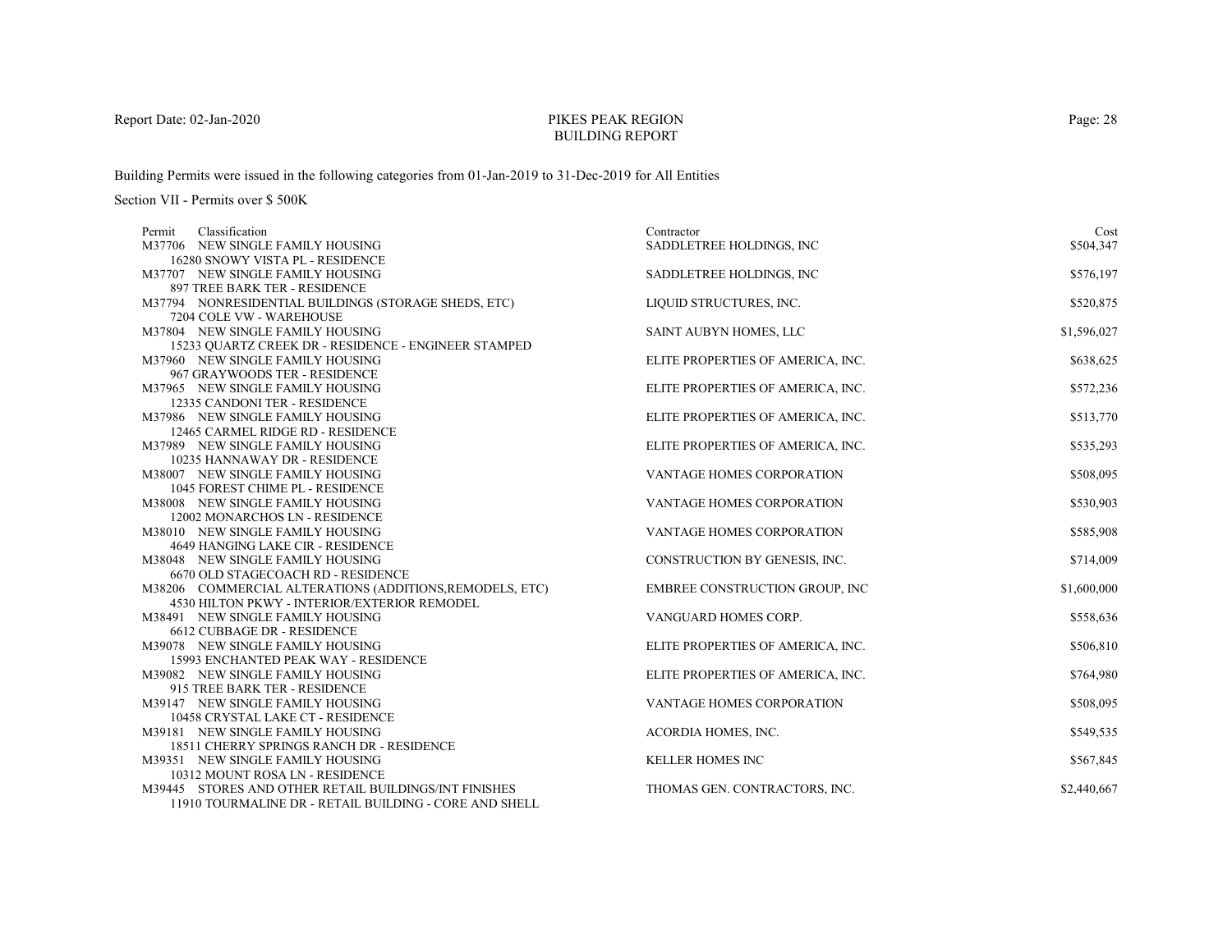# PIKES PEAK REGIONBUILDING REPORT

Building Permits were issued in the following categories from 01-Jan-2019 to 31-Dec-2019 for All Entities

|                                                        | Contractor                                                                                                                                                                                                                                                                                                                                                                                                                                                                                                                                                                                                                                                                                                                                                                                                                                                                                                                                                                                                                                                                                                                                                                                                                                                                                                                                                                                                                                                                                                                                                     | Cost                                                                                                                                                                                                                                                                                                                                                                                                                                                                                                                                                                                                                        |
|--------------------------------------------------------|----------------------------------------------------------------------------------------------------------------------------------------------------------------------------------------------------------------------------------------------------------------------------------------------------------------------------------------------------------------------------------------------------------------------------------------------------------------------------------------------------------------------------------------------------------------------------------------------------------------------------------------------------------------------------------------------------------------------------------------------------------------------------------------------------------------------------------------------------------------------------------------------------------------------------------------------------------------------------------------------------------------------------------------------------------------------------------------------------------------------------------------------------------------------------------------------------------------------------------------------------------------------------------------------------------------------------------------------------------------------------------------------------------------------------------------------------------------------------------------------------------------------------------------------------------------|-----------------------------------------------------------------------------------------------------------------------------------------------------------------------------------------------------------------------------------------------------------------------------------------------------------------------------------------------------------------------------------------------------------------------------------------------------------------------------------------------------------------------------------------------------------------------------------------------------------------------------|
|                                                        | SADDLETREE HOLDINGS, INC                                                                                                                                                                                                                                                                                                                                                                                                                                                                                                                                                                                                                                                                                                                                                                                                                                                                                                                                                                                                                                                                                                                                                                                                                                                                                                                                                                                                                                                                                                                                       | \$504,347                                                                                                                                                                                                                                                                                                                                                                                                                                                                                                                                                                                                                   |
|                                                        |                                                                                                                                                                                                                                                                                                                                                                                                                                                                                                                                                                                                                                                                                                                                                                                                                                                                                                                                                                                                                                                                                                                                                                                                                                                                                                                                                                                                                                                                                                                                                                |                                                                                                                                                                                                                                                                                                                                                                                                                                                                                                                                                                                                                             |
|                                                        |                                                                                                                                                                                                                                                                                                                                                                                                                                                                                                                                                                                                                                                                                                                                                                                                                                                                                                                                                                                                                                                                                                                                                                                                                                                                                                                                                                                                                                                                                                                                                                | \$576,197                                                                                                                                                                                                                                                                                                                                                                                                                                                                                                                                                                                                                   |
|                                                        |                                                                                                                                                                                                                                                                                                                                                                                                                                                                                                                                                                                                                                                                                                                                                                                                                                                                                                                                                                                                                                                                                                                                                                                                                                                                                                                                                                                                                                                                                                                                                                |                                                                                                                                                                                                                                                                                                                                                                                                                                                                                                                                                                                                                             |
|                                                        |                                                                                                                                                                                                                                                                                                                                                                                                                                                                                                                                                                                                                                                                                                                                                                                                                                                                                                                                                                                                                                                                                                                                                                                                                                                                                                                                                                                                                                                                                                                                                                | \$520,875                                                                                                                                                                                                                                                                                                                                                                                                                                                                                                                                                                                                                   |
|                                                        |                                                                                                                                                                                                                                                                                                                                                                                                                                                                                                                                                                                                                                                                                                                                                                                                                                                                                                                                                                                                                                                                                                                                                                                                                                                                                                                                                                                                                                                                                                                                                                |                                                                                                                                                                                                                                                                                                                                                                                                                                                                                                                                                                                                                             |
|                                                        |                                                                                                                                                                                                                                                                                                                                                                                                                                                                                                                                                                                                                                                                                                                                                                                                                                                                                                                                                                                                                                                                                                                                                                                                                                                                                                                                                                                                                                                                                                                                                                | \$1,596,027                                                                                                                                                                                                                                                                                                                                                                                                                                                                                                                                                                                                                 |
|                                                        |                                                                                                                                                                                                                                                                                                                                                                                                                                                                                                                                                                                                                                                                                                                                                                                                                                                                                                                                                                                                                                                                                                                                                                                                                                                                                                                                                                                                                                                                                                                                                                |                                                                                                                                                                                                                                                                                                                                                                                                                                                                                                                                                                                                                             |
|                                                        |                                                                                                                                                                                                                                                                                                                                                                                                                                                                                                                                                                                                                                                                                                                                                                                                                                                                                                                                                                                                                                                                                                                                                                                                                                                                                                                                                                                                                                                                                                                                                                | \$638,625                                                                                                                                                                                                                                                                                                                                                                                                                                                                                                                                                                                                                   |
|                                                        |                                                                                                                                                                                                                                                                                                                                                                                                                                                                                                                                                                                                                                                                                                                                                                                                                                                                                                                                                                                                                                                                                                                                                                                                                                                                                                                                                                                                                                                                                                                                                                |                                                                                                                                                                                                                                                                                                                                                                                                                                                                                                                                                                                                                             |
|                                                        |                                                                                                                                                                                                                                                                                                                                                                                                                                                                                                                                                                                                                                                                                                                                                                                                                                                                                                                                                                                                                                                                                                                                                                                                                                                                                                                                                                                                                                                                                                                                                                | \$572,236                                                                                                                                                                                                                                                                                                                                                                                                                                                                                                                                                                                                                   |
|                                                        |                                                                                                                                                                                                                                                                                                                                                                                                                                                                                                                                                                                                                                                                                                                                                                                                                                                                                                                                                                                                                                                                                                                                                                                                                                                                                                                                                                                                                                                                                                                                                                |                                                                                                                                                                                                                                                                                                                                                                                                                                                                                                                                                                                                                             |
|                                                        |                                                                                                                                                                                                                                                                                                                                                                                                                                                                                                                                                                                                                                                                                                                                                                                                                                                                                                                                                                                                                                                                                                                                                                                                                                                                                                                                                                                                                                                                                                                                                                | \$513,770                                                                                                                                                                                                                                                                                                                                                                                                                                                                                                                                                                                                                   |
|                                                        |                                                                                                                                                                                                                                                                                                                                                                                                                                                                                                                                                                                                                                                                                                                                                                                                                                                                                                                                                                                                                                                                                                                                                                                                                                                                                                                                                                                                                                                                                                                                                                |                                                                                                                                                                                                                                                                                                                                                                                                                                                                                                                                                                                                                             |
|                                                        |                                                                                                                                                                                                                                                                                                                                                                                                                                                                                                                                                                                                                                                                                                                                                                                                                                                                                                                                                                                                                                                                                                                                                                                                                                                                                                                                                                                                                                                                                                                                                                | \$535,293                                                                                                                                                                                                                                                                                                                                                                                                                                                                                                                                                                                                                   |
|                                                        |                                                                                                                                                                                                                                                                                                                                                                                                                                                                                                                                                                                                                                                                                                                                                                                                                                                                                                                                                                                                                                                                                                                                                                                                                                                                                                                                                                                                                                                                                                                                                                |                                                                                                                                                                                                                                                                                                                                                                                                                                                                                                                                                                                                                             |
|                                                        |                                                                                                                                                                                                                                                                                                                                                                                                                                                                                                                                                                                                                                                                                                                                                                                                                                                                                                                                                                                                                                                                                                                                                                                                                                                                                                                                                                                                                                                                                                                                                                | \$508,095                                                                                                                                                                                                                                                                                                                                                                                                                                                                                                                                                                                                                   |
|                                                        |                                                                                                                                                                                                                                                                                                                                                                                                                                                                                                                                                                                                                                                                                                                                                                                                                                                                                                                                                                                                                                                                                                                                                                                                                                                                                                                                                                                                                                                                                                                                                                |                                                                                                                                                                                                                                                                                                                                                                                                                                                                                                                                                                                                                             |
|                                                        |                                                                                                                                                                                                                                                                                                                                                                                                                                                                                                                                                                                                                                                                                                                                                                                                                                                                                                                                                                                                                                                                                                                                                                                                                                                                                                                                                                                                                                                                                                                                                                | \$530,903                                                                                                                                                                                                                                                                                                                                                                                                                                                                                                                                                                                                                   |
|                                                        |                                                                                                                                                                                                                                                                                                                                                                                                                                                                                                                                                                                                                                                                                                                                                                                                                                                                                                                                                                                                                                                                                                                                                                                                                                                                                                                                                                                                                                                                                                                                                                |                                                                                                                                                                                                                                                                                                                                                                                                                                                                                                                                                                                                                             |
|                                                        |                                                                                                                                                                                                                                                                                                                                                                                                                                                                                                                                                                                                                                                                                                                                                                                                                                                                                                                                                                                                                                                                                                                                                                                                                                                                                                                                                                                                                                                                                                                                                                | \$585,908                                                                                                                                                                                                                                                                                                                                                                                                                                                                                                                                                                                                                   |
|                                                        |                                                                                                                                                                                                                                                                                                                                                                                                                                                                                                                                                                                                                                                                                                                                                                                                                                                                                                                                                                                                                                                                                                                                                                                                                                                                                                                                                                                                                                                                                                                                                                |                                                                                                                                                                                                                                                                                                                                                                                                                                                                                                                                                                                                                             |
|                                                        |                                                                                                                                                                                                                                                                                                                                                                                                                                                                                                                                                                                                                                                                                                                                                                                                                                                                                                                                                                                                                                                                                                                                                                                                                                                                                                                                                                                                                                                                                                                                                                | \$714,009                                                                                                                                                                                                                                                                                                                                                                                                                                                                                                                                                                                                                   |
|                                                        |                                                                                                                                                                                                                                                                                                                                                                                                                                                                                                                                                                                                                                                                                                                                                                                                                                                                                                                                                                                                                                                                                                                                                                                                                                                                                                                                                                                                                                                                                                                                                                |                                                                                                                                                                                                                                                                                                                                                                                                                                                                                                                                                                                                                             |
|                                                        |                                                                                                                                                                                                                                                                                                                                                                                                                                                                                                                                                                                                                                                                                                                                                                                                                                                                                                                                                                                                                                                                                                                                                                                                                                                                                                                                                                                                                                                                                                                                                                | \$1,600,000                                                                                                                                                                                                                                                                                                                                                                                                                                                                                                                                                                                                                 |
|                                                        |                                                                                                                                                                                                                                                                                                                                                                                                                                                                                                                                                                                                                                                                                                                                                                                                                                                                                                                                                                                                                                                                                                                                                                                                                                                                                                                                                                                                                                                                                                                                                                |                                                                                                                                                                                                                                                                                                                                                                                                                                                                                                                                                                                                                             |
|                                                        |                                                                                                                                                                                                                                                                                                                                                                                                                                                                                                                                                                                                                                                                                                                                                                                                                                                                                                                                                                                                                                                                                                                                                                                                                                                                                                                                                                                                                                                                                                                                                                | \$558,636                                                                                                                                                                                                                                                                                                                                                                                                                                                                                                                                                                                                                   |
|                                                        |                                                                                                                                                                                                                                                                                                                                                                                                                                                                                                                                                                                                                                                                                                                                                                                                                                                                                                                                                                                                                                                                                                                                                                                                                                                                                                                                                                                                                                                                                                                                                                |                                                                                                                                                                                                                                                                                                                                                                                                                                                                                                                                                                                                                             |
|                                                        |                                                                                                                                                                                                                                                                                                                                                                                                                                                                                                                                                                                                                                                                                                                                                                                                                                                                                                                                                                                                                                                                                                                                                                                                                                                                                                                                                                                                                                                                                                                                                                | \$506,810                                                                                                                                                                                                                                                                                                                                                                                                                                                                                                                                                                                                                   |
|                                                        |                                                                                                                                                                                                                                                                                                                                                                                                                                                                                                                                                                                                                                                                                                                                                                                                                                                                                                                                                                                                                                                                                                                                                                                                                                                                                                                                                                                                                                                                                                                                                                |                                                                                                                                                                                                                                                                                                                                                                                                                                                                                                                                                                                                                             |
|                                                        |                                                                                                                                                                                                                                                                                                                                                                                                                                                                                                                                                                                                                                                                                                                                                                                                                                                                                                                                                                                                                                                                                                                                                                                                                                                                                                                                                                                                                                                                                                                                                                | \$764,980                                                                                                                                                                                                                                                                                                                                                                                                                                                                                                                                                                                                                   |
|                                                        |                                                                                                                                                                                                                                                                                                                                                                                                                                                                                                                                                                                                                                                                                                                                                                                                                                                                                                                                                                                                                                                                                                                                                                                                                                                                                                                                                                                                                                                                                                                                                                | \$508,095                                                                                                                                                                                                                                                                                                                                                                                                                                                                                                                                                                                                                   |
|                                                        |                                                                                                                                                                                                                                                                                                                                                                                                                                                                                                                                                                                                                                                                                                                                                                                                                                                                                                                                                                                                                                                                                                                                                                                                                                                                                                                                                                                                                                                                                                                                                                |                                                                                                                                                                                                                                                                                                                                                                                                                                                                                                                                                                                                                             |
|                                                        |                                                                                                                                                                                                                                                                                                                                                                                                                                                                                                                                                                                                                                                                                                                                                                                                                                                                                                                                                                                                                                                                                                                                                                                                                                                                                                                                                                                                                                                                                                                                                                | \$549,535                                                                                                                                                                                                                                                                                                                                                                                                                                                                                                                                                                                                                   |
|                                                        |                                                                                                                                                                                                                                                                                                                                                                                                                                                                                                                                                                                                                                                                                                                                                                                                                                                                                                                                                                                                                                                                                                                                                                                                                                                                                                                                                                                                                                                                                                                                                                |                                                                                                                                                                                                                                                                                                                                                                                                                                                                                                                                                                                                                             |
|                                                        |                                                                                                                                                                                                                                                                                                                                                                                                                                                                                                                                                                                                                                                                                                                                                                                                                                                                                                                                                                                                                                                                                                                                                                                                                                                                                                                                                                                                                                                                                                                                                                | \$567,845                                                                                                                                                                                                                                                                                                                                                                                                                                                                                                                                                                                                                   |
|                                                        |                                                                                                                                                                                                                                                                                                                                                                                                                                                                                                                                                                                                                                                                                                                                                                                                                                                                                                                                                                                                                                                                                                                                                                                                                                                                                                                                                                                                                                                                                                                                                                |                                                                                                                                                                                                                                                                                                                                                                                                                                                                                                                                                                                                                             |
|                                                        |                                                                                                                                                                                                                                                                                                                                                                                                                                                                                                                                                                                                                                                                                                                                                                                                                                                                                                                                                                                                                                                                                                                                                                                                                                                                                                                                                                                                                                                                                                                                                                | \$2,440,667                                                                                                                                                                                                                                                                                                                                                                                                                                                                                                                                                                                                                 |
| 11910 TOURMALINE DR - RETAIL BUILDING - CORE AND SHELL |                                                                                                                                                                                                                                                                                                                                                                                                                                                                                                                                                                                                                                                                                                                                                                                                                                                                                                                                                                                                                                                                                                                                                                                                                                                                                                                                                                                                                                                                                                                                                                |                                                                                                                                                                                                                                                                                                                                                                                                                                                                                                                                                                                                                             |
|                                                        | Classification<br>M37706 NEW SINGLE FAMILY HOUSING<br>16280 SNOWY VISTA PL - RESIDENCE<br>M37707 NEW SINGLE FAMILY HOUSING<br>897 TREE BARK TER - RESIDENCE<br>M37794 NONRESIDENTIAL BUILDINGS (STORAGE SHEDS, ETC)<br>7204 COLE VW - WAREHOUSE<br>M37804 NEW SINGLE FAMILY HOUSING<br>15233 QUARTZ CREEK DR - RESIDENCE - ENGINEER STAMPED<br>M37960 NEW SINGLE FAMILY HOUSING<br>967 GRAYWOODS TER - RESIDENCE<br>M37965 NEW SINGLE FAMILY HOUSING<br>12335 CANDONI TER - RESIDENCE<br>M37986 NEW SINGLE FAMILY HOUSING<br>12465 CARMEL RIDGE RD - RESIDENCE<br>M37989 NEW SINGLE FAMILY HOUSING<br>10235 HANNAWAY DR - RESIDENCE<br>M38007 NEW SINGLE FAMILY HOUSING<br>1045 FOREST CHIME PL - RESIDENCE<br>M38008 NEW SINGLE FAMILY HOUSING<br>12002 MONARCHOS LN - RESIDENCE<br>M38010 NEW SINGLE FAMILY HOUSING<br>4649 HANGING LAKE CIR - RESIDENCE<br>M38048 NEW SINGLE FAMILY HOUSING<br>6670 OLD STAGECOACH RD - RESIDENCE<br>M38206 COMMERCIAL ALTERATIONS (ADDITIONS, REMODELS, ETC)<br>4530 HILTON PKWY - INTERIOR/EXTERIOR REMODEL<br>M38491 NEW SINGLE FAMILY HOUSING<br>6612 CUBBAGE DR - RESIDENCE<br>M39078 NEW SINGLE FAMILY HOUSING<br>15993 ENCHANTED PEAK WAY - RESIDENCE<br>M39082 NEW SINGLE FAMILY HOUSING<br>915 TREE BARK TER - RESIDENCE<br>M39147 NEW SINGLE FAMILY HOUSING<br>10458 CRYSTAL LAKE CT - RESIDENCE<br>M39181 NEW SINGLE FAMILY HOUSING<br>18511 CHERRY SPRINGS RANCH DR - RESIDENCE<br>M39351 NEW SINGLE FAMILY HOUSING<br>10312 MOUNT ROSA LN - RESIDENCE<br>M39445 STORES AND OTHER RETAIL BUILDINGS/INT FINISHES | SADDLETREE HOLDINGS, INC<br>LIQUID STRUCTURES, INC.<br>SAINT AUBYN HOMES, LLC<br>ELITE PROPERTIES OF AMERICA, INC.<br>ELITE PROPERTIES OF AMERICA, INC.<br>ELITE PROPERTIES OF AMERICA, INC.<br>ELITE PROPERTIES OF AMERICA, INC.<br>VANTAGE HOMES CORPORATION<br><b>VANTAGE HOMES CORPORATION</b><br><b>VANTAGE HOMES CORPORATION</b><br>CONSTRUCTION BY GENESIS, INC.<br>EMBREE CONSTRUCTION GROUP, INC<br>VANGUARD HOMES CORP.<br>ELITE PROPERTIES OF AMERICA, INC.<br>ELITE PROPERTIES OF AMERICA, INC.<br>VANTAGE HOMES CORPORATION<br>ACORDIA HOMES, INC.<br><b>KELLER HOMES INC</b><br>THOMAS GEN. CONTRACTORS, INC. |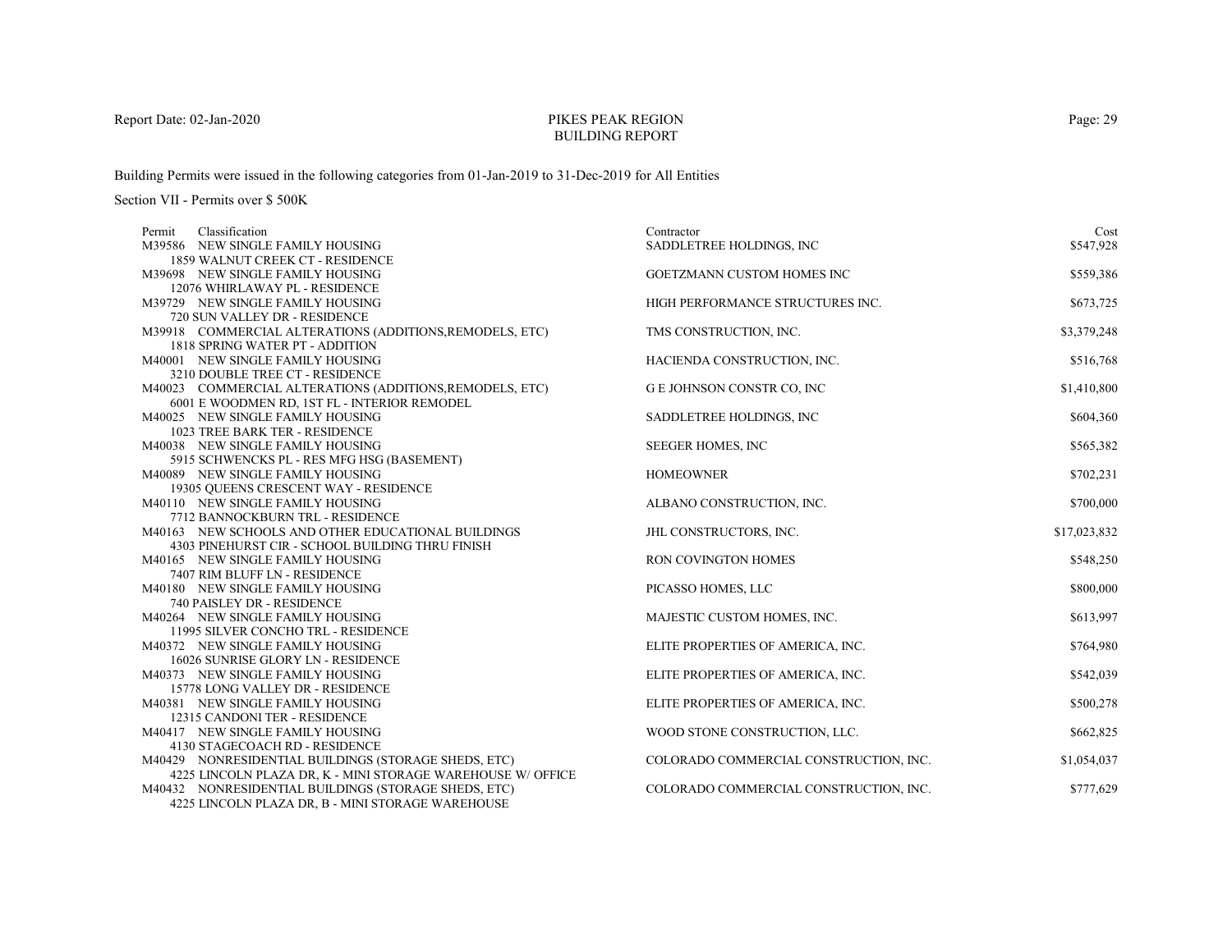# PIKES PEAK REGIONBUILDING REPORT

Building Permits were issued in the following categories from 01-Jan-2019 to 31-Dec-2019 for All Entities

| Classification<br>Permit                                    | Contractor                             | Cost         |
|-------------------------------------------------------------|----------------------------------------|--------------|
| M39586 NEW SINGLE FAMILY HOUSING                            | SADDLETREE HOLDINGS, INC               | \$547,928    |
| 1859 WALNUT CREEK CT - RESIDENCE                            |                                        |              |
| M39698 NEW SINGLE FAMILY HOUSING                            | GOETZMANN CUSTOM HOMES INC             | \$559,386    |
| 12076 WHIRLAWAY PL - RESIDENCE                              |                                        |              |
| M39729 NEW SINGLE FAMILY HOUSING                            | HIGH PERFORMANCE STRUCTURES INC.       | \$673,725    |
| 720 SUN VALLEY DR - RESIDENCE                               |                                        |              |
| M39918 COMMERCIAL ALTERATIONS (ADDITIONS, REMODELS, ETC)    | TMS CONSTRUCTION, INC.                 | \$3,379,248  |
| 1818 SPRING WATER PT - ADDITION                             |                                        |              |
| M40001 NEW SINGLE FAMILY HOUSING                            | HACIENDA CONSTRUCTION, INC.            | \$516,768    |
| 3210 DOUBLE TREE CT - RESIDENCE                             |                                        |              |
| M40023 COMMERCIAL ALTERATIONS (ADDITIONS, REMODELS, ETC)    | G E JOHNSON CONSTR CO, INC             | \$1,410,800  |
| 6001 E WOODMEN RD, 1ST FL - INTERIOR REMODEL                |                                        |              |
| M40025 NEW SINGLE FAMILY HOUSING                            | SADDLETREE HOLDINGS, INC               | \$604,360    |
| 1023 TREE BARK TER - RESIDENCE                              |                                        |              |
| M40038 NEW SINGLE FAMILY HOUSING                            | <b>SEEGER HOMES, INC</b>               | \$565,382    |
| 5915 SCHWENCKS PL - RES MFG HSG (BASEMENT)                  |                                        |              |
| M40089 NEW SINGLE FAMILY HOUSING                            | <b>HOMEOWNER</b>                       | \$702,231    |
| 19305 QUEENS CRESCENT WAY - RESIDENCE                       |                                        |              |
| M40110 NEW SINGLE FAMILY HOUSING                            | ALBANO CONSTRUCTION, INC.              | \$700,000    |
| 7712 BANNOCKBURN TRL - RESIDENCE                            |                                        |              |
| M40163 NEW SCHOOLS AND OTHER EDUCATIONAL BUILDINGS          | JHL CONSTRUCTORS, INC.                 | \$17,023,832 |
| 4303 PINEHURST CIR - SCHOOL BUILDING THRU FINISH            |                                        |              |
| M40165 NEW SINGLE FAMILY HOUSING                            | RON COVINGTON HOMES                    | \$548,250    |
| 7407 RIM BLUFF LN - RESIDENCE                               |                                        |              |
| M40180 NEW SINGLE FAMILY HOUSING                            | PICASSO HOMES, LLC                     | \$800,000    |
| 740 PAISLEY DR - RESIDENCE                                  |                                        |              |
| M40264 NEW SINGLE FAMILY HOUSING                            | MAJESTIC CUSTOM HOMES, INC.            | \$613,997    |
| 11995 SILVER CONCHO TRL - RESIDENCE                         |                                        |              |
| M40372 NEW SINGLE FAMILY HOUSING                            | ELITE PROPERTIES OF AMERICA, INC.      | \$764,980    |
| 16026 SUNRISE GLORY LN - RESIDENCE                          |                                        |              |
| M40373 NEW SINGLE FAMILY HOUSING                            | ELITE PROPERTIES OF AMERICA, INC.      | \$542,039    |
| 15778 LONG VALLEY DR - RESIDENCE                            |                                        |              |
| M40381 NEW SINGLE FAMILY HOUSING                            | ELITE PROPERTIES OF AMERICA, INC.      | \$500,278    |
| 12315 CANDONI TER - RESIDENCE                               |                                        |              |
| M40417 NEW SINGLE FAMILY HOUSING                            | WOOD STONE CONSTRUCTION, LLC.          | \$662,825    |
| 4130 STAGECOACH RD - RESIDENCE                              |                                        |              |
| M40429 NONRESIDENTIAL BUILDINGS (STORAGE SHEDS, ETC)        | COLORADO COMMERCIAL CONSTRUCTION, INC. | \$1,054,037  |
| 4225 LINCOLN PLAZA DR, K - MINI STORAGE WAREHOUSE W/ OFFICE |                                        |              |
| M40432 NONRESIDENTIAL BUILDINGS (STORAGE SHEDS, ETC)        | COLORADO COMMERCIAL CONSTRUCTION, INC. | \$777,629    |
| 4225 LINCOLN PLAZA DR, B - MINI STORAGE WAREHOUSE           |                                        |              |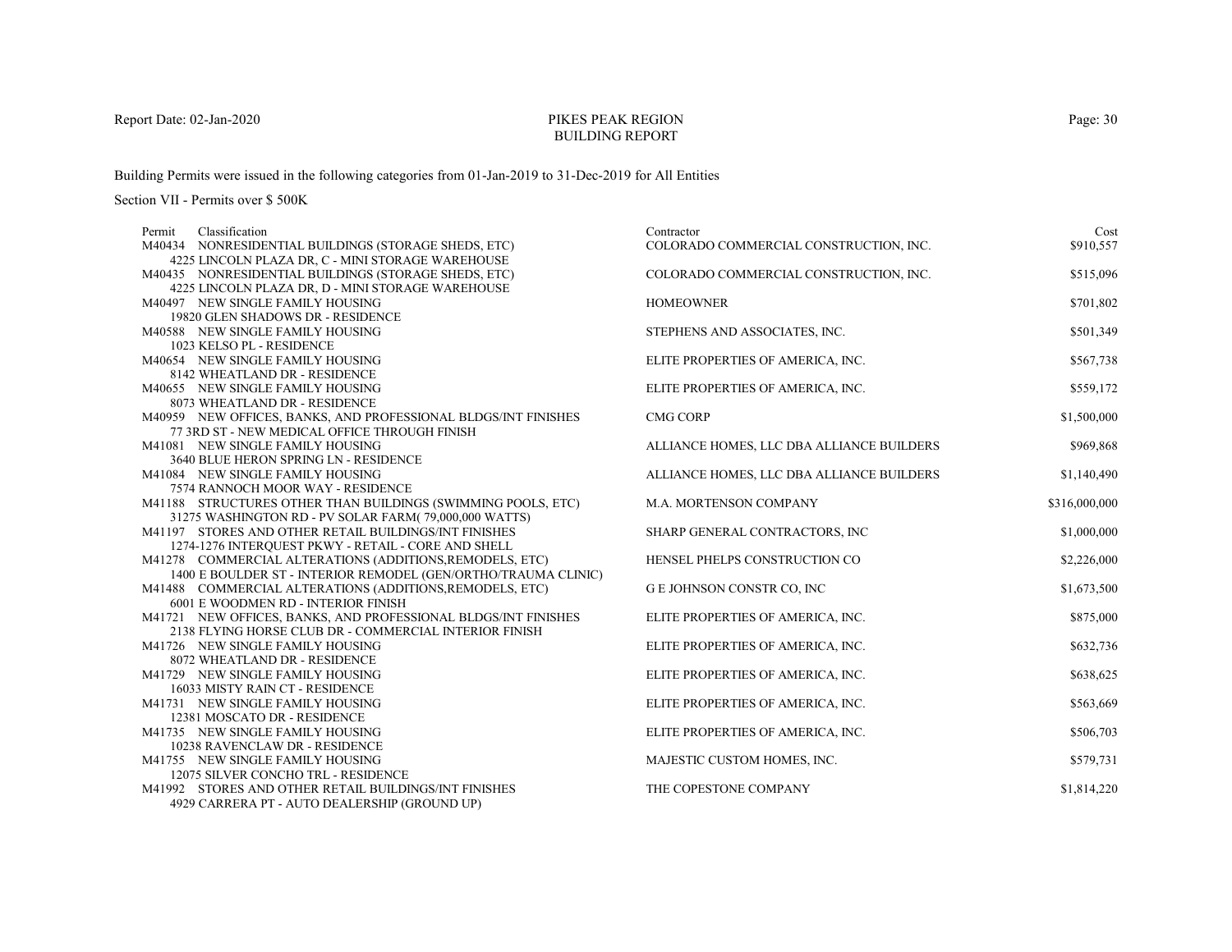# PIKES PEAK REGIONBUILDING REPORT

Building Permits were issued in the following categories from 01-Jan-2019 to 31-Dec-2019 for All Entities

| Classification<br>Permit                                                                        | Contractor                                | Cost          |
|-------------------------------------------------------------------------------------------------|-------------------------------------------|---------------|
| M40434 NONRESIDENTIAL BUILDINGS (STORAGE SHEDS, ETC)                                            | COLORADO COMMERCIAL CONSTRUCTION, INC.    | \$910,557     |
| 4225 LINCOLN PLAZA DR, C - MINI STORAGE WAREHOUSE                                               |                                           |               |
| M40435 NONRESIDENTIAL BUILDINGS (STORAGE SHEDS, ETC)                                            | COLORADO COMMERCIAL CONSTRUCTION, INC.    | \$515,096     |
| 4225 LINCOLN PLAZA DR, D - MINI STORAGE WAREHOUSE                                               |                                           |               |
| M40497 NEW SINGLE FAMILY HOUSING                                                                | <b>HOMEOWNER</b>                          | \$701,802     |
| 19820 GLEN SHADOWS DR - RESIDENCE                                                               |                                           |               |
| M40588 NEW SINGLE FAMILY HOUSING                                                                | STEPHENS AND ASSOCIATES, INC.             | \$501,349     |
| 1023 KELSO PL - RESIDENCE                                                                       |                                           |               |
| M40654 NEW SINGLE FAMILY HOUSING                                                                | ELITE PROPERTIES OF AMERICA, INC.         | \$567,738     |
| 8142 WHEATLAND DR - RESIDENCE                                                                   |                                           |               |
| M40655 NEW SINGLE FAMILY HOUSING                                                                | ELITE PROPERTIES OF AMERICA, INC.         | \$559,172     |
| 8073 WHEATLAND DR - RESIDENCE                                                                   |                                           |               |
| M40959 NEW OFFICES, BANKS, AND PROFESSIONAL BLDGS/INT FINISHES                                  | <b>CMG CORP</b>                           | \$1,500,000   |
| 77 3RD ST - NEW MEDICAL OFFICE THROUGH FINISH                                                   |                                           |               |
| M41081 NEW SINGLE FAMILY HOUSING                                                                | ALLIANCE HOMES, LLC DBA ALLIANCE BUILDERS | \$969,868     |
| 3640 BLUE HERON SPRING LN - RESIDENCE                                                           |                                           |               |
| M41084 NEW SINGLE FAMILY HOUSING                                                                | ALLIANCE HOMES, LLC DBA ALLIANCE BUILDERS | \$1,140,490   |
| 7574 RANNOCH MOOR WAY - RESIDENCE                                                               |                                           |               |
| M41188 STRUCTURES OTHER THAN BUILDINGS (SWIMMING POOLS, ETC)                                    | M.A. MORTENSON COMPANY                    | \$316,000,000 |
| 31275 WASHINGTON RD - PV SOLAR FARM(79,000,000 WATTS)                                           |                                           |               |
| M41197 STORES AND OTHER RETAIL BUILDINGS/INT FINISHES                                           | SHARP GENERAL CONTRACTORS, INC            | \$1,000,000   |
| 1274-1276 INTERQUEST PKWY - RETAIL - CORE AND SHELL                                             |                                           |               |
| M41278 COMMERCIAL ALTERATIONS (ADDITIONS, REMODELS, ETC)                                        | HENSEL PHELPS CONSTRUCTION CO             | \$2,226,000   |
| 1400 E BOULDER ST - INTERIOR REMODEL (GEN/ORTHO/TRAUMA CLINIC)                                  |                                           |               |
| M41488 COMMERCIAL ALTERATIONS (ADDITIONS, REMODELS, ETC)<br>6001 E WOODMEN RD - INTERIOR FINISH | G E JOHNSON CONSTR CO, INC                | \$1,673,500   |
| M41721 NEW OFFICES, BANKS, AND PROFESSIONAL BLDGS/INT FINISHES                                  | ELITE PROPERTIES OF AMERICA, INC.         | \$875,000     |
| 2138 FLYING HORSE CLUB DR - COMMERCIAL INTERIOR FINISH                                          |                                           |               |
| M41726 NEW SINGLE FAMILY HOUSING                                                                | ELITE PROPERTIES OF AMERICA, INC.         | \$632,736     |
| 8072 WHEATLAND DR - RESIDENCE                                                                   |                                           |               |
| M41729 NEW SINGLE FAMILY HOUSING                                                                | ELITE PROPERTIES OF AMERICA, INC.         | \$638,625     |
| 16033 MISTY RAIN CT - RESIDENCE                                                                 |                                           |               |
| M41731 NEW SINGLE FAMILY HOUSING                                                                | ELITE PROPERTIES OF AMERICA, INC.         | \$563,669     |
| 12381 MOSCATO DR - RESIDENCE                                                                    |                                           |               |
| M41735 NEW SINGLE FAMILY HOUSING                                                                | ELITE PROPERTIES OF AMERICA, INC.         | \$506,703     |
| 10238 RAVENCLAW DR - RESIDENCE                                                                  |                                           |               |
| M41755 NEW SINGLE FAMILY HOUSING                                                                | MAJESTIC CUSTOM HOMES, INC.               | \$579,731     |
| 12075 SILVER CONCHO TRL - RESIDENCE                                                             |                                           |               |
| M41992 STORES AND OTHER RETAIL BUILDINGS/INT FINISHES                                           | THE COPESTONE COMPANY                     | \$1,814,220   |
| 4929 CARRERA PT - AUTO DEALERSHIP (GROUND UP)                                                   |                                           |               |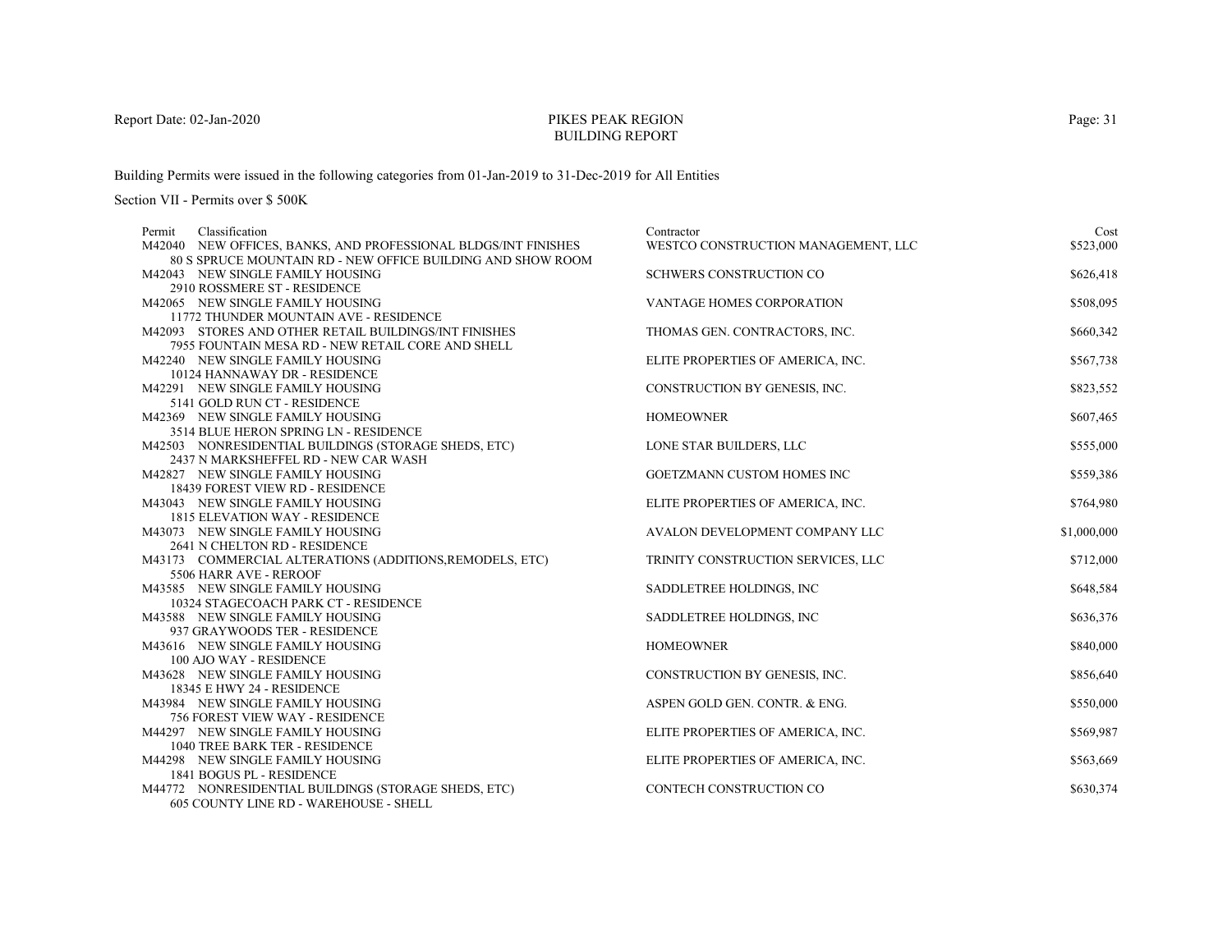# PIKES PEAK REGIONBUILDING REPORT

Building Permits were issued in the following categories from 01-Jan-2019 to 31-Dec-2019 for All Entities

| Classification<br>Permit                                                                                                      | Contractor                          | Cost        |
|-------------------------------------------------------------------------------------------------------------------------------|-------------------------------------|-------------|
| M42040 NEW OFFICES, BANKS, AND PROFESSIONAL BLDGS/INT FINISHES<br>80 S SPRUCE MOUNTAIN RD - NEW OFFICE BUILDING AND SHOW ROOM | WESTCO CONSTRUCTION MANAGEMENT, LLC | \$523,000   |
| M42043 NEW SINGLE FAMILY HOUSING                                                                                              | SCHWERS CONSTRUCTION CO             | \$626,418   |
| 2910 ROSSMERE ST - RESIDENCE                                                                                                  |                                     |             |
| M42065 NEW SINGLE FAMILY HOUSING                                                                                              | VANTAGE HOMES CORPORATION           | \$508,095   |
| 11772 THUNDER MOUNTAIN AVE - RESIDENCE                                                                                        |                                     |             |
| M42093 STORES AND OTHER RETAIL BUILDINGS/INT FINISHES                                                                         | THOMAS GEN. CONTRACTORS, INC.       | \$660,342   |
| 7955 FOUNTAIN MESA RD - NEW RETAIL CORE AND SHELL                                                                             |                                     |             |
| M42240 NEW SINGLE FAMILY HOUSING                                                                                              | ELITE PROPERTIES OF AMERICA, INC.   | \$567,738   |
| 10124 HANNAWAY DR - RESIDENCE                                                                                                 |                                     |             |
| M42291 NEW SINGLE FAMILY HOUSING                                                                                              | CONSTRUCTION BY GENESIS, INC.       | \$823,552   |
| 5141 GOLD RUN CT - RESIDENCE                                                                                                  |                                     |             |
| M42369 NEW SINGLE FAMILY HOUSING                                                                                              | <b>HOMEOWNER</b>                    | \$607,465   |
| 3514 BLUE HERON SPRING LN - RESIDENCE                                                                                         |                                     |             |
| M42503 NONRESIDENTIAL BUILDINGS (STORAGE SHEDS, ETC)                                                                          | LONE STAR BUILDERS, LLC             | \$555,000   |
| 2437 N MARKSHEFFEL RD - NEW CAR WASH                                                                                          |                                     |             |
| M42827 NEW SINGLE FAMILY HOUSING                                                                                              | <b>GOETZMANN CUSTOM HOMES INC</b>   | \$559,386   |
| 18439 FOREST VIEW RD - RESIDENCE                                                                                              |                                     |             |
| M43043 NEW SINGLE FAMILY HOUSING                                                                                              | ELITE PROPERTIES OF AMERICA, INC.   | \$764,980   |
| <b>1815 ELEVATION WAY - RESIDENCE</b>                                                                                         |                                     |             |
| M43073 NEW SINGLE FAMILY HOUSING                                                                                              | AVALON DEVELOPMENT COMPANY LLC      | \$1,000,000 |
| 2641 N CHELTON RD - RESIDENCE                                                                                                 |                                     |             |
| M43173 COMMERCIAL ALTERATIONS (ADDITIONS, REMODELS, ETC)                                                                      | TRINITY CONSTRUCTION SERVICES, LLC  | \$712,000   |
| 5506 HARR AVE - REROOF                                                                                                        |                                     |             |
| M43585 NEW SINGLE FAMILY HOUSING                                                                                              | SADDLETREE HOLDINGS, INC            | \$648,584   |
| 10324 STAGECOACH PARK CT - RESIDENCE                                                                                          |                                     |             |
| M43588 NEW SINGLE FAMILY HOUSING                                                                                              | SADDLETREE HOLDINGS, INC            | \$636,376   |
| 937 GRAYWOODS TER - RESIDENCE<br>M43616 NEW SINGLE FAMILY HOUSING                                                             | <b>HOMEOWNER</b>                    | \$840,000   |
| 100 AJO WAY - RESIDENCE                                                                                                       |                                     |             |
| M43628 NEW SINGLE FAMILY HOUSING                                                                                              | CONSTRUCTION BY GENESIS, INC.       | \$856,640   |
| 18345 E HWY 24 - RESIDENCE                                                                                                    |                                     |             |
| M43984 NEW SINGLE FAMILY HOUSING                                                                                              | ASPEN GOLD GEN. CONTR. & ENG.       | \$550,000   |
| 756 FOREST VIEW WAY - RESIDENCE                                                                                               |                                     |             |
| M44297 NEW SINGLE FAMILY HOUSING                                                                                              | ELITE PROPERTIES OF AMERICA, INC.   | \$569,987   |
| 1040 TREE BARK TER - RESIDENCE                                                                                                |                                     |             |
| M44298 NEW SINGLE FAMILY HOUSING                                                                                              | ELITE PROPERTIES OF AMERICA, INC.   | \$563,669   |
| 1841 BOGUS PL - RESIDENCE                                                                                                     |                                     |             |
| M44772 NONRESIDENTIAL BUILDINGS (STORAGE SHEDS, ETC)                                                                          | CONTECH CONSTRUCTION CO             | \$630,374   |
| <b>605 COUNTY LINE RD - WAREHOUSE - SHELL</b>                                                                                 |                                     |             |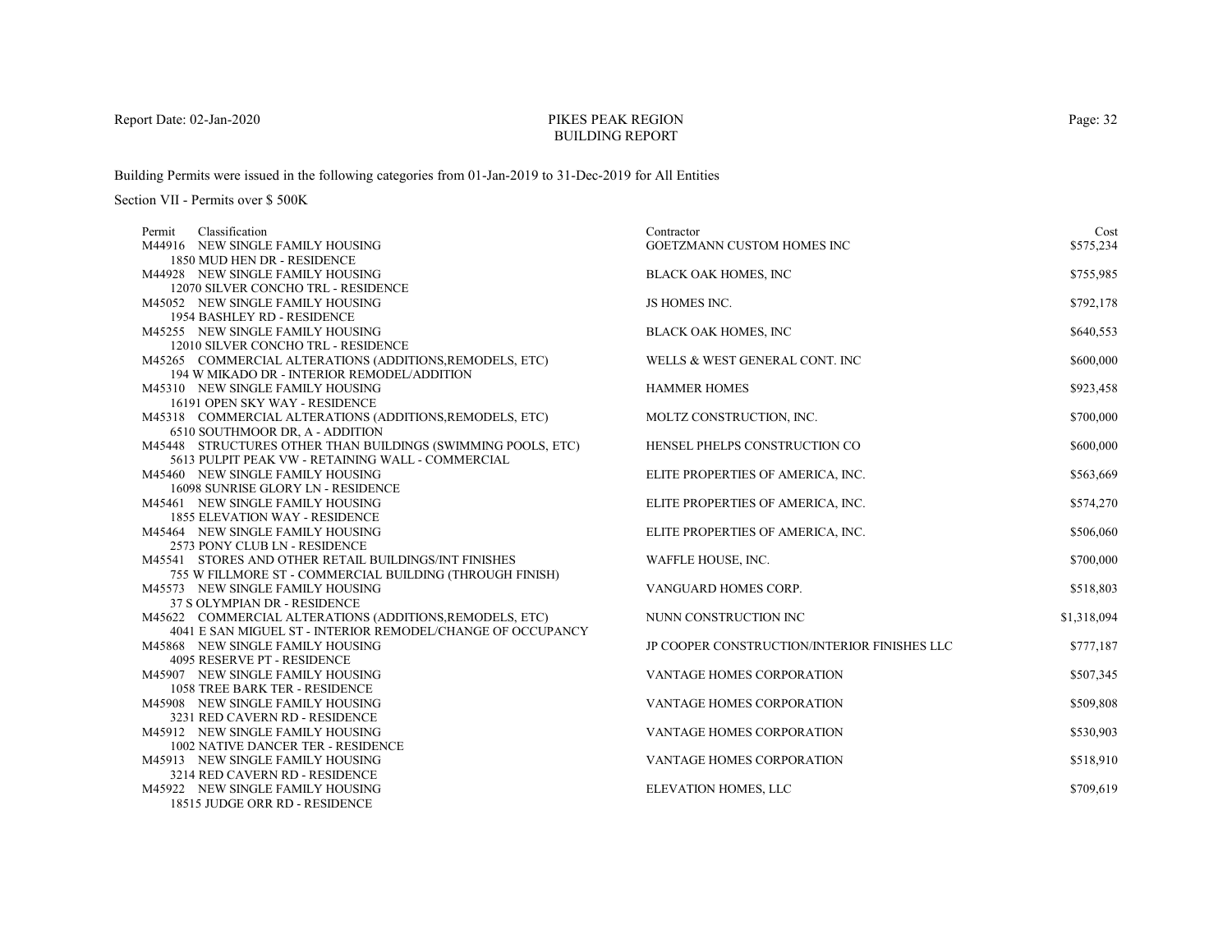# PIKES PEAK REGIONBUILDING REPORT

Building Permits were issued in the following categories from 01-Jan-2019 to 31-Dec-2019 for All Entities

| Classification<br>Permit                                                  | Contractor                                   | Cost        |
|---------------------------------------------------------------------------|----------------------------------------------|-------------|
| M44916 NEW SINGLE FAMILY HOUSING                                          | GOETZMANN CUSTOM HOMES INC                   | \$575,234   |
| 1850 MUD HEN DR - RESIDENCE                                               |                                              |             |
| M44928 NEW SINGLE FAMILY HOUSING                                          | <b>BLACK OAK HOMES, INC</b>                  | \$755,985   |
| 12070 SILVER CONCHO TRL - RESIDENCE                                       |                                              |             |
| M45052 NEW SINGLE FAMILY HOUSING                                          | JS HOMES INC.                                | \$792,178   |
| 1954 BASHLEY RD - RESIDENCE                                               |                                              |             |
| M45255 NEW SINGLE FAMILY HOUSING                                          | <b>BLACK OAK HOMES, INC</b>                  | \$640,553   |
| 12010 SILVER CONCHO TRL - RESIDENCE                                       |                                              |             |
| M45265 COMMERCIAL ALTERATIONS (ADDITIONS, REMODELS, ETC)                  | WELLS & WEST GENERAL CONT. INC               | \$600,000   |
| 194 W MIKADO DR - INTERIOR REMODEL/ADDITION                               |                                              |             |
| M45310 NEW SINGLE FAMILY HOUSING                                          | <b>HAMMER HOMES</b>                          | \$923,458   |
| 16191 OPEN SKY WAY - RESIDENCE                                            |                                              |             |
| M45318 COMMERCIAL ALTERATIONS (ADDITIONS, REMODELS, ETC)                  | MOLTZ CONSTRUCTION, INC.                     | \$700,000   |
| 6510 SOUTHMOOR DR, A - ADDITION                                           |                                              |             |
| M45448 STRUCTURES OTHER THAN BUILDINGS (SWIMMING POOLS, ETC)              | HENSEL PHELPS CONSTRUCTION CO                | \$600,000   |
| 5613 PULPIT PEAK VW - RETAINING WALL - COMMERCIAL                         |                                              |             |
| M45460 NEW SINGLE FAMILY HOUSING                                          | ELITE PROPERTIES OF AMERICA, INC.            | \$563,669   |
| 16098 SUNRISE GLORY LN - RESIDENCE                                        |                                              |             |
| M45461 NEW SINGLE FAMILY HOUSING                                          | ELITE PROPERTIES OF AMERICA, INC.            | \$574,270   |
| <b>1855 ELEVATION WAY - RESIDENCE</b><br>M45464 NEW SINGLE FAMILY HOUSING | ELITE PROPERTIES OF AMERICA, INC.            | \$506,060   |
| 2573 PONY CLUB LN - RESIDENCE                                             |                                              |             |
| M45541 STORES AND OTHER RETAIL BUILDINGS/INT FINISHES                     | WAFFLE HOUSE, INC.                           | \$700,000   |
| 755 W FILLMORE ST - COMMERCIAL BUILDING (THROUGH FINISH)                  |                                              |             |
| M45573 NEW SINGLE FAMILY HOUSING                                          | VANGUARD HOMES CORP.                         | \$518,803   |
| 37 S OLYMPIAN DR - RESIDENCE                                              |                                              |             |
| M45622 COMMERCIAL ALTERATIONS (ADDITIONS, REMODELS, ETC)                  | NUNN CONSTRUCTION INC                        | \$1,318,094 |
| 4041 E SAN MIGUEL ST - INTERIOR REMODEL/CHANGE OF OCCUPANCY               |                                              |             |
| M45868 NEW SINGLE FAMILY HOUSING                                          | JP COOPER CONSTRUCTION/INTERIOR FINISHES LLC | \$777,187   |
| 4095 RESERVE PT - RESIDENCE                                               |                                              |             |
| M45907 NEW SINGLE FAMILY HOUSING                                          | VANTAGE HOMES CORPORATION                    | \$507,345   |
| <b>1058 TREE BARK TER - RESIDENCE</b>                                     |                                              |             |
| M45908 NEW SINGLE FAMILY HOUSING                                          | <b>VANTAGE HOMES CORPORATION</b>             | \$509,808   |
| 3231 RED CAVERN RD - RESIDENCE                                            |                                              |             |
| M45912 NEW SINGLE FAMILY HOUSING                                          | VANTAGE HOMES CORPORATION                    | \$530,903   |
| 1002 NATIVE DANCER TER - RESIDENCE                                        |                                              |             |
| M45913 NEW SINGLE FAMILY HOUSING                                          | VANTAGE HOMES CORPORATION                    | \$518,910   |
| 3214 RED CAVERN RD - RESIDENCE                                            |                                              |             |
| M45922 NEW SINGLE FAMILY HOUSING                                          | ELEVATION HOMES, LLC                         | \$709,619   |
| 18515 JUDGE ORR RD - RESIDENCE                                            |                                              |             |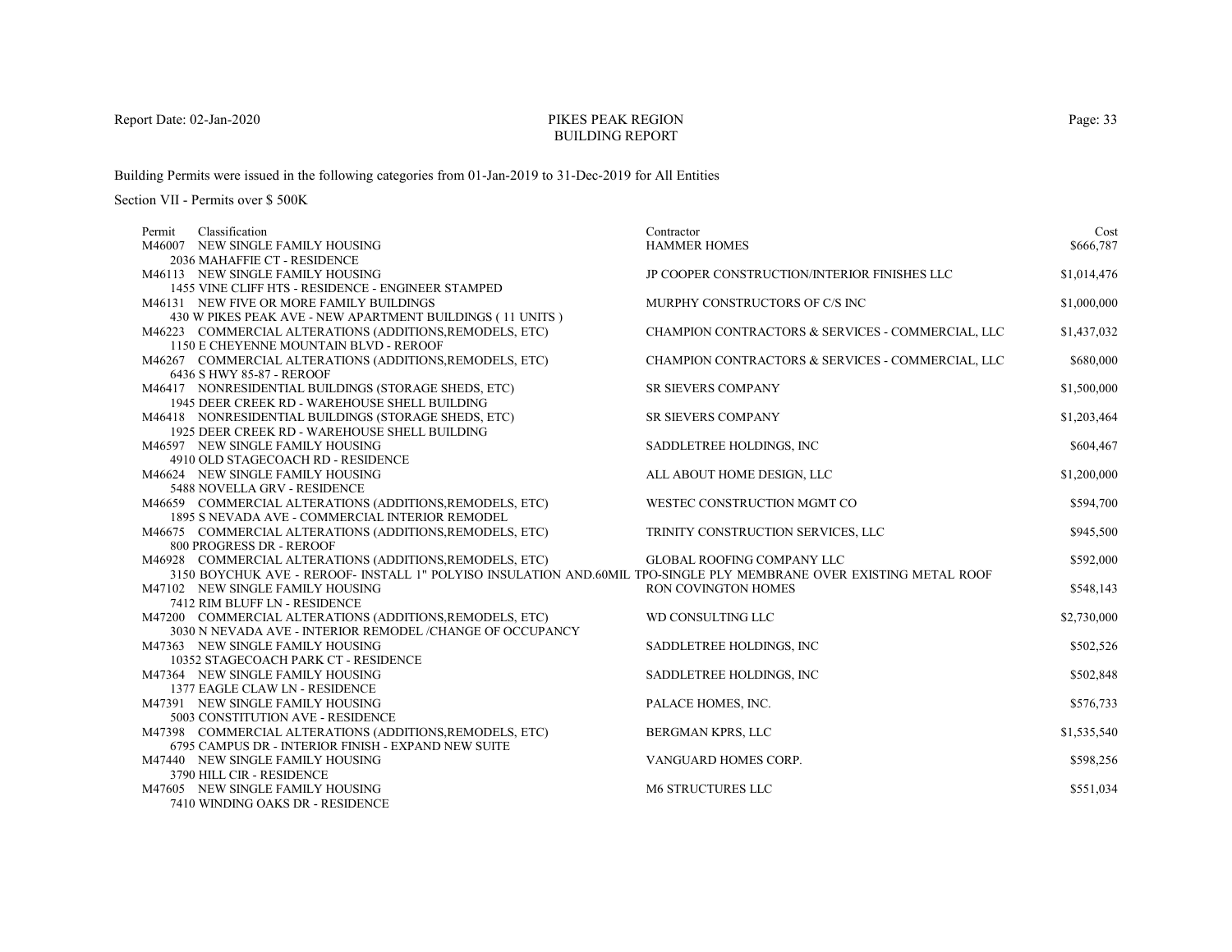# PIKES PEAK REGIONBUILDING REPORT

Building Permits were issued in the following categories from 01-Jan-2019 to 31-Dec-2019 for All Entities

| Classification<br>Permit                                                                                            | Contractor                                        | Cost        |
|---------------------------------------------------------------------------------------------------------------------|---------------------------------------------------|-------------|
| M46007 NEW SINGLE FAMILY HOUSING                                                                                    | <b>HAMMER HOMES</b>                               | \$666,787   |
| 2036 MAHAFFIE CT - RESIDENCE                                                                                        |                                                   |             |
| M46113 NEW SINGLE FAMILY HOUSING                                                                                    | JP COOPER CONSTRUCTION/INTERIOR FINISHES LLC      | \$1,014,476 |
| 1455 VINE CLIFF HTS - RESIDENCE - ENGINEER STAMPED                                                                  |                                                   |             |
| M46131 NEW FIVE OR MORE FAMILY BUILDINGS                                                                            | MURPHY CONSTRUCTORS OF C/S INC                    | \$1,000,000 |
| 430 W PIKES PEAK AVE - NEW APARTMENT BUILDINGS (11 UNITS)                                                           |                                                   |             |
| M46223 COMMERCIAL ALTERATIONS (ADDITIONS, REMODELS, ETC)                                                            | CHAMPION CONTRACTORS & SERVICES - COMMERCIAL, LLC | \$1,437,032 |
| 1150 E CHEYENNE MOUNTAIN BLVD - REROOF                                                                              |                                                   |             |
| M46267 COMMERCIAL ALTERATIONS (ADDITIONS, REMODELS, ETC)                                                            | CHAMPION CONTRACTORS & SERVICES - COMMERCIAL, LLC | \$680,000   |
| 6436 S HWY 85-87 - REROOF                                                                                           |                                                   |             |
| M46417 NONRESIDENTIAL BUILDINGS (STORAGE SHEDS, ETC)                                                                | <b>SR SIEVERS COMPANY</b>                         | \$1,500,000 |
| 1945 DEER CREEK RD - WAREHOUSE SHELL BUILDING                                                                       |                                                   |             |
| M46418 NONRESIDENTIAL BUILDINGS (STORAGE SHEDS, ETC)                                                                | SR SIEVERS COMPANY                                | \$1,203,464 |
| 1925 DEER CREEK RD - WAREHOUSE SHELL BUILDING                                                                       |                                                   |             |
| M46597 NEW SINGLE FAMILY HOUSING                                                                                    | SADDLETREE HOLDINGS, INC                          | \$604,467   |
| 4910 OLD STAGECOACH RD - RESIDENCE                                                                                  |                                                   |             |
| M46624 NEW SINGLE FAMILY HOUSING                                                                                    | ALL ABOUT HOME DESIGN, LLC                        | \$1,200,000 |
| 5488 NOVELLA GRV - RESIDENCE                                                                                        |                                                   |             |
| M46659 COMMERCIAL ALTERATIONS (ADDITIONS, REMODELS, ETC)                                                            | WESTEC CONSTRUCTION MGMT CO                       | \$594,700   |
| 1895 S NEVADA AVE - COMMERCIAL INTERIOR REMODEL                                                                     |                                                   |             |
| M46675 COMMERCIAL ALTERATIONS (ADDITIONS, REMODELS, ETC)                                                            | TRINITY CONSTRUCTION SERVICES, LLC                | \$945,500   |
| 800 PROGRESS DR - REROOF                                                                                            |                                                   |             |
| M46928 COMMERCIAL ALTERATIONS (ADDITIONS, REMODELS, ETC)                                                            | <b>GLOBAL ROOFING COMPANY LLC</b>                 | \$592,000   |
| 3150 BOYCHUK AVE - REROOF- INSTALL 1" POLYISO INSULATION AND.60MIL TPO-SINGLE PLY MEMBRANE OVER EXISTING METAL ROOF |                                                   |             |
| M47102 NEW SINGLE FAMILY HOUSING                                                                                    | <b>RON COVINGTON HOMES</b>                        | \$548,143   |
| 7412 RIM BLUFF LN - RESIDENCE                                                                                       |                                                   |             |
| M47200 COMMERCIAL ALTERATIONS (ADDITIONS, REMODELS, ETC)                                                            | WD CONSULTING LLC                                 | \$2,730,000 |
| 3030 N NEVADA AVE - INTERIOR REMODEL /CHANGE OF OCCUPANCY                                                           |                                                   |             |
| M47363 NEW SINGLE FAMILY HOUSING                                                                                    | SADDLETREE HOLDINGS, INC                          | \$502,526   |
| 10352 STAGECOACH PARK CT - RESIDENCE                                                                                |                                                   |             |
| M47364 NEW SINGLE FAMILY HOUSING                                                                                    | SADDLETREE HOLDINGS, INC                          | \$502,848   |
| 1377 EAGLE CLAW LN - RESIDENCE                                                                                      |                                                   |             |
| M47391 NEW SINGLE FAMILY HOUSING                                                                                    | PALACE HOMES, INC.                                | \$576,733   |
| 5003 CONSTITUTION AVE - RESIDENCE                                                                                   |                                                   |             |
| M47398 COMMERCIAL ALTERATIONS (ADDITIONS, REMODELS, ETC)                                                            | BERGMAN KPRS, LLC                                 | \$1,535,540 |
| 6795 CAMPUS DR - INTERIOR FINISH - EXPAND NEW SUITE                                                                 |                                                   |             |
| M47440 NEW SINGLE FAMILY HOUSING                                                                                    | VANGUARD HOMES CORP.                              | \$598,256   |
| 3790 HILL CIR - RESIDENCE                                                                                           |                                                   |             |
| M47605 NEW SINGLE FAMILY HOUSING                                                                                    | <b>M6 STRUCTURES LLC</b>                          | \$551,034   |
| 7410 WINDING OAKS DR - RESIDENCE                                                                                    |                                                   |             |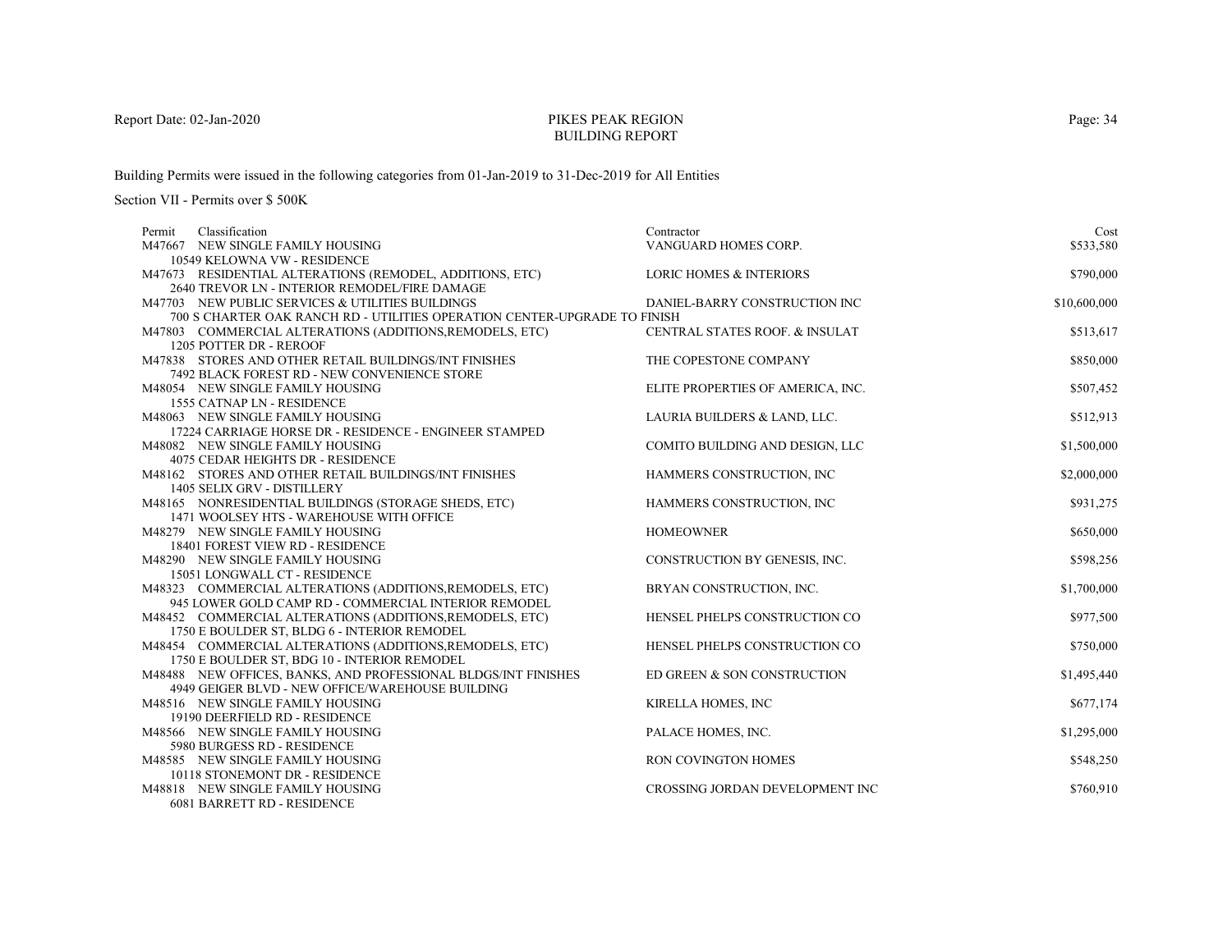# PIKES PEAK REGIONBUILDING REPORT

Building Permits were issued in the following categories from 01-Jan-2019 to 31-Dec-2019 for All Entities

| Classification<br>Permit                                                                         | Contractor                         | Cost         |
|--------------------------------------------------------------------------------------------------|------------------------------------|--------------|
| M47667 NEW SINGLE FAMILY HOUSING                                                                 | VANGUARD HOMES CORP.               | \$533,580    |
| 10549 KELOWNA VW - RESIDENCE                                                                     |                                    |              |
| M47673 RESIDENTIAL ALTERATIONS (REMODEL, ADDITIONS, ETC)                                         | <b>LORIC HOMES &amp; INTERIORS</b> | \$790,000    |
| 2640 TREVOR LN - INTERIOR REMODEL/FIRE DAMAGE                                                    |                                    |              |
| M47703 NEW PUBLIC SERVICES & UTILITIES BUILDINGS                                                 | DANIEL-BARRY CONSTRUCTION INC      | \$10,600,000 |
| 700 S CHARTER OAK RANCH RD - UTILITIES OPERATION CENTER-UPGRADE TO FINISH                        |                                    |              |
| M47803 COMMERCIAL ALTERATIONS (ADDITIONS, REMODELS, ETC)                                         | CENTRAL STATES ROOF. & INSULAT     | \$513,617    |
| 1205 POTTER DR - REROOF                                                                          |                                    |              |
| M47838 STORES AND OTHER RETAIL BUILDINGS/INT FINISHES                                            | THE COPESTONE COMPANY              | \$850,000    |
| 7492 BLACK FOREST RD - NEW CONVENIENCE STORE                                                     |                                    |              |
| M48054 NEW SINGLE FAMILY HOUSING                                                                 | ELITE PROPERTIES OF AMERICA, INC.  | \$507,452    |
| 1555 CATNAP LN - RESIDENCE                                                                       |                                    |              |
| M48063 NEW SINGLE FAMILY HOUSING                                                                 | LAURIA BUILDERS & LAND, LLC.       | \$512,913    |
| 17224 CARRIAGE HORSE DR - RESIDENCE - ENGINEER STAMPED                                           |                                    |              |
| M48082 NEW SINGLE FAMILY HOUSING                                                                 | COMITO BUILDING AND DESIGN, LLC    | \$1,500,000  |
| 4075 CEDAR HEIGHTS DR - RESIDENCE                                                                |                                    |              |
| M48162 STORES AND OTHER RETAIL BUILDINGS/INT FINISHES                                            | HAMMERS CONSTRUCTION, INC          | \$2,000,000  |
| 1405 SELIX GRV - DISTILLERY                                                                      |                                    |              |
| M48165 NONRESIDENTIAL BUILDINGS (STORAGE SHEDS, ETC)<br>1471 WOOLSEY HTS - WAREHOUSE WITH OFFICE | HAMMERS CONSTRUCTION, INC          | \$931,275    |
| M48279 NEW SINGLE FAMILY HOUSING                                                                 | <b>HOMEOWNER</b>                   | \$650,000    |
| 18401 FOREST VIEW RD - RESIDENCE                                                                 |                                    |              |
| M48290 NEW SINGLE FAMILY HOUSING                                                                 | CONSTRUCTION BY GENESIS, INC.      | \$598,256    |
| 15051 LONGWALL CT - RESIDENCE                                                                    |                                    |              |
| M48323 COMMERCIAL ALTERATIONS (ADDITIONS, REMODELS, ETC)                                         | BRYAN CONSTRUCTION, INC.           | \$1,700,000  |
| 945 LOWER GOLD CAMP RD - COMMERCIAL INTERIOR REMODEL                                             |                                    |              |
| M48452 COMMERCIAL ALTERATIONS (ADDITIONS, REMODELS, ETC)                                         | HENSEL PHELPS CONSTRUCTION CO      | \$977,500    |
| 1750 E BOULDER ST, BLDG 6 - INTERIOR REMODEL                                                     |                                    |              |
| M48454 COMMERCIAL ALTERATIONS (ADDITIONS, REMODELS, ETC)                                         | HENSEL PHELPS CONSTRUCTION CO      | \$750,000    |
| 1750 E BOULDER ST, BDG 10 - INTERIOR REMODEL                                                     |                                    |              |
| M48488 NEW OFFICES, BANKS, AND PROFESSIONAL BLDGS/INT FINISHES                                   | ED GREEN & SON CONSTRUCTION        | \$1,495,440  |
| 4949 GEIGER BLVD - NEW OFFICE/WAREHOUSE BUILDING                                                 |                                    |              |
| M48516 NEW SINGLE FAMILY HOUSING                                                                 | KIRELLA HOMES, INC                 | \$677,174    |
| 19190 DEERFIELD RD - RESIDENCE                                                                   |                                    |              |
| M48566 NEW SINGLE FAMILY HOUSING                                                                 | PALACE HOMES, INC.                 | \$1,295,000  |
| 5980 BURGESS RD - RESIDENCE                                                                      |                                    |              |
| M48585 NEW SINGLE FAMILY HOUSING                                                                 | RON COVINGTON HOMES                | \$548,250    |
| 10118 STONEMONT DR - RESIDENCE                                                                   |                                    |              |
| M48818 NEW SINGLE FAMILY HOUSING                                                                 | CROSSING JORDAN DEVELOPMENT INC    | \$760,910    |
| 6081 BARRETT RD - RESIDENCE                                                                      |                                    |              |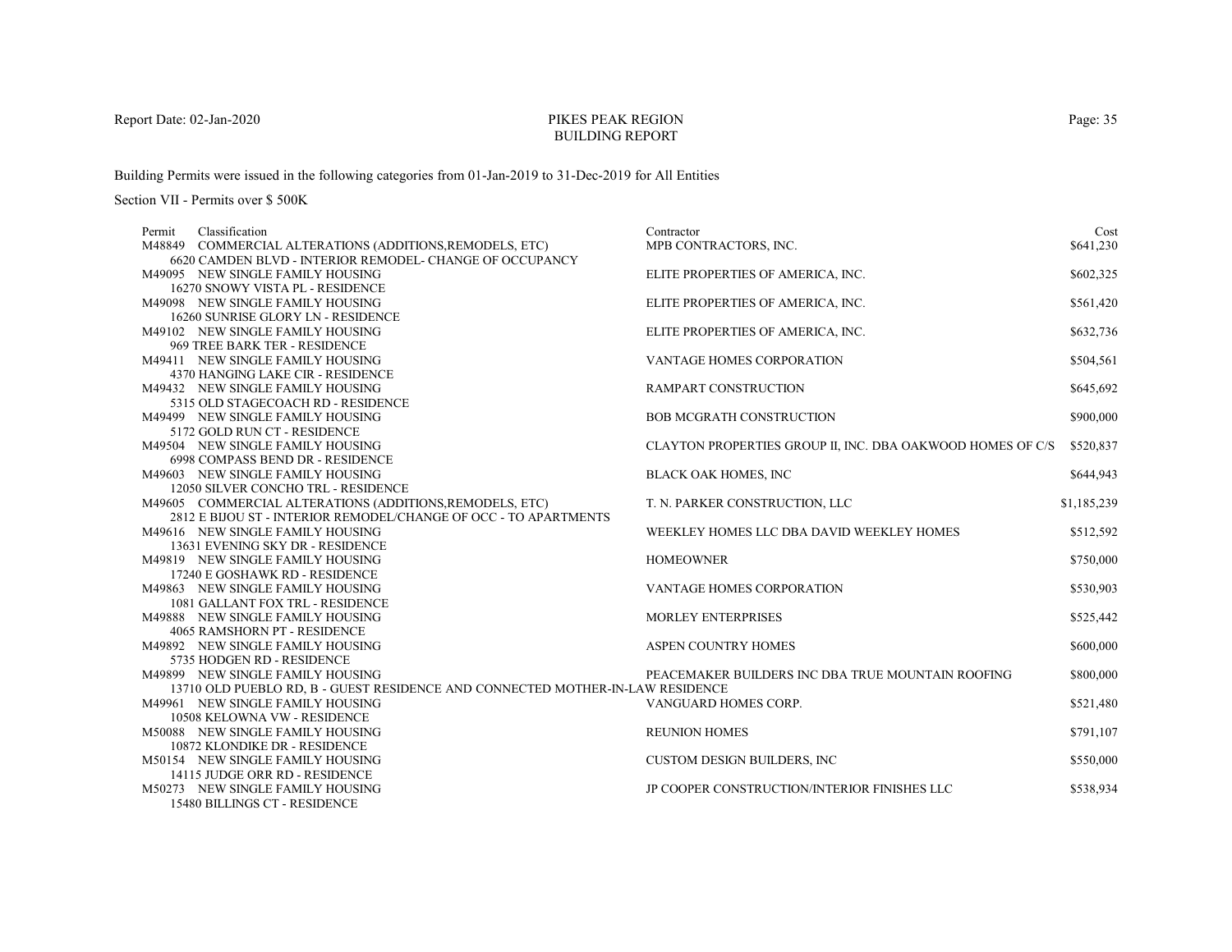# PIKES PEAK REGIONBUILDING REPORT

Building Permits were issued in the following categories from 01-Jan-2019 to 31-Dec-2019 for All Entities

| Permit | Classification                                                                 | Contractor                                                 | Cost        |
|--------|--------------------------------------------------------------------------------|------------------------------------------------------------|-------------|
|        | M48849 COMMERCIAL ALTERATIONS (ADDITIONS, REMODELS, ETC)                       | MPB CONTRACTORS, INC.                                      | \$641,230   |
|        | 6620 CAMDEN BLVD - INTERIOR REMODEL- CHANGE OF OCCUPANCY                       |                                                            |             |
|        | M49095 NEW SINGLE FAMILY HOUSING                                               | ELITE PROPERTIES OF AMERICA, INC.                          | \$602,325   |
|        | 16270 SNOWY VISTA PL - RESIDENCE                                               |                                                            |             |
|        | M49098 NEW SINGLE FAMILY HOUSING                                               | ELITE PROPERTIES OF AMERICA, INC.                          | \$561,420   |
|        | 16260 SUNRISE GLORY LN - RESIDENCE                                             |                                                            |             |
|        | M49102 NEW SINGLE FAMILY HOUSING                                               | ELITE PROPERTIES OF AMERICA, INC.                          | \$632,736   |
|        | 969 TREE BARK TER - RESIDENCE                                                  |                                                            |             |
|        | M49411 NEW SINGLE FAMILY HOUSING                                               | VANTAGE HOMES CORPORATION                                  | \$504,561   |
|        | 4370 HANGING LAKE CIR - RESIDENCE                                              |                                                            |             |
|        | M49432 NEW SINGLE FAMILY HOUSING                                               | <b>RAMPART CONSTRUCTION</b>                                | \$645,692   |
|        | 5315 OLD STAGECOACH RD - RESIDENCE                                             |                                                            |             |
|        | M49499 NEW SINGLE FAMILY HOUSING                                               | <b>BOB MCGRATH CONSTRUCTION</b>                            | \$900,000   |
|        | 5172 GOLD RUN CT - RESIDENCE                                                   |                                                            |             |
|        | M49504 NEW SINGLE FAMILY HOUSING                                               | CLAYTON PROPERTIES GROUP II, INC. DBA OAKWOOD HOMES OF C/S | \$520,837   |
|        | 6998 COMPASS BEND DR - RESIDENCE                                               |                                                            |             |
|        | M49603 NEW SINGLE FAMILY HOUSING                                               | BLACK OAK HOMES, INC                                       | \$644,943   |
|        | 12050 SILVER CONCHO TRL - RESIDENCE                                            |                                                            |             |
|        | M49605 COMMERCIAL ALTERATIONS (ADDITIONS, REMODELS, ETC)                       | T. N. PARKER CONSTRUCTION, LLC                             | \$1,185,239 |
|        | 2812 E BIJOU ST - INTERIOR REMODEL/CHANGE OF OCC - TO APARTMENTS               |                                                            |             |
|        | M49616 NEW SINGLE FAMILY HOUSING                                               | WEEKLEY HOMES LLC DBA DAVID WEEKLEY HOMES                  | \$512,592   |
|        | 13631 EVENING SKY DR - RESIDENCE                                               |                                                            |             |
|        | M49819 NEW SINGLE FAMILY HOUSING                                               | <b>HOMEOWNER</b>                                           | \$750,000   |
|        | 17240 E GOSHAWK RD - RESIDENCE                                                 |                                                            |             |
|        | M49863 NEW SINGLE FAMILY HOUSING                                               | <b>VANTAGE HOMES CORPORATION</b>                           | \$530,903   |
|        | 1081 GALLANT FOX TRL - RESIDENCE                                               |                                                            |             |
|        | M49888 NEW SINGLE FAMILY HOUSING                                               | <b>MORLEY ENTERPRISES</b>                                  | \$525,442   |
|        | 4065 RAMSHORN PT - RESIDENCE                                                   |                                                            |             |
|        | M49892 NEW SINGLE FAMILY HOUSING                                               | ASPEN COUNTRY HOMES                                        | \$600,000   |
|        | 5735 HODGEN RD - RESIDENCE                                                     |                                                            |             |
|        | M49899 NEW SINGLE FAMILY HOUSING                                               | PEACEMAKER BUILDERS INC DBA TRUE MOUNTAIN ROOFING          | \$800,000   |
|        | 13710 OLD PUEBLO RD, B - GUEST RESIDENCE AND CONNECTED MOTHER-IN-LAW RESIDENCE |                                                            |             |
|        | M49961 NEW SINGLE FAMILY HOUSING                                               | VANGUARD HOMES CORP.                                       | \$521,480   |
|        | 10508 KELOWNA VW - RESIDENCE                                                   |                                                            |             |
|        | M50088 NEW SINGLE FAMILY HOUSING                                               | <b>REUNION HOMES</b>                                       | \$791,107   |
|        | 10872 KLONDIKE DR - RESIDENCE                                                  |                                                            |             |
|        | M50154 NEW SINGLE FAMILY HOUSING                                               | <b>CUSTOM DESIGN BUILDERS, INC.</b>                        | \$550,000   |
|        | 14115 JUDGE ORR RD - RESIDENCE                                                 |                                                            |             |
|        | M50273 NEW SINGLE FAMILY HOUSING                                               | JP COOPER CONSTRUCTION/INTERIOR FINISHES LLC               | \$538,934   |
|        | 15480 BILLINGS CT - RESIDENCE                                                  |                                                            |             |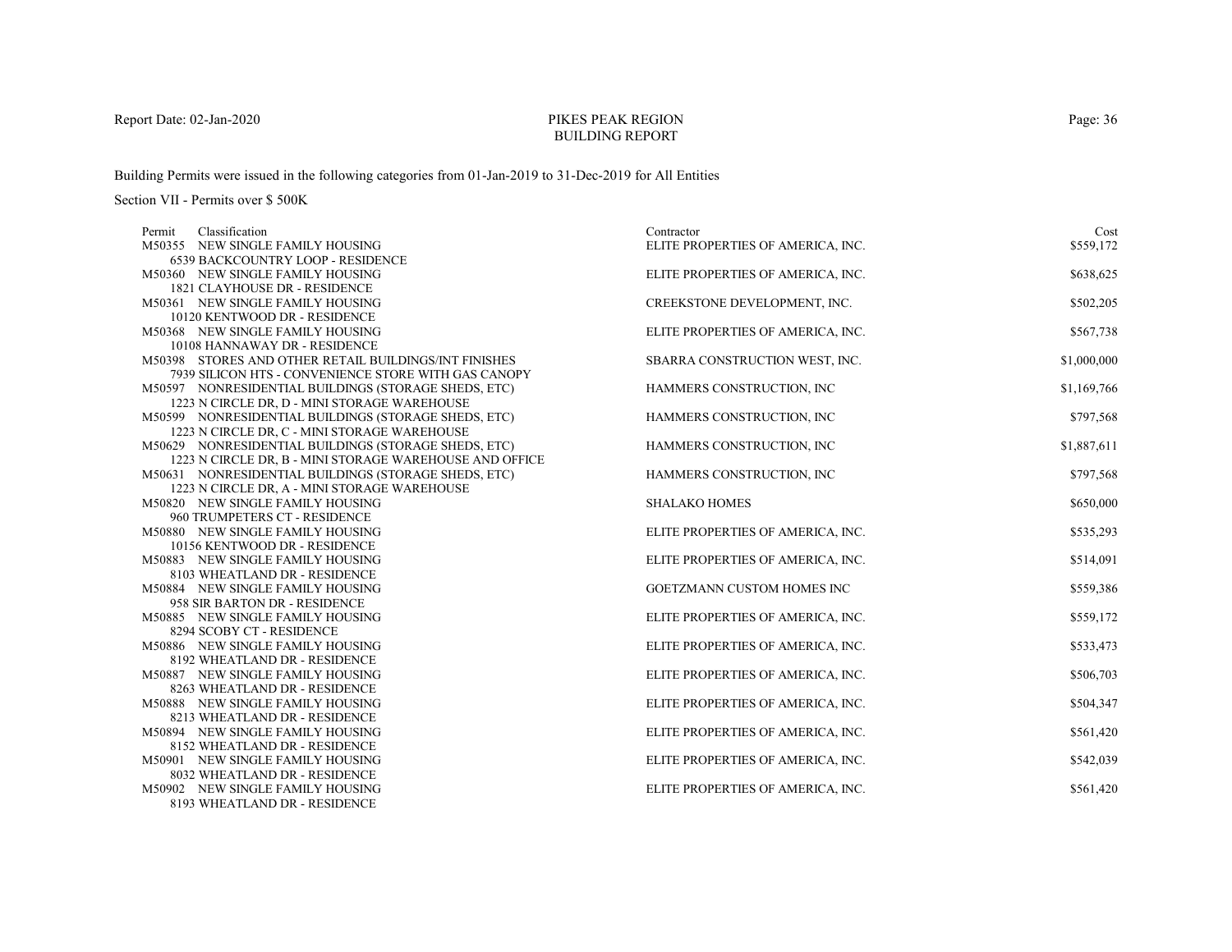# PIKES PEAK REGIONBUILDING REPORT

Building Permits were issued in the following categories from 01-Jan-2019 to 31-Dec-2019 for All Entities

| Classification<br>Permit                                                         | Contractor                        | Cost        |
|----------------------------------------------------------------------------------|-----------------------------------|-------------|
| M50355 NEW SINGLE FAMILY HOUSING                                                 | ELITE PROPERTIES OF AMERICA, INC. | \$559,172   |
| 6539 BACKCOUNTRY LOOP - RESIDENCE                                                |                                   |             |
| M50360 NEW SINGLE FAMILY HOUSING                                                 | ELITE PROPERTIES OF AMERICA, INC. | \$638,625   |
| 1821 CLAYHOUSE DR - RESIDENCE                                                    |                                   |             |
| M50361 NEW SINGLE FAMILY HOUSING                                                 | CREEKSTONE DEVELOPMENT, INC.      | \$502,205   |
| 10120 KENTWOOD DR - RESIDENCE                                                    |                                   |             |
| M50368 NEW SINGLE FAMILY HOUSING                                                 | ELITE PROPERTIES OF AMERICA, INC. | \$567,738   |
| 10108 HANNAWAY DR - RESIDENCE                                                    |                                   |             |
| M50398 STORES AND OTHER RETAIL BUILDINGS/INT FINISHES                            | SBARRA CONSTRUCTION WEST, INC.    | \$1,000,000 |
| 7939 SILICON HTS - CONVENIENCE STORE WITH GAS CANOPY                             |                                   |             |
| M50597 NONRESIDENTIAL BUILDINGS (STORAGE SHEDS, ETC)                             | HAMMERS CONSTRUCTION, INC.        | \$1,169,766 |
| 1223 N CIRCLE DR, D - MINI STORAGE WAREHOUSE                                     |                                   |             |
| M50599 NONRESIDENTIAL BUILDINGS (STORAGE SHEDS, ETC)                             | HAMMERS CONSTRUCTION, INC         | \$797,568   |
| 1223 N CIRCLE DR, C - MINI STORAGE WAREHOUSE                                     |                                   |             |
| M50629 NONRESIDENTIAL BUILDINGS (STORAGE SHEDS, ETC)                             | HAMMERS CONSTRUCTION, INC         | \$1,887,611 |
| 1223 N CIRCLE DR, B - MINI STORAGE WAREHOUSE AND OFFICE                          |                                   |             |
| M50631 NONRESIDENTIAL BUILDINGS (STORAGE SHEDS, ETC)                             | HAMMERS CONSTRUCTION, INC         | \$797,568   |
| 1223 N CIRCLE DR, A - MINI STORAGE WAREHOUSE<br>M50820 NEW SINGLE FAMILY HOUSING | <b>SHALAKO HOMES</b>              | \$650,000   |
| 960 TRUMPETERS CT - RESIDENCE                                                    |                                   |             |
| M50880 NEW SINGLE FAMILY HOUSING                                                 | ELITE PROPERTIES OF AMERICA, INC. | \$535,293   |
| 10156 KENTWOOD DR - RESIDENCE                                                    |                                   |             |
| M50883 NEW SINGLE FAMILY HOUSING                                                 | ELITE PROPERTIES OF AMERICA, INC. | \$514,091   |
| 8103 WHEATLAND DR - RESIDENCE                                                    |                                   |             |
| M50884 NEW SINGLE FAMILY HOUSING                                                 | GOETZMANN CUSTOM HOMES INC        | \$559,386   |
| 958 SIR BARTON DR - RESIDENCE                                                    |                                   |             |
| M50885 NEW SINGLE FAMILY HOUSING                                                 | ELITE PROPERTIES OF AMERICA, INC. | \$559,172   |
| 8294 SCOBY CT - RESIDENCE                                                        |                                   |             |
| M50886 NEW SINGLE FAMILY HOUSING                                                 | ELITE PROPERTIES OF AMERICA, INC. | \$533,473   |
| 8192 WHEATLAND DR - RESIDENCE                                                    |                                   |             |
| M50887 NEW SINGLE FAMILY HOUSING                                                 | ELITE PROPERTIES OF AMERICA, INC. | \$506,703   |
| 8263 WHEATLAND DR - RESIDENCE                                                    |                                   |             |
| M50888 NEW SINGLE FAMILY HOUSING                                                 | ELITE PROPERTIES OF AMERICA, INC. | \$504,347   |
| 8213 WHEATLAND DR - RESIDENCE                                                    |                                   |             |
| M50894 NEW SINGLE FAMILY HOUSING                                                 | ELITE PROPERTIES OF AMERICA, INC. | \$561,420   |
| 8152 WHEATLAND DR - RESIDENCE                                                    |                                   |             |
| M50901 NEW SINGLE FAMILY HOUSING                                                 | ELITE PROPERTIES OF AMERICA, INC. | \$542,039   |
| 8032 WHEATLAND DR - RESIDENCE                                                    |                                   |             |
| M50902 NEW SINGLE FAMILY HOUSING                                                 | ELITE PROPERTIES OF AMERICA, INC. | \$561,420   |
| 8193 WHEATLAND DR - RESIDENCE                                                    |                                   |             |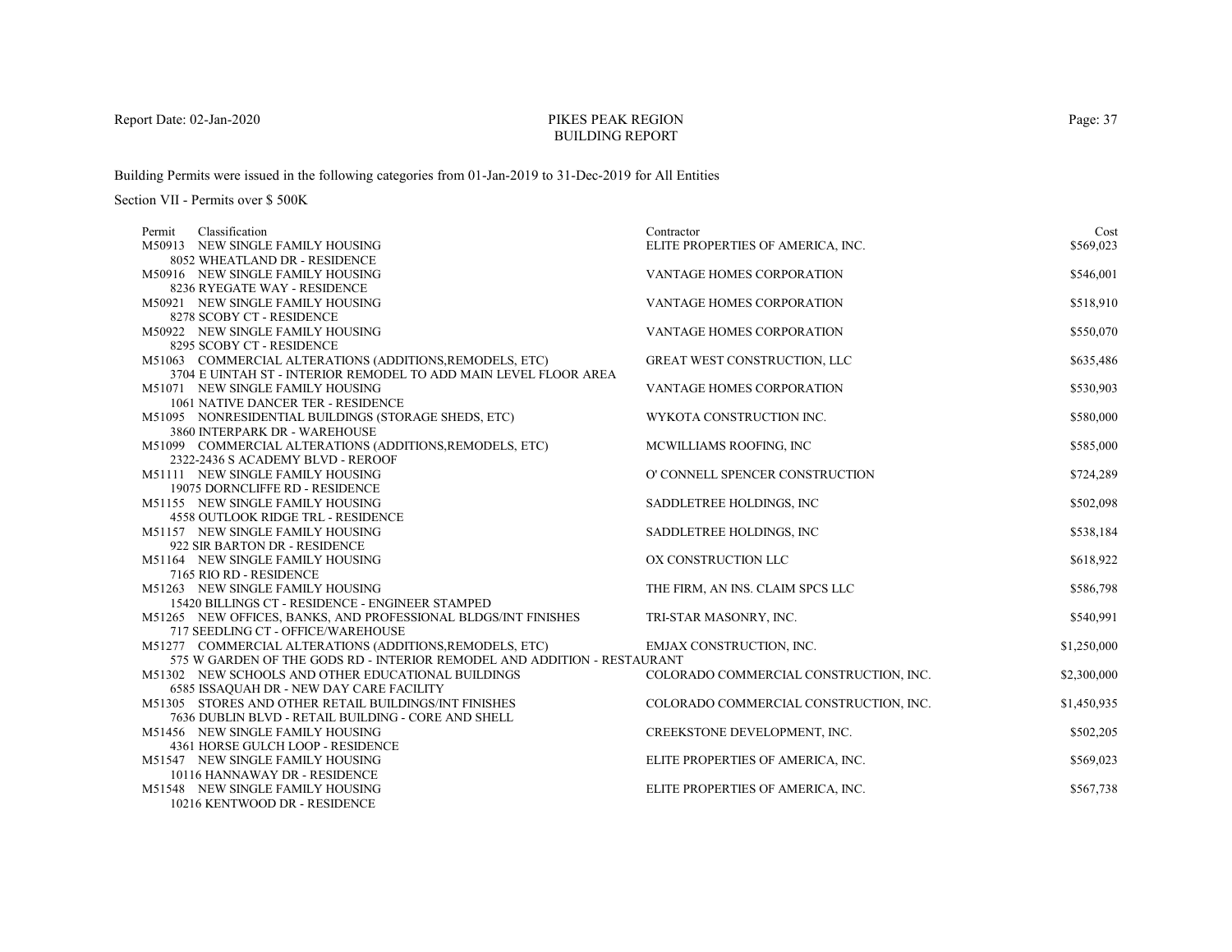# PIKES PEAK REGIONBUILDING REPORT

Building Permits were issued in the following categories from 01-Jan-2019 to 31-Dec-2019 for All Entities

| Classification<br>Contractor<br>Permit                                                                                                                           | Cost        |
|------------------------------------------------------------------------------------------------------------------------------------------------------------------|-------------|
| M50913 NEW SINGLE FAMILY HOUSING<br>ELITE PROPERTIES OF AMERICA, INC.                                                                                            | \$569,023   |
| 8052 WHEATLAND DR - RESIDENCE                                                                                                                                    |             |
| M50916 NEW SINGLE FAMILY HOUSING<br>VANTAGE HOMES CORPORATION                                                                                                    | \$546,001   |
| 8236 RYEGATE WAY - RESIDENCE                                                                                                                                     |             |
| M50921 NEW SINGLE FAMILY HOUSING<br><b>VANTAGE HOMES CORPORATION</b>                                                                                             | \$518,910   |
| 8278 SCOBY CT - RESIDENCE                                                                                                                                        |             |
| M50922 NEW SINGLE FAMILY HOUSING<br>VANTAGE HOMES CORPORATION                                                                                                    | \$550,070   |
| 8295 SCOBY CT - RESIDENCE                                                                                                                                        |             |
| <b>GREAT WEST CONSTRUCTION, LLC</b><br>M51063 COMMERCIAL ALTERATIONS (ADDITIONS, REMODELS, ETC)                                                                  | \$635,486   |
| 3704 E UINTAH ST - INTERIOR REMODEL TO ADD MAIN LEVEL FLOOR AREA                                                                                                 |             |
| M51071 NEW SINGLE FAMILY HOUSING<br>VANTAGE HOMES CORPORATION                                                                                                    | \$530,903   |
| 1061 NATIVE DANCER TER - RESIDENCE                                                                                                                               |             |
| M51095 NONRESIDENTIAL BUILDINGS (STORAGE SHEDS, ETC)<br>WYKOTA CONSTRUCTION INC.                                                                                 | \$580,000   |
| 3860 INTERPARK DR - WAREHOUSE                                                                                                                                    |             |
| M51099 COMMERCIAL ALTERATIONS (ADDITIONS, REMODELS, ETC)<br>MCWILLIAMS ROOFING, INC                                                                              | \$585,000   |
| 2322-2436 S ACADEMY BLVD - REROOF                                                                                                                                |             |
| O' CONNELL SPENCER CONSTRUCTION<br>M51111 NEW SINGLE FAMILY HOUSING                                                                                              | \$724,289   |
| 19075 DORNCLIFFE RD - RESIDENCE                                                                                                                                  |             |
| SADDLETREE HOLDINGS, INC<br>M51155 NEW SINGLE FAMILY HOUSING                                                                                                     | \$502,098   |
| <b>4558 OUTLOOK RIDGE TRL - RESIDENCE</b>                                                                                                                        |             |
| M51157 NEW SINGLE FAMILY HOUSING<br>SADDLETREE HOLDINGS, INC                                                                                                     | \$538,184   |
| 922 SIR BARTON DR - RESIDENCE                                                                                                                                    |             |
| M51164 NEW SINGLE FAMILY HOUSING<br>OX CONSTRUCTION LLC                                                                                                          | \$618,922   |
| 7165 RIO RD - RESIDENCE                                                                                                                                          |             |
| M51263 NEW SINGLE FAMILY HOUSING<br>THE FIRM, AN INS. CLAIM SPCS LLC                                                                                             | \$586,798   |
| 15420 BILLINGS CT - RESIDENCE - ENGINEER STAMPED                                                                                                                 |             |
| M51265 NEW OFFICES, BANKS, AND PROFESSIONAL BLDGS/INT FINISHES<br>TRI-STAR MASONRY, INC.<br>717 SEEDLING CT - OFFICE/WAREHOUSE                                   | \$540,991   |
|                                                                                                                                                                  |             |
| M51277 COMMERCIAL ALTERATIONS (ADDITIONS, REMODELS, ETC)<br>EMJAX CONSTRUCTION, INC.<br>575 W GARDEN OF THE GODS RD - INTERIOR REMODEL AND ADDITION - RESTAURANT | \$1,250,000 |
| M51302 NEW SCHOOLS AND OTHER EDUCATIONAL BUILDINGS<br>COLORADO COMMERCIAL CONSTRUCTION, INC.                                                                     | \$2,300,000 |
| <b>6585 ISSAQUAH DR - NEW DAY CARE FACILITY</b>                                                                                                                  |             |
| M51305 STORES AND OTHER RETAIL BUILDINGS/INT FINISHES<br>COLORADO COMMERCIAL CONSTRUCTION, INC.                                                                  | \$1,450,935 |
| 7636 DUBLIN BLVD - RETAIL BUILDING - CORE AND SHELL                                                                                                              |             |
| M51456 NEW SINGLE FAMILY HOUSING<br>CREEKSTONE DEVELOPMENT, INC.                                                                                                 | \$502,205   |
| 4361 HORSE GULCH LOOP - RESIDENCE                                                                                                                                |             |
| M51547 NEW SINGLE FAMILY HOUSING<br>ELITE PROPERTIES OF AMERICA, INC.                                                                                            | \$569,023   |
| 10116 HANNAWAY DR - RESIDENCE                                                                                                                                    |             |
| M51548 NEW SINGLE FAMILY HOUSING<br>ELITE PROPERTIES OF AMERICA, INC.                                                                                            | \$567,738   |
| 10216 KENTWOOD DR - RESIDENCE                                                                                                                                    |             |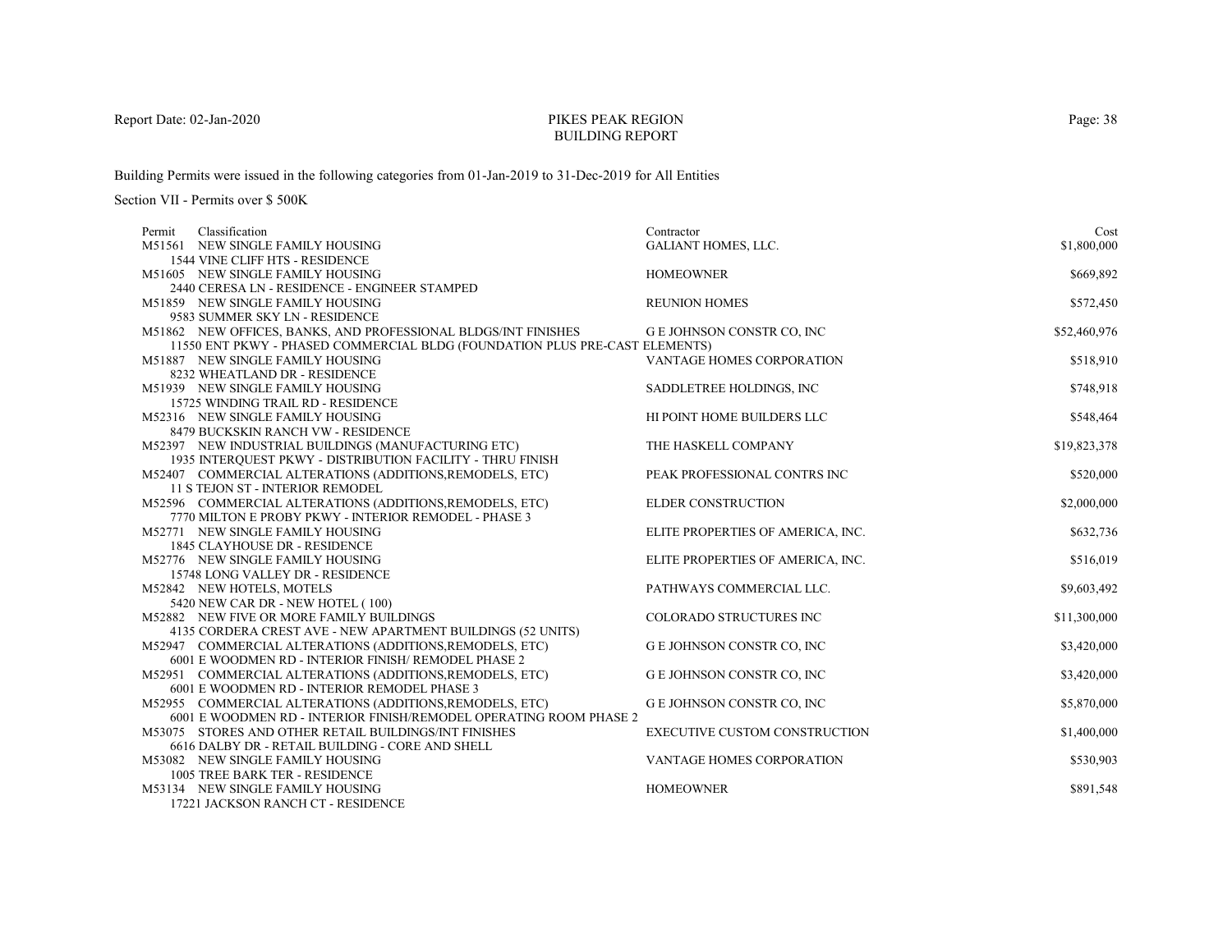# PIKES PEAK REGIONBUILDING REPORT

Building Permits were issued in the following categories from 01-Jan-2019 to 31-Dec-2019 for All Entities

Section VII - Permits over \$ 500K

| Classification<br>Permit                                                                                                       | Contractor                           | Cost         |
|--------------------------------------------------------------------------------------------------------------------------------|--------------------------------------|--------------|
| M51561 NEW SINGLE FAMILY HOUSING                                                                                               | <b>GALIANT HOMES, LLC.</b>           | \$1,800,000  |
| 1544 VINE CLIFF HTS - RESIDENCE                                                                                                |                                      |              |
| M51605 NEW SINGLE FAMILY HOUSING                                                                                               | <b>HOMEOWNER</b>                     | \$669,892    |
| 2440 CERESA LN - RESIDENCE - ENGINEER STAMPED                                                                                  |                                      |              |
| M51859 NEW SINGLE FAMILY HOUSING                                                                                               | <b>REUNION HOMES</b>                 | \$572,450    |
| 9583 SUMMER SKY LN - RESIDENCE                                                                                                 |                                      |              |
| M51862 NEW OFFICES, BANKS, AND PROFESSIONAL BLDGS/INT FINISHES                                                                 | G E JOHNSON CONSTR CO, INC           | \$52,460,976 |
| 11550 ENT PKWY - PHASED COMMERCIAL BLDG (FOUNDATION PLUS PRE-CAST ELEMENTS)                                                    |                                      |              |
| M51887 NEW SINGLE FAMILY HOUSING                                                                                               | VANTAGE HOMES CORPORATION            | \$518,910    |
| 8232 WHEATLAND DR - RESIDENCE                                                                                                  |                                      |              |
| M51939 NEW SINGLE FAMILY HOUSING                                                                                               | SADDLETREE HOLDINGS, INC.            | \$748,918    |
| 15725 WINDING TRAIL RD - RESIDENCE                                                                                             |                                      |              |
| M52316 NEW SINGLE FAMILY HOUSING                                                                                               | HI POINT HOME BUILDERS LLC           | \$548,464    |
| 8479 BUCKSKIN RANCH VW - RESIDENCE                                                                                             |                                      |              |
| M52397 NEW INDUSTRIAL BUILDINGS (MANUFACTURING ETC)                                                                            | THE HASKELL COMPANY                  | \$19,823,378 |
| 1935 INTERQUEST PKWY - DISTRIBUTION FACILITY - THRU FINISH                                                                     |                                      |              |
| M52407 COMMERCIAL ALTERATIONS (ADDITIONS, REMODELS, ETC)                                                                       | PEAK PROFESSIONAL CONTRS INC         | \$520,000    |
| <b>11 S TEJON ST - INTERIOR REMODEL</b>                                                                                        |                                      |              |
| M52596 COMMERCIAL ALTERATIONS (ADDITIONS, REMODELS, ETC)                                                                       | <b>ELDER CONSTRUCTION</b>            | \$2,000,000  |
| 7770 MILTON E PROBY PKWY - INTERIOR REMODEL - PHASE 3                                                                          |                                      |              |
| M52771 NEW SINGLE FAMILY HOUSING                                                                                               | ELITE PROPERTIES OF AMERICA, INC.    | \$632,736    |
| 1845 CLAYHOUSE DR - RESIDENCE                                                                                                  |                                      |              |
| M52776 NEW SINGLE FAMILY HOUSING                                                                                               | ELITE PROPERTIES OF AMERICA, INC.    | \$516,019    |
| 15748 LONG VALLEY DR - RESIDENCE                                                                                               |                                      |              |
| M52842 NEW HOTELS, MOTELS                                                                                                      | PATHWAYS COMMERCIAL LLC.             | \$9,603,492  |
| 5420 NEW CAR DR - NEW HOTEL (100)                                                                                              |                                      |              |
| M52882 NEW FIVE OR MORE FAMILY BUILDINGS                                                                                       | COLORADO STRUCTURES INC              | \$11,300,000 |
| 4135 CORDERA CREST AVE - NEW APARTMENT BUILDINGS (52 UNITS)                                                                    |                                      |              |
| M52947 COMMERCIAL ALTERATIONS (ADDITIONS, REMODELS, ETC)                                                                       | G E JOHNSON CONSTR CO, INC           | \$3,420,000  |
| 6001 E WOODMEN RD - INTERIOR FINISH/ REMODEL PHASE 2                                                                           |                                      |              |
| M52951 COMMERCIAL ALTERATIONS (ADDITIONS, REMODELS, ETC)                                                                       | <b>G E JOHNSON CONSTR CO, INC</b>    | \$3,420,000  |
| 6001 E WOODMEN RD - INTERIOR REMODEL PHASE 3                                                                                   |                                      |              |
| M52955 COMMERCIAL ALTERATIONS (ADDITIONS, REMODELS, ETC)<br>6001 E WOODMEN RD - INTERIOR FINISH/REMODEL OPERATING ROOM PHASE 2 | <b>GE JOHNSON CONSTR CO, INC</b>     | \$5,870,000  |
| M53075 STORES AND OTHER RETAIL BUILDINGS/INT FINISHES                                                                          | <b>EXECUTIVE CUSTOM CONSTRUCTION</b> | \$1,400,000  |
| 6616 DALBY DR - RETAIL BUILDING - CORE AND SHELL                                                                               |                                      |              |
| M53082 NEW SINGLE FAMILY HOUSING                                                                                               | VANTAGE HOMES CORPORATION            | \$530,903    |
| 1005 TREE BARK TER - RESIDENCE                                                                                                 |                                      |              |
| M53134 NEW SINGLE FAMILY HOUSING                                                                                               | <b>HOMEOWNER</b>                     | \$891,548    |
| 17001 LACKSON DAMCH CT. BESIDEMCE                                                                                              |                                      |              |

17221 JACKSON RANCH CT - RESIDENCE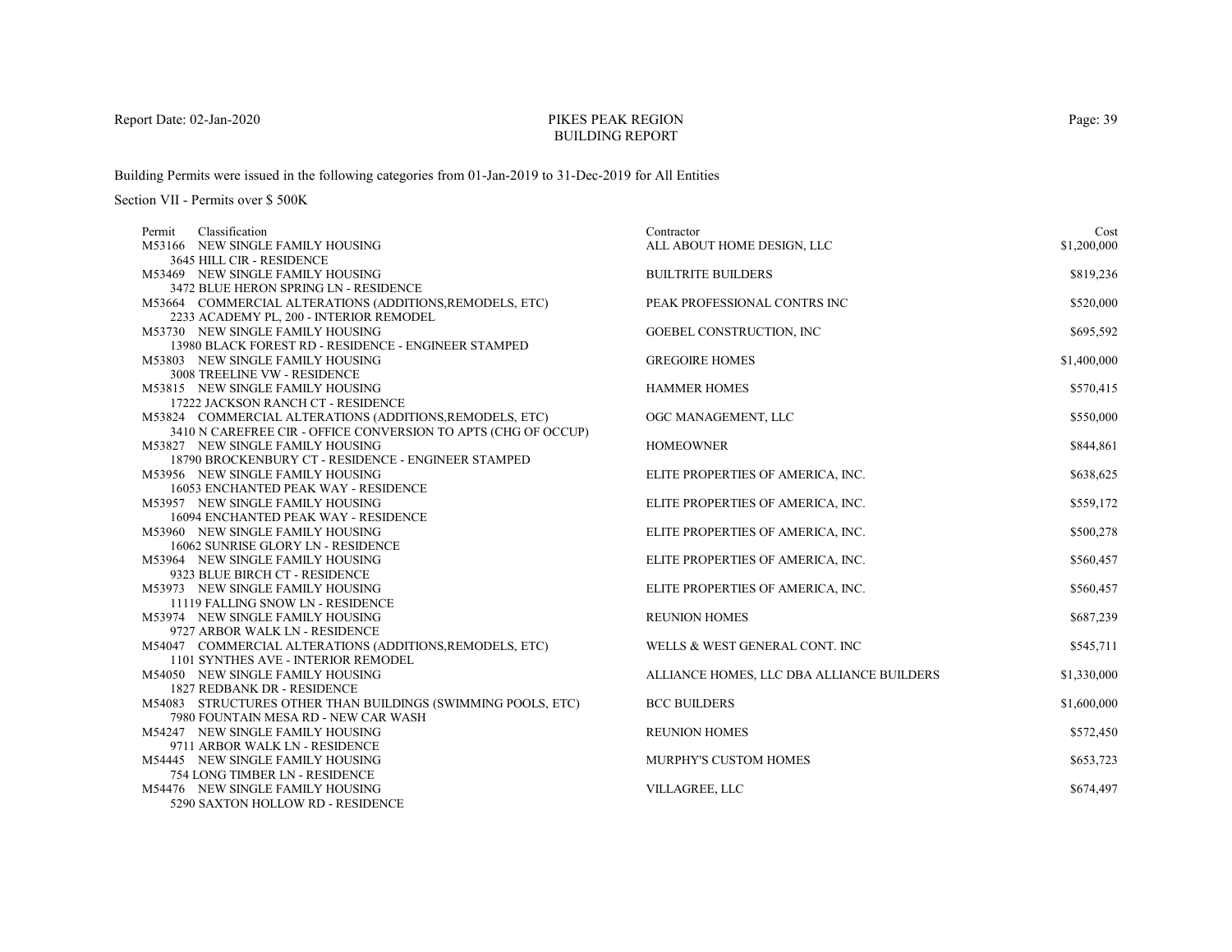# PIKES PEAK REGIONBUILDING REPORT

Building Permits were issued in the following categories from 01-Jan-2019 to 31-Dec-2019 for All Entities

| Classification<br>Permit                                              | Contractor                                | Cost        |
|-----------------------------------------------------------------------|-------------------------------------------|-------------|
| M53166 NEW SINGLE FAMILY HOUSING                                      | ALL ABOUT HOME DESIGN, LLC                | \$1,200,000 |
| 3645 HILL CIR - RESIDENCE                                             |                                           |             |
| M53469 NEW SINGLE FAMILY HOUSING                                      | <b>BUILTRITE BUILDERS</b>                 | \$819,236   |
| 3472 BLUE HERON SPRING LN - RESIDENCE                                 |                                           |             |
| M53664 COMMERCIAL ALTERATIONS (ADDITIONS, REMODELS, ETC)              | PEAK PROFESSIONAL CONTRS INC              | \$520,000   |
| 2233 ACADEMY PL, 200 - INTERIOR REMODEL                               |                                           |             |
| M53730 NEW SINGLE FAMILY HOUSING                                      | GOEBEL CONSTRUCTION, INC                  | \$695,592   |
| 13980 BLACK FOREST RD - RESIDENCE - ENGINEER STAMPED                  |                                           |             |
| M53803 NEW SINGLE FAMILY HOUSING                                      | <b>GREGOIRE HOMES</b>                     | \$1,400,000 |
| 3008 TREELINE VW - RESIDENCE                                          |                                           |             |
| M53815 NEW SINGLE FAMILY HOUSING                                      | <b>HAMMER HOMES</b>                       | \$570,415   |
| 17222 JACKSON RANCH CT - RESIDENCE                                    |                                           |             |
| M53824 COMMERCIAL ALTERATIONS (ADDITIONS, REMODELS, ETC)              | OGC MANAGEMENT, LLC                       | \$550,000   |
| 3410 N CAREFREE CIR - OFFICE CONVERSION TO APTS (CHG OF OCCUP)        |                                           |             |
| M53827 NEW SINGLE FAMILY HOUSING                                      | <b>HOMEOWNER</b>                          | \$844,861   |
| 18790 BROCKENBURY CT - RESIDENCE - ENGINEER STAMPED                   |                                           |             |
| M53956 NEW SINGLE FAMILY HOUSING                                      | ELITE PROPERTIES OF AMERICA, INC.         | \$638,625   |
| 16053 ENCHANTED PEAK WAY - RESIDENCE                                  |                                           |             |
| M53957 NEW SINGLE FAMILY HOUSING                                      | ELITE PROPERTIES OF AMERICA, INC.         | \$559,172   |
| 16094 ENCHANTED PEAK WAY - RESIDENCE                                  |                                           |             |
| M53960 NEW SINGLE FAMILY HOUSING                                      | ELITE PROPERTIES OF AMERICA, INC.         | \$500,278   |
| 16062 SUNRISE GLORY LN - RESIDENCE                                    |                                           |             |
| M53964 NEW SINGLE FAMILY HOUSING                                      | ELITE PROPERTIES OF AMERICA, INC.         | \$560,457   |
| 9323 BLUE BIRCH CT - RESIDENCE                                        |                                           |             |
| M53973 NEW SINGLE FAMILY HOUSING<br>11119 FALLING SNOW LN - RESIDENCE | ELITE PROPERTIES OF AMERICA, INC.         | \$560,457   |
| M53974 NEW SINGLE FAMILY HOUSING                                      | <b>REUNION HOMES</b>                      | \$687,239   |
| 9727 ARBOR WALK LN - RESIDENCE                                        |                                           |             |
| M54047 COMMERCIAL ALTERATIONS (ADDITIONS, REMODELS, ETC)              | WELLS & WEST GENERAL CONT. INC            | \$545,711   |
| 1101 SYNTHES AVE - INTERIOR REMODEL                                   |                                           |             |
| M54050 NEW SINGLE FAMILY HOUSING                                      | ALLIANCE HOMES, LLC DBA ALLIANCE BUILDERS | \$1,330,000 |
| 1827 REDBANK DR - RESIDENCE                                           |                                           |             |
| M54083 STRUCTURES OTHER THAN BUILDINGS (SWIMMING POOLS, ETC)          | <b>BCC BUILDERS</b>                       | \$1,600,000 |
| 7980 FOUNTAIN MESA RD - NEW CAR WASH                                  |                                           |             |
| M54247 NEW SINGLE FAMILY HOUSING                                      | <b>REUNION HOMES</b>                      | \$572,450   |
| 9711 ARBOR WALK LN - RESIDENCE                                        |                                           |             |
| M54445 NEW SINGLE FAMILY HOUSING                                      | <b>MURPHY'S CUSTOM HOMES</b>              | \$653,723   |
| 754 LONG TIMBER LN - RESIDENCE                                        |                                           |             |
| M54476 NEW SINGLE FAMILY HOUSING                                      | VILLAGREE, LLC                            | \$674,497   |
| 5290 SAXTON HOLLOW RD - RESIDENCE                                     |                                           |             |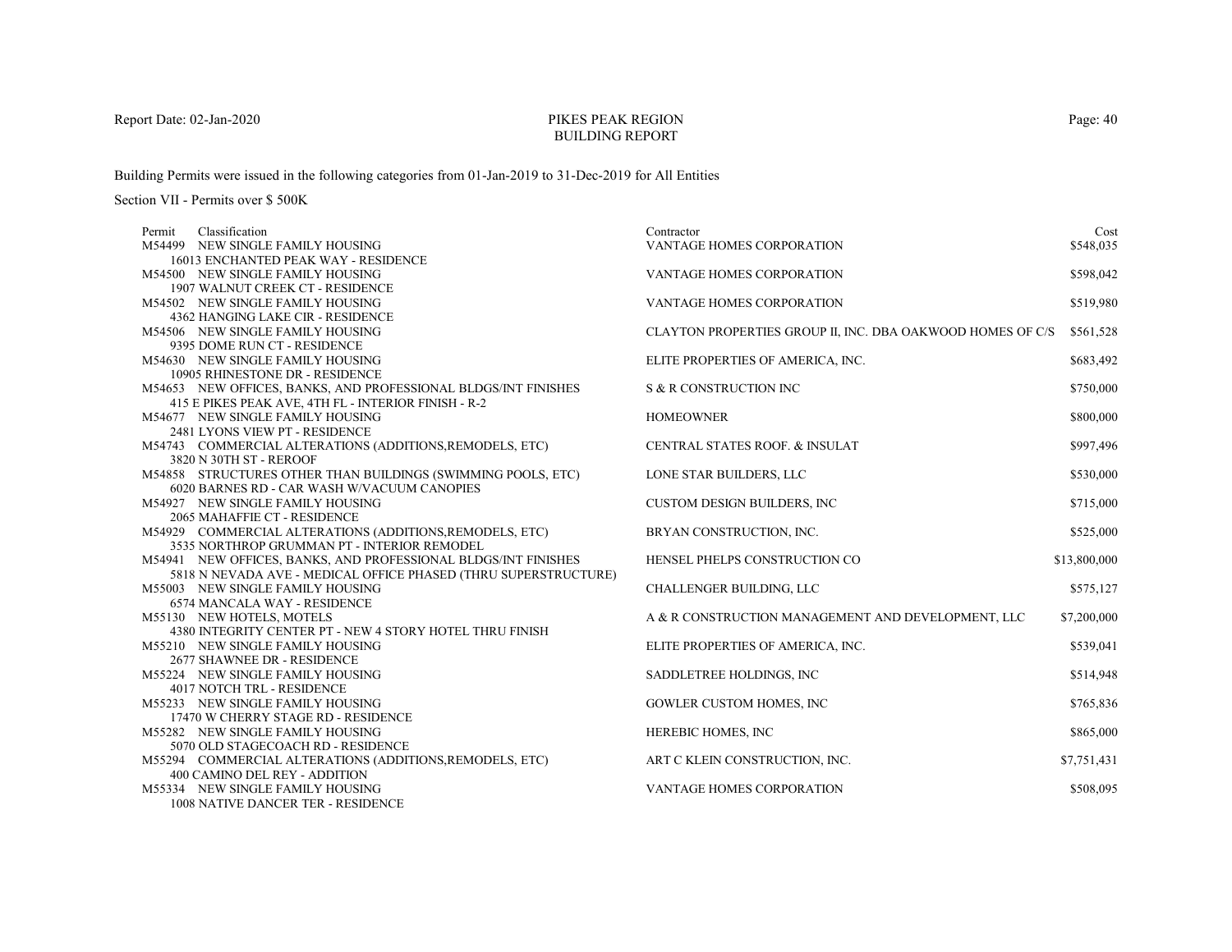# PIKES PEAK REGIONBUILDING REPORT

Building Permits were issued in the following categories from 01-Jan-2019 to 31-Dec-2019 for All Entities

| Permit | Classification                                                                                      | Contractor                                                 | Cost         |
|--------|-----------------------------------------------------------------------------------------------------|------------------------------------------------------------|--------------|
|        | M54499 NEW SINGLE FAMILY HOUSING                                                                    | VANTAGE HOMES CORPORATION                                  | \$548,035    |
|        | 16013 ENCHANTED PEAK WAY - RESIDENCE                                                                |                                                            |              |
|        | M54500 NEW SINGLE FAMILY HOUSING                                                                    | VANTAGE HOMES CORPORATION                                  | \$598,042    |
|        | 1907 WALNUT CREEK CT - RESIDENCE                                                                    |                                                            |              |
|        | M54502 NEW SINGLE FAMILY HOUSING                                                                    | VANTAGE HOMES CORPORATION                                  | \$519,980    |
|        | 4362 HANGING LAKE CIR - RESIDENCE                                                                   |                                                            |              |
|        | M54506 NEW SINGLE FAMILY HOUSING                                                                    | CLAYTON PROPERTIES GROUP II, INC. DBA OAKWOOD HOMES OF C/S | \$561,528    |
|        | 9395 DOME RUN CT - RESIDENCE                                                                        |                                                            |              |
|        | M54630 NEW SINGLE FAMILY HOUSING                                                                    | ELITE PROPERTIES OF AMERICA, INC.                          | \$683,492    |
|        | 10905 RHINESTONE DR - RESIDENCE                                                                     |                                                            |              |
|        | M54653 NEW OFFICES, BANKS, AND PROFESSIONAL BLDGS/INT FINISHES                                      | S & R CONSTRUCTION INC                                     | \$750,000    |
|        | 415 E PIKES PEAK AVE, 4TH FL - INTERIOR FINISH - R-2                                                |                                                            |              |
|        | M54677 NEW SINGLE FAMILY HOUSING                                                                    | <b>HOMEOWNER</b>                                           | \$800,000    |
|        | 2481 LYONS VIEW PT - RESIDENCE                                                                      |                                                            |              |
|        | M54743 COMMERCIAL ALTERATIONS (ADDITIONS, REMODELS, ETC)                                            | <b>CENTRAL STATES ROOF. &amp; INSULAT</b>                  | \$997,496    |
|        | 3820 N 30TH ST - REROOF                                                                             |                                                            |              |
|        | M54858 STRUCTURES OTHER THAN BUILDINGS (SWIMMING POOLS, ETC)                                        | LONE STAR BUILDERS, LLC                                    | \$530,000    |
|        | 6020 BARNES RD - CAR WASH W/VACUUM CANOPIES                                                         |                                                            |              |
|        | M54927 NEW SINGLE FAMILY HOUSING                                                                    | <b>CUSTOM DESIGN BUILDERS, INC.</b>                        | \$715,000    |
|        | 2065 MAHAFFIE CT - RESIDENCE                                                                        |                                                            |              |
|        | M54929 COMMERCIAL ALTERATIONS (ADDITIONS, REMODELS, ETC)                                            | BRYAN CONSTRUCTION, INC.                                   | \$525,000    |
|        | 3535 NORTHROP GRUMMAN PT - INTERIOR REMODEL                                                         |                                                            |              |
|        | M54941 NEW OFFICES, BANKS, AND PROFESSIONAL BLDGS/INT FINISHES                                      | HENSEL PHELPS CONSTRUCTION CO                              | \$13,800,000 |
|        | 5818 N NEVADA AVE - MEDICAL OFFICE PHASED (THRU SUPERSTRUCTURE)<br>M55003 NEW SINGLE FAMILY HOUSING | CHALLENGER BUILDING, LLC                                   |              |
|        | <b>6574 MANCALA WAY - RESIDENCE</b>                                                                 |                                                            | \$575,127    |
|        | M55130 NEW HOTELS, MOTELS                                                                           | A & R CONSTRUCTION MANAGEMENT AND DEVELOPMENT, LLC         | \$7,200,000  |
|        | 4380 INTEGRITY CENTER PT - NEW 4 STORY HOTEL THRU FINISH                                            |                                                            |              |
|        | M55210 NEW SINGLE FAMILY HOUSING                                                                    | ELITE PROPERTIES OF AMERICA, INC.                          | \$539,041    |
|        | 2677 SHAWNEE DR - RESIDENCE                                                                         |                                                            |              |
|        | M55224 NEW SINGLE FAMILY HOUSING                                                                    | SADDLETREE HOLDINGS, INC                                   | \$514,948    |
|        | 4017 NOTCH TRL - RESIDENCE                                                                          |                                                            |              |
|        | M55233 NEW SINGLE FAMILY HOUSING                                                                    | <b>GOWLER CUSTOM HOMES, INC</b>                            | \$765,836    |
|        | 17470 W CHERRY STAGE RD - RESIDENCE                                                                 |                                                            |              |
|        | M55282 NEW SINGLE FAMILY HOUSING                                                                    | HEREBIC HOMES, INC                                         | \$865,000    |
|        | 5070 OLD STAGECOACH RD - RESIDENCE                                                                  |                                                            |              |
|        | M55294 COMMERCIAL ALTERATIONS (ADDITIONS, REMODELS, ETC)                                            | ART C KLEIN CONSTRUCTION, INC.                             | \$7,751,431  |
|        | 400 CAMINO DEL REY - ADDITION                                                                       |                                                            |              |
|        | M55334 NEW SINGLE FAMILY HOUSING                                                                    | VANTAGE HOMES CORPORATION                                  | \$508,095    |
|        | 1008 NATIVE DANCER TER - RESIDENCE                                                                  |                                                            |              |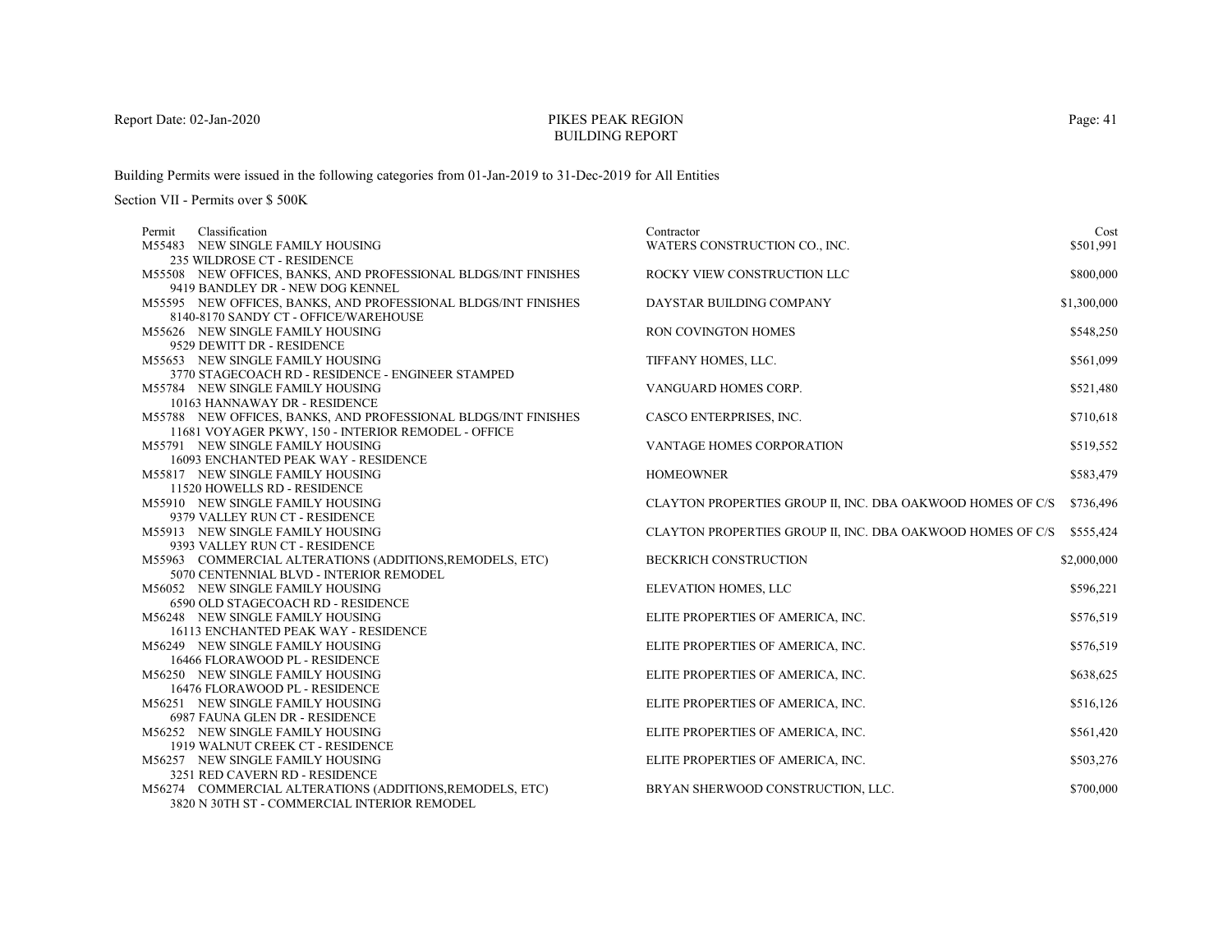# PIKES PEAK REGIONBUILDING REPORT

Building Permits were issued in the following categories from 01-Jan-2019 to 31-Dec-2019 for All Entities

| Permit | Classification                                                     | Contractor                                                 | Cost        |
|--------|--------------------------------------------------------------------|------------------------------------------------------------|-------------|
|        | M55483 NEW SINGLE FAMILY HOUSING                                   | WATERS CONSTRUCTION CO., INC.                              | \$501,991   |
|        | 235 WILDROSE CT - RESIDENCE                                        |                                                            |             |
|        | M55508 NEW OFFICES, BANKS, AND PROFESSIONAL BLDGS/INT FINISHES     | ROCKY VIEW CONSTRUCTION LLC                                | \$800,000   |
|        | 9419 BANDLEY DR - NEW DOG KENNEL                                   |                                                            |             |
|        | M55595 NEW OFFICES, BANKS, AND PROFESSIONAL BLDGS/INT FINISHES     | DAYSTAR BUILDING COMPANY                                   | \$1,300,000 |
|        | 8140-8170 SANDY CT - OFFICE/WAREHOUSE                              |                                                            |             |
|        | M55626 NEW SINGLE FAMILY HOUSING                                   | RON COVINGTON HOMES                                        | \$548,250   |
|        | 9529 DEWITT DR - RESIDENCE                                         |                                                            |             |
|        | M55653 NEW SINGLE FAMILY HOUSING                                   | TIFFANY HOMES, LLC.                                        | \$561,099   |
|        | 3770 STAGECOACH RD - RESIDENCE - ENGINEER STAMPED                  |                                                            |             |
|        | M55784 NEW SINGLE FAMILY HOUSING                                   | VANGUARD HOMES CORP.                                       | \$521,480   |
|        | 10163 HANNAWAY DR - RESIDENCE                                      |                                                            |             |
|        | M55788 NEW OFFICES, BANKS, AND PROFESSIONAL BLDGS/INT FINISHES     | CASCO ENTERPRISES, INC.                                    | \$710,618   |
|        | 11681 VOYAGER PKWY, 150 - INTERIOR REMODEL - OFFICE                |                                                            |             |
|        | M55791 NEW SINGLE FAMILY HOUSING                                   | <b>VANTAGE HOMES CORPORATION</b>                           | \$519,552   |
|        | 16093 ENCHANTED PEAK WAY - RESIDENCE                               |                                                            |             |
|        | M55817 NEW SINGLE FAMILY HOUSING                                   | <b>HOMEOWNER</b>                                           | \$583,479   |
|        | 11520 HOWELLS RD - RESIDENCE                                       |                                                            |             |
|        | M55910 NEW SINGLE FAMILY HOUSING                                   | CLAYTON PROPERTIES GROUP II, INC. DBA OAKWOOD HOMES OF C/S | \$736,496   |
|        | 9379 VALLEY RUN CT - RESIDENCE                                     |                                                            |             |
|        | M55913 NEW SINGLE FAMILY HOUSING                                   | CLAYTON PROPERTIES GROUP II, INC. DBA OAKWOOD HOMES OF C/S | \$555,424   |
|        | 9393 VALLEY RUN CT - RESIDENCE                                     |                                                            |             |
|        | M55963 COMMERCIAL ALTERATIONS (ADDITIONS, REMODELS, ETC)           | <b>BECKRICH CONSTRUCTION</b>                               | \$2,000,000 |
|        | 5070 CENTENNIAL BLVD - INTERIOR REMODEL                            |                                                            |             |
|        | M56052 NEW SINGLE FAMILY HOUSING                                   | ELEVATION HOMES, LLC                                       | \$596,221   |
|        | 6590 OLD STAGECOACH RD - RESIDENCE                                 |                                                            |             |
|        | M56248 NEW SINGLE FAMILY HOUSING                                   | ELITE PROPERTIES OF AMERICA, INC.                          | \$576,519   |
|        | 16113 ENCHANTED PEAK WAY - RESIDENCE                               |                                                            |             |
|        | M56249 NEW SINGLE FAMILY HOUSING                                   | ELITE PROPERTIES OF AMERICA, INC.                          | \$576,519   |
|        | 16466 FLORAWOOD PL - RESIDENCE                                     |                                                            |             |
|        | M56250 NEW SINGLE FAMILY HOUSING<br>16476 FLORAWOOD PL - RESIDENCE | ELITE PROPERTIES OF AMERICA, INC.                          | \$638,625   |
|        | M56251 NEW SINGLE FAMILY HOUSING                                   |                                                            |             |
|        | 6987 FAUNA GLEN DR - RESIDENCE                                     | ELITE PROPERTIES OF AMERICA, INC.                          | \$516,126   |
|        | M56252 NEW SINGLE FAMILY HOUSING                                   | ELITE PROPERTIES OF AMERICA, INC.                          | \$561,420   |
|        | 1919 WALNUT CREEK CT - RESIDENCE                                   |                                                            |             |
|        | M56257 NEW SINGLE FAMILY HOUSING                                   | ELITE PROPERTIES OF AMERICA, INC.                          | \$503,276   |
|        | 3251 RED CAVERN RD - RESIDENCE                                     |                                                            |             |
|        | M56274 COMMERCIAL ALTERATIONS (ADDITIONS, REMODELS, ETC)           | BRYAN SHERWOOD CONSTRUCTION, LLC.                          | \$700,000   |
|        | 3820 N 30TH ST - COMMERCIAL INTERIOR REMODEL                       |                                                            |             |
|        |                                                                    |                                                            |             |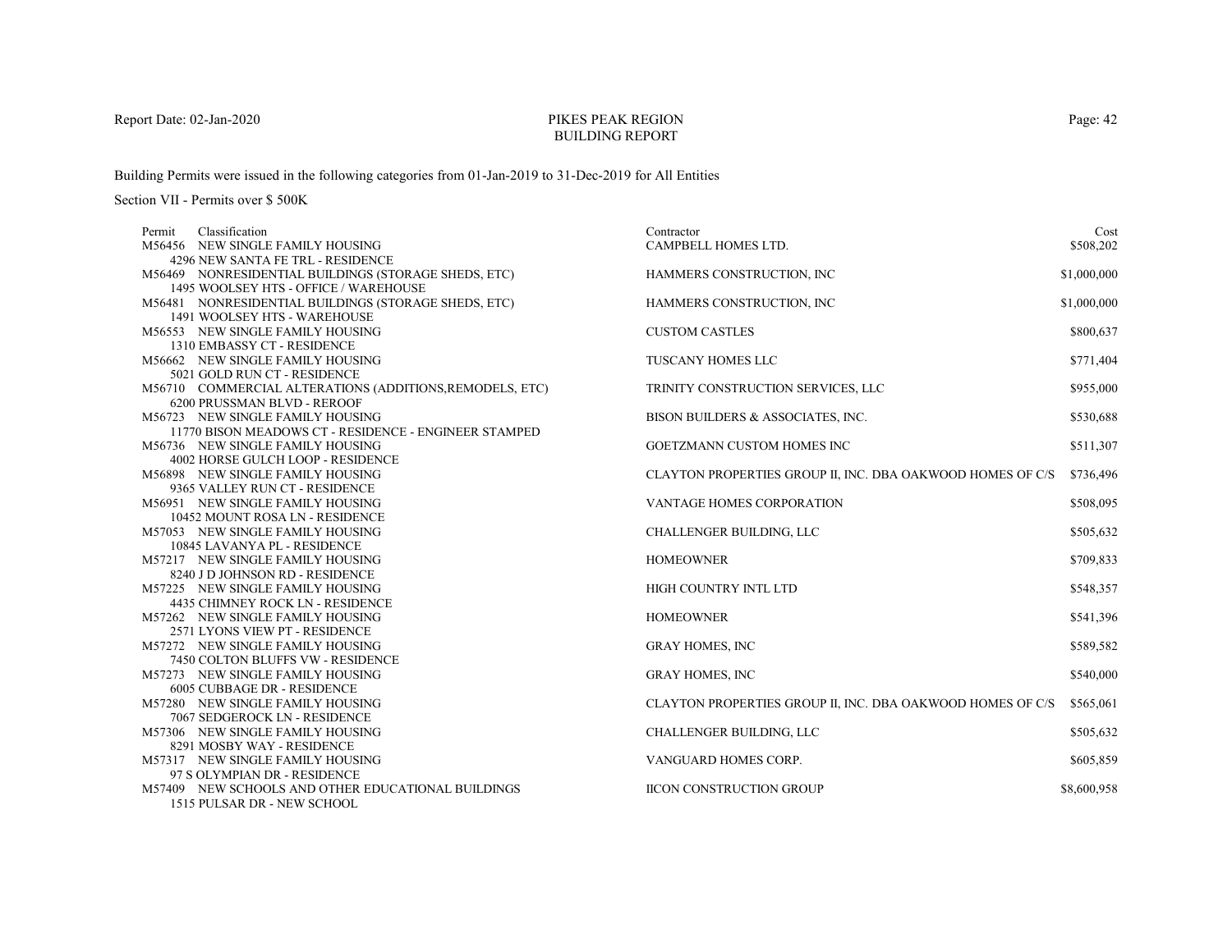# PIKES PEAK REGIONBUILDING REPORT

Building Permits were issued in the following categories from 01-Jan-2019 to 31-Dec-2019 for All Entities

| Permit | Classification                                           | Contractor                                                 | Cost        |
|--------|----------------------------------------------------------|------------------------------------------------------------|-------------|
|        | M56456 NEW SINGLE FAMILY HOUSING                         | CAMPBELL HOMES LTD.                                        | \$508,202   |
|        | 4296 NEW SANTA FE TRL - RESIDENCE                        |                                                            |             |
|        | M56469 NONRESIDENTIAL BUILDINGS (STORAGE SHEDS, ETC)     | HAMMERS CONSTRUCTION, INC                                  | \$1,000,000 |
|        | 1495 WOOLSEY HTS - OFFICE / WAREHOUSE                    |                                                            |             |
|        | M56481 NONRESIDENTIAL BUILDINGS (STORAGE SHEDS, ETC)     | HAMMERS CONSTRUCTION, INC.                                 | \$1,000,000 |
|        | 1491 WOOLSEY HTS - WAREHOUSE                             |                                                            |             |
|        | M56553 NEW SINGLE FAMILY HOUSING                         | <b>CUSTOM CASTLES</b>                                      | \$800,637   |
|        | 1310 EMBASSY CT - RESIDENCE                              |                                                            |             |
|        | M56662 NEW SINGLE FAMILY HOUSING                         | TUSCANY HOMES LLC                                          | \$771,404   |
|        | 5021 GOLD RUN CT - RESIDENCE                             |                                                            |             |
|        | M56710 COMMERCIAL ALTERATIONS (ADDITIONS, REMODELS, ETC) | TRINITY CONSTRUCTION SERVICES, LLC                         | \$955,000   |
|        | 6200 PRUSSMAN BLVD - REROOF                              |                                                            |             |
|        | M56723 NEW SINGLE FAMILY HOUSING                         | BISON BUILDERS & ASSOCIATES, INC.                          | \$530,688   |
|        | 11770 BISON MEADOWS CT - RESIDENCE - ENGINEER STAMPED    |                                                            |             |
|        | M56736 NEW SINGLE FAMILY HOUSING                         | <b>GOETZMANN CUSTOM HOMES INC</b>                          | \$511,307   |
|        | 4002 HORSE GULCH LOOP - RESIDENCE                        |                                                            |             |
|        | M56898 NEW SINGLE FAMILY HOUSING                         | CLAYTON PROPERTIES GROUP II, INC. DBA OAKWOOD HOMES OF C/S | \$736,496   |
|        | 9365 VALLEY RUN CT - RESIDENCE                           |                                                            |             |
|        | M56951 NEW SINGLE FAMILY HOUSING                         | VANTAGE HOMES CORPORATION                                  | \$508,095   |
|        | 10452 MOUNT ROSA LN - RESIDENCE                          |                                                            |             |
|        | M57053 NEW SINGLE FAMILY HOUSING                         | <b>CHALLENGER BUILDING, LLC</b>                            | \$505,632   |
|        | 10845 LAVANYA PL - RESIDENCE                             |                                                            |             |
|        | M57217 NEW SINGLE FAMILY HOUSING                         | <b>HOMEOWNER</b>                                           | \$709,833   |
|        | 8240 J D JOHNSON RD - RESIDENCE                          |                                                            |             |
|        | M57225 NEW SINGLE FAMILY HOUSING                         | HIGH COUNTRY INTL LTD                                      | \$548,357   |
|        | 4435 CHIMNEY ROCK LN - RESIDENCE                         |                                                            |             |
|        | M57262 NEW SINGLE FAMILY HOUSING                         | <b>HOMEOWNER</b>                                           | \$541,396   |
|        | 2571 LYONS VIEW PT - RESIDENCE                           |                                                            |             |
|        | M57272 NEW SINGLE FAMILY HOUSING                         | <b>GRAY HOMES, INC</b>                                     | \$589,582   |
|        | 7450 COLTON BLUFFS VW - RESIDENCE                        |                                                            |             |
|        | M57273 NEW SINGLE FAMILY HOUSING                         | <b>GRAY HOMES, INC</b>                                     | \$540,000   |
|        | 6005 CUBBAGE DR - RESIDENCE                              |                                                            |             |
|        | M57280 NEW SINGLE FAMILY HOUSING                         | CLAYTON PROPERTIES GROUP II, INC. DBA OAKWOOD HOMES OF C/S | \$565,061   |
|        | 7067 SEDGEROCK LN - RESIDENCE                            |                                                            |             |
|        | M57306 NEW SINGLE FAMILY HOUSING                         | CHALLENGER BUILDING, LLC                                   | \$505,632   |
|        | 8291 MOSBY WAY - RESIDENCE                               |                                                            |             |
|        | M57317 NEW SINGLE FAMILY HOUSING                         | VANGUARD HOMES CORP.                                       | \$605,859   |
|        | 97 S OLYMPIAN DR - RESIDENCE                             |                                                            |             |
|        | M57409 NEW SCHOOLS AND OTHER EDUCATIONAL BUILDINGS       | <b>IICON CONSTRUCTION GROUP</b>                            | \$8,600,958 |
|        | 1515 PULSAR DR - NEW SCHOOL                              |                                                            |             |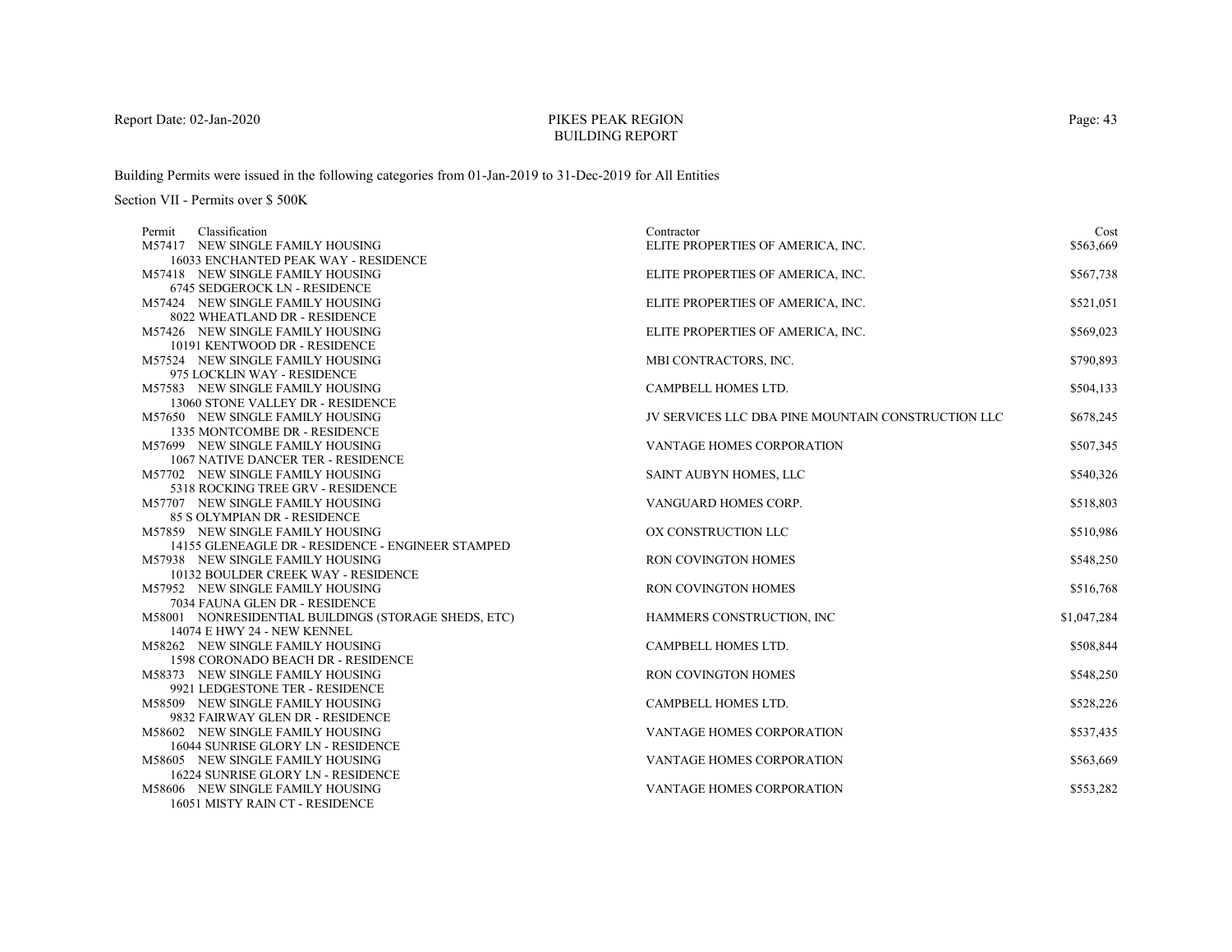# PIKES PEAK REGIONBUILDING REPORT

Building Permits were issued in the following categories from 01-Jan-2019 to 31-Dec-2019 for All Entities

| Classification<br>Permit                                              | Contractor                                         | Cost        |
|-----------------------------------------------------------------------|----------------------------------------------------|-------------|
| M57417 NEW SINGLE FAMILY HOUSING                                      | ELITE PROPERTIES OF AMERICA, INC.                  | \$563,669   |
| 16033 ENCHANTED PEAK WAY - RESIDENCE                                  |                                                    |             |
| M57418 NEW SINGLE FAMILY HOUSING                                      | ELITE PROPERTIES OF AMERICA, INC.                  | \$567,738   |
| 6745 SEDGEROCK LN - RESIDENCE                                         |                                                    |             |
| M57424 NEW SINGLE FAMILY HOUSING                                      | ELITE PROPERTIES OF AMERICA, INC.                  | \$521,051   |
| 8022 WHEATLAND DR - RESIDENCE                                         |                                                    |             |
| M57426 NEW SINGLE FAMILY HOUSING                                      | ELITE PROPERTIES OF AMERICA, INC.                  | \$569,023   |
| 10191 KENTWOOD DR - RESIDENCE                                         |                                                    |             |
| M57524 NEW SINGLE FAMILY HOUSING                                      | MBI CONTRACTORS, INC.                              | \$790,893   |
| 975 LOCKLIN WAY - RESIDENCE                                           |                                                    |             |
| M57583 NEW SINGLE FAMILY HOUSING                                      | CAMPBELL HOMES LTD.                                | \$504,133   |
| 13060 STONE VALLEY DR - RESIDENCE                                     |                                                    |             |
| M57650 NEW SINGLE FAMILY HOUSING                                      | JV SERVICES LLC DBA PINE MOUNTAIN CONSTRUCTION LLC | \$678,245   |
| 1335 MONTCOMBE DR - RESIDENCE                                         |                                                    |             |
| M57699 NEW SINGLE FAMILY HOUSING                                      | VANTAGE HOMES CORPORATION                          | \$507,345   |
| 1067 NATIVE DANCER TER - RESIDENCE                                    |                                                    |             |
| M57702 NEW SINGLE FAMILY HOUSING                                      | SAINT AUBYN HOMES, LLC                             | \$540,326   |
| 5318 ROCKING TREE GRV - RESIDENCE<br>M57707 NEW SINGLE FAMILY HOUSING | VANGUARD HOMES CORP.                               | \$518,803   |
| 85 S OLYMPIAN DR - RESIDENCE                                          |                                                    |             |
| M57859 NEW SINGLE FAMILY HOUSING                                      | OX CONSTRUCTION LLC                                | \$510,986   |
| 14155 GLENEAGLE DR - RESIDENCE - ENGINEER STAMPED                     |                                                    |             |
| M57938 NEW SINGLE FAMILY HOUSING                                      | <b>RON COVINGTON HOMES</b>                         | \$548,250   |
| 10132 BOULDER CREEK WAY - RESIDENCE                                   |                                                    |             |
| M57952 NEW SINGLE FAMILY HOUSING                                      | RON COVINGTON HOMES                                | \$516,768   |
| 7034 FAUNA GLEN DR - RESIDENCE                                        |                                                    |             |
| M58001 NONRESIDENTIAL BUILDINGS (STORAGE SHEDS, ETC)                  | HAMMERS CONSTRUCTION, INC                          | \$1,047,284 |
| 14074 E HWY 24 - NEW KENNEL                                           |                                                    |             |
| M58262 NEW SINGLE FAMILY HOUSING                                      | CAMPBELL HOMES LTD.                                | \$508,844   |
| 1598 CORONADO BEACH DR - RESIDENCE                                    |                                                    |             |
| M58373 NEW SINGLE FAMILY HOUSING                                      | <b>RON COVINGTON HOMES</b>                         | \$548,250   |
| 9921 LEDGESTONE TER - RESIDENCE                                       |                                                    |             |
| M58509 NEW SINGLE FAMILY HOUSING                                      | CAMPBELL HOMES LTD.                                | \$528,226   |
| 9832 FAIRWAY GLEN DR - RESIDENCE                                      |                                                    |             |
| M58602 NEW SINGLE FAMILY HOUSING                                      | <b>VANTAGE HOMES CORPORATION</b>                   | \$537,435   |
| 16044 SUNRISE GLORY LN - RESIDENCE                                    |                                                    |             |
| M58605 NEW SINGLE FAMILY HOUSING                                      | VANTAGE HOMES CORPORATION                          | \$563,669   |
| 16224 SUNRISE GLORY LN - RESIDENCE                                    |                                                    |             |
| M58606 NEW SINGLE FAMILY HOUSING                                      | <b>VANTAGE HOMES CORPORATION</b>                   | \$553,282   |
| 16051 MISTY RAIN CT - RESIDENCE                                       |                                                    |             |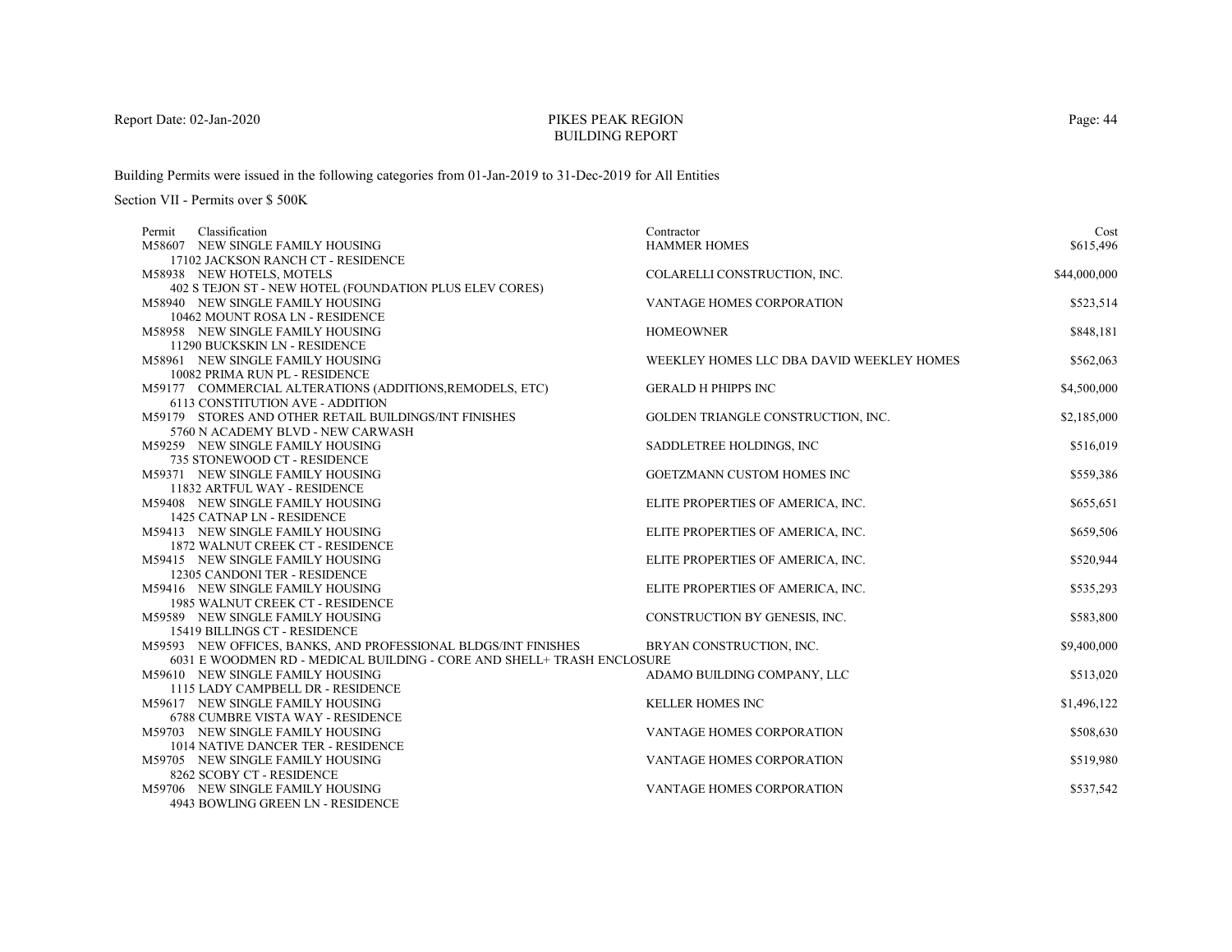# PIKES PEAK REGIONBUILDING REPORT

Building Permits were issued in the following categories from 01-Jan-2019 to 31-Dec-2019 for All Entities

| Contractor                       | Cost                                                                                                                                                                                                                                                                                                                                                                                                                                                                                                                                                                                                                                                                     |
|----------------------------------|--------------------------------------------------------------------------------------------------------------------------------------------------------------------------------------------------------------------------------------------------------------------------------------------------------------------------------------------------------------------------------------------------------------------------------------------------------------------------------------------------------------------------------------------------------------------------------------------------------------------------------------------------------------------------|
| <b>HAMMER HOMES</b>              | \$615,496                                                                                                                                                                                                                                                                                                                                                                                                                                                                                                                                                                                                                                                                |
|                                  |                                                                                                                                                                                                                                                                                                                                                                                                                                                                                                                                                                                                                                                                          |
|                                  | \$44,000,000                                                                                                                                                                                                                                                                                                                                                                                                                                                                                                                                                                                                                                                             |
|                                  |                                                                                                                                                                                                                                                                                                                                                                                                                                                                                                                                                                                                                                                                          |
| <b>VANTAGE HOMES CORPORATION</b> | \$523,514                                                                                                                                                                                                                                                                                                                                                                                                                                                                                                                                                                                                                                                                |
|                                  |                                                                                                                                                                                                                                                                                                                                                                                                                                                                                                                                                                                                                                                                          |
|                                  | \$848,181                                                                                                                                                                                                                                                                                                                                                                                                                                                                                                                                                                                                                                                                |
|                                  |                                                                                                                                                                                                                                                                                                                                                                                                                                                                                                                                                                                                                                                                          |
|                                  | \$562,063                                                                                                                                                                                                                                                                                                                                                                                                                                                                                                                                                                                                                                                                |
|                                  |                                                                                                                                                                                                                                                                                                                                                                                                                                                                                                                                                                                                                                                                          |
|                                  | \$4,500,000                                                                                                                                                                                                                                                                                                                                                                                                                                                                                                                                                                                                                                                              |
|                                  |                                                                                                                                                                                                                                                                                                                                                                                                                                                                                                                                                                                                                                                                          |
|                                  | \$2,185,000                                                                                                                                                                                                                                                                                                                                                                                                                                                                                                                                                                                                                                                              |
|                                  |                                                                                                                                                                                                                                                                                                                                                                                                                                                                                                                                                                                                                                                                          |
|                                  | \$516,019                                                                                                                                                                                                                                                                                                                                                                                                                                                                                                                                                                                                                                                                |
|                                  |                                                                                                                                                                                                                                                                                                                                                                                                                                                                                                                                                                                                                                                                          |
|                                  | \$559,386                                                                                                                                                                                                                                                                                                                                                                                                                                                                                                                                                                                                                                                                |
|                                  |                                                                                                                                                                                                                                                                                                                                                                                                                                                                                                                                                                                                                                                                          |
|                                  | \$655,651                                                                                                                                                                                                                                                                                                                                                                                                                                                                                                                                                                                                                                                                |
|                                  |                                                                                                                                                                                                                                                                                                                                                                                                                                                                                                                                                                                                                                                                          |
|                                  | \$659,506                                                                                                                                                                                                                                                                                                                                                                                                                                                                                                                                                                                                                                                                |
|                                  |                                                                                                                                                                                                                                                                                                                                                                                                                                                                                                                                                                                                                                                                          |
|                                  | \$520,944                                                                                                                                                                                                                                                                                                                                                                                                                                                                                                                                                                                                                                                                |
|                                  |                                                                                                                                                                                                                                                                                                                                                                                                                                                                                                                                                                                                                                                                          |
|                                  | \$535,293                                                                                                                                                                                                                                                                                                                                                                                                                                                                                                                                                                                                                                                                |
|                                  |                                                                                                                                                                                                                                                                                                                                                                                                                                                                                                                                                                                                                                                                          |
|                                  | \$583,800                                                                                                                                                                                                                                                                                                                                                                                                                                                                                                                                                                                                                                                                |
|                                  |                                                                                                                                                                                                                                                                                                                                                                                                                                                                                                                                                                                                                                                                          |
|                                  | \$9,400,000                                                                                                                                                                                                                                                                                                                                                                                                                                                                                                                                                                                                                                                              |
|                                  | \$513,020                                                                                                                                                                                                                                                                                                                                                                                                                                                                                                                                                                                                                                                                |
|                                  |                                                                                                                                                                                                                                                                                                                                                                                                                                                                                                                                                                                                                                                                          |
|                                  | \$1,496,122                                                                                                                                                                                                                                                                                                                                                                                                                                                                                                                                                                                                                                                              |
|                                  |                                                                                                                                                                                                                                                                                                                                                                                                                                                                                                                                                                                                                                                                          |
|                                  | \$508,630                                                                                                                                                                                                                                                                                                                                                                                                                                                                                                                                                                                                                                                                |
|                                  |                                                                                                                                                                                                                                                                                                                                                                                                                                                                                                                                                                                                                                                                          |
|                                  | \$519,980                                                                                                                                                                                                                                                                                                                                                                                                                                                                                                                                                                                                                                                                |
|                                  |                                                                                                                                                                                                                                                                                                                                                                                                                                                                                                                                                                                                                                                                          |
|                                  | \$537,542                                                                                                                                                                                                                                                                                                                                                                                                                                                                                                                                                                                                                                                                |
|                                  |                                                                                                                                                                                                                                                                                                                                                                                                                                                                                                                                                                                                                                                                          |
|                                  | COLARELLI CONSTRUCTION, INC.<br><b>HOMEOWNER</b><br>WEEKLEY HOMES LLC DBA DAVID WEEKLEY HOMES<br><b>GERALD H PHIPPS INC</b><br>GOLDEN TRIANGLE CONSTRUCTION, INC.<br>SADDLETREE HOLDINGS, INC.<br>GOETZMANN CUSTOM HOMES INC<br>ELITE PROPERTIES OF AMERICA, INC.<br>ELITE PROPERTIES OF AMERICA, INC.<br>ELITE PROPERTIES OF AMERICA, INC.<br>ELITE PROPERTIES OF AMERICA, INC.<br>CONSTRUCTION BY GENESIS, INC.<br>BRYAN CONSTRUCTION, INC.<br>6031 E WOODMEN RD - MEDICAL BUILDING - CORE AND SHELL+ TRASH ENCLOSURE<br>ADAMO BUILDING COMPANY, LLC<br><b>KELLER HOMES INC</b><br>VANTAGE HOMES CORPORATION<br>VANTAGE HOMES CORPORATION<br>VANTAGE HOMES CORPORATION |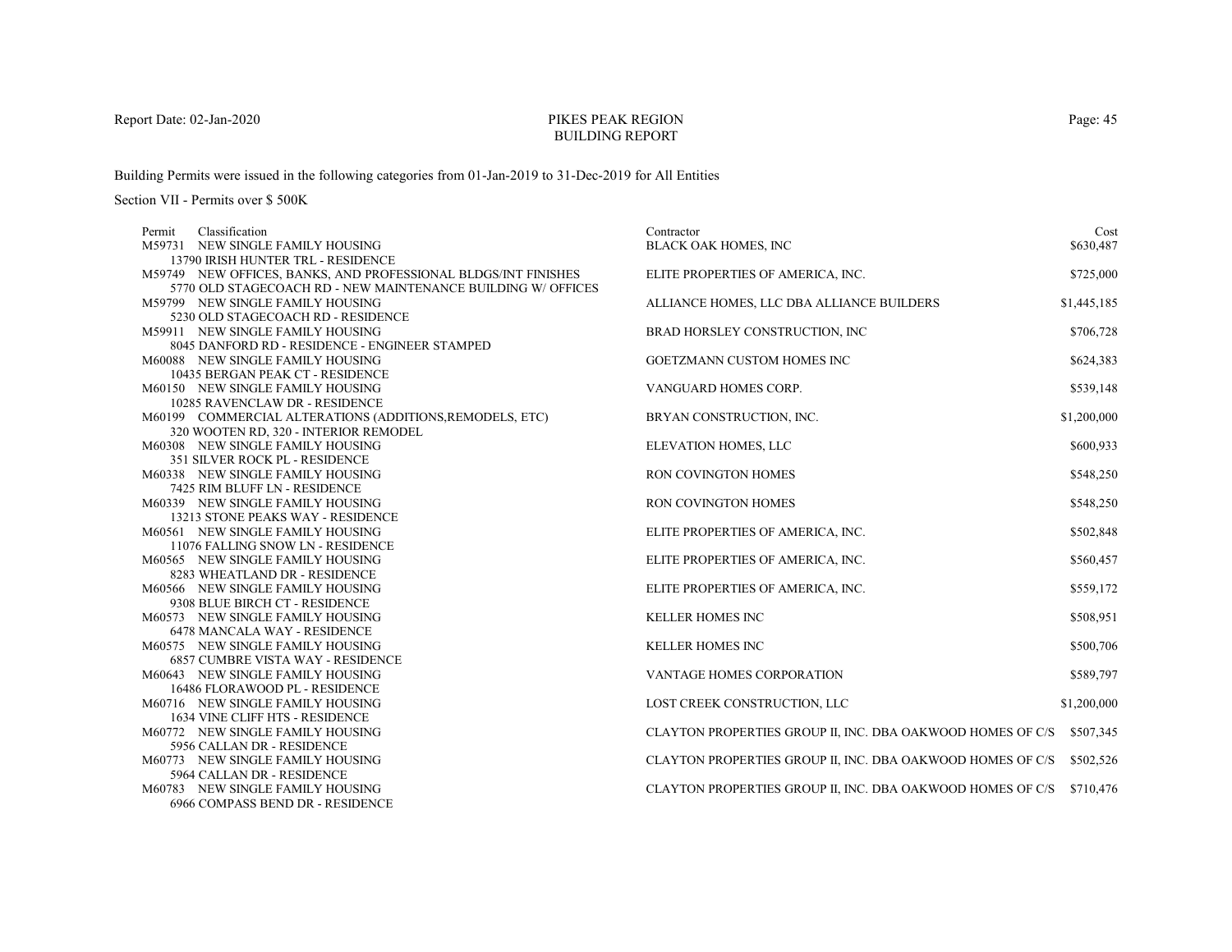# PIKES PEAK REGIONBUILDING REPORT

Building Permits were issued in the following categories from 01-Jan-2019 to 31-Dec-2019 for All Entities

| Permit | Classification                                                 | Contractor                                                           | Cost        |
|--------|----------------------------------------------------------------|----------------------------------------------------------------------|-------------|
|        | M59731 NEW SINGLE FAMILY HOUSING                               | BLACK OAK HOMES, INC                                                 | \$630,487   |
|        | 13790 IRISH HUNTER TRL - RESIDENCE                             |                                                                      |             |
|        | M59749 NEW OFFICES, BANKS, AND PROFESSIONAL BLDGS/INT FINISHES | ELITE PROPERTIES OF AMERICA, INC.                                    | \$725,000   |
|        | 5770 OLD STAGECOACH RD - NEW MAINTENANCE BUILDING W/OFFICES    |                                                                      |             |
|        | M59799 NEW SINGLE FAMILY HOUSING                               | ALLIANCE HOMES, LLC DBA ALLIANCE BUILDERS                            | \$1,445,185 |
|        | 5230 OLD STAGECOACH RD - RESIDENCE                             |                                                                      |             |
|        | M59911 NEW SINGLE FAMILY HOUSING                               | BRAD HORSLEY CONSTRUCTION, INC                                       | \$706,728   |
|        | 8045 DANFORD RD - RESIDENCE - ENGINEER STAMPED                 |                                                                      |             |
|        | M60088 NEW SINGLE FAMILY HOUSING                               | GOETZMANN CUSTOM HOMES INC                                           | \$624,383   |
|        | 10435 BERGAN PEAK CT - RESIDENCE                               |                                                                      |             |
|        | M60150 NEW SINGLE FAMILY HOUSING                               | VANGUARD HOMES CORP.                                                 | \$539,148   |
|        | 10285 RAVENCLAW DR - RESIDENCE                                 |                                                                      |             |
|        | M60199 COMMERCIAL ALTERATIONS (ADDITIONS, REMODELS, ETC)       | BRYAN CONSTRUCTION, INC.                                             | \$1,200,000 |
|        | 320 WOOTEN RD, 320 - INTERIOR REMODEL                          |                                                                      |             |
|        | M60308 NEW SINGLE FAMILY HOUSING                               | ELEVATION HOMES, LLC                                                 | \$600,933   |
|        | 351 SILVER ROCK PL - RESIDENCE                                 |                                                                      |             |
|        | M60338 NEW SINGLE FAMILY HOUSING                               | <b>RON COVINGTON HOMES</b>                                           | \$548,250   |
|        | 7425 RIM BLUFF LN - RESIDENCE                                  |                                                                      |             |
|        | M60339 NEW SINGLE FAMILY HOUSING                               | <b>RON COVINGTON HOMES</b>                                           | \$548,250   |
|        | 13213 STONE PEAKS WAY - RESIDENCE                              |                                                                      |             |
|        | M60561 NEW SINGLE FAMILY HOUSING                               | ELITE PROPERTIES OF AMERICA, INC.                                    | \$502,848   |
|        | 11076 FALLING SNOW LN - RESIDENCE                              |                                                                      |             |
|        | M60565 NEW SINGLE FAMILY HOUSING                               | ELITE PROPERTIES OF AMERICA, INC.                                    | \$560,457   |
|        | 8283 WHEATLAND DR - RESIDENCE                                  |                                                                      |             |
|        | M60566 NEW SINGLE FAMILY HOUSING                               | ELITE PROPERTIES OF AMERICA, INC.                                    | \$559,172   |
|        | 9308 BLUE BIRCH CT - RESIDENCE                                 |                                                                      |             |
|        | M60573 NEW SINGLE FAMILY HOUSING                               | <b>KELLER HOMES INC</b>                                              | \$508,951   |
|        | 6478 MANCALA WAY - RESIDENCE                                   |                                                                      |             |
|        | M60575 NEW SINGLE FAMILY HOUSING                               | <b>KELLER HOMES INC</b>                                              | \$500,706   |
|        | <b>6857 CUMBRE VISTA WAY - RESIDENCE</b>                       |                                                                      |             |
|        | M60643 NEW SINGLE FAMILY HOUSING                               | VANTAGE HOMES CORPORATION                                            | \$589,797   |
|        | 16486 FLORAWOOD PL - RESIDENCE                                 |                                                                      |             |
|        | M60716 NEW SINGLE FAMILY HOUSING                               | LOST CREEK CONSTRUCTION, LLC                                         | \$1,200,000 |
|        | 1634 VINE CLIFF HTS - RESIDENCE                                |                                                                      |             |
|        | M60772 NEW SINGLE FAMILY HOUSING                               | CLAYTON PROPERTIES GROUP II, INC. DBA OAKWOOD HOMES OF C/S           | \$507,345   |
|        | 5956 CALLAN DR - RESIDENCE                                     |                                                                      |             |
|        | M60773 NEW SINGLE FAMILY HOUSING                               | CLAYTON PROPERTIES GROUP II, INC. DBA OAKWOOD HOMES OF C/S           | \$502,526   |
|        | 5964 CALLAN DR - RESIDENCE                                     |                                                                      |             |
|        | M60783 NEW SINGLE FAMILY HOUSING                               | CLAYTON PROPERTIES GROUP II, INC. DBA OAKWOOD HOMES OF C/S \$710,476 |             |
|        | 6966 COMPASS BEND DR - RESIDENCE                               |                                                                      |             |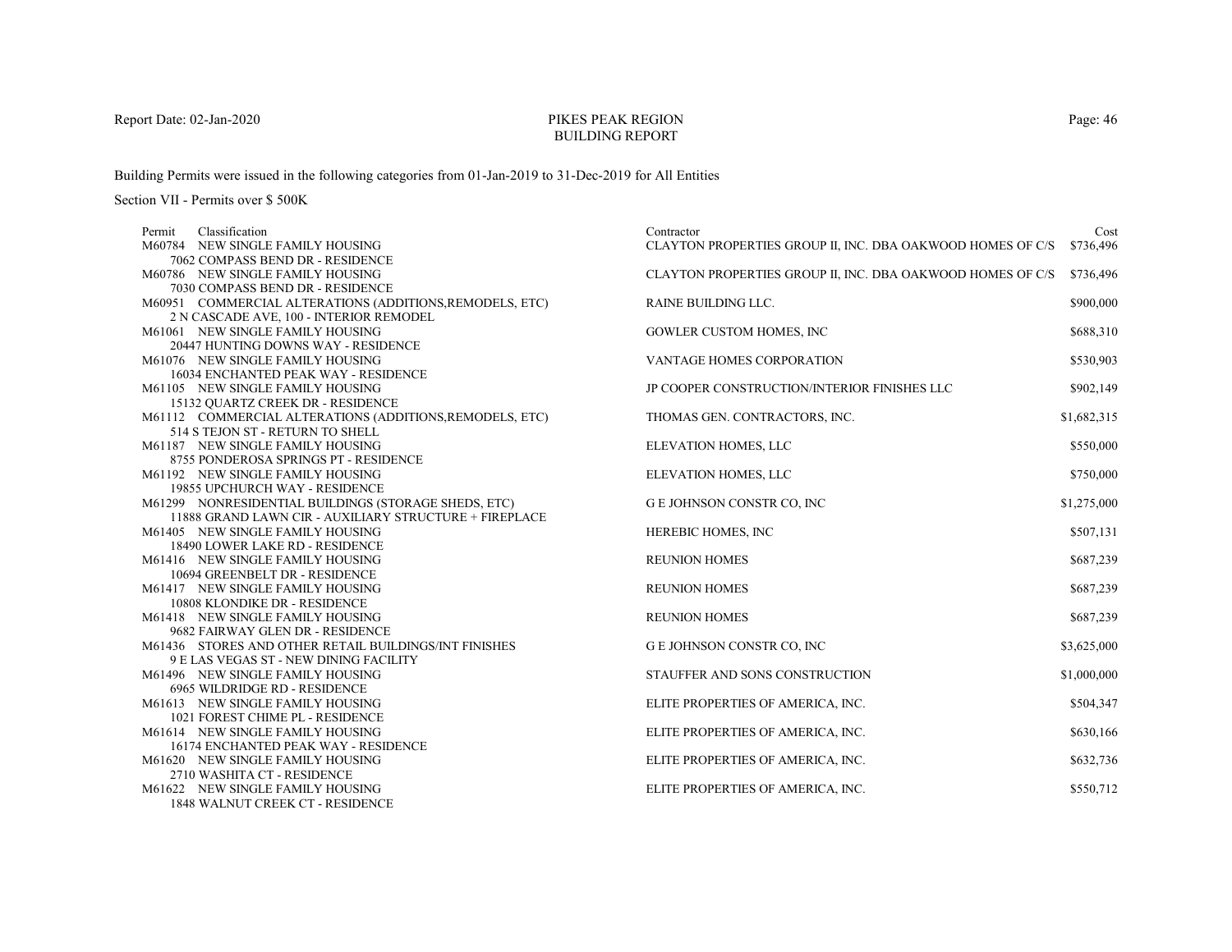# PIKES PEAK REGIONBUILDING REPORT

Building Permits were issued in the following categories from 01-Jan-2019 to 31-Dec-2019 for All Entities

| Permit | Classification                                                       | Contractor                                                 | Cost        |
|--------|----------------------------------------------------------------------|------------------------------------------------------------|-------------|
|        | M60784 NEW SINGLE FAMILY HOUSING                                     | CLAYTON PROPERTIES GROUP II, INC. DBA OAKWOOD HOMES OF C/S | \$736,496   |
|        | 7062 COMPASS BEND DR - RESIDENCE                                     |                                                            |             |
|        | M60786 NEW SINGLE FAMILY HOUSING                                     | CLAYTON PROPERTIES GROUP II, INC. DBA OAKWOOD HOMES OF C/S | \$736,496   |
|        | 7030 COMPASS BEND DR - RESIDENCE                                     |                                                            |             |
|        | M60951 COMMERCIAL ALTERATIONS (ADDITIONS, REMODELS, ETC)             | RAINE BUILDING LLC.                                        | \$900,000   |
|        | 2 N CASCADE AVE, 100 - INTERIOR REMODEL                              |                                                            |             |
|        | M61061 NEW SINGLE FAMILY HOUSING                                     | GOWLER CUSTOM HOMES, INC                                   | \$688,310   |
|        | 20447 HUNTING DOWNS WAY - RESIDENCE                                  |                                                            |             |
|        | M61076 NEW SINGLE FAMILY HOUSING                                     | VANTAGE HOMES CORPORATION                                  | \$530,903   |
|        | 16034 ENCHANTED PEAK WAY - RESIDENCE                                 |                                                            |             |
|        | M61105 NEW SINGLE FAMILY HOUSING                                     | JP COOPER CONSTRUCTION/INTERIOR FINISHES LLC               | \$902,149   |
|        | 15132 QUARTZ CREEK DR - RESIDENCE                                    |                                                            |             |
|        | M61112 COMMERCIAL ALTERATIONS (ADDITIONS, REMODELS, ETC)             | THOMAS GEN. CONTRACTORS, INC.                              | \$1,682,315 |
|        | 514 S TEJON ST - RETURN TO SHELL                                     |                                                            |             |
|        | M61187 NEW SINGLE FAMILY HOUSING                                     | ELEVATION HOMES, LLC                                       | \$550,000   |
|        | 8755 PONDEROSA SPRINGS PT - RESIDENCE                                |                                                            |             |
|        | M61192 NEW SINGLE FAMILY HOUSING                                     | ELEVATION HOMES, LLC                                       | \$750,000   |
|        | 19855 UPCHURCH WAY - RESIDENCE                                       |                                                            |             |
|        | M61299 NONRESIDENTIAL BUILDINGS (STORAGE SHEDS, ETC)                 | G E JOHNSON CONSTR CO, INC                                 | \$1,275,000 |
|        | 11888 GRAND LAWN CIR - AUXILIARY STRUCTURE + FIREPLACE               |                                                            |             |
|        | M61405 NEW SINGLE FAMILY HOUSING                                     | HEREBIC HOMES, INC                                         | \$507,131   |
|        | 18490 LOWER LAKE RD - RESIDENCE                                      |                                                            |             |
|        | M61416 NEW SINGLE FAMILY HOUSING                                     | <b>REUNION HOMES</b>                                       | \$687,239   |
|        | 10694 GREENBELT DR - RESIDENCE                                       |                                                            |             |
|        | M61417 NEW SINGLE FAMILY HOUSING                                     | <b>REUNION HOMES</b>                                       | \$687,239   |
|        | 10808 KLONDIKE DR - RESIDENCE                                        |                                                            |             |
|        | M61418 NEW SINGLE FAMILY HOUSING<br>9682 FAIRWAY GLEN DR - RESIDENCE | <b>REUNION HOMES</b>                                       | \$687,239   |
|        | M61436 STORES AND OTHER RETAIL BUILDINGS/INT FINISHES                | G E JOHNSON CONSTR CO, INC                                 | \$3,625,000 |
|        | 9 E LAS VEGAS ST - NEW DINING FACILITY                               |                                                            |             |
|        | M61496 NEW SINGLE FAMILY HOUSING                                     | STAUFFER AND SONS CONSTRUCTION                             | \$1,000,000 |
|        | 6965 WILDRIDGE RD - RESIDENCE                                        |                                                            |             |
|        | M61613 NEW SINGLE FAMILY HOUSING                                     | ELITE PROPERTIES OF AMERICA, INC.                          | \$504,347   |
|        | 1021 FOREST CHIME PL - RESIDENCE                                     |                                                            |             |
|        | M61614 NEW SINGLE FAMILY HOUSING                                     | ELITE PROPERTIES OF AMERICA, INC.                          | \$630,166   |
|        | 16174 ENCHANTED PEAK WAY - RESIDENCE                                 |                                                            |             |
|        | M61620 NEW SINGLE FAMILY HOUSING                                     | ELITE PROPERTIES OF AMERICA, INC.                          | \$632,736   |
|        | 2710 WASHITA CT - RESIDENCE                                          |                                                            |             |
|        | M61622 NEW SINGLE FAMILY HOUSING                                     | ELITE PROPERTIES OF AMERICA, INC.                          | \$550,712   |
|        | 1848 WALNUT CREEK CT - RESIDENCE                                     |                                                            |             |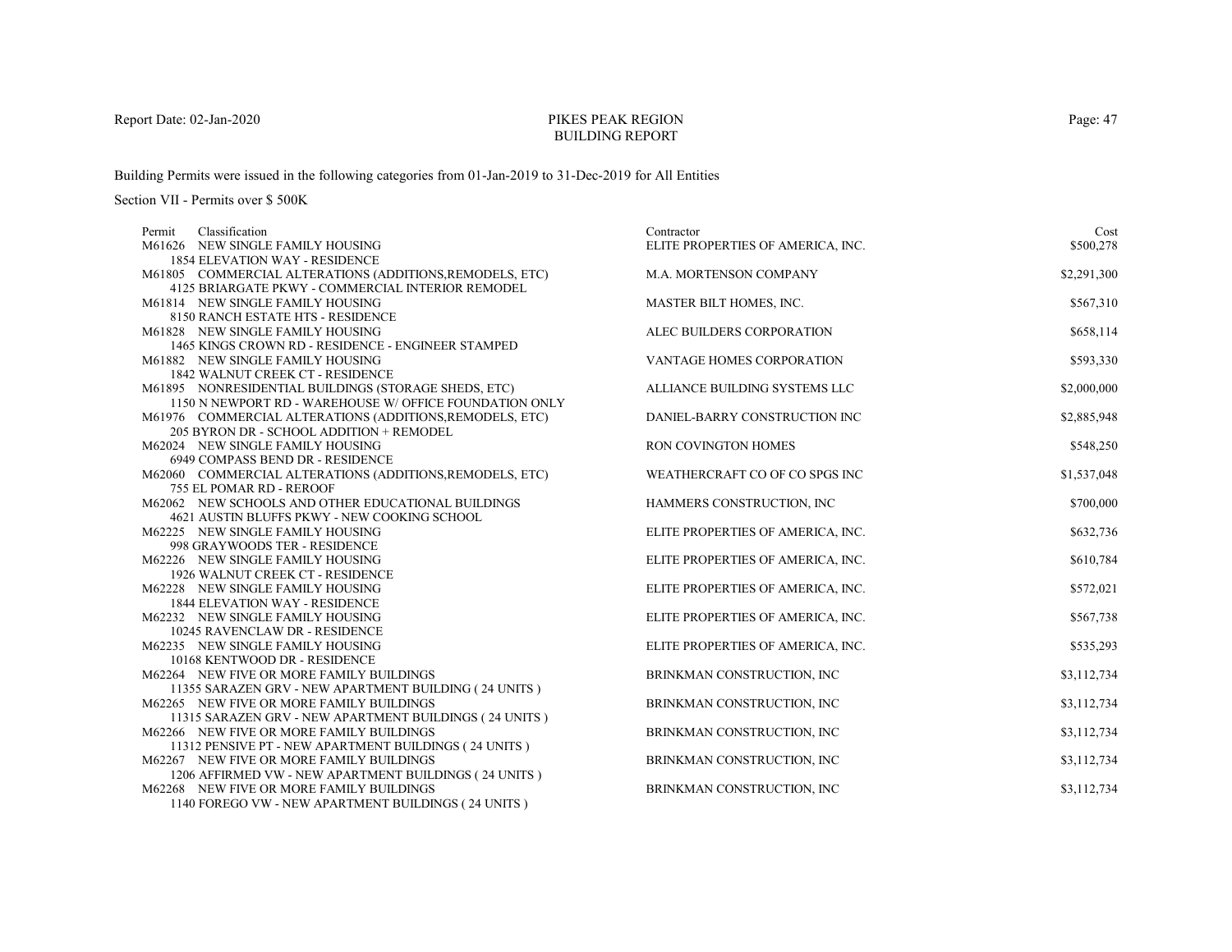# PIKES PEAK REGIONBUILDING REPORT

Building Permits were issued in the following categories from 01-Jan-2019 to 31-Dec-2019 for All Entities

| Classification<br>Permit                                 | Contractor                        | Cost        |
|----------------------------------------------------------|-----------------------------------|-------------|
| M61626 NEW SINGLE FAMILY HOUSING                         | ELITE PROPERTIES OF AMERICA, INC. | \$500,278   |
| <b>1854 ELEVATION WAY - RESIDENCE</b>                    |                                   |             |
| M61805 COMMERCIAL ALTERATIONS (ADDITIONS, REMODELS, ETC) | M.A. MORTENSON COMPANY            | \$2,291,300 |
| 4125 BRIARGATE PKWY - COMMERCIAL INTERIOR REMODEL        |                                   |             |
| M61814 NEW SINGLE FAMILY HOUSING                         | MASTER BILT HOMES, INC.           | \$567,310   |
| 8150 RANCH ESTATE HTS - RESIDENCE                        |                                   |             |
| M61828 NEW SINGLE FAMILY HOUSING                         | ALEC BUILDERS CORPORATION         | \$658,114   |
| 1465 KINGS CROWN RD - RESIDENCE - ENGINEER STAMPED       |                                   |             |
| M61882 NEW SINGLE FAMILY HOUSING                         | VANTAGE HOMES CORPORATION         | \$593,330   |
| 1842 WALNUT CREEK CT - RESIDENCE                         |                                   |             |
| M61895 NONRESIDENTIAL BUILDINGS (STORAGE SHEDS, ETC)     | ALLIANCE BUILDING SYSTEMS LLC     | \$2,000,000 |
| 1150 N NEWPORT RD - WAREHOUSE W/ OFFICE FOUNDATION ONLY  |                                   |             |
| M61976 COMMERCIAL ALTERATIONS (ADDITIONS, REMODELS, ETC) | DANIEL-BARRY CONSTRUCTION INC     | \$2,885,948 |
| 205 BYRON DR - SCHOOL ADDITION + REMODEL                 |                                   |             |
| M62024 NEW SINGLE FAMILY HOUSING                         | RON COVINGTON HOMES               | \$548,250   |
| 6949 COMPASS BEND DR - RESIDENCE                         |                                   |             |
| M62060 COMMERCIAL ALTERATIONS (ADDITIONS, REMODELS, ETC) | WEATHERCRAFT CO OF CO SPGS INC    | \$1,537,048 |
| 755 EL POMAR RD - REROOF                                 |                                   |             |
| M62062 NEW SCHOOLS AND OTHER EDUCATIONAL BUILDINGS       | HAMMERS CONSTRUCTION, INC         | \$700,000   |
| 4621 AUSTIN BLUFFS PKWY - NEW COOKING SCHOOL             |                                   |             |
| M62225 NEW SINGLE FAMILY HOUSING                         | ELITE PROPERTIES OF AMERICA, INC. | \$632,736   |
| 998 GRAYWOODS TER - RESIDENCE                            |                                   |             |
| M62226 NEW SINGLE FAMILY HOUSING                         | ELITE PROPERTIES OF AMERICA, INC. | \$610,784   |
| 1926 WALNUT CREEK CT - RESIDENCE                         |                                   |             |
| M62228 NEW SINGLE FAMILY HOUSING                         | ELITE PROPERTIES OF AMERICA, INC. | \$572,021   |
| <b>1844 ELEVATION WAY - RESIDENCE</b>                    |                                   |             |
| M62232 NEW SINGLE FAMILY HOUSING                         | ELITE PROPERTIES OF AMERICA, INC. | \$567,738   |
| 10245 RAVENCLAW DR - RESIDENCE                           |                                   |             |
| M62235 NEW SINGLE FAMILY HOUSING                         | ELITE PROPERTIES OF AMERICA, INC. | \$535,293   |
| 10168 KENTWOOD DR - RESIDENCE                            |                                   |             |
| M62264 NEW FIVE OR MORE FAMILY BUILDINGS                 | BRINKMAN CONSTRUCTION, INC        | \$3,112,734 |
| 11355 SARAZEN GRV - NEW APARTMENT BUILDING (24 UNITS)    |                                   |             |
| M62265 NEW FIVE OR MORE FAMILY BUILDINGS                 | BRINKMAN CONSTRUCTION, INC        | \$3,112,734 |
| 11315 SARAZEN GRV - NEW APARTMENT BUILDINGS (24 UNITS)   |                                   |             |
| M62266 NEW FIVE OR MORE FAMILY BUILDINGS                 | BRINKMAN CONSTRUCTION, INC        | \$3,112,734 |
| 11312 PENSIVE PT - NEW APARTMENT BUILDINGS (24 UNITS)    |                                   |             |
| M62267 NEW FIVE OR MORE FAMILY BUILDINGS                 | BRINKMAN CONSTRUCTION, INC        | \$3,112,734 |
| 1206 AFFIRMED VW - NEW APARTMENT BUILDINGS (24 UNITS)    |                                   |             |
| M62268 NEW FIVE OR MORE FAMILY BUILDINGS                 | BRINKMAN CONSTRUCTION, INC        | \$3,112,734 |
| 1140 FOREGO VW - NEW APARTMENT BUILDINGS (24 UNITS)      |                                   |             |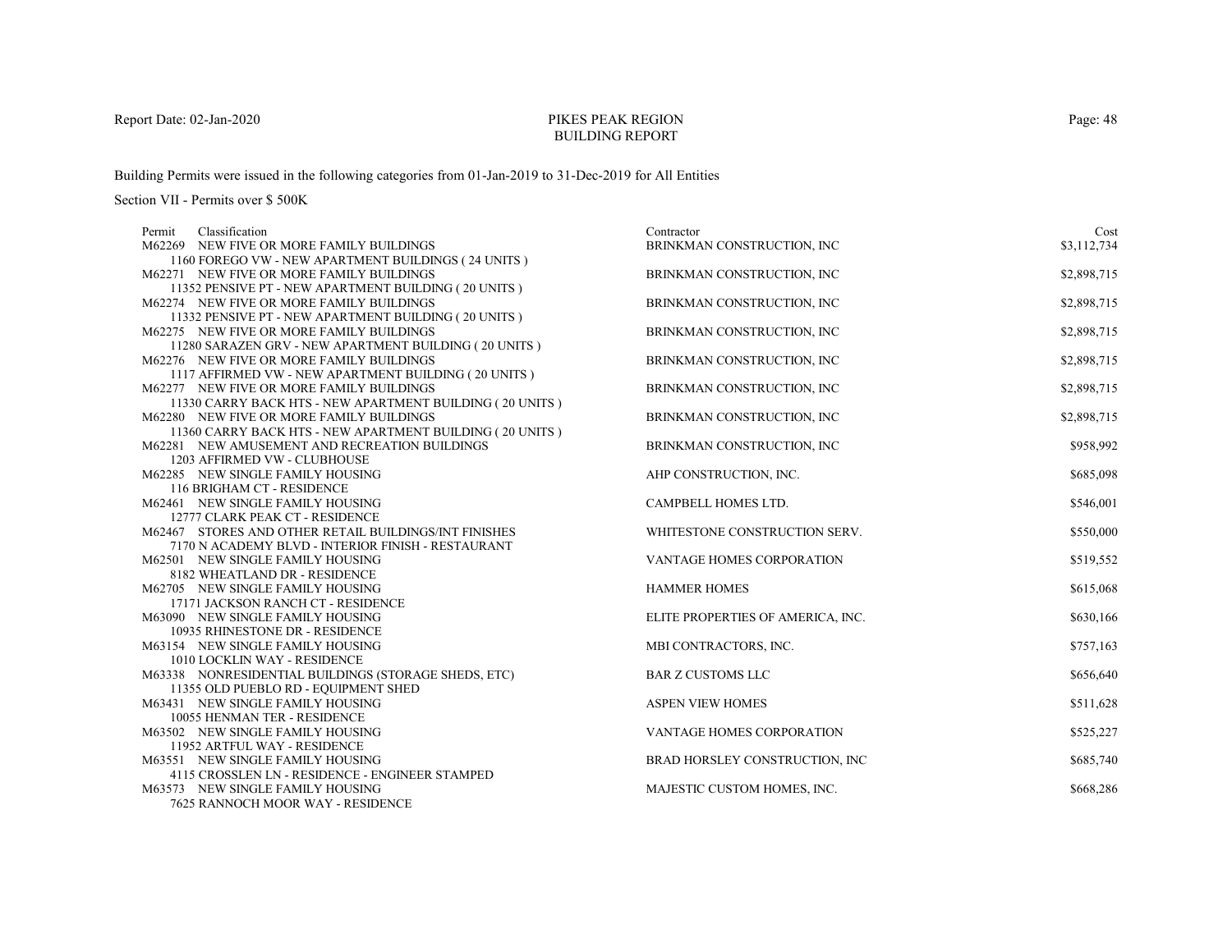# PIKES PEAK REGIONBUILDING REPORT

Building Permits were issued in the following categories from 01-Jan-2019 to 31-Dec-2019 for All Entities

| Classification<br>Permit                                                               | Contractor                        | Cost        |
|----------------------------------------------------------------------------------------|-----------------------------------|-------------|
| M62269 NEW FIVE OR MORE FAMILY BUILDINGS                                               | BRINKMAN CONSTRUCTION, INC        | \$3,112,734 |
| 1160 FOREGO VW - NEW APARTMENT BUILDINGS (24 UNITS)                                    |                                   |             |
| M62271 NEW FIVE OR MORE FAMILY BUILDINGS                                               | BRINKMAN CONSTRUCTION, INC        | \$2,898,715 |
| 11352 PENSIVE PT - NEW APARTMENT BUILDING (20 UNITS)                                   |                                   |             |
| M62274 NEW FIVE OR MORE FAMILY BUILDINGS                                               | BRINKMAN CONSTRUCTION, INC        | \$2,898,715 |
| 11332 PENSIVE PT - NEW APARTMENT BUILDING (20 UNITS)                                   |                                   |             |
| M62275 NEW FIVE OR MORE FAMILY BUILDINGS                                               | BRINKMAN CONSTRUCTION, INC        | \$2,898,715 |
| 11280 SARAZEN GRV - NEW APARTMENT BUILDING (20 UNITS)                                  |                                   |             |
| M62276 NEW FIVE OR MORE FAMILY BUILDINGS                                               | BRINKMAN CONSTRUCTION, INC        | \$2,898,715 |
| 1117 AFFIRMED VW - NEW APARTMENT BUILDING (20 UNITS)                                   |                                   |             |
| M62277 NEW FIVE OR MORE FAMILY BUILDINGS                                               | BRINKMAN CONSTRUCTION, INC        | \$2,898,715 |
| 11330 CARRY BACK HTS - NEW APARTMENT BUILDING (20 UNITS)                               |                                   |             |
| M62280 NEW FIVE OR MORE FAMILY BUILDINGS                                               | BRINKMAN CONSTRUCTION, INC        | \$2,898,715 |
| 11360 CARRY BACK HTS - NEW APARTMENT BUILDING (20 UNITS)                               |                                   |             |
| M62281 NEW AMUSEMENT AND RECREATION BUILDINGS                                          | BRINKMAN CONSTRUCTION, INC        | \$958,992   |
| 1203 AFFIRMED VW - CLUBHOUSE                                                           |                                   |             |
| M62285 NEW SINGLE FAMILY HOUSING                                                       | AHP CONSTRUCTION, INC.            | \$685,098   |
| 116 BRIGHAM CT - RESIDENCE                                                             |                                   |             |
| M62461 NEW SINGLE FAMILY HOUSING                                                       | CAMPBELL HOMES LTD.               | \$546,001   |
| 12777 CLARK PEAK CT - RESIDENCE                                                        |                                   |             |
| M62467 STORES AND OTHER RETAIL BUILDINGS/INT FINISHES                                  | WHITESTONE CONSTRUCTION SERV.     | \$550,000   |
| 7170 N ACADEMY BLVD - INTERIOR FINISH - RESTAURANT<br>M62501 NEW SINGLE FAMILY HOUSING |                                   |             |
| 8182 WHEATLAND DR - RESIDENCE                                                          | VANTAGE HOMES CORPORATION         | \$519,552   |
| M62705 NEW SINGLE FAMILY HOUSING                                                       | <b>HAMMER HOMES</b>               | \$615,068   |
| 17171 JACKSON RANCH CT - RESIDENCE                                                     |                                   |             |
| M63090 NEW SINGLE FAMILY HOUSING                                                       | ELITE PROPERTIES OF AMERICA, INC. | \$630,166   |
| 10935 RHINESTONE DR - RESIDENCE                                                        |                                   |             |
| M63154 NEW SINGLE FAMILY HOUSING                                                       | MBI CONTRACTORS, INC.             | \$757,163   |
| 1010 LOCKLIN WAY - RESIDENCE                                                           |                                   |             |
| M63338 NONRESIDENTIAL BUILDINGS (STORAGE SHEDS, ETC)                                   | <b>BAR Z CUSTOMS LLC</b>          | \$656,640   |
| 11355 OLD PUEBLO RD - EQUIPMENT SHED                                                   |                                   |             |
| M63431 NEW SINGLE FAMILY HOUSING                                                       | <b>ASPEN VIEW HOMES</b>           | \$511,628   |
| 10055 HENMAN TER - RESIDENCE                                                           |                                   |             |
| M63502 NEW SINGLE FAMILY HOUSING                                                       | VANTAGE HOMES CORPORATION         | \$525,227   |
| 11952 ARTFUL WAY - RESIDENCE                                                           |                                   |             |
| M63551 NEW SINGLE FAMILY HOUSING                                                       | BRAD HORSLEY CONSTRUCTION, INC    | \$685,740   |
| 4115 CROSSLEN LN - RESIDENCE - ENGINEER STAMPED                                        |                                   |             |
| M63573 NEW SINGLE FAMILY HOUSING                                                       | MAJESTIC CUSTOM HOMES, INC.       | \$668,286   |
| 7625 RANNOCH MOOR WAY - RESIDENCE                                                      |                                   |             |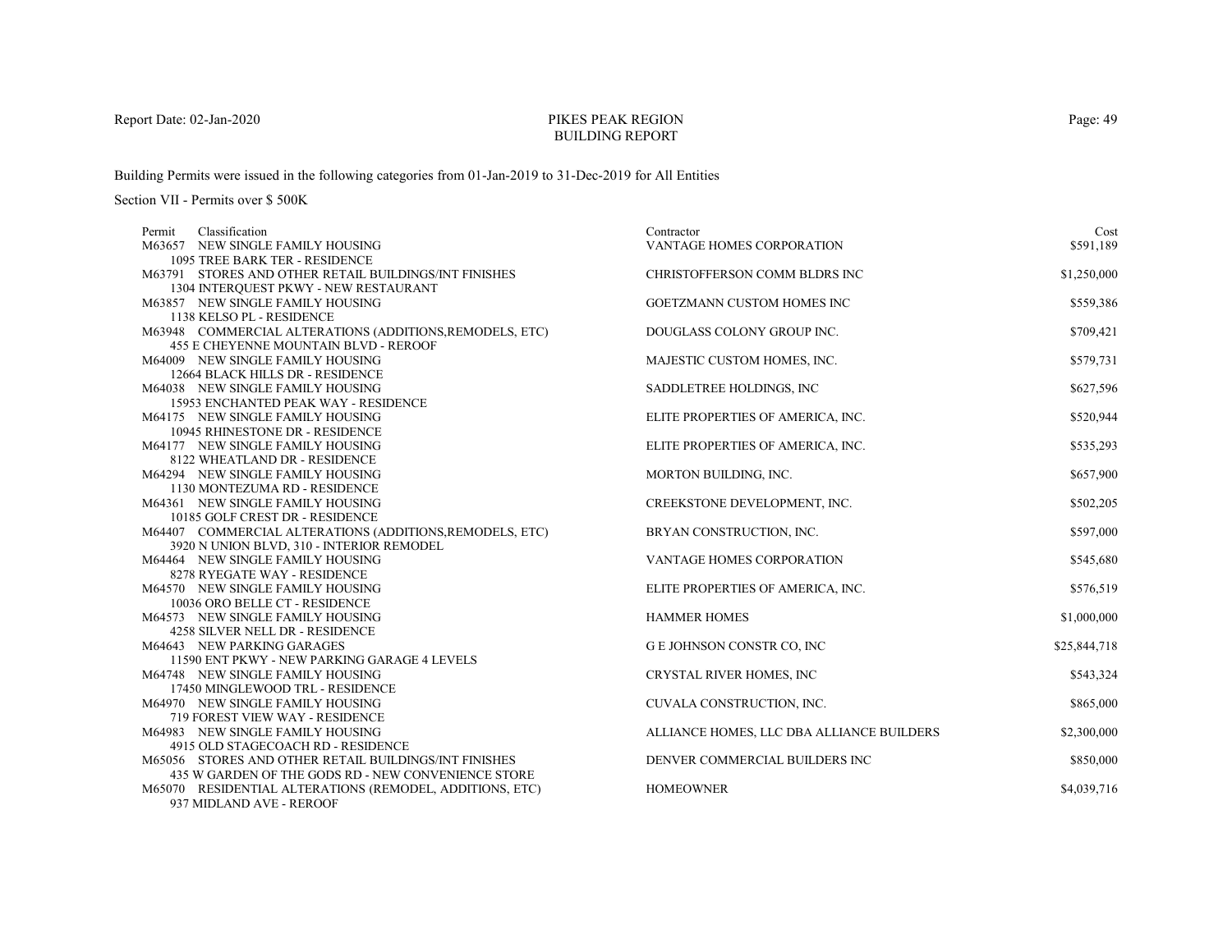# PIKES PEAK REGIONBUILDING REPORT

Building Permits were issued in the following categories from 01-Jan-2019 to 31-Dec-2019 for All Entities

| Classification<br>Permit                                                      | Contractor                                | Cost         |
|-------------------------------------------------------------------------------|-------------------------------------------|--------------|
| M63657 NEW SINGLE FAMILY HOUSING                                              | VANTAGE HOMES CORPORATION                 | \$591,189    |
| 1095 TREE BARK TER - RESIDENCE                                                |                                           |              |
| M63791 STORES AND OTHER RETAIL BUILDINGS/INT FINISHES                         | CHRISTOFFERSON COMM BLDRS INC             | \$1,250,000  |
| 1304 INTERQUEST PKWY - NEW RESTAURANT                                         |                                           |              |
| M63857 NEW SINGLE FAMILY HOUSING                                              | <b>GOETZMANN CUSTOM HOMES INC</b>         | \$559,386    |
| 1138 KELSO PL - RESIDENCE                                                     |                                           |              |
| M63948 COMMERCIAL ALTERATIONS (ADDITIONS, REMODELS, ETC)                      | DOUGLASS COLONY GROUP INC.                | \$709,421    |
| <b>455 E CHEYENNE MOUNTAIN BLVD - REROOF</b>                                  |                                           |              |
| M64009 NEW SINGLE FAMILY HOUSING                                              | MAJESTIC CUSTOM HOMES, INC.               | \$579,731    |
| 12664 BLACK HILLS DR - RESIDENCE                                              |                                           |              |
| M64038 NEW SINGLE FAMILY HOUSING                                              | SADDLETREE HOLDINGS, INC.                 | \$627,596    |
| 15953 ENCHANTED PEAK WAY - RESIDENCE                                          |                                           |              |
| M64175 NEW SINGLE FAMILY HOUSING                                              | ELITE PROPERTIES OF AMERICA, INC.         | \$520,944    |
| 10945 RHINESTONE DR - RESIDENCE                                               |                                           |              |
| M64177 NEW SINGLE FAMILY HOUSING                                              | ELITE PROPERTIES OF AMERICA, INC.         | \$535,293    |
| 8122 WHEATLAND DR - RESIDENCE                                                 |                                           |              |
| M64294 NEW SINGLE FAMILY HOUSING                                              | MORTON BUILDING, INC.                     | \$657,900    |
| 1130 MONTEZUMA RD - RESIDENCE                                                 |                                           |              |
| M64361 NEW SINGLE FAMILY HOUSING                                              | CREEKSTONE DEVELOPMENT, INC.              | \$502,205    |
| 10185 GOLF CREST DR - RESIDENCE                                               |                                           |              |
| M64407 COMMERCIAL ALTERATIONS (ADDITIONS, REMODELS, ETC)                      | BRYAN CONSTRUCTION, INC.                  | \$597,000    |
| 3920 N UNION BLVD, 310 - INTERIOR REMODEL<br>M64464 NEW SINGLE FAMILY HOUSING | VANTAGE HOMES CORPORATION                 | \$545,680    |
| 8278 RYEGATE WAY - RESIDENCE                                                  |                                           |              |
| M64570 NEW SINGLE FAMILY HOUSING                                              | ELITE PROPERTIES OF AMERICA, INC.         | \$576,519    |
| 10036 ORO BELLE CT - RESIDENCE                                                |                                           |              |
| M64573 NEW SINGLE FAMILY HOUSING                                              | <b>HAMMER HOMES</b>                       | \$1,000,000  |
| 4258 SILVER NELL DR - RESIDENCE                                               |                                           |              |
| M64643 NEW PARKING GARAGES                                                    | G E JOHNSON CONSTR CO, INC                | \$25,844,718 |
| 11590 ENT PKWY - NEW PARKING GARAGE 4 LEVELS                                  |                                           |              |
| M64748 NEW SINGLE FAMILY HOUSING                                              | CRYSTAL RIVER HOMES, INC                  | \$543,324    |
| 17450 MINGLEWOOD TRL - RESIDENCE                                              |                                           |              |
| M64970 NEW SINGLE FAMILY HOUSING                                              | CUVALA CONSTRUCTION, INC.                 | \$865,000    |
| 719 FOREST VIEW WAY - RESIDENCE                                               |                                           |              |
| M64983 NEW SINGLE FAMILY HOUSING                                              | ALLIANCE HOMES, LLC DBA ALLIANCE BUILDERS | \$2,300,000  |
| 4915 OLD STAGECOACH RD - RESIDENCE                                            |                                           |              |
| M65056 STORES AND OTHER RETAIL BUILDINGS/INT FINISHES                         | DENVER COMMERCIAL BUILDERS INC            | \$850,000    |
| 435 W GARDEN OF THE GODS RD - NEW CONVENIENCE STORE                           |                                           |              |
| M65070 RESIDENTIAL ALTERATIONS (REMODEL, ADDITIONS, ETC)                      | <b>HOMEOWNER</b>                          | \$4,039,716  |
| 937 MIDLAND AVE - REROOF                                                      |                                           |              |